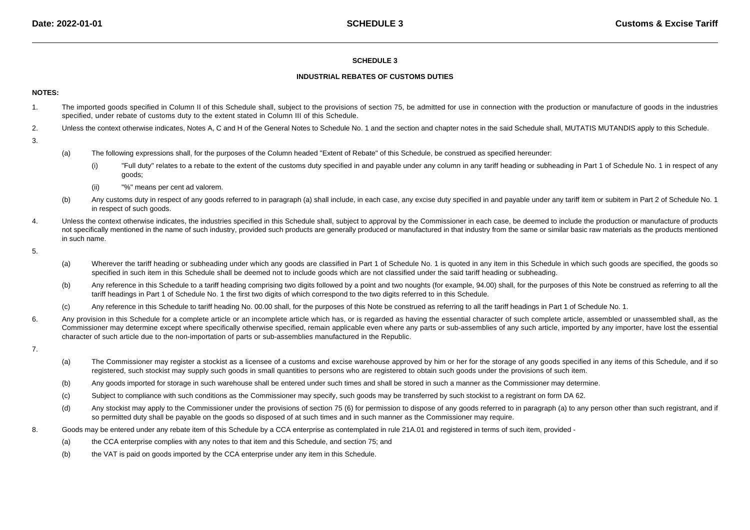## **SCHEDULE 3**

## **INDUSTRIAL REBATES OF CUSTOMS DUTIES**

#### **NOTES:**

- 1. The imported goods specified in Column II of this Schedule shall, subject to the provisions of section 75, be admitted for use in connection with the production or manufacture of goods in the industriesspecified, under rebate of customs duty to the extent stated in Column III of this Schedule.
- 2.Unless the context otherwise indicates, Notes A, C and H of the General Notes to Schedule No. 1 and the section and chapter notes in the said Schedule shall, MUTATIS MUTANDIS apply to this Schedule.
- 3.
- (a) The following expressions shall, for the purposes of the Column headed "Extent of Rebate" of this Schedule, be construed as specified hereunder:
	- (i)"Full duty" relates to a rebate to the extent of the customs duty specified in and payable under any column in any tariff heading or subheading in Part 1 of Schedule No. 1 in respect of any goods;
	- (ii)"%" means per cent ad valorem.
- (b)Any customs duty in respect of any goods referred to in paragraph (a) shall include, in each case, any excise duty specified in and payable under any tariff item or subitem in Part 2 of Schedule No. 1 in respect of such goods.
- 4. Unless the context otherwise indicates, the industries specified in this Schedule shall, subject to approval by the Commissioner in each case, be deemed to include the production or manufacture of productsnot specifically mentioned in the name of such industry, provided such products are generally produced or manufactured in that industry from the same or similar basic raw materials as the products mentioned in such name.

5.

- (a)Wherever the tariff heading or subheading under which any goods are classified in Part 1 of Schedule No. 1 is quoted in any item in this Schedule in which such goods are specified, the goods so specified in such item in this Schedule shall be deemed not to include goods which are not classified under the said tariff heading or subheading.
- (b)Any reference in this Schedule to a tariff heading comprising two digits followed by a point and two noughts (for example, 94.00) shall, for the purposes of this Note be construed as referring to all the tariff headings in Part 1 of Schedule No. 1 the first two digits of which correspond to the two digits referred to in this Schedule.
- (c)Any reference in this Schedule to tariff heading No. 00.00 shall, for the purposes of this Note be construed as referring to all the tariff headings in Part 1 of Schedule No. 1.
- 6.Any provision in this Schedule for a complete article or an incomplete article which has, or is regarded as having the essential character of such complete article, assembled or unassembled shall, as the Commissioner may determine except where specifically otherwise specified, remain applicable even where any parts or sub-assemblies of any such article, imported by any importer, have lost the essentialcharacter of such article due to the non-importation of parts or sub-assemblies manufactured in the Republic.
- 7.
- (a)The Commissioner may register a stockist as a licensee of a customs and excise warehouse approved by him or her for the storage of any goods specified in any items of this Schedule, and if so registered, such stockist may supply such goods in small quantities to persons who are registered to obtain such goods under the provisions of such item.
- (b)Any goods imported for storage in such warehouse shall be entered under such times and shall be stored in such a manner as the Commissioner may determine.
- (c)Subject to compliance with such conditions as the Commissioner may specify, such goods may be transferred by such stockist to a registrant on form DA 62.
- (d)Any stockist may apply to the Commissioner under the provisions of section 75 (6) for permission to dispose of any goods referred to in paragraph (a) to any person other than such registrant, and if so permitted duty shall be payable on the goods so disposed of at such times and in such manner as the Commissioner may require.
- 8. Goods may be entered under any rebate item of this Schedule by a CCA enterprise as contemplated in rule 21A.01 and registered in terms of such item, provided -
	- (a)the CCA enterprise complies with any notes to that item and this Schedule, and section 75; and
	- (b)the VAT is paid on goods imported by the CCA enterprise under any item in this Schedule.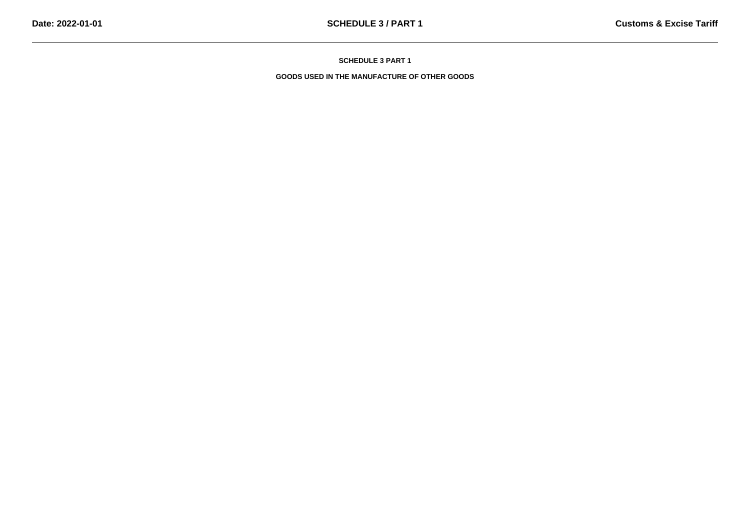**SCHEDULE 3 PART 1**

**GOODS USED IN THE MANUFACTURE OF OTHER GOODS**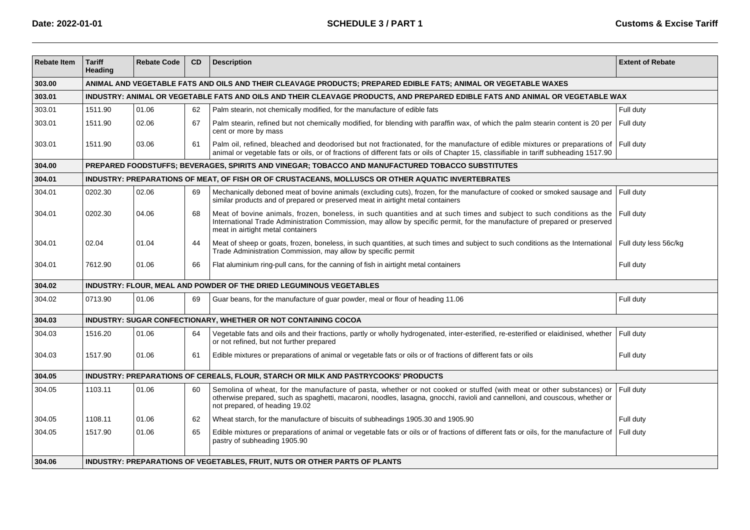| <b>Rebate Item</b> | <b>Tariff</b><br>Heading                                                                                                      | <b>Rebate Code</b> | CD | <b>Description</b>                                                                                                                                                                                                                                                                     | <b>Extent of Rebate</b> |  |  |  |  |
|--------------------|-------------------------------------------------------------------------------------------------------------------------------|--------------------|----|----------------------------------------------------------------------------------------------------------------------------------------------------------------------------------------------------------------------------------------------------------------------------------------|-------------------------|--|--|--|--|
| 303.00             | ANIMAL AND VEGETABLE FATS AND OILS AND THEIR CLEAVAGE PRODUCTS; PREPARED EDIBLE FATS; ANIMAL OR VEGETABLE WAXES               |                    |    |                                                                                                                                                                                                                                                                                        |                         |  |  |  |  |
| 303.01             | INDUSTRY: ANIMAL OR VEGETABLE FATS AND OILS AND THEIR CLEAVAGE PRODUCTS, AND PREPARED EDIBLE FATS AND ANIMAL OR VEGETABLE WAX |                    |    |                                                                                                                                                                                                                                                                                        |                         |  |  |  |  |
| 303.01             | 1511.90                                                                                                                       | 01.06              | 62 | Palm stearin, not chemically modified, for the manufacture of edible fats                                                                                                                                                                                                              | Full duty               |  |  |  |  |
| 303.01             | 1511.90                                                                                                                       | 02.06              | 67 | Palm stearin, refined but not chemically modified, for blending with paraffin wax, of which the palm stearin content is 20 per<br>cent or more by mass                                                                                                                                 | Full duty               |  |  |  |  |
| 303.01             | 1511.90                                                                                                                       | 03.06              | 61 | Palm oil, refined, bleached and deodorised but not fractionated, for the manufacture of edible mixtures or preparations of<br>animal or vegetable fats or oils, or of fractions of different fats or oils of Chapter 15, classifiable in tariff subheading 1517.90                     | Full duty               |  |  |  |  |
| 304.00             |                                                                                                                               |                    |    | PREPARED FOODSTUFFS; BEVERAGES, SPIRITS AND VINEGAR; TOBACCO AND MANUFACTURED TOBACCO SUBSTITUTES                                                                                                                                                                                      |                         |  |  |  |  |
| 304.01             |                                                                                                                               |                    |    | INDUSTRY: PREPARATIONS OF MEAT, OF FISH OR OF CRUSTACEANS, MOLLUSCS OR OTHER AQUATIC INVERTEBRATES                                                                                                                                                                                     |                         |  |  |  |  |
| 304.01             | 0202.30                                                                                                                       | 02.06              | 69 | Mechanically deboned meat of bovine animals (excluding cuts), frozen, for the manufacture of cooked or smoked sausage and<br>similar products and of prepared or preserved meat in airtight metal containers                                                                           | Full duty               |  |  |  |  |
| 304.01             | 0202.30                                                                                                                       | 04.06              | 68 | Meat of bovine animals, frozen, boneless, in such quantities and at such times and subject to such conditions as the<br>International Trade Administration Commission, may allow by specific permit, for the manufacture of prepared or preserved<br>meat in airtight metal containers | Full duty               |  |  |  |  |
| 304.01             | 02.04                                                                                                                         | 01.04              | 44 | Meat of sheep or goats, frozen, boneless, in such quantities, at such times and subject to such conditions as the International<br>Trade Administration Commission, may allow by specific permit                                                                                       | Full duty less 56c/kg   |  |  |  |  |
| 304.01             | 7612.90                                                                                                                       | 01.06              | 66 | Flat aluminium ring-pull cans, for the canning of fish in airtight metal containers                                                                                                                                                                                                    | Full duty               |  |  |  |  |
| 304.02             |                                                                                                                               |                    |    | INDUSTRY: FLOUR, MEAL AND POWDER OF THE DRIED LEGUMINOUS VEGETABLES                                                                                                                                                                                                                    |                         |  |  |  |  |
| 304.02             | 0713.90                                                                                                                       | 01.06              | 69 | Guar beans, for the manufacture of guar powder, meal or flour of heading 11.06                                                                                                                                                                                                         | Full duty               |  |  |  |  |
| 304.03             |                                                                                                                               |                    |    | INDUSTRY: SUGAR CONFECTIONARY, WHETHER OR NOT CONTAINING COCOA                                                                                                                                                                                                                         |                         |  |  |  |  |
| 304.03             | 1516.20                                                                                                                       | 01.06              | 64 | Vegetable fats and oils and their fractions, partly or wholly hydrogenated, inter-esterified, re-esterified or elaidinised, whether<br>or not refined, but not further prepared                                                                                                        | Full duty               |  |  |  |  |
| 304.03             | 1517.90                                                                                                                       | 01.06              | 61 | Edible mixtures or preparations of animal or vegetable fats or oils or of fractions of different fats or oils                                                                                                                                                                          | Full duty               |  |  |  |  |
| 304.05             |                                                                                                                               |                    |    | INDUSTRY: PREPARATIONS OF CEREALS, FLOUR, STARCH OR MILK AND PASTRYCOOKS' PRODUCTS                                                                                                                                                                                                     |                         |  |  |  |  |
| 304.05             | 1103.11                                                                                                                       | 01.06              | 60 | Semolina of wheat, for the manufacture of pasta, whether or not cooked or stuffed (with meat or other substances) or<br>otherwise prepared, such as spaghetti, macaroni, noodles, lasagna, gnocchi, ravioli and cannelloni, and couscous, whether or<br>not prepared, of heading 19.02 | Full duty               |  |  |  |  |
| 304.05             | 1108.11                                                                                                                       | 01.06              | 62 | Wheat starch, for the manufacture of biscuits of subheadings 1905.30 and 1905.90                                                                                                                                                                                                       | Full duty               |  |  |  |  |
| 304.05             | 1517.90                                                                                                                       | 01.06              | 65 | Edible mixtures or preparations of animal or vegetable fats or oils or of fractions of different fats or oils, for the manufacture of<br>pastry of subheading 1905.90                                                                                                                  | Full duty               |  |  |  |  |
| 304.06             | INDUSTRY: PREPARATIONS OF VEGETABLES, FRUIT, NUTS OR OTHER PARTS OF PLANTS                                                    |                    |    |                                                                                                                                                                                                                                                                                        |                         |  |  |  |  |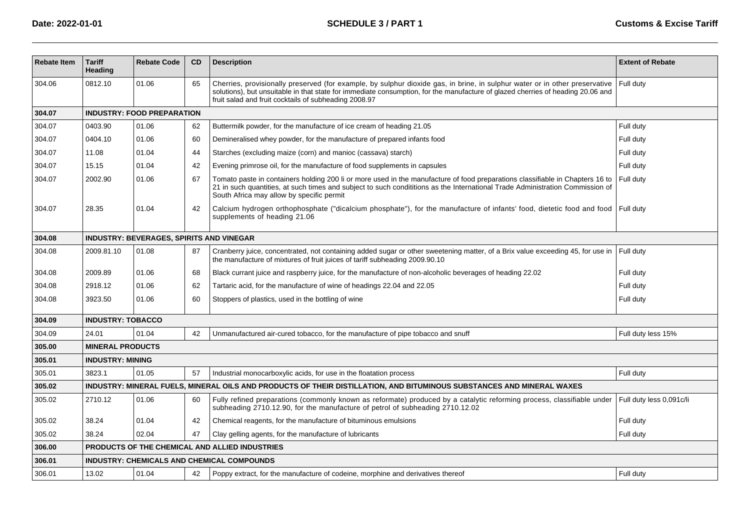| <b>Rebate Item</b> | <b>Tariff</b><br>Heading                        | <b>Rebate Code</b> | <b>CD</b> | <b>Description</b>                                                                                                                                                                                                                                                                                                      | <b>Extent of Rebate</b>  |  |  |  |  |  |  |
|--------------------|-------------------------------------------------|--------------------|-----------|-------------------------------------------------------------------------------------------------------------------------------------------------------------------------------------------------------------------------------------------------------------------------------------------------------------------------|--------------------------|--|--|--|--|--|--|
| 304.06             | 0812.10                                         | 01.06              | 65        | Cherries, provisionally preserved (for example, by sulphur dioxide gas, in brine, in sulphur water or in other preservative<br>solutions), but unsuitable in that state for immediate consumption, for the manufacture of glazed cherries of heading 20.06 and<br>fruit salad and fruit cocktails of subheading 2008.97 | Full duty                |  |  |  |  |  |  |
| 304.07             | <b>INDUSTRY: FOOD PREPARATION</b>               |                    |           |                                                                                                                                                                                                                                                                                                                         |                          |  |  |  |  |  |  |
| 304.07             | 0403.90                                         | 01.06              | 62        | Buttermilk powder, for the manufacture of ice cream of heading 21.05                                                                                                                                                                                                                                                    | Full duty                |  |  |  |  |  |  |
| 304.07             | 0404.10                                         | 01.06              | 60        | Demineralised whey powder, for the manufacture of prepared infants food                                                                                                                                                                                                                                                 | Full duty                |  |  |  |  |  |  |
| 304.07             | 11.08                                           | 01.04              | 44        | Starches (excluding maize (corn) and manioc (cassava) starch)                                                                                                                                                                                                                                                           | Full duty                |  |  |  |  |  |  |
| 304.07             | 15.15                                           | 01.04              | 42        | Evening primrose oil, for the manufacture of food supplements in capsules                                                                                                                                                                                                                                               | Full duty                |  |  |  |  |  |  |
| 304.07             | 2002.90                                         | 01.06              | 67        | Tomato paste in containers holding 200 li or more used in the manufacture of food preparations classifiable in Chapters 16 to<br>21 in such quantities, at such times and subject to such condititions as the International Trade Administration Commission of<br>South Africa may allow by specific permit             | Full duty                |  |  |  |  |  |  |
| 304.07             | 28.35                                           | 01.04              | 42        | Calcium hydrogen orthophosphate ("dicalcium phosphate"), for the manufacture of infants' food, dietetic food and food<br>supplements of heading 21.06                                                                                                                                                                   | Full duty                |  |  |  |  |  |  |
| 304.08             | <b>INDUSTRY: BEVERAGES, SPIRITS AND VINEGAR</b> |                    |           |                                                                                                                                                                                                                                                                                                                         |                          |  |  |  |  |  |  |
| 304.08             | 2009.81.10                                      | 01.08              | 87        | Cranberry juice, concentrated, not containing added sugar or other sweetening matter, of a Brix value exceeding 45, for use in<br>the manufacture of mixtures of fruit juices of tariff subheading 2009.90.10                                                                                                           | Full duty                |  |  |  |  |  |  |
| 304.08             | 2009.89                                         | 01.06              | 68        | Black currant juice and raspberry juice, for the manufacture of non-alcoholic beverages of heading 22.02                                                                                                                                                                                                                | Full duty                |  |  |  |  |  |  |
| 304.08             | 2918.12                                         | 01.06              | 62        | Tartaric acid, for the manufacture of wine of headings 22.04 and 22.05                                                                                                                                                                                                                                                  | Full duty                |  |  |  |  |  |  |
| 304.08             | 3923.50                                         | 01.06              | 60        | Stoppers of plastics, used in the bottling of wine                                                                                                                                                                                                                                                                      | Full duty                |  |  |  |  |  |  |
| 304.09             | <b>INDUSTRY: TOBACCO</b>                        |                    |           |                                                                                                                                                                                                                                                                                                                         |                          |  |  |  |  |  |  |
| 304.09             | 24.01                                           | 01.04              | 42        | Unmanufactured air-cured tobacco, for the manufacture of pipe tobacco and snuff                                                                                                                                                                                                                                         | Full duty less 15%       |  |  |  |  |  |  |
| 305.00             | <b>MINERAL PRODUCTS</b>                         |                    |           |                                                                                                                                                                                                                                                                                                                         |                          |  |  |  |  |  |  |
| 305.01             | <b>INDUSTRY: MINING</b>                         |                    |           |                                                                                                                                                                                                                                                                                                                         |                          |  |  |  |  |  |  |
| 305.01             | 3823.1                                          | 01.05              | 57        | Industrial monocarboxylic acids, for use in the floatation process                                                                                                                                                                                                                                                      | Full duty                |  |  |  |  |  |  |
| 305.02             |                                                 |                    |           | INDUSTRY: MINERAL FUELS, MINERAL OILS AND PRODUCTS OF THEIR DISTILLATION, AND BITUMINOUS SUBSTANCES AND MINERAL WAXES                                                                                                                                                                                                   |                          |  |  |  |  |  |  |
| 305.02             | 2710.12                                         | 01.06              | 60        | Fully refined preparations (commonly known as reformate) produced by a catalytic reforming process, classifiable under<br>subheading 2710.12.90, for the manufacture of petrol of subheading 2710.12.02                                                                                                                 | Full duty less 0,091c/li |  |  |  |  |  |  |
| 305.02             | 38.24                                           | 01.04              | 42        | Chemical reagents, for the manufacture of bituminous emulsions                                                                                                                                                                                                                                                          | Full duty                |  |  |  |  |  |  |
| 305.02             | 38.24                                           | 02.04              | 47        | Clay gelling agents, for the manufacture of lubricants                                                                                                                                                                                                                                                                  | Full duty                |  |  |  |  |  |  |
| 306.00             |                                                 |                    |           | PRODUCTS OF THE CHEMICAL AND ALLIED INDUSTRIES                                                                                                                                                                                                                                                                          |                          |  |  |  |  |  |  |
| 306.01             |                                                 |                    |           | <b>INDUSTRY: CHEMICALS AND CHEMICAL COMPOUNDS</b>                                                                                                                                                                                                                                                                       |                          |  |  |  |  |  |  |
| 306.01             | 13.02                                           | 01.04              | 42        | Poppy extract, for the manufacture of codeine, morphine and derivatives thereof                                                                                                                                                                                                                                         | Full duty                |  |  |  |  |  |  |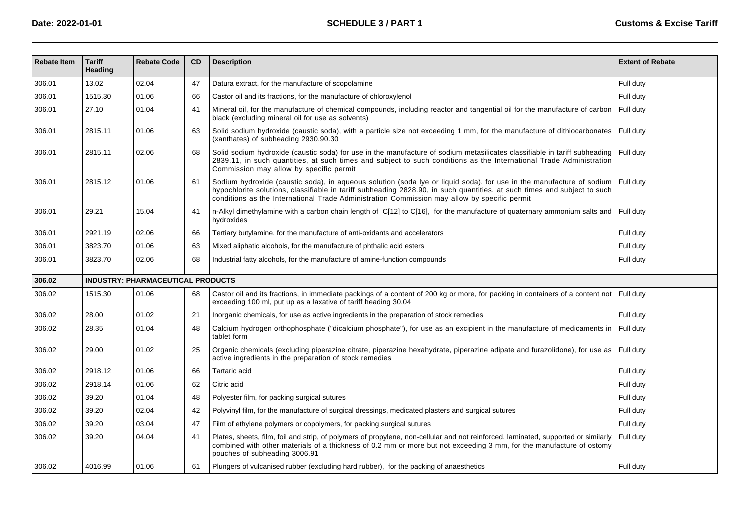| <b>Rebate Item</b> | <b>Tariff</b><br>Heading | <b>Rebate Code</b>                | <b>CD</b> | <b>Description</b>                                                                                                                                                                                                                                                                                                                               | <b>Extent of Rebate</b> |
|--------------------|--------------------------|-----------------------------------|-----------|--------------------------------------------------------------------------------------------------------------------------------------------------------------------------------------------------------------------------------------------------------------------------------------------------------------------------------------------------|-------------------------|
| 306.01             | 13.02                    | 02.04                             | 47        | Datura extract, for the manufacture of scopolamine                                                                                                                                                                                                                                                                                               | Full duty               |
| 306.01             | 1515.30                  | 01.06                             | 66        | Castor oil and its fractions, for the manufacture of chloroxylenol                                                                                                                                                                                                                                                                               | Full duty               |
| 306.01             | 27.10                    | 01.04                             | 41        | Mineral oil, for the manufacture of chemical compounds, including reactor and tangential oil for the manufacture of carbon<br>black (excluding mineral oil for use as solvents)                                                                                                                                                                  | Full duty               |
| 306.01             | 2815.11                  | 01.06                             | 63        | Solid sodium hydroxide (caustic soda), with a particle size not exceeding 1 mm, for the manufacture of dithiocarbonates<br>(xanthates) of subheading 2930.90.30                                                                                                                                                                                  | Full duty               |
| 306.01             | 2815.11                  | 02.06                             | 68        | Solid sodium hydroxide (caustic soda) for use in the manufacture of sodium metasilicates classifiable in tariff subheading<br>2839.11, in such quantities, at such times and subject to such conditions as the International Trade Administration<br>Commission may allow by specific permit                                                     | Full duty               |
| 306.01             | 2815.12                  | 01.06                             | 61        | Sodium hydroxide (caustic soda), in aqueous solution (soda lye or liquid soda), for use in the manufacture of sodium<br>hypochlorite solutions, classifiable in tariff subheading 2828.90, in such quantities, at such times and subject to such<br>conditions as the International Trade Administration Commission may allow by specific permit | Full duty               |
| 306.01             | 29.21                    | 15.04                             | 41        | n-Alkyl dimethylamine with a carbon chain length of C[12] to C[16], for the manufacture of quaternary ammonium salts and<br>hydroxides                                                                                                                                                                                                           | Full duty               |
| 306.01             | 2921.19                  | 02.06                             | 66        | Tertiary butylamine, for the manufacture of anti-oxidants and accelerators                                                                                                                                                                                                                                                                       | Full duty               |
| 306.01             | 3823.70                  | 01.06                             | 63        | Mixed aliphatic alcohols, for the manufacture of phthalic acid esters                                                                                                                                                                                                                                                                            | Full duty               |
| 306.01             | 3823.70                  | 02.06                             | 68        | Industrial fatty alcohols, for the manufacture of amine-function compounds                                                                                                                                                                                                                                                                       | Full duty               |
| 306.02             |                          | INDUSTRY: PHARMACEUTICAL PRODUCTS |           |                                                                                                                                                                                                                                                                                                                                                  |                         |
| 306.02             | 1515.30                  | 01.06                             | 68        | Castor oil and its fractions, in immediate packings of a content of 200 kg or more, for packing in containers of a content not<br>exceeding 100 ml, put up as a laxative of tariff heading 30.04                                                                                                                                                 | Full duty               |
| 306.02             | 28.00                    | 01.02                             | 21        | Inorganic chemicals, for use as active ingredients in the preparation of stock remedies                                                                                                                                                                                                                                                          | Full duty               |
| 306.02             | 28.35                    | 01.04                             | 48        | Calcium hydrogen orthophosphate ("dicalcium phosphate"), for use as an excipient in the manufacture of medicaments in<br>tablet form                                                                                                                                                                                                             | Full duty               |
| 306.02             | 29.00                    | 01.02                             | 25        | Organic chemicals (excluding piperazine citrate, piperazine hexahydrate, piperazine adipate and furazolidone), for use as<br>active ingredients in the preparation of stock remedies                                                                                                                                                             | Full duty               |
| 306.02             | 2918.12                  | 01.06                             | 66        | Tartaric acid                                                                                                                                                                                                                                                                                                                                    | Full duty               |
| 306.02             | 2918.14                  | 01.06                             | 62        | Citric acid                                                                                                                                                                                                                                                                                                                                      | Full duty               |
| 306.02             | 39.20                    | 01.04                             | 48        | Polyester film, for packing surgical sutures                                                                                                                                                                                                                                                                                                     | Full duty               |
| 306.02             | 39.20                    | 02.04                             | 42        | Polyvinyl film, for the manufacture of surgical dressings, medicated plasters and surgical sutures                                                                                                                                                                                                                                               | Full duty               |
| 306.02             | 39.20                    | 03.04                             | 47        | Film of ethylene polymers or copolymers, for packing surgical sutures                                                                                                                                                                                                                                                                            | Full duty               |
| 306.02             | 39.20                    | 04.04                             | 41        | Plates, sheets, film, foil and strip, of polymers of propylene, non-cellular and not reinforced, laminated, supported or similarly<br>combined with other materials of a thickness of 0.2 mm or more but not exceeding 3 mm, for the manufacture of ostomy<br>pouches of subheading 3006.91                                                      | Full duty               |
| 306.02             | 4016.99                  | 01.06                             | 61        | Plungers of vulcanised rubber (excluding hard rubber), for the packing of anaesthetics                                                                                                                                                                                                                                                           | Full duty               |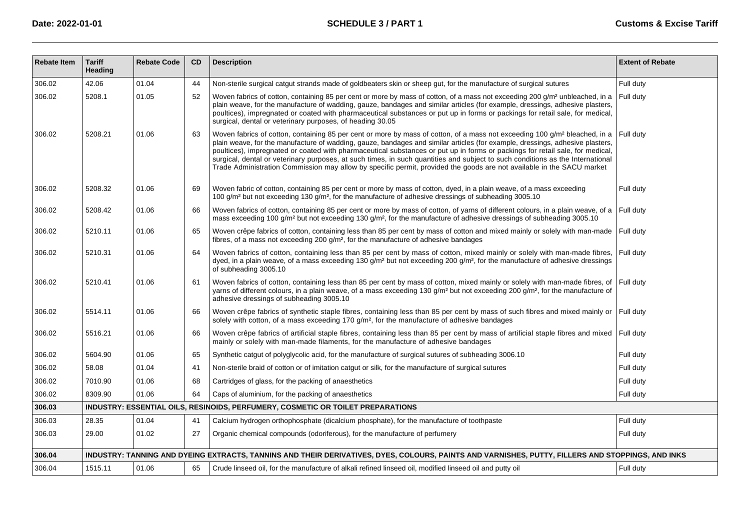| <b>Rebate Item</b> | <b>Tariff</b><br>Heading | <b>Rebate Code</b> | CD | <b>Description</b>                                                                                                                                                                                                                                                                                                                                                                                                                                                                                                                                                                                                                                                  | <b>Extent of Rebate</b> |
|--------------------|--------------------------|--------------------|----|---------------------------------------------------------------------------------------------------------------------------------------------------------------------------------------------------------------------------------------------------------------------------------------------------------------------------------------------------------------------------------------------------------------------------------------------------------------------------------------------------------------------------------------------------------------------------------------------------------------------------------------------------------------------|-------------------------|
| 306.02             | 42.06                    | 01.04              | 44 | Non-sterile surgical catgut strands made of goldbeaters skin or sheep gut, for the manufacture of surgical sutures                                                                                                                                                                                                                                                                                                                                                                                                                                                                                                                                                  | Full duty               |
| 306.02             | 5208.1                   | 01.05              | 52 | Woven fabrics of cotton, containing 85 per cent or more by mass of cotton, of a mass not exceeding 200 g/m <sup>2</sup> unbleached, in a<br>plain weave, for the manufacture of wadding, gauze, bandages and similar articles (for example, dressings, adhesive plasters,<br>poultices), impregnated or coated with pharmaceutical substances or put up in forms or packings for retail sale, for medical,<br>surgical, dental or veterinary purposes, of heading 30.05                                                                                                                                                                                             | Full duty               |
| 306.02             | 5208.21                  | 01.06              | 63 | Woven fabrics of cotton, containing 85 per cent or more by mass of cotton, of a mass not exceeding 100 g/m <sup>2</sup> bleached, in a<br>plain weave, for the manufacture of wadding, gauze, bandages and similar articles (for example, dressings, adhesive plasters,<br>poultices), impregnated or coated with pharmaceutical substances or put up in forms or packings for retail sale, for medical,<br>surgical, dental or veterinary purposes, at such times, in such quantities and subject to such conditions as the International<br>Trade Administration Commission may allow by specific permit, provided the goods are not available in the SACU market | Full duty               |
| 306.02             | 5208.32                  | 01.06              | 69 | Woven fabric of cotton, containing 85 per cent or more by mass of cotton, dyed, in a plain weave, of a mass exceeding<br>100 g/m <sup>2</sup> but not exceeding 130 g/m <sup>2</sup> , for the manufacture of adhesive dressings of subheading 3005.10                                                                                                                                                                                                                                                                                                                                                                                                              | Full duty               |
| 306.02             | 5208.42                  | 01.06              | 66 | Woven fabrics of cotton, containing 85 per cent or more by mass of cotton, of yarns of different colours, in a plain weave, of a<br>mass exceeding 100 g/m <sup>2</sup> but not exceeding 130 g/m <sup>2</sup> , for the manufacture of adhesive dressings of subheading 3005.10                                                                                                                                                                                                                                                                                                                                                                                    | Full duty               |
| 306.02             | 5210.11                  | 01.06              | 65 | Woven crêpe fabrics of cotton, containing less than 85 per cent by mass of cotton and mixed mainly or solely with man-made<br>fibres, of a mass not exceeding 200 $g/m^2$ , for the manufacture of adhesive bandages                                                                                                                                                                                                                                                                                                                                                                                                                                                | Full duty               |
| 306.02             | 5210.31                  | 01.06              | 64 | Woven fabrics of cotton, containing less than 85 per cent by mass of cotton, mixed mainly or solely with man-made fibres,<br>dyed, in a plain weave, of a mass exceeding 130 $g/m^2$ but not exceeding 200 $g/m^2$ , for the manufacture of adhesive dressings<br>of subheading 3005.10                                                                                                                                                                                                                                                                                                                                                                             | Full duty               |
| 306.02             | 5210.41                  | 01.06              | 61 | Woven fabrics of cotton, containing less than 85 per cent by mass of cotton, mixed mainly or solely with man-made fibres, of<br>yarns of different colours, in a plain weave, of a mass exceeding 130 g/m <sup>2</sup> but not exceeding 200 g/m <sup>2</sup> , for the manufacture of<br>adhesive dressings of subheading 3005.10                                                                                                                                                                                                                                                                                                                                  | Full duty               |
| 306.02             | 5514.11                  | 01.06              | 66 | Woven crêpe fabrics of synthetic staple fibres, containing less than 85 per cent by mass of such fibres and mixed mainly or<br>solely with cotton, of a mass exceeding 170 g/m <sup>2</sup> , for the manufacture of adhesive bandages                                                                                                                                                                                                                                                                                                                                                                                                                              | Full duty               |
| 306.02             | 5516.21                  | 01.06              | 66 | Woven crêpe fabrics of artificial staple fibres, containing less than 85 per cent by mass of artificial staple fibres and mixed<br>mainly or solely with man-made filaments, for the manufacture of adhesive bandages                                                                                                                                                                                                                                                                                                                                                                                                                                               | Full duty               |
| 306.02             | 5604.90                  | 01.06              | 65 | Synthetic catgut of polyglycolic acid, for the manufacture of surgical sutures of subheading 3006.10                                                                                                                                                                                                                                                                                                                                                                                                                                                                                                                                                                | Full duty               |
| 306.02             | 58.08                    | 01.04              | 41 | Non-sterile braid of cotton or of imitation catgut or silk, for the manufacture of surgical sutures                                                                                                                                                                                                                                                                                                                                                                                                                                                                                                                                                                 | Full duty               |
| 306.02             | 7010.90                  | 01.06              | 68 | Cartridges of glass, for the packing of anaesthetics                                                                                                                                                                                                                                                                                                                                                                                                                                                                                                                                                                                                                | Full duty               |
| 306.02             | 8309.90                  | 01.06              | 64 | Caps of aluminium, for the packing of anaesthetics                                                                                                                                                                                                                                                                                                                                                                                                                                                                                                                                                                                                                  | Full duty               |
| 306.03             |                          |                    |    | INDUSTRY: ESSENTIAL OILS, RESINOIDS, PERFUMERY, COSMETIC OR TOILET PREPARATIONS                                                                                                                                                                                                                                                                                                                                                                                                                                                                                                                                                                                     |                         |
| 306.03             | 28.35                    | 01.04              | 41 | Calcium hydrogen orthophosphate (dicalcium phosphate), for the manufacture of toothpaste                                                                                                                                                                                                                                                                                                                                                                                                                                                                                                                                                                            | Full duty               |
| 306.03             | 29.00                    | 01.02              | 27 | Organic chemical compounds (odoriferous), for the manufacture of perfumery                                                                                                                                                                                                                                                                                                                                                                                                                                                                                                                                                                                          | Full duty               |
| 306.04             |                          |                    |    | INDUSTRY: TANNING AND DYEING EXTRACTS, TANNINS AND THEIR DERIVATIVES, DYES, COLOURS, PAINTS AND VARNISHES, PUTTY, FILLERS AND STOPPINGS, AND INKS                                                                                                                                                                                                                                                                                                                                                                                                                                                                                                                   |                         |
| 306.04             | 1515.11                  | 01.06              | 65 | Crude linseed oil, for the manufacture of alkali refined linseed oil, modified linseed oil and putty oil                                                                                                                                                                                                                                                                                                                                                                                                                                                                                                                                                            | Full duty               |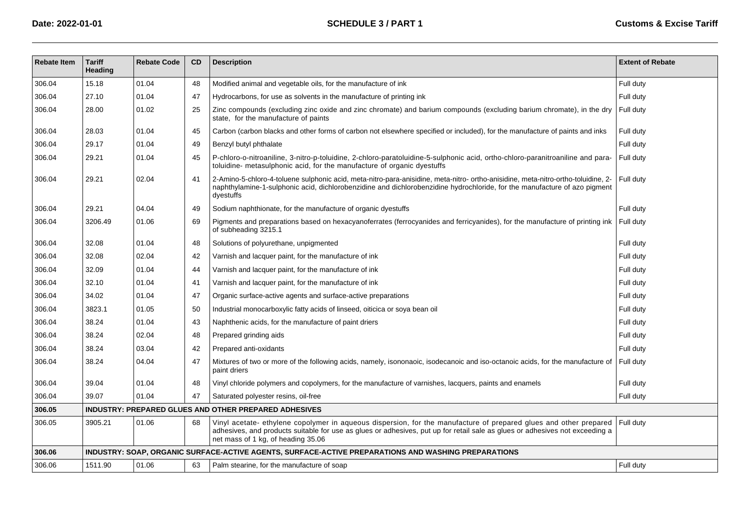| <b>Rebate Item</b> | <b>Tariff</b><br>Heading | <b>Rebate Code</b> | <b>CD</b> | <b>Description</b>                                                                                                                                                                                                                                                                      | <b>Extent of Rebate</b> |
|--------------------|--------------------------|--------------------|-----------|-----------------------------------------------------------------------------------------------------------------------------------------------------------------------------------------------------------------------------------------------------------------------------------------|-------------------------|
| 306.04             | 15.18                    | 01.04              | 48        | Modified animal and vegetable oils, for the manufacture of ink                                                                                                                                                                                                                          | Full duty               |
| 306.04             | 27.10                    | 01.04              | 47        | Hydrocarbons, for use as solvents in the manufacture of printing ink                                                                                                                                                                                                                    | Full duty               |
| 306.04             | 28.00                    | 01.02              | 25        | Zinc compounds (excluding zinc oxide and zinc chromate) and barium compounds (excluding barium chromate), in the dry<br>state, for the manufacture of paints                                                                                                                            | Full duty               |
| 306.04             | 28.03                    | 01.04              | 45        | Carbon (carbon blacks and other forms of carbon not elsewhere specified or included), for the manufacture of paints and inks                                                                                                                                                            | Full duty               |
| 306.04             | 29.17                    | 01.04              | 49        | Benzyl butyl phthalate                                                                                                                                                                                                                                                                  | Full duty               |
| 306.04             | 29.21                    | 01.04              | 45        | P-chloro-o-nitroaniline, 3-nitro-p-toluidine, 2-chloro-paratoluidine-5-sulphonic acid, ortho-chloro-paranitroaniline and para-<br>toluidine- metasulphonic acid, for the manufacture of organic dyestuffs                                                                               | Full duty               |
| 306.04             | 29.21                    | 02.04              | 41        | 2-Amino-5-chloro-4-toluene sulphonic acid, meta-nitro-para-anisidine, meta-nitro- ortho-anisidine, meta-nitro-ortho-toluidine, 2-<br>naphthylamine-1-sulphonic acid, dichlorobenzidine and dichlorobenzidine hydrochloride, for the manufacture of azo pigment<br>dyestuffs             | Full duty               |
| 306.04             | 29.21                    | 04.04              | 49        | Sodium naphthionate, for the manufacture of organic dyestuffs                                                                                                                                                                                                                           | Full duty               |
| 306.04             | 3206.49                  | 01.06              | 69        | Pigments and preparations based on hexacyanoferrates (ferrocyanides and ferricyanides), for the manufacture of printing ink<br>of subheading 3215.1                                                                                                                                     | Full duty               |
| 306.04             | 32.08                    | 01.04              | 48        | Solutions of polyurethane, unpigmented                                                                                                                                                                                                                                                  | Full duty               |
| 306.04             | 32.08                    | 02.04              | 42        | Varnish and lacquer paint, for the manufacture of ink                                                                                                                                                                                                                                   | Full duty               |
| 306.04             | 32.09                    | 01.04              | 44        | Varnish and lacquer paint, for the manufacture of ink                                                                                                                                                                                                                                   | Full duty               |
| 306.04             | 32.10                    | 01.04              | 41        | Varnish and lacquer paint, for the manufacture of ink                                                                                                                                                                                                                                   | Full duty               |
| 306.04             | 34.02                    | 01.04              | 47        | Organic surface-active agents and surface-active preparations                                                                                                                                                                                                                           | Full duty               |
| 306.04             | 3823.1                   | 01.05              | 50        | Industrial monocarboxylic fatty acids of linseed, oiticica or soya bean oil                                                                                                                                                                                                             | Full duty               |
| 306.04             | 38.24                    | 01.04              | 43        | Naphthenic acids, for the manufacture of paint driers                                                                                                                                                                                                                                   | Full duty               |
| 306.04             | 38.24                    | 02.04              | 48        | Prepared grinding aids                                                                                                                                                                                                                                                                  | Full duty               |
| 306.04             | 38.24                    | 03.04              | 42        | Prepared anti-oxidants                                                                                                                                                                                                                                                                  | Full duty               |
| 306.04             | 38.24                    | 04.04              | 47        | Mixtures of two or more of the following acids, namely, isononaoic, isodecanoic and iso-octanoic acids, for the manufacture of<br>paint driers                                                                                                                                          | Full duty               |
| 306.04             | 39.04                    | 01.04              | 48        | Vinyl chloride polymers and copolymers, for the manufacture of varnishes, lacquers, paints and enamels                                                                                                                                                                                  | Full duty               |
| 306.04             | 39.07                    | 01.04              | 47        | Saturated polyester resins, oil-free                                                                                                                                                                                                                                                    | Full duty               |
| 306.05             |                          |                    |           | <b>INDUSTRY: PREPARED GLUES AND OTHER PREPARED ADHESIVES</b>                                                                                                                                                                                                                            |                         |
| 306.05             | 3905.21                  | 01.06              | 68        | Vinyl acetate- ethylene copolymer in aqueous dispersion, for the manufacture of prepared glues and other prepared<br>adhesives, and products suitable for use as glues or adhesives, put up for retail sale as glues or adhesives not exceeding a<br>net mass of 1 kg, of heading 35.06 | Full duty               |
| 306.06             |                          |                    |           | INDUSTRY: SOAP, ORGANIC SURFACE-ACTIVE AGENTS, SURFACE-ACTIVE PREPARATIONS AND WASHING PREPARATIONS                                                                                                                                                                                     |                         |
| 306.06             | 1511.90                  | 01.06              | 63        | Palm stearine, for the manufacture of soap                                                                                                                                                                                                                                              | Full duty               |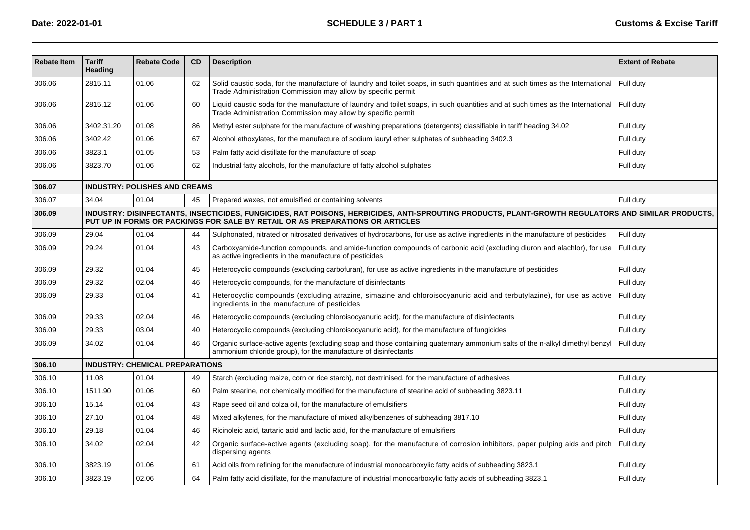| <b>Rebate Item</b> | <b>Tariff</b><br>Heading                                                                                                                                                                                                            | <b>Rebate Code</b>                     | CD | <b>Description</b>                                                                                                                                                                                         | <b>Extent of Rebate</b> |  |  |  |
|--------------------|-------------------------------------------------------------------------------------------------------------------------------------------------------------------------------------------------------------------------------------|----------------------------------------|----|------------------------------------------------------------------------------------------------------------------------------------------------------------------------------------------------------------|-------------------------|--|--|--|
| 306.06             | 2815.11                                                                                                                                                                                                                             | 01.06                                  | 62 | Solid caustic soda, for the manufacture of laundry and toilet soaps, in such quantities and at such times as the International<br>Trade Administration Commission may allow by specific permit             | Full duty               |  |  |  |
| 306.06             | 2815.12                                                                                                                                                                                                                             | 01.06                                  | 60 | Liquid caustic soda for the manufacture of laundry and toilet soaps, in such quantities and at such times as the International   Full duty<br>Trade Administration Commission may allow by specific permit |                         |  |  |  |
| 306.06             | 3402.31.20                                                                                                                                                                                                                          | 01.08                                  | 86 | Methyl ester sulphate for the manufacture of washing preparations (detergents) classifiable in tariff heading 34.02                                                                                        | Full duty               |  |  |  |
| 306.06             | 3402.42                                                                                                                                                                                                                             | 01.06                                  | 67 | Alcohol ethoxylates, for the manufacture of sodium lauryl ether sulphates of subheading 3402.3                                                                                                             | Full duty               |  |  |  |
| 306.06             | 3823.1                                                                                                                                                                                                                              | 01.05                                  | 53 | Palm fatty acid distillate for the manufacture of soap                                                                                                                                                     | Full duty               |  |  |  |
| 306.06             | 3823.70                                                                                                                                                                                                                             | 01.06                                  | 62 | Industrial fatty alcohols, for the manufacture of fatty alcohol sulphates                                                                                                                                  | Full duty               |  |  |  |
| 306.07             |                                                                                                                                                                                                                                     | <b>INDUSTRY: POLISHES AND CREAMS</b>   |    |                                                                                                                                                                                                            |                         |  |  |  |
| 306.07             | 34.04                                                                                                                                                                                                                               | 01.04                                  | 45 | Prepared waxes, not emulsified or containing solvents                                                                                                                                                      | Full duty               |  |  |  |
| 306.09             | INDUSTRY: DISINFECTANTS, INSECTICIDES, FUNGICIDES, RAT POISONS, HERBICIDES, ANTI-SPROUTING PRODUCTS, PLANT-GROWTH REGULATORS AND SIMILAR PRODUCTS,<br>PUT UP IN FORMS OR PACKINGS FOR SALE BY RETAIL OR AS PREPARATIONS OR ARTICLES |                                        |    |                                                                                                                                                                                                            |                         |  |  |  |
| 306.09             | 29.04                                                                                                                                                                                                                               | 01.04                                  | 44 | Sulphonated, nitrated or nitrosated derivatives of hydrocarbons, for use as active ingredients in the manufacture of pesticides                                                                            | Full duty               |  |  |  |
| 306.09             | 29.24                                                                                                                                                                                                                               | 01.04                                  | 43 | Carboxyamide-function compounds, and amide-function compounds of carbonic acid (excluding diuron and alachlor), for use<br>as active ingredients in the manufacture of pesticides                          | Full duty               |  |  |  |
| 306.09             | 29.32                                                                                                                                                                                                                               | 01.04                                  | 45 | Heterocyclic compounds (excluding carbofuran), for use as active ingredients in the manufacture of pesticides                                                                                              | Full duty               |  |  |  |
| 306.09             | 29.32                                                                                                                                                                                                                               | 02.04                                  | 46 | Heterocyclic compounds, for the manufacture of disinfectants                                                                                                                                               | Full duty               |  |  |  |
| 306.09             | 29.33                                                                                                                                                                                                                               | 01.04                                  | 41 | Heterocyclic compounds (excluding atrazine, simazine and chloroisocyanuric acid and terbutylazine), for use as active<br>ingredients in the manufacture of pesticides                                      | Full duty               |  |  |  |
| 306.09             | 29.33                                                                                                                                                                                                                               | 02.04                                  | 46 | Heterocyclic compounds (excluding chloroisocyanuric acid), for the manufacture of disinfectants                                                                                                            | Full duty               |  |  |  |
| 306.09             | 29.33                                                                                                                                                                                                                               | 03.04                                  | 40 | Heterocyclic compounds (excluding chloroisocyanuric acid), for the manufacture of fungicides                                                                                                               | Full duty               |  |  |  |
| 306.09             | 34.02                                                                                                                                                                                                                               | 01.04                                  | 46 | Organic surface-active agents (excluding soap and those containing quaternary ammonium salts of the n-alkyl dimethyl benzyl<br>ammonium chloride group), for the manufacture of disinfectants              | Full duty               |  |  |  |
| 306.10             |                                                                                                                                                                                                                                     | <b>INDUSTRY: CHEMICAL PREPARATIONS</b> |    |                                                                                                                                                                                                            |                         |  |  |  |
| 306.10             | 11.08                                                                                                                                                                                                                               | 01.04                                  | 49 | Starch (excluding maize, corn or rice starch), not dextrinised, for the manufacture of adhesives                                                                                                           | Full duty               |  |  |  |
| 306.10             | 1511.90                                                                                                                                                                                                                             | 01.06                                  | 60 | Palm stearine, not chemically modified for the manufacture of stearine acid of subheading 3823.11                                                                                                          | Full duty               |  |  |  |
| 306.10             | 15.14                                                                                                                                                                                                                               | 01.04                                  | 43 | Rape seed oil and colza oil, for the manufacture of emulsifiers                                                                                                                                            | Full duty               |  |  |  |
| 306.10             | 27.10                                                                                                                                                                                                                               | 01.04                                  | 48 | Mixed alkylenes, for the manufacture of mixed alkylbenzenes of subheading 3817.10                                                                                                                          | Full duty               |  |  |  |
| 306.10             | 29.18                                                                                                                                                                                                                               | 01.04                                  | 46 | Ricinoleic acid, tartaric acid and lactic acid, for the manufacture of emulsifiers                                                                                                                         | Full duty               |  |  |  |
| 306.10             | 34.02                                                                                                                                                                                                                               | 02.04                                  | 42 | Organic surface-active agents (excluding soap), for the manufacture of corrosion inhibitors, paper pulping aids and pitch<br>dispersing agents                                                             | Full duty               |  |  |  |
| 306.10             | 3823.19                                                                                                                                                                                                                             | 01.06                                  | 61 | Acid oils from refining for the manufacture of industrial monocarboxylic fatty acids of subheading 3823.1                                                                                                  | Full duty               |  |  |  |
| 306.10             | 3823.19                                                                                                                                                                                                                             | 02.06                                  | 64 | Palm fatty acid distillate, for the manufacture of industrial monocarboxylic fatty acids of subheading 3823.1                                                                                              | Full duty               |  |  |  |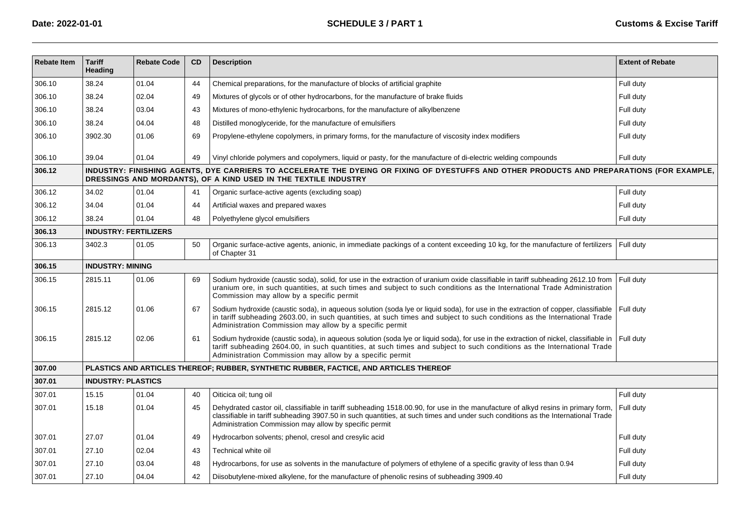| <b>Rebate Item</b> | <b>Tariff</b><br>Heading     | <b>Rebate Code</b> | CD | <b>Description</b>                                                                                                                                                                                                                                                                                                             | <b>Extent of Rebate</b> |
|--------------------|------------------------------|--------------------|----|--------------------------------------------------------------------------------------------------------------------------------------------------------------------------------------------------------------------------------------------------------------------------------------------------------------------------------|-------------------------|
| 306.10             | 38.24                        | 01.04              | 44 | Chemical preparations, for the manufacture of blocks of artificial graphite                                                                                                                                                                                                                                                    | Full duty               |
| 306.10             | 38.24                        | 02.04              | 49 | Mixtures of glycols or of other hydrocarbons, for the manufacture of brake fluids                                                                                                                                                                                                                                              | Full duty               |
| 306.10             | 38.24                        | 03.04              | 43 | Mixtures of mono-ethylenic hydrocarbons, for the manufacture of alkylbenzene                                                                                                                                                                                                                                                   | Full duty               |
| 306.10             | 38.24                        | 04.04              | 48 | Distilled monoglyceride, for the manufacture of emulsifiers                                                                                                                                                                                                                                                                    | Full duty               |
| 306.10             | 3902.30                      | 01.06              | 69 | Propylene-ethylene copolymers, in primary forms, for the manufacture of viscosity index modifiers                                                                                                                                                                                                                              | Full duty               |
| 306.10             | 39.04                        | 01.04              | 49 | Vinyl chloride polymers and copolymers, liquid or pasty, for the manufacture of di-electric welding compounds                                                                                                                                                                                                                  | Full duty               |
| 306.12             |                              |                    |    | INDUSTRY: FINISHING AGENTS, DYE CARRIERS TO ACCELERATE THE DYEING OR FIXING OF DYESTUFFS AND OTHER PRODUCTS AND PREPARATIONS (FOR EXAMPLE,<br>DRESSINGS AND MORDANTS), OF A KIND USED IN THE TEXTILE INDUSTRY                                                                                                                  |                         |
| 306.12             | 34.02                        | 01.04              | 41 | Organic surface-active agents (excluding soap)                                                                                                                                                                                                                                                                                 | Full duty               |
| 306.12             | 34.04                        | 01.04              | 44 | Artificial waxes and prepared waxes                                                                                                                                                                                                                                                                                            | Full duty               |
| 306.12             | 38.24                        | 01.04              | 48 | Polyethylene glycol emulsifiers                                                                                                                                                                                                                                                                                                | Full duty               |
| 306.13             | <b>INDUSTRY: FERTILIZERS</b> |                    |    |                                                                                                                                                                                                                                                                                                                                |                         |
| 306.13             | 3402.3                       | 01.05              | 50 | Organic surface-active agents, anionic, in immediate packings of a content exceeding 10 kg, for the manufacture of fertilizers<br>of Chapter 31                                                                                                                                                                                | Full duty               |
| 306.15             | <b>INDUSTRY: MINING</b>      |                    |    |                                                                                                                                                                                                                                                                                                                                |                         |
| 306.15             | 2815.11                      | 01.06              | 69 | Sodium hydroxide (caustic soda), solid, for use in the extraction of uranium oxide classifiable in tariff subheading 2612.10 from<br>uranium ore, in such quantities, at such times and subject to such conditions as the International Trade Administration<br>Commission may allow by a specific permit                      | Full duty               |
| 306.15             | 2815.12                      | 01.06              | 67 | Sodium hydroxide (caustic soda), in aqueous solution (soda lye or liquid soda), for use in the extraction of copper, classifiable<br>in tariff subheading 2603.00, in such quantities, at such times and subject to such conditions as the International Trade<br>Administration Commission may allow by a specific permit     | Full duty               |
| 306.15             | 2815.12                      | 02.06              | 61 | Sodium hydroxide (caustic soda), in aqueous solution (soda lye or liquid soda), for use in the extraction of nickel, classifiable in<br>tariff subheading 2604.00, in such quantities, at such times and subject to such conditions as the International Trade<br>Administration Commission may allow by a specific permit     | Full duty               |
| 307.00             |                              |                    |    | PLASTICS AND ARTICLES THEREOF; RUBBER, SYNTHETIC RUBBER, FACTICE, AND ARTICLES THEREOF                                                                                                                                                                                                                                         |                         |
| 307.01             | <b>INDUSTRY: PLASTICS</b>    |                    |    |                                                                                                                                                                                                                                                                                                                                |                         |
| 307.01             | 15.15                        | 01.04              | 40 | Oiticica oil; tung oil                                                                                                                                                                                                                                                                                                         | Full duty               |
| 307.01             | 15.18                        | 01.04              | 45 | Dehydrated castor oil, classifiable in tariff subheading 1518.00.90, for use in the manufacture of alkyd resins in primary form,<br>classifiable in tariff subheading 3907.50 in such quantities, at such times and under such conditions as the International Trade<br>Administration Commission may allow by specific permit | Full duty               |
| 307.01             | 27.07                        | 01.04              | 49 | Hydrocarbon solvents; phenol, cresol and cresylic acid                                                                                                                                                                                                                                                                         | Full duty               |
| 307.01             | 27.10                        | 02.04              | 43 | Technical white oil                                                                                                                                                                                                                                                                                                            | Full duty               |
| 307.01             | 27.10                        | 03.04              | 48 | Hydrocarbons, for use as solvents in the manufacture of polymers of ethylene of a specific gravity of less than 0.94                                                                                                                                                                                                           | Full duty               |
| 307.01             | 27.10                        | 04.04              | 42 | Diisobutylene-mixed alkylene, for the manufacture of phenolic resins of subheading 3909.40                                                                                                                                                                                                                                     | Full duty               |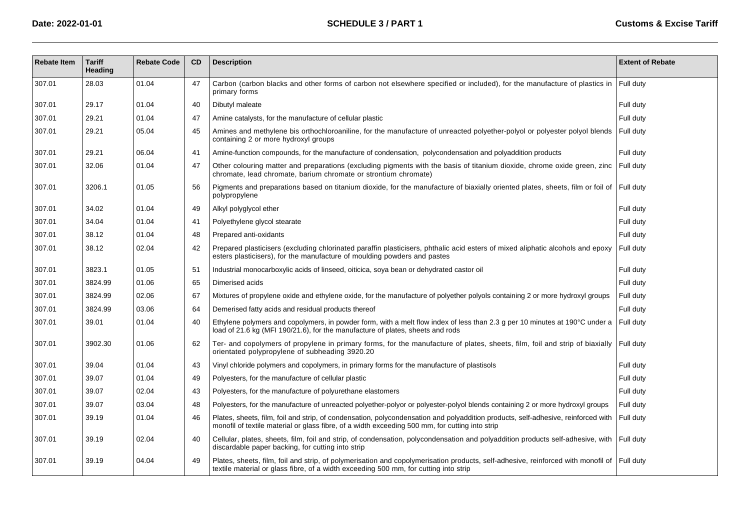| <b>Rebate Item</b> | <b>Tariff</b><br>Heading | <b>Rebate Code</b> | <b>CD</b> | <b>Description</b>                                                                                                                                                                                                                   | <b>Extent of Rebate</b> |
|--------------------|--------------------------|--------------------|-----------|--------------------------------------------------------------------------------------------------------------------------------------------------------------------------------------------------------------------------------------|-------------------------|
| 307.01             | 28.03                    | 01.04              | 47        | Carbon (carbon blacks and other forms of carbon not elsewhere specified or included), for the manufacture of plastics in<br>primary forms                                                                                            | Full duty               |
| 307.01             | 29.17                    | 01.04              | 40        | Dibutyl maleate                                                                                                                                                                                                                      | Full duty               |
| 307.01             | 29.21                    | 01.04              | 47        | Amine catalysts, for the manufacture of cellular plastic                                                                                                                                                                             | Full duty               |
| 307.01             | 29.21                    | 05.04              | 45        | Amines and methylene bis orthochloroaniline, for the manufacture of unreacted polyether-polyol or polyester polyol blends<br>containing 2 or more hydroxyl groups                                                                    | Full duty               |
| 307.01             | 29.21                    | 06.04              | 41        | Amine-function compounds, for the manufacture of condensation, polycondensation and polyaddition products                                                                                                                            | Full duty               |
| 307.01             | 32.06                    | 01.04              | 47        | Other colouring matter and preparations (excluding pigments with the basis of titanium dioxide, chrome oxide green, zinc<br>chromate, lead chromate, barium chromate or strontium chromate)                                          | Full duty               |
| 307.01             | 3206.1                   | 01.05              | 56        | Pigments and preparations based on titanium dioxide, for the manufacture of biaxially oriented plates, sheets, film or foil of $\vert$ Full duty<br>polypropylene                                                                    |                         |
| 307.01             | 34.02                    | 01.04              | 49        | Alkyl polyglycol ether                                                                                                                                                                                                               | Full duty               |
| 307.01             | 34.04                    | 01.04              | 41        | Polyethylene glycol stearate                                                                                                                                                                                                         | Full duty               |
| 307.01             | 38.12                    | 01.04              | 48        | Prepared anti-oxidants                                                                                                                                                                                                               | Full duty               |
| 307.01             | 38.12                    | 02.04              | 42        | Prepared plasticisers (excluding chlorinated paraffin plasticisers, phthalic acid esters of mixed aliphatic alcohols and epoxy<br>esters plasticisers), for the manufacture of moulding powders and pastes                           | Full duty               |
| 307.01             | 3823.1                   | 01.05              | 51        | Industrial monocarboxylic acids of linseed, oiticica, soya bean or dehydrated castor oil                                                                                                                                             | Full duty               |
| 307.01             | 3824.99                  | 01.06              | 65        | Dimerised acids                                                                                                                                                                                                                      | Full duty               |
| 307.01             | 3824.99                  | 02.06              | 67        | Mixtures of propylene oxide and ethylene oxide, for the manufacture of polyether polyols containing 2 or more hydroxyl groups                                                                                                        | Full duty               |
| 307.01             | 3824.99                  | 03.06              | 64        | Demerised fatty acids and residual products thereof                                                                                                                                                                                  | Full duty               |
| 307.01             | 39.01                    | 01.04              | 40        | Ethylene polymers and copolymers, in powder form, with a melt flow index of less than 2.3 g per 10 minutes at 190°C under a<br>load of 21.6 kg (MFI 190/21.6), for the manufacture of plates, sheets and rods                        | Full duty               |
| 307.01             | 3902.30                  | 01.06              | 62        | Ter- and copolymers of propylene in primary forms, for the manufacture of plates, sheets, film, foil and strip of biaxially<br>orientated polypropylene of subheading 3920.20                                                        | Full duty               |
| 307.01             | 39.04                    | 01.04              | 43        | Vinyl chloride polymers and copolymers, in primary forms for the manufacture of plastisols                                                                                                                                           | Full duty               |
| 307.01             | 39.07                    | 01.04              | 49        | Polyesters, for the manufacture of cellular plastic                                                                                                                                                                                  | Full duty               |
| 307.01             | 39.07                    | 02.04              | 43        | Polyesters, for the manufacture of polyurethane elastomers                                                                                                                                                                           | Full duty               |
| 307.01             | 39.07                    | 03.04              | 48        | Polyesters, for the manufacture of unreacted polyether-polyor or polyester-polyol blends containing 2 or more hydroxyl groups                                                                                                        | Full duty               |
| 307.01             | 39.19                    | 01.04              | 46        | Plates, sheets, film, foil and strip, of condensation, polycondensation and polyaddition products, self-adhesive, reinforced with<br>monofil of textile material or glass fibre, of a width exceeding 500 mm, for cutting into strip | Full duty               |
| 307.01             | 39.19                    | 02.04              | 40        | Cellular, plates, sheets, film, foil and strip, of condensation, polycondensation and polyaddition products self-adhesive, with Full duty<br>discardable paper backing, for cutting into strip                                       |                         |
| 307.01             | 39.19                    | 04.04              | 49        | Plates, sheets, film, foil and strip, of polymerisation and copolymerisation products, self-adhesive, reinforced with monofil of   Full duty<br>textile material or glass fibre, of a width exceeding 500 mm, for cutting into strip |                         |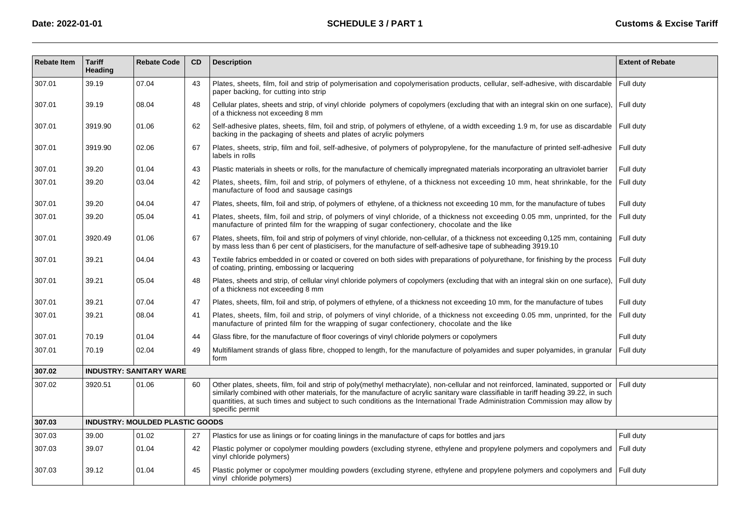| <b>Rebate Item</b> | <b>Tariff</b><br>Heading | <b>Rebate Code</b>                     | <b>CD</b> | <b>Description</b>                                                                                                                                                                                                                                                                                                                                                                                                        | <b>Extent of Rebate</b> |
|--------------------|--------------------------|----------------------------------------|-----------|---------------------------------------------------------------------------------------------------------------------------------------------------------------------------------------------------------------------------------------------------------------------------------------------------------------------------------------------------------------------------------------------------------------------------|-------------------------|
| 307.01             | 39.19                    | 07.04                                  | 43        | Plates, sheets, film, foil and strip of polymerisation and copolymerisation products, cellular, self-adhesive, with discardable<br>paper backing, for cutting into strip                                                                                                                                                                                                                                                  | Full duty               |
| 307.01             | 39.19                    | 08.04                                  | 48        | Cellular plates, sheets and strip, of vinyl chloride polymers of copolymers (excluding that with an integral skin on one surface),<br>of a thickness not exceeding 8 mm                                                                                                                                                                                                                                                   | Full duty               |
| 307.01             | 3919.90                  | 01.06                                  | 62        | Self-adhesive plates, sheets, film, foil and strip, of polymers of ethylene, of a width exceeding 1.9 m, for use as discardable<br>backing in the packaging of sheets and plates of acrylic polymers                                                                                                                                                                                                                      | Full duty               |
| 307.01             | 3919.90                  | 02.06                                  | 67        | Plates, sheets, strip, film and foil, self-adhesive, of polymers of polypropylene, for the manufacture of printed self-adhesive<br>labels in rolls                                                                                                                                                                                                                                                                        | Full duty               |
| 307.01             | 39.20                    | 01.04                                  | 43        | Plastic materials in sheets or rolls, for the manufacture of chemically impregnated materials incorporating an ultraviolet barrier                                                                                                                                                                                                                                                                                        | Full duty               |
| 307.01             | 39.20                    | 03.04                                  | 42        | Plates, sheets, film, foil and strip, of polymers of ethylene, of a thickness not exceeding 10 mm, heat shrinkable, for the<br>manufacture of food and sausage casings                                                                                                                                                                                                                                                    | Full duty               |
| 307.01             | 39.20                    | 04.04                                  | 47        | Plates, sheets, film, foil and strip, of polymers of ethylene, of a thickness not exceeding 10 mm, for the manufacture of tubes                                                                                                                                                                                                                                                                                           | Full duty               |
| 307.01             | 39.20                    | 05.04                                  | 41        | Plates, sheets, film, foil and strip, of polymers of vinyl chloride, of a thickness not exceeding 0.05 mm, unprinted, for the<br>manufacture of printed film for the wrapping of sugar confectionery, chocolate and the like                                                                                                                                                                                              | Full duty               |
| 307.01             | 3920.49                  | 01.06                                  | 67        | Plates, sheets, film, foil and strip of polymers of vinyl chloride, non-cellular, of a thickness not exceeding 0,125 mm, containing<br>by mass less than 6 per cent of plasticisers, for the manufacture of self-adhesive tape of subheading 3919.10                                                                                                                                                                      | Full duty               |
| 307.01             | 39.21                    | 04.04                                  | 43        | Textile fabrics embedded in or coated or covered on both sides with preparations of polyurethane, for finishing by the process<br>of coating, printing, embossing or lacquering                                                                                                                                                                                                                                           | Full duty               |
| 307.01             | 39.21                    | 05.04                                  | 48        | Plates, sheets and strip, of cellular vinyl chloride polymers of copolymers (excluding that with an integral skin on one surface),<br>of a thickness not exceeding 8 mm                                                                                                                                                                                                                                                   | Full duty               |
| 307.01             | 39.21                    | 07.04                                  | 47        | Plates, sheets, film, foil and strip, of polymers of ethylene, of a thickness not exceeding 10 mm, for the manufacture of tubes                                                                                                                                                                                                                                                                                           | Full duty               |
| 307.01             | 39.21                    | 08.04                                  | 41        | Plates, sheets, film, foil and strip, of polymers of vinyl chloride, of a thickness not exceeding 0.05 mm, unprinted, for the<br>manufacture of printed film for the wrapping of sugar confectionery, chocolate and the like                                                                                                                                                                                              | Full duty               |
| 307.01             | 70.19                    | 01.04                                  | 44        | Glass fibre, for the manufacture of floor coverings of vinyl chloride polymers or copolymers                                                                                                                                                                                                                                                                                                                              | Full duty               |
| 307.01             | 70.19                    | 02.04                                  | 49        | Multifilament strands of glass fibre, chopped to length, for the manufacture of polyamides and super polyamides, in granular<br>form                                                                                                                                                                                                                                                                                      | Full duty               |
| 307.02             |                          | <b>INDUSTRY: SANITARY WARE</b>         |           |                                                                                                                                                                                                                                                                                                                                                                                                                           |                         |
| 307.02             | 3920.51                  | 01.06                                  | 60        | Other plates, sheets, film, foil and strip of poly(methyl methacrylate), non-cellular and not reinforced, laminated, supported or<br>similarly combined with other materials, for the manufacture of acrylic sanitary ware classifiable in tariff heading 39.22, in such<br>quantities, at such times and subject to such conditions as the International Trade Administration Commission may allow by<br>specific permit | Full duty               |
| 307.03             |                          | <b>INDUSTRY: MOULDED PLASTIC GOODS</b> |           |                                                                                                                                                                                                                                                                                                                                                                                                                           |                         |
| 307.03             | 39.00                    | 01.02                                  | 27        | Plastics for use as linings or for coating linings in the manufacture of caps for bottles and jars                                                                                                                                                                                                                                                                                                                        | Full duty               |
| 307.03             | 39.07                    | 01.04                                  | 42        | Plastic polymer or copolymer moulding powders (excluding styrene, ethylene and propylene polymers and copolymers and<br>vinyl chloride polymers)                                                                                                                                                                                                                                                                          | Full duty               |
| 307.03             | 39.12                    | 01.04                                  | 45        | Plastic polymer or copolymer moulding powders (excluding styrene, ethylene and propylene polymers and copolymers and<br>vinyl chloride polymers)                                                                                                                                                                                                                                                                          | Full duty               |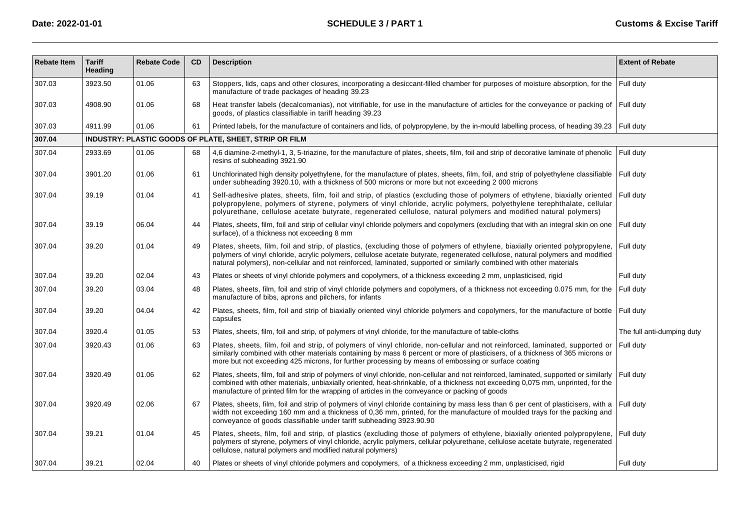| <b>Rebate Item</b> | <b>Tariff</b><br>Heading | <b>Rebate Code</b> | <b>CD</b> | <b>Description</b>                                                                                                                                                                                                                                                                                                                                                                      | <b>Extent of Rebate</b>    |
|--------------------|--------------------------|--------------------|-----------|-----------------------------------------------------------------------------------------------------------------------------------------------------------------------------------------------------------------------------------------------------------------------------------------------------------------------------------------------------------------------------------------|----------------------------|
| 307.03             | 3923.50                  | 01.06              | 63        | Stoppers, lids, caps and other closures, incorporating a desiccant-filled chamber for purposes of moisture absorption, for the<br>manufacture of trade packages of heading 39.23                                                                                                                                                                                                        | Full duty                  |
| 307.03             | 4908.90                  | 01.06              | 68        | Heat transfer labels (decalcomanias), not vitrifiable, for use in the manufacture of articles for the conveyance or packing of Full duty<br>goods, of plastics classifiable in tariff heading 39.23                                                                                                                                                                                     |                            |
| 307.03             | 4911.99                  | 01.06              | 61        | Printed labels, for the manufacture of containers and lids, of polypropylene, by the in-mould labelling process, of heading 39.23   Full duty                                                                                                                                                                                                                                           |                            |
| 307.04             |                          |                    |           | INDUSTRY: PLASTIC GOODS OF PLATE, SHEET, STRIP OR FILM                                                                                                                                                                                                                                                                                                                                  |                            |
| 307.04             | 2933.69                  | 01.06              | 68        | 4,6 diamine-2-methyl-1, 3, 5-triazine, for the manufacture of plates, sheets, film, foil and strip of decorative laminate of phenolic<br>resins of subheading 3921.90                                                                                                                                                                                                                   | Full duty                  |
| 307.04             | 3901.20                  | 01.06              | 61        | Unchlorinated high density polyethylene, for the manufacture of plates, sheets, film, foil, and strip of polyethylene classifiable<br>under subheading 3920.10, with a thickness of 500 microns or more but not exceeding 2 000 microns                                                                                                                                                 | Full duty                  |
| 307.04             | 39.19                    | 01.04              | 41        | Self-adhesive plates, sheets, film, foil and strip, of plastics (excluding those of polymers of ethylene, biaxially oriented<br>polypropylene, polymers of styrene, polymers of vinyl chloride, acrylic polymers, polyethylene terephthalate, cellular<br>polyurethane, cellulose acetate butyrate, regenerated cellulose, natural polymers and modified natural polymers)              | l Full dutv                |
| 307.04             | 39.19                    | 06.04              | 44        | Plates, sheets, film, foil and strip of cellular vinyl chloride polymers and copolymers (excluding that with an integral skin on one<br>surface), of a thickness not exceeding 8 mm                                                                                                                                                                                                     | Full duty                  |
| 307.04             | 39.20                    | 01.04              | 49        | Plates, sheets, film, foil and strip, of plastics, (excluding those of polymers of ethylene, biaxially oriented polypropylene,<br>polymers of vinyl chloride, acrylic polymers, cellulose acetate butyrate, regenerated cellulose, natural polymers and modified<br>natural polymers), non-cellular and not reinforced, laminated, supported or similarly combined with other materials | Full duty                  |
| 307.04             | 39.20                    | 02.04              | 43        | Plates or sheets of vinyl chloride polymers and copolymers, of a thickness exceeding 2 mm, unplasticised, rigid                                                                                                                                                                                                                                                                         | Full duty                  |
| 307.04             | 39.20                    | 03.04              | 48        | Plates, sheets, film, foil and strip of vinyl chloride polymers and copolymers, of a thickness not exceeding 0.075 mm, for the<br>manufacture of bibs, aprons and pilchers, for infants                                                                                                                                                                                                 | Full duty                  |
| 307.04             | 39.20                    | 04.04              | 42        | Plates, sheets, film, foil and strip of biaxially oriented vinyl chloride polymers and copolymers, for the manufacture of bottle<br>capsules                                                                                                                                                                                                                                            | Full duty                  |
| 307.04             | 3920.4                   | 01.05              | 53        | Plates, sheets, film, foil and strip, of polymers of vinyl chloride, for the manufacture of table-cloths                                                                                                                                                                                                                                                                                | The full anti-dumping duty |
| 307.04             | 3920.43                  | 01.06              | 63        | Plates, sheets, film, foil and strip, of polymers of vinyl chloride, non-cellular and not reinforced, laminated, supported or<br>similarly combined with other materials containing by mass 6 percent or more of plasticisers, of a thickness of 365 microns or<br>more but not exceeding 425 microns, for further processing by means of embossing or surface coating                  | Full duty                  |
| 307.04             | 3920.49                  | 01.06              | 62        | Plates, sheets, film, foil and strip of polymers of vinyl chloride, non-cellular and not reinforced, laminated, supported or similarly<br>combined with other materials, unbiaxially oriented, heat-shrinkable, of a thickness not exceeding 0,075 mm, unprinted, for the<br>manufacture of printed film for the wrapping of articles in the conveyance or packing of goods             | Full duty                  |
| 307.04             | 3920.49                  | 02.06              | 67        | Plates, sheets, film, foil and strip of polymers of vinyl chloride containing by mass less than 6 per cent of plasticisers, with a<br>width not exceeding 160 mm and a thickness of 0,36 mm, printed, for the manufacture of moulded trays for the packing and<br>conveyance of goods classifiable under tariff subheading 3923.90.90                                                   | Full duty                  |
| 307.04             | 39.21                    | 01.04              | 45        | Plates, sheets, film, foil and strip, of plastics (excluding those of polymers of ethylene, biaxially oriented polypropylene,<br>polymers of styrene, polymers of vinyl chloride, acrylic polymers, cellular polyurethane, cellulose acetate butyrate, regenerated<br>cellulose, natural polymers and modified natural polymers)                                                        | Full duty                  |
| 307.04             | 39.21                    | 02.04              | 40        | Plates or sheets of vinyl chloride polymers and copolymers, of a thickness exceeding 2 mm, unplasticised, rigid                                                                                                                                                                                                                                                                         | Full duty                  |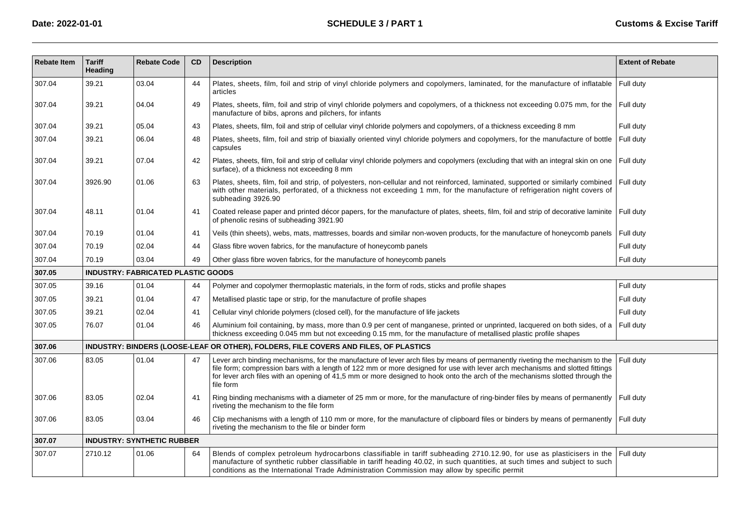| <b>Rebate Item</b> | <b>Tariff</b><br>Heading | <b>Rebate Code</b>                        | CD | <b>Description</b>                                                                                                                                                                                                                                                                                                                                                                                        | <b>Extent of Rebate</b> |
|--------------------|--------------------------|-------------------------------------------|----|-----------------------------------------------------------------------------------------------------------------------------------------------------------------------------------------------------------------------------------------------------------------------------------------------------------------------------------------------------------------------------------------------------------|-------------------------|
| 307.04             | 39.21                    | 03.04                                     | 44 | Plates, sheets, film, foil and strip of vinyl chloride polymers and copolymers, laminated, for the manufacture of inflatable<br>articles                                                                                                                                                                                                                                                                  | Full duty               |
| 307.04             | 39.21                    | 04.04                                     | 49 | Plates, sheets, film, foil and strip of vinyl chloride polymers and copolymers, of a thickness not exceeding 0.075 mm, for the Full duty<br>manufacture of bibs, aprons and pilchers, for infants                                                                                                                                                                                                         |                         |
| 307.04             | 39.21                    | 05.04                                     | 43 | Plates, sheets, film, foil and strip of cellular vinyl chloride polymers and copolymers, of a thickness exceeding 8 mm                                                                                                                                                                                                                                                                                    | Full duty               |
| 307.04             | 39.21                    | 06.04                                     | 48 | Plates, sheets, film, foil and strip of biaxially oriented vinyl chloride polymers and copolymers, for the manufacture of bottle<br>capsules                                                                                                                                                                                                                                                              | Full duty               |
| 307.04             | 39.21                    | 07.04                                     | 42 | Plates, sheets, film, foil and strip of cellular vinyl chloride polymers and copolymers (excluding that with an integral skin on one<br>surface), of a thickness not exceeding 8 mm                                                                                                                                                                                                                       | Full duty               |
| 307.04             | 3926.90                  | 01.06                                     | 63 | Plates, sheets, film, foil and strip, of polyesters, non-cellular and not reinforced, laminated, supported or similarly combined<br>with other materials, perforated, of a thickness not exceeding 1 mm, for the manufacture of refrigeration night covers of<br>subheading 3926.90                                                                                                                       | Full duty               |
| 307.04             | 48.11                    | 01.04                                     | 41 | Coated release paper and printed décor papers, for the manufacture of plates, sheets, film, foil and strip of decorative laminite<br>of phenolic resins of subheading 3921.90                                                                                                                                                                                                                             | Full duty               |
| 307.04             | 70.19                    | 01.04                                     | 41 | Veils (thin sheets), webs, mats, mattresses, boards and similar non-woven products, for the manufacture of honeycomb panels                                                                                                                                                                                                                                                                               | Full duty               |
| 307.04             | 70.19                    | 02.04                                     | 44 | Glass fibre woven fabrics, for the manufacture of honeycomb panels                                                                                                                                                                                                                                                                                                                                        | Full duty               |
| 307.04             | 70.19                    | 03.04                                     | 49 | Other glass fibre woven fabrics, for the manufacture of honeycomb panels                                                                                                                                                                                                                                                                                                                                  | Full duty               |
| 307.05             |                          | <b>INDUSTRY: FABRICATED PLASTIC GOODS</b> |    |                                                                                                                                                                                                                                                                                                                                                                                                           |                         |
| 307.05             | 39.16                    | 01.04                                     | 44 | Polymer and copolymer thermoplastic materials, in the form of rods, sticks and profile shapes                                                                                                                                                                                                                                                                                                             | Full duty               |
| 307.05             | 39.21                    | 01.04                                     | 47 | Metallised plastic tape or strip, for the manufacture of profile shapes                                                                                                                                                                                                                                                                                                                                   | Full duty               |
| 307.05             | 39.21                    | 02.04                                     | 41 | Cellular vinyl chloride polymers (closed cell), for the manufacture of life jackets                                                                                                                                                                                                                                                                                                                       | Full duty               |
| 307.05             | 76.07                    | 01.04                                     | 46 | Aluminium foil containing, by mass, more than 0.9 per cent of manganese, printed or unprinted, lacquered on both sides, of a<br>thickness exceeding 0.045 mm but not exceeding 0.15 mm, for the manufacture of metallised plastic profile shapes                                                                                                                                                          | Full duty               |
| 307.06             |                          |                                           |    | INDUSTRY: BINDERS (LOOSE-LEAF OR OTHER), FOLDERS, FILE COVERS AND FILES, OF PLASTICS                                                                                                                                                                                                                                                                                                                      |                         |
| 307.06             | 83.05                    | 01.04                                     | 47 | Lever arch binding mechanisms, for the manufacture of lever arch files by means of permanently riveting the mechanism to the<br>file form; compression bars with a length of 122 mm or more designed for use with lever arch mechanisms and slotted fittings<br>for lever arch files with an opening of 41,5 mm or more designed to hook onto the arch of the mechanisms slotted through the<br>file form | Full duty               |
| 307.06             | 83.05                    | 02.04                                     | 41 | Ring binding mechanisms with a diameter of 25 mm or more, for the manufacture of ring-binder files by means of permanently<br>riveting the mechanism to the file form                                                                                                                                                                                                                                     | Full duty               |
| 307.06             | 83.05                    | 03.04                                     | 46 | Clip mechanisms with a length of 110 mm or more, for the manufacture of clipboard files or binders by means of permanently<br>riveting the mechanism to the file or binder form                                                                                                                                                                                                                           | Full duty               |
| 307.07             |                          | <b>INDUSTRY: SYNTHETIC RUBBER</b>         |    |                                                                                                                                                                                                                                                                                                                                                                                                           |                         |
| 307.07             | 2710.12                  | 01.06                                     | 64 | Blends of complex petroleum hydrocarbons classifiable in tariff subheading 2710.12.90, for use as plasticisers in the<br>manufacture of synthetic rubber classifiable in tariff heading 40.02, in such quantities, at such times and subject to such<br>conditions as the International Trade Administration Commission may allow by specific permit                                                      | Full duty               |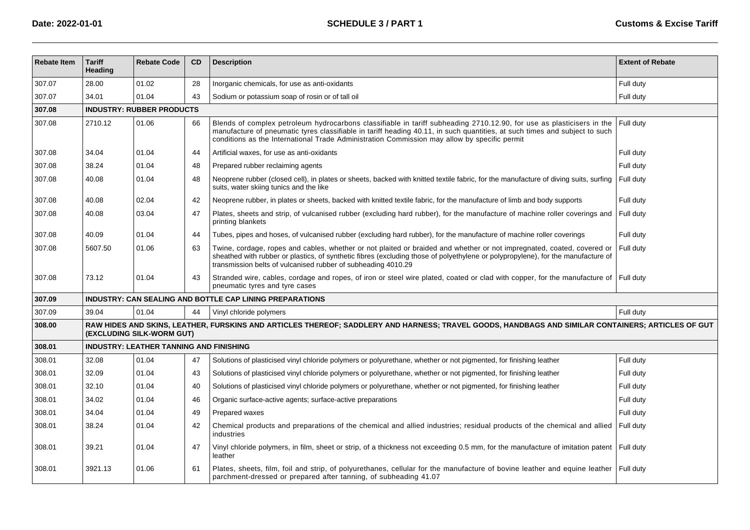| <b>Rebate Item</b> | <b>Tariff</b><br>Heading         | <b>Rebate Code</b>                             | <b>CD</b> | <b>Description</b>                                                                                                                                                                                                                                                                                                                                  | <b>Extent of Rebate</b> |  |  |  |  |
|--------------------|----------------------------------|------------------------------------------------|-----------|-----------------------------------------------------------------------------------------------------------------------------------------------------------------------------------------------------------------------------------------------------------------------------------------------------------------------------------------------------|-------------------------|--|--|--|--|
| 307.07             | 28.00                            | 01.02                                          | 28        | Inorganic chemicals, for use as anti-oxidants                                                                                                                                                                                                                                                                                                       | Full duty               |  |  |  |  |
| 307.07             | 34.01                            | 01.04                                          | 43        | Sodium or potassium soap of rosin or of tall oil                                                                                                                                                                                                                                                                                                    | Full duty               |  |  |  |  |
| 307.08             | <b>INDUSTRY: RUBBER PRODUCTS</b> |                                                |           |                                                                                                                                                                                                                                                                                                                                                     |                         |  |  |  |  |
| 307.08             | 2710.12                          | 01.06                                          | 66        | Blends of complex petroleum hydrocarbons classifiable in tariff subheading 2710.12.90, for use as plasticisers in the<br>manufacture of pneumatic tyres classifiable in tariff heading 40.11, in such quantities, at such times and subject to such<br>conditions as the International Trade Administration Commission may allow by specific permit | Full duty               |  |  |  |  |
| 307.08             | 34.04                            | 01.04                                          | 44        | Artificial waxes, for use as anti-oxidants                                                                                                                                                                                                                                                                                                          | Full duty               |  |  |  |  |
| 307.08             | 38.24                            | 01.04                                          | 48        | Prepared rubber reclaiming agents                                                                                                                                                                                                                                                                                                                   | Full duty               |  |  |  |  |
| 307.08             | 40.08                            | 01.04                                          | 48        | Neoprene rubber (closed cell), in plates or sheets, backed with knitted textile fabric, for the manufacture of diving suits, surfing<br>suits, water skiing tunics and the like                                                                                                                                                                     | Full duty               |  |  |  |  |
| 307.08             | 40.08                            | 02.04                                          | 42        | Neoprene rubber, in plates or sheets, backed with knitted textile fabric, for the manufacture of limb and body supports                                                                                                                                                                                                                             | Full duty               |  |  |  |  |
| 307.08             | 40.08                            | 03.04                                          | 47        | Plates, sheets and strip, of vulcanised rubber (excluding hard rubber), for the manufacture of machine roller coverings and<br>printing blankets                                                                                                                                                                                                    | Full duty               |  |  |  |  |
| 307.08             | 40.09                            | 01.04                                          | 44        | Tubes, pipes and hoses, of vulcanised rubber (excluding hard rubber), for the manufacture of machine roller coverings                                                                                                                                                                                                                               | Full duty               |  |  |  |  |
| 307.08             | 5607.50                          | 01.06                                          | 63        | Twine, cordage, ropes and cables, whether or not plaited or braided and whether or not impregnated, coated, covered or<br>sheathed with rubber or plastics, of synthetic fibres (excluding those of polyethylene or polypropylene), for the manufacture of<br>transmission belts of vulcanised rubber of subheading 4010.29                         | Full duty               |  |  |  |  |
| 307.08             | 73.12                            | 01.04                                          | 43        | Stranded wire, cables, cordage and ropes, of iron or steel wire plated, coated or clad with copper, for the manufacture of Full duty<br>pneumatic tyres and tyre cases                                                                                                                                                                              |                         |  |  |  |  |
| 307.09             |                                  |                                                |           | <b>INDUSTRY: CAN SEALING AND BOTTLE CAP LINING PREPARATIONS</b>                                                                                                                                                                                                                                                                                     |                         |  |  |  |  |
| 307.09             | 39.04                            | 01.04                                          | 44        | Vinyl chloride polymers                                                                                                                                                                                                                                                                                                                             | Full duty               |  |  |  |  |
| 308.00             |                                  | (EXCLUDING SILK-WORM GUT)                      |           | RAW HIDES AND SKINS, LEATHER, FURSKINS AND ARTICLES THEREOF; SADDLERY AND HARNESS; TRAVEL GOODS, HANDBAGS AND SIMILAR CONTAINERS; ARTICLES OF GUT                                                                                                                                                                                                   |                         |  |  |  |  |
| 308.01             |                                  | <b>INDUSTRY: LEATHER TANNING AND FINISHING</b> |           |                                                                                                                                                                                                                                                                                                                                                     |                         |  |  |  |  |
| 308.01             | 32.08                            | 01.04                                          | 47        | Solutions of plasticised vinyl chloride polymers or polyurethane, whether or not pigmented, for finishing leather                                                                                                                                                                                                                                   | Full duty               |  |  |  |  |
| 308.01             | 32.09                            | 01.04                                          | 43        | Solutions of plasticised vinyl chloride polymers or polyurethane, whether or not pigmented, for finishing leather                                                                                                                                                                                                                                   | Full duty               |  |  |  |  |
| 308.01             | 32.10                            | 01.04                                          | 40        | Solutions of plasticised vinyl chloride polymers or polyurethane, whether or not pigmented, for finishing leather                                                                                                                                                                                                                                   | Full duty               |  |  |  |  |
| 308.01             | 34.02                            | 01.04                                          | 46        | Organic surface-active agents; surface-active preparations                                                                                                                                                                                                                                                                                          | Full duty               |  |  |  |  |
| 308.01             | 34.04                            | 01.04                                          | 49        | Prepared waxes                                                                                                                                                                                                                                                                                                                                      | Full duty               |  |  |  |  |
| 308.01             | 38.24                            | 01.04                                          | 42        | Chemical products and preparations of the chemical and allied industries; residual products of the chemical and allied<br>industries                                                                                                                                                                                                                | Full duty               |  |  |  |  |
| 308.01             | 39.21                            | 01.04                                          | 47        | Vinyl chloride polymers, in film, sheet or strip, of a thickness not exceeding 0.5 mm, for the manufacture of imitation patent<br>leather                                                                                                                                                                                                           | Full duty               |  |  |  |  |
| 308.01             | 3921.13                          | 01.06                                          | 61        | Plates, sheets, film, foil and strip, of polyurethanes, cellular for the manufacture of bovine leather and equine leather<br>parchment-dressed or prepared after tanning, of subheading 41.07                                                                                                                                                       | Full duty               |  |  |  |  |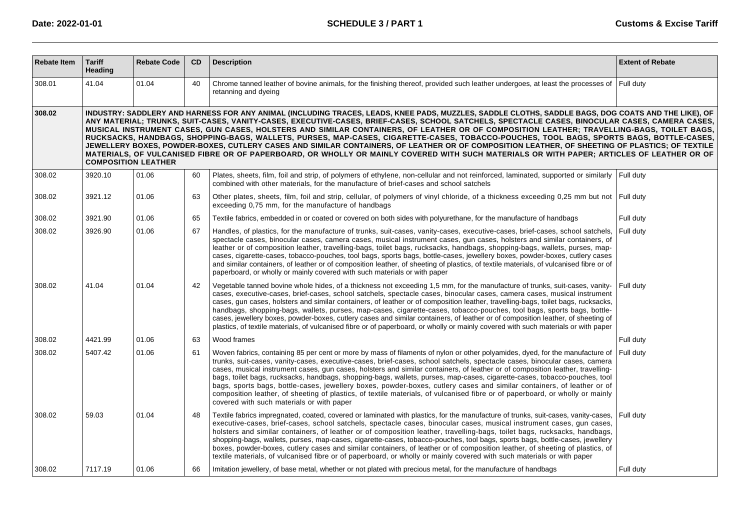| <b>Rebate Item</b> | <b>Tariff</b><br>Heading                                                                                                                                                                                                                                                                                                                                                                                                                                                                                                                                                                                                                                                                                                                                                                                                                                                                                                   | <b>Rebate Code</b> | CD | <b>Description</b>                                                                                                                                                                                                                                                                                                                                                                                                                                                                                                                                                                                                                                                                                                                                                                                                                | <b>Extent of Rebate</b> |  |  |  |  |  |
|--------------------|----------------------------------------------------------------------------------------------------------------------------------------------------------------------------------------------------------------------------------------------------------------------------------------------------------------------------------------------------------------------------------------------------------------------------------------------------------------------------------------------------------------------------------------------------------------------------------------------------------------------------------------------------------------------------------------------------------------------------------------------------------------------------------------------------------------------------------------------------------------------------------------------------------------------------|--------------------|----|-----------------------------------------------------------------------------------------------------------------------------------------------------------------------------------------------------------------------------------------------------------------------------------------------------------------------------------------------------------------------------------------------------------------------------------------------------------------------------------------------------------------------------------------------------------------------------------------------------------------------------------------------------------------------------------------------------------------------------------------------------------------------------------------------------------------------------------|-------------------------|--|--|--|--|--|
| 308.01             | 41.04                                                                                                                                                                                                                                                                                                                                                                                                                                                                                                                                                                                                                                                                                                                                                                                                                                                                                                                      | 01.04              | 40 | Chrome tanned leather of bovine animals, for the finishing thereof, provided such leather undergoes, at least the processes of<br>retanning and dyeing                                                                                                                                                                                                                                                                                                                                                                                                                                                                                                                                                                                                                                                                            | Full duty               |  |  |  |  |  |
| 308.02             | INDUSTRY: SADDLERY AND HARNESS FOR ANY ANIMAL (INCLUDING TRACES, LEADS, KNEE PADS, MUZZLES, SADDLE CLOTHS, SADDLE BAGS, DOG COATS AND THE LIKE), OF<br>ANY MATERIAL; TRUNKS, SUIT-CASES, VANITY-CASES, EXECUTIVE-CASES, BRIEF-CASES, SCHOOL SATCHELS, SPECTACLE CASES, BINOCULAR CASES, CAMERA CASES,<br>MUSICAL INSTRUMENT CASES, GUN CASES, HOLSTERS AND SIMILAR CONTAINERS, OF LEATHER OR OF COMPOSITION LEATHER; TRAVELLING-BAGS, TOILET BAGS,<br>RUCKSACKS, HANDBAGS, SHOPPING-BAGS, WALLETS, PURSES, MAP-CASES, CIGARETTE-CASES, TOBACCO-POUCHES, TOOL BAGS, SPORTS BAGS, BOTTLE-CASES,<br>JEWELLERY BOXES, POWDER-BOXES, CUTLERY CASES AND SIMILAR CONTAINERS, OF LEATHER OR OF COMPOSITION LEATHER, OF SHEETING OF PLASTICS; OF TEXTILE<br>MATERIALS, OF VULCANISED FIBRE OR OF PAPERBOARD, OR WHOLLY OR MAINLY COVERED WITH SUCH MATERIALS OR WITH PAPER; ARTICLES OF LEATHER OR OF<br><b>COMPOSITION LEATHER</b> |                    |    |                                                                                                                                                                                                                                                                                                                                                                                                                                                                                                                                                                                                                                                                                                                                                                                                                                   |                         |  |  |  |  |  |
| 308.02             | 3920.10                                                                                                                                                                                                                                                                                                                                                                                                                                                                                                                                                                                                                                                                                                                                                                                                                                                                                                                    | 01.06              | 60 | Plates, sheets, film, foil and strip, of polymers of ethylene, non-cellular and not reinforced, laminated, supported or similarly<br>combined with other materials, for the manufacture of brief-cases and school satchels                                                                                                                                                                                                                                                                                                                                                                                                                                                                                                                                                                                                        | Full duty               |  |  |  |  |  |
| 308.02             | 3921.12                                                                                                                                                                                                                                                                                                                                                                                                                                                                                                                                                                                                                                                                                                                                                                                                                                                                                                                    | 01.06              | 63 | Other plates, sheets, film, foil and strip, cellular, of polymers of vinyl chloride, of a thickness exceeding 0,25 mm but not   Full duty<br>exceeding 0.75 mm, for the manufacture of handbags                                                                                                                                                                                                                                                                                                                                                                                                                                                                                                                                                                                                                                   |                         |  |  |  |  |  |
| 308.02             | 3921.90                                                                                                                                                                                                                                                                                                                                                                                                                                                                                                                                                                                                                                                                                                                                                                                                                                                                                                                    | 01.06              | 65 | Textile fabrics, embedded in or coated or covered on both sides with polyurethane, for the manufacture of handbags                                                                                                                                                                                                                                                                                                                                                                                                                                                                                                                                                                                                                                                                                                                | Full duty               |  |  |  |  |  |
| 308.02             | 3926.90                                                                                                                                                                                                                                                                                                                                                                                                                                                                                                                                                                                                                                                                                                                                                                                                                                                                                                                    | 01.06              | 67 | Handles, of plastics, for the manufacture of trunks, suit-cases, vanity-cases, executive-cases, brief-cases, school satchels,<br>spectacle cases, binocular cases, camera cases, musical instrument cases, qun cases, holsters and similar containers, of<br>leather or of composition leather, travelling-bags, toilet bags, rucksacks, handbags, shopping-bags, wallets, purses, map-<br>cases, cigarette-cases, tobacco-pouches, tool bags, sports bags, bottle-cases, jewellery boxes, powder-boxes, cutlery cases<br>and similar containers, of leather or of composition leather, of sheeting of plastics, of textile materials, of vulcanised fibre or of<br>paperboard, or wholly or mainly covered with such materials or with paper                                                                                     | Full duty               |  |  |  |  |  |
| 308.02             | 41.04                                                                                                                                                                                                                                                                                                                                                                                                                                                                                                                                                                                                                                                                                                                                                                                                                                                                                                                      | 01.04              | 42 | Vegetable tanned bovine whole hides, of a thickness not exceeding 1,5 mm, for the manufacture of trunks, suit-cases, vanity-<br>cases, executive-cases, brief-cases, school satchels, spectacle cases, binocular cases, camera cases, musical instrument<br>cases, gun cases, holsters and similar containers, of leather or of composition leather, travelling-bags, toilet bags, rucksacks,<br>handbags, shopping-bags, wallets, purses, map-cases, cigarette-cases, tobacco-pouches, tool bags, sports bags, bottle-<br>cases, jewellery boxes, powder-boxes, cutlery cases and similar containers, of leather or of composition leather, of sheeting of<br>plastics, of textile materials, of vulcanised fibre or of paperboard, or wholly or mainly covered with such materials or with paper                                | Full duty               |  |  |  |  |  |
| 308.02             | 4421.99                                                                                                                                                                                                                                                                                                                                                                                                                                                                                                                                                                                                                                                                                                                                                                                                                                                                                                                    | 01.06              | 63 | Wood frames                                                                                                                                                                                                                                                                                                                                                                                                                                                                                                                                                                                                                                                                                                                                                                                                                       | Full duty               |  |  |  |  |  |
| 308.02             | 5407.42                                                                                                                                                                                                                                                                                                                                                                                                                                                                                                                                                                                                                                                                                                                                                                                                                                                                                                                    | 01.06              | 61 | Woven fabrics, containing 85 per cent or more by mass of filaments of nylon or other polyamides, dyed, for the manufacture of<br>trunks, suit-cases, vanity-cases, executive-cases, brief-cases, school satchels, spectacle cases, binocular cases, camera<br>cases, musical instrument cases, gun cases, holsters and similar containers, of leather or of composition leather, travelling-<br>bags, toilet bags, rucksacks, handbags, shopping-bags, wallets, purses, map-cases, cigarette-cases, tobacco-pouches, tool<br>bags, sports bags, bottle-cases, jewellery boxes, powder-boxes, cutlery cases and similar containers, of leather or of<br>composition leather, of sheeting of plastics, of textile materials, of vulcanised fibre or of paperboard, or wholly or mainly<br>covered with such materials or with paper | Full duty               |  |  |  |  |  |
| 308.02             | 59.03                                                                                                                                                                                                                                                                                                                                                                                                                                                                                                                                                                                                                                                                                                                                                                                                                                                                                                                      | 01.04              | 48 | Textile fabrics impregnated, coated, covered or laminated with plastics, for the manufacture of trunks, suit-cases, vanity-cases,<br>executive-cases, brief-cases, school satchels, spectacle cases, binocular cases, musical instrument cases, gun cases,<br>holsters and similar containers, of leather or of composition leather, travelling-bags, toilet bags, rucksacks, handbags,<br>shopping-bags, wallets, purses, map-cases, cigarette-cases, tobacco-pouches, tool bags, sports bags, bottle-cases, jewellery<br>boxes, powder-boxes, cutlery cases and similar containers, of leather or of composition leather, of sheeting of plastics, of<br>textile materials, of vulcanised fibre or of paperboard, or wholly or mainly covered with such materials or with paper                                                 | Full duty               |  |  |  |  |  |
| 308.02             | 7117.19                                                                                                                                                                                                                                                                                                                                                                                                                                                                                                                                                                                                                                                                                                                                                                                                                                                                                                                    | 01.06              | 66 | Imitation jewellery, of base metal, whether or not plated with precious metal, for the manufacture of handbags                                                                                                                                                                                                                                                                                                                                                                                                                                                                                                                                                                                                                                                                                                                    | Full duty               |  |  |  |  |  |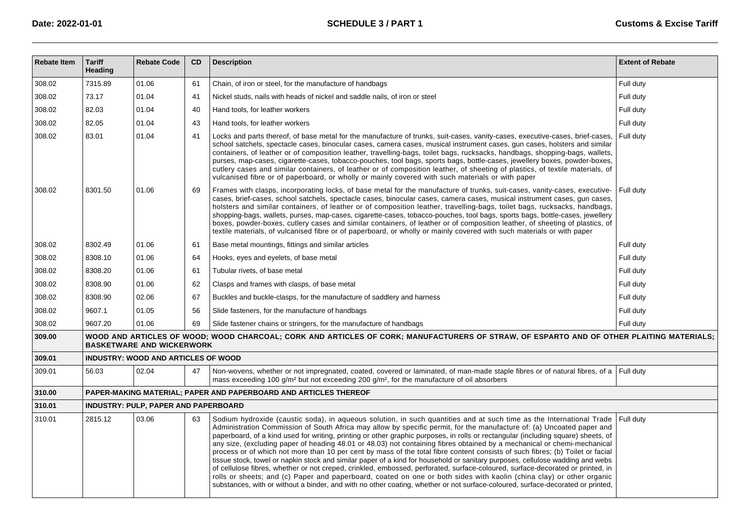| <b>Rebate Item</b> | <b>Tariff</b><br>Heading | <b>Rebate Code</b>                          | CD | <b>Description</b>                                                                                                                                                                                                                                                                                                                                                                                                                                                                                                                                                                                                                                                                                                                                                                                                                                                                                                                                                                                                                                                                                                                                                                           | <b>Extent of Rebate</b> |
|--------------------|--------------------------|---------------------------------------------|----|----------------------------------------------------------------------------------------------------------------------------------------------------------------------------------------------------------------------------------------------------------------------------------------------------------------------------------------------------------------------------------------------------------------------------------------------------------------------------------------------------------------------------------------------------------------------------------------------------------------------------------------------------------------------------------------------------------------------------------------------------------------------------------------------------------------------------------------------------------------------------------------------------------------------------------------------------------------------------------------------------------------------------------------------------------------------------------------------------------------------------------------------------------------------------------------------|-------------------------|
| 308.02             | 7315.89                  | 01.06                                       | 61 | Chain, of iron or steel, for the manufacture of handbags                                                                                                                                                                                                                                                                                                                                                                                                                                                                                                                                                                                                                                                                                                                                                                                                                                                                                                                                                                                                                                                                                                                                     | Full duty               |
| 308.02             | 73.17                    | 01.04                                       | 41 | Nickel studs, nails with heads of nickel and saddle nails, of iron or steel                                                                                                                                                                                                                                                                                                                                                                                                                                                                                                                                                                                                                                                                                                                                                                                                                                                                                                                                                                                                                                                                                                                  | Full duty               |
| 308.02             | 82.03                    | 01.04                                       | 40 | Hand tools, for leather workers                                                                                                                                                                                                                                                                                                                                                                                                                                                                                                                                                                                                                                                                                                                                                                                                                                                                                                                                                                                                                                                                                                                                                              | Full duty               |
| 308.02             | 82.05                    | 01.04                                       | 43 | Hand tools, for leather workers                                                                                                                                                                                                                                                                                                                                                                                                                                                                                                                                                                                                                                                                                                                                                                                                                                                                                                                                                                                                                                                                                                                                                              | Full duty               |
| 308.02             | 83.01                    | 01.04                                       | 41 | Locks and parts thereof, of base metal for the manufacture of trunks, suit-cases, vanity-cases, executive-cases, brief-cases,<br>school satchels, spectacle cases, binocular cases, camera cases, musical instrument cases, gun cases, holsters and similar<br>containers, of leather or of composition leather, travelling-bags, toilet bags, rucksacks, handbags, shopping-bags, wallets,<br>purses, map-cases, cigarette-cases, tobacco-pouches, tool bags, sports bags, bottle-cases, jewellery boxes, powder-boxes,<br>cutlery cases and similar containers, of leather or of composition leather, of sheeting of plastics, of textile materials, of<br>vulcanised fibre or of paperboard, or wholly or mainly covered with such materials or with paper                                                                                                                                                                                                                                                                                                                                                                                                                                | Full duty               |
| 308.02             | 8301.50                  | 01.06                                       | 69 | Frames with clasps, incorporating locks, of base metal for the manufacture of trunks, suit-cases, vanity-cases, executive-<br>cases, brief-cases, school satchels, spectacle cases, binocular cases, camera cases, musical instrument cases, qun cases,<br>holsters and similar containers, of leather or of composition leather, travelling-bags, toilet bags, rucksacks, handbags,<br>shopping-bags, wallets, purses, map-cases, cigarette-cases, tobacco-pouches, tool bags, sports bags, bottle-cases, jewellery<br>boxes, powder-boxes, cutlery cases and similar containers, of leather or of composition leather, of sheeting of plastics, of<br>textile materials, of vulcanised fibre or of paperboard, or wholly or mainly covered with such materials or with paper                                                                                                                                                                                                                                                                                                                                                                                                               | Full duty               |
| 308.02             | 8302.49                  | 01.06                                       | 61 | Base metal mountings, fittings and similar articles                                                                                                                                                                                                                                                                                                                                                                                                                                                                                                                                                                                                                                                                                                                                                                                                                                                                                                                                                                                                                                                                                                                                          | Full duty               |
| 308.02             | 8308.10                  | 01.06                                       | 64 | Hooks, eyes and eyelets, of base metal                                                                                                                                                                                                                                                                                                                                                                                                                                                                                                                                                                                                                                                                                                                                                                                                                                                                                                                                                                                                                                                                                                                                                       | Full duty               |
| 308.02             | 8308.20                  | 01.06                                       | 61 | Tubular rivets, of base metal                                                                                                                                                                                                                                                                                                                                                                                                                                                                                                                                                                                                                                                                                                                                                                                                                                                                                                                                                                                                                                                                                                                                                                | Full duty               |
| 308.02             | 8308.90                  | 01.06                                       | 62 | Clasps and frames with clasps, of base metal                                                                                                                                                                                                                                                                                                                                                                                                                                                                                                                                                                                                                                                                                                                                                                                                                                                                                                                                                                                                                                                                                                                                                 | Full duty               |
| 308.02             | 8308.90                  | 02.06                                       | 67 | Buckles and buckle-clasps, for the manufacture of saddlery and harness                                                                                                                                                                                                                                                                                                                                                                                                                                                                                                                                                                                                                                                                                                                                                                                                                                                                                                                                                                                                                                                                                                                       | Full duty               |
| 308.02             | 9607.1                   | 01.05                                       | 56 | Slide fasteners, for the manufacture of handbags                                                                                                                                                                                                                                                                                                                                                                                                                                                                                                                                                                                                                                                                                                                                                                                                                                                                                                                                                                                                                                                                                                                                             | Full duty               |
| 308.02             | 9607.20                  | 01.06                                       | 69 | Slide fastener chains or stringers, for the manufacture of handbags                                                                                                                                                                                                                                                                                                                                                                                                                                                                                                                                                                                                                                                                                                                                                                                                                                                                                                                                                                                                                                                                                                                          | Full duty               |
| 309.00             |                          | <b>BASKETWARE AND WICKERWORK</b>            |    | WOOD AND ARTICLES OF WOOD; WOOD CHARCOAL; CORK AND ARTICLES OF CORK; MANUFACTURERS OF STRAW, OF ESPARTO AND OF OTHER PLAITING MATERIALS;                                                                                                                                                                                                                                                                                                                                                                                                                                                                                                                                                                                                                                                                                                                                                                                                                                                                                                                                                                                                                                                     |                         |
| 309.01             |                          | <b>INDUSTRY: WOOD AND ARTICLES OF WOOD</b>  |    |                                                                                                                                                                                                                                                                                                                                                                                                                                                                                                                                                                                                                                                                                                                                                                                                                                                                                                                                                                                                                                                                                                                                                                                              |                         |
| 309.01             | 56.03                    | 02.04                                       | 47 | Non-wovens, whether or not impregnated, coated, covered or laminated, of man-made staple fibres or of natural fibres, of a Full duty<br>mass exceeding 100 g/m <sup>2</sup> but not exceeding 200 g/m <sup>2</sup> , for the manufacture of oil absorbers                                                                                                                                                                                                                                                                                                                                                                                                                                                                                                                                                                                                                                                                                                                                                                                                                                                                                                                                    |                         |
| 310.00             |                          |                                             |    | PAPER-MAKING MATERIAL; PAPER AND PAPERBOARD AND ARTICLES THEREOF                                                                                                                                                                                                                                                                                                                                                                                                                                                                                                                                                                                                                                                                                                                                                                                                                                                                                                                                                                                                                                                                                                                             |                         |
| 310.01             |                          | <b>INDUSTRY: PULP, PAPER AND PAPERBOARD</b> |    |                                                                                                                                                                                                                                                                                                                                                                                                                                                                                                                                                                                                                                                                                                                                                                                                                                                                                                                                                                                                                                                                                                                                                                                              |                         |
| 310.01             | 2815.12                  | 03.06                                       | 63 | Sodium hydroxide (caustic soda), in aqueous solution, in such quantities and at such time as the International Trade   Full duty<br>Administration Commission of South Africa may allow by specific permit, for the manufacture of: (a) Uncoated paper and<br>paperboard, of a kind used for writing, printing or other graphic purposes, in rolls or rectangular (including square) sheets, of<br>any size, (excluding paper of heading 48.01 or 48.03) not containing fibres obtained by a mechanical or chemi-mechanical<br>process or of which not more than 10 per cent by mass of the total fibre content consists of such fibres; (b) Toilet or facial<br>tissue stock, towel or napkin stock and similar paper of a kind for household or sanitary purposes, cellulose wadding and webs<br>of cellulose fibres, whether or not creped, crinkled, embossed, perforated, surface-coloured, surface-decorated or printed, in<br>rolls or sheets; and (c) Paper and paperboard, coated on one or both sides with kaolin (china clay) or other organic<br>substances, with or without a binder, and with no other coating, whether or not surface-coloured, surface-decorated or printed, |                         |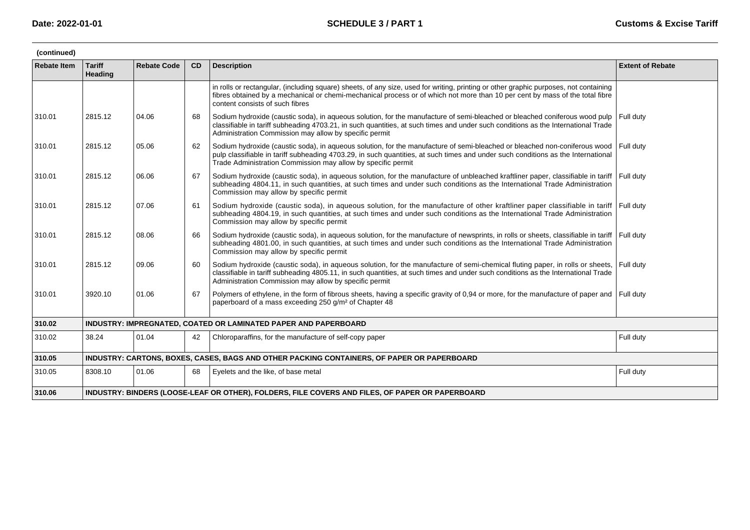| (continued)        |                                 |                                                                                                 |    |                                                                                                                                                                                                                                                                                                                                          |                         |  |  |  |  |  |
|--------------------|---------------------------------|-------------------------------------------------------------------------------------------------|----|------------------------------------------------------------------------------------------------------------------------------------------------------------------------------------------------------------------------------------------------------------------------------------------------------------------------------------------|-------------------------|--|--|--|--|--|
| <b>Rebate Item</b> | <b>Tariff</b><br><b>Heading</b> | <b>Rebate Code</b>                                                                              | CD | <b>Description</b>                                                                                                                                                                                                                                                                                                                       | <b>Extent of Rebate</b> |  |  |  |  |  |
|                    |                                 |                                                                                                 |    | in rolls or rectangular, (including square) sheets, of any size, used for writing, printing or other graphic purposes, not containing<br>fibres obtained by a mechanical or chemi-mechanical process or of which not more than 10 per cent by mass of the total fibre<br>content consists of such fibres                                 |                         |  |  |  |  |  |
| 310.01             | 2815.12                         | 04.06                                                                                           | 68 | Sodium hydroxide (caustic soda), in aqueous solution, for the manufacture of semi-bleached or bleached coniferous wood pulp<br>classifiable in tariff subheading 4703.21, in such quantities, at such times and under such conditions as the International Trade<br>Administration Commission may allow by specific permit               | Full duty               |  |  |  |  |  |
| 310.01             | 2815.12                         | 05.06                                                                                           | 62 | Sodium hydroxide (caustic soda), in aqueous solution, for the manufacture of semi-bleached or bleached non-coniferous wood Full duty<br>pulp classifiable in tariff subheading 4703.29, in such quantities, at such times and under such conditions as the International<br>Trade Administration Commission may allow by specific permit |                         |  |  |  |  |  |
| 310.01             | 2815.12                         | 06.06                                                                                           | 67 | Sodium hydroxide (caustic soda), in aqueous solution, for the manufacture of unbleached kraftliner paper, classifiable in tariff Full duty<br>subheading 4804.11, in such quantities, at such times and under such conditions as the International Trade Administration<br>Commission may allow by specific permit                       |                         |  |  |  |  |  |
| 310.01             | 2815.12                         | 07.06                                                                                           | 61 | Sodium hydroxide (caustic soda), in aqueous solution, for the manufacture of other kraftliner paper classifiable in tariff Full duty<br>subheading 4804.19, in such quantities, at such times and under such conditions as the International Trade Administration<br>Commission may allow by specific permit                             |                         |  |  |  |  |  |
| 310.01             | 2815.12                         | 08.06                                                                                           | 66 | Sodium hydroxide (caustic soda), in aqueous solution, for the manufacture of newsprints, in rolls or sheets, classifiable in tariff Full duty<br>subheading 4801.00, in such quantities, at such times and under such conditions as the International Trade Administration<br>Commission may allow by specific permit                    |                         |  |  |  |  |  |
| 310.01             | 2815.12                         | 09.06                                                                                           | 60 | Sodium hydroxide (caustic soda), in aqueous solution, for the manufacture of semi-chemical fluting paper, in rolls or sheets,<br>classifiable in tariff subheading 4805.11, in such quantities, at such times and under such conditions as the International Trade<br>Administration Commission may allow by specific permit             | Full duty               |  |  |  |  |  |
| 310.01             | 3920.10                         | 01.06                                                                                           | 67 | Polymers of ethylene, in the form of fibrous sheets, having a specific gravity of 0,94 or more, for the manufacture of paper and Full duty<br>paperboard of a mass exceeding 250 g/m <sup>2</sup> of Chapter 48                                                                                                                          |                         |  |  |  |  |  |
| 310.02             |                                 |                                                                                                 |    | INDUSTRY: IMPREGNATED, COATED OR LAMINATED PAPER AND PAPERBOARD                                                                                                                                                                                                                                                                          |                         |  |  |  |  |  |
| 310.02             | 38.24                           | 01.04                                                                                           | 42 | Chloroparaffins, for the manufacture of self-copy paper                                                                                                                                                                                                                                                                                  | Full duty               |  |  |  |  |  |
| 310.05             |                                 |                                                                                                 |    | INDUSTRY: CARTONS, BOXES, CASES, BAGS AND OTHER PACKING CONTAINERS, OF PAPER OR PAPERBOARD                                                                                                                                                                                                                                               |                         |  |  |  |  |  |
| 310.05             | 8308.10                         | 01.06                                                                                           | 68 | Eyelets and the like, of base metal                                                                                                                                                                                                                                                                                                      | Full duty               |  |  |  |  |  |
| 310.06             |                                 | INDUSTRY: BINDERS (LOOSE-LEAF OR OTHER), FOLDERS, FILE COVERS AND FILES, OF PAPER OR PAPERBOARD |    |                                                                                                                                                                                                                                                                                                                                          |                         |  |  |  |  |  |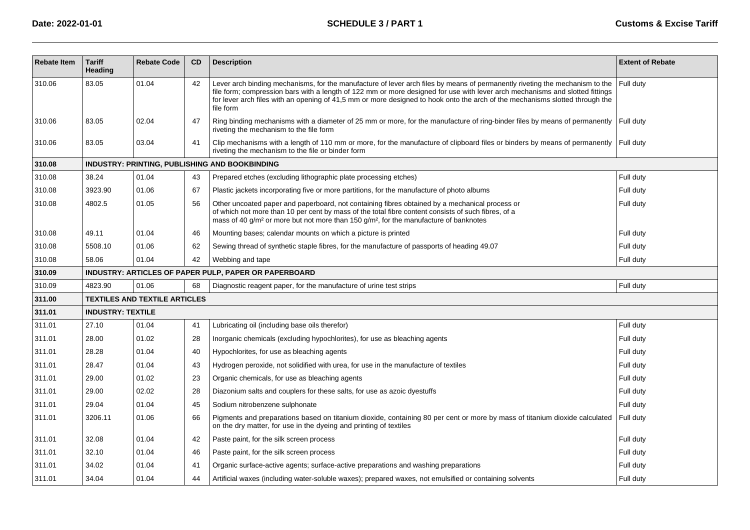| <b>Rebate Item</b> | <b>Tariff</b><br>Heading | <b>Rebate Code</b>                   | CD | <b>Description</b>                                                                                                                                                                                                                                                                                                                                                                                        | <b>Extent of Rebate</b> |
|--------------------|--------------------------|--------------------------------------|----|-----------------------------------------------------------------------------------------------------------------------------------------------------------------------------------------------------------------------------------------------------------------------------------------------------------------------------------------------------------------------------------------------------------|-------------------------|
| 310.06             | 83.05                    | 01.04                                | 42 | Lever arch binding mechanisms, for the manufacture of lever arch files by means of permanently riveting the mechanism to the<br>file form; compression bars with a length of 122 mm or more designed for use with lever arch mechanisms and slotted fittings<br>for lever arch files with an opening of 41,5 mm or more designed to hook onto the arch of the mechanisms slotted through the<br>file form | Full duty               |
| 310.06             | 83.05                    | 02.04                                | 47 | Ring binding mechanisms with a diameter of 25 mm or more, for the manufacture of ring-binder files by means of permanently<br>riveting the mechanism to the file form                                                                                                                                                                                                                                     | Full duty               |
| 310.06             | 83.05                    | 03.04                                | 41 | Clip mechanisms with a length of 110 mm or more, for the manufacture of clipboard files or binders by means of permanently<br>riveting the mechanism to the file or binder form                                                                                                                                                                                                                           | Full duty               |
| 310.08             |                          |                                      |    | INDUSTRY: PRINTING, PUBLISHING AND BOOKBINDING                                                                                                                                                                                                                                                                                                                                                            |                         |
| 310.08             | 38.24                    | 01.04                                | 43 | Prepared etches (excluding lithographic plate processing etches)                                                                                                                                                                                                                                                                                                                                          | Full duty               |
| 310.08             | 3923.90                  | 01.06                                | 67 | Plastic jackets incorporating five or more partitions, for the manufacture of photo albums                                                                                                                                                                                                                                                                                                                | Full duty               |
| 310.08             | 4802.5                   | 01.05                                | 56 | Other uncoated paper and paperboard, not containing fibres obtained by a mechanical process or<br>of which not more than 10 per cent by mass of the total fibre content consists of such fibres, of a<br>mass of 40 g/m <sup>2</sup> or more but not more than 150 g/m <sup>2</sup> , for the manufacture of banknotes                                                                                    | Full duty               |
| 310.08             | 49.11                    | 01.04                                | 46 | Mounting bases; calendar mounts on which a picture is printed                                                                                                                                                                                                                                                                                                                                             | Full duty               |
| 310.08             | 5508.10                  | 01.06                                | 62 | Sewing thread of synthetic staple fibres, for the manufacture of passports of heading 49.07                                                                                                                                                                                                                                                                                                               | Full duty               |
| 310.08             | 58.06                    | 01.04                                | 42 | Webbing and tape                                                                                                                                                                                                                                                                                                                                                                                          | Full duty               |
| 310.09             |                          |                                      |    | INDUSTRY: ARTICLES OF PAPER PULP, PAPER OR PAPERBOARD                                                                                                                                                                                                                                                                                                                                                     |                         |
| 310.09             | 4823.90                  | 01.06                                | 68 | Diagnostic reagent paper, for the manufacture of urine test strips                                                                                                                                                                                                                                                                                                                                        | Full duty               |
| 311.00             |                          | <b>TEXTILES AND TEXTILE ARTICLES</b> |    |                                                                                                                                                                                                                                                                                                                                                                                                           |                         |
| 311.01             | <b>INDUSTRY: TEXTILE</b> |                                      |    |                                                                                                                                                                                                                                                                                                                                                                                                           |                         |
| 311.01             | 27.10                    | 01.04                                | 41 | Lubricating oil (including base oils therefor)                                                                                                                                                                                                                                                                                                                                                            | Full duty               |
| 311.01             | 28.00                    | 01.02                                | 28 | Inorganic chemicals (excluding hypochlorites), for use as bleaching agents                                                                                                                                                                                                                                                                                                                                | Full duty               |
| 311.01             | 28.28                    | 01.04                                | 40 | Hypochlorites, for use as bleaching agents                                                                                                                                                                                                                                                                                                                                                                | Full duty               |
| 311.01             | 28.47                    | 01.04                                | 43 | Hydrogen peroxide, not solidified with urea, for use in the manufacture of textiles                                                                                                                                                                                                                                                                                                                       | Full duty               |
| 311.01             | 29.00                    | 01.02                                | 23 | Organic chemicals, for use as bleaching agents                                                                                                                                                                                                                                                                                                                                                            | Full duty               |
| 311.01             | 29.00                    | 02.02                                | 28 | Diazonium salts and couplers for these salts, for use as azoic dyestuffs                                                                                                                                                                                                                                                                                                                                  | Full duty               |
| 311.01             | 29.04                    | 01.04                                | 45 | Sodium nitrobenzene sulphonate                                                                                                                                                                                                                                                                                                                                                                            | Full duty               |
| 311.01             | 3206.11                  | 01.06                                | 66 | Pigments and preparations based on titanium dioxide, containing 80 per cent or more by mass of titanium dioxide calculated<br>on the dry matter, for use in the dyeing and printing of textiles                                                                                                                                                                                                           | Full duty               |
| 311.01             | 32.08                    | 01.04                                | 42 | Paste paint, for the silk screen process                                                                                                                                                                                                                                                                                                                                                                  | Full duty               |
| 311.01             | 32.10                    | 01.04                                | 46 | Paste paint, for the silk screen process                                                                                                                                                                                                                                                                                                                                                                  | Full duty               |
| 311.01             | 34.02                    | 01.04                                | 41 | Organic surface-active agents; surface-active preparations and washing preparations                                                                                                                                                                                                                                                                                                                       | Full duty               |
| 311.01             | 34.04                    | 01.04                                | 44 | Artificial waxes (including water-soluble waxes); prepared waxes, not emulsified or containing solvents                                                                                                                                                                                                                                                                                                   | Full duty               |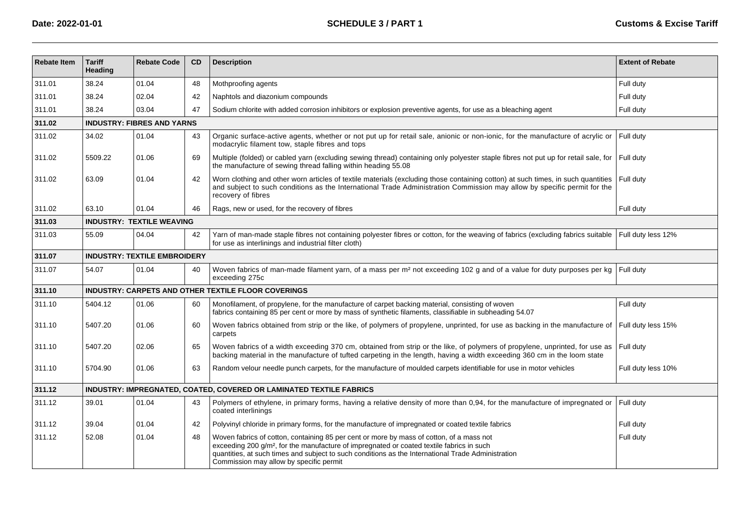**Date: 2022-01-01**

| <b>Rebate Item</b> | <b>Tariff</b><br>Heading         | <b>Rebate Code</b>                  | <b>CD</b> | <b>Description</b>                                                                                                                                                                                                                                                                                                                                 | <b>Extent of Rebate</b> |  |  |
|--------------------|----------------------------------|-------------------------------------|-----------|----------------------------------------------------------------------------------------------------------------------------------------------------------------------------------------------------------------------------------------------------------------------------------------------------------------------------------------------------|-------------------------|--|--|
| 311.01             | 38.24                            | 01.04                               | 48        | Mothproofing agents                                                                                                                                                                                                                                                                                                                                | Full duty               |  |  |
| 311.01             | 38.24                            | 02.04                               | 42        | Naphtols and diazonium compounds                                                                                                                                                                                                                                                                                                                   | Full duty               |  |  |
| 311.01             | 38.24                            | 03.04                               | 47        | Sodium chlorite with added corrosion inhibitors or explosion preventive agents, for use as a bleaching agent                                                                                                                                                                                                                                       | Full duty               |  |  |
| 311.02             |                                  | <b>INDUSTRY: FIBRES AND YARNS</b>   |           |                                                                                                                                                                                                                                                                                                                                                    |                         |  |  |
| 311.02             | 34.02                            | 01.04                               | 43        | Organic surface-active agents, whether or not put up for retail sale, anionic or non-ionic, for the manufacture of acrylic or<br>modacrylic filament tow, staple fibres and tops                                                                                                                                                                   | Full duty               |  |  |
| 311.02             | 5509.22                          | 01.06                               | 69        | Multiple (folded) or cabled yarn (excluding sewing thread) containing only polyester staple fibres not put up for retail sale, for<br>the manufacture of sewing thread falling within heading 55.08                                                                                                                                                | Full duty               |  |  |
| 311.02             | 63.09                            | 01.04                               | 42        | Worn clothing and other worn articles of textile materials (excluding those containing cotton) at such times, in such quantities<br>and subject to such conditions as the International Trade Administration Commission may allow by specific permit for the<br>recovery of fibres                                                                 | Full duty               |  |  |
| 311.02             | 63.10                            | 01.04                               | 46        | Rags, new or used, for the recovery of fibres                                                                                                                                                                                                                                                                                                      | Full duty               |  |  |
| 311.03             | <b>INDUSTRY: TEXTILE WEAVING</b> |                                     |           |                                                                                                                                                                                                                                                                                                                                                    |                         |  |  |
| 311.03             | 55.09                            | 04.04                               | 42        | Yarn of man-made staple fibres not containing polyester fibres or cotton, for the weaving of fabrics (excluding fabrics suitable<br>for use as interlinings and industrial filter cloth)                                                                                                                                                           | Full duty less 12%      |  |  |
| 311.07             |                                  | <b>INDUSTRY: TEXTILE EMBROIDERY</b> |           |                                                                                                                                                                                                                                                                                                                                                    |                         |  |  |
| 311.07             | 54.07                            | 01.04                               | 40        | Woven fabrics of man-made filament yarn, of a mass per m <sup>2</sup> not exceeding 102 g and of a value for duty purposes per kg<br>exceeding 275c                                                                                                                                                                                                | Full duty               |  |  |
| 311.10             |                                  |                                     |           | INDUSTRY: CARPETS AND OTHER TEXTILE FLOOR COVERINGS                                                                                                                                                                                                                                                                                                |                         |  |  |
| 311.10             | 5404.12                          | 01.06                               | 60        | Monofilament, of propylene, for the manufacture of carpet backing material, consisting of woven<br>fabrics containing 85 per cent or more by mass of synthetic filaments, classifiable in subheading 54.07                                                                                                                                         | Full duty               |  |  |
| 311.10             | 5407.20                          | 01.06                               | 60        | Woven fabrics obtained from strip or the like, of polymers of propylene, unprinted, for use as backing in the manufacture of<br>carpets                                                                                                                                                                                                            | Full duty less 15%      |  |  |
| 311.10             | 5407.20                          | 02.06                               | 65        | Woven fabrics of a width exceeding 370 cm, obtained from strip or the like, of polymers of propylene, unprinted, for use as<br>backing material in the manufacture of tufted carpeting in the length, having a width exceeding 360 cm in the loom state                                                                                            | Full duty               |  |  |
| 311.10             | 5704.90                          | 01.06                               | 63        | Random velour needle punch carpets, for the manufacture of moulded carpets identifiable for use in motor vehicles                                                                                                                                                                                                                                  | Full duty less 10%      |  |  |
| 311.12             |                                  |                                     |           | INDUSTRY: IMPREGNATED, COATED, COVERED OR LAMINATED TEXTILE FABRICS                                                                                                                                                                                                                                                                                |                         |  |  |
| 311.12             | 39.01                            | 01.04                               | 43        | Polymers of ethylene, in primary forms, having a relative density of more than 0,94, for the manufacture of impregnated or<br>coated interlinings                                                                                                                                                                                                  | Full duty               |  |  |
| 311.12             | 39.04                            | 01.04                               | 42        | Polyvinyl chloride in primary forms, for the manufacture of impregnated or coated textile fabrics                                                                                                                                                                                                                                                  | Full duty               |  |  |
| 311.12             | 52.08                            | 01.04                               | 48        | Woven fabrics of cotton, containing 85 per cent or more by mass of cotton, of a mass not<br>exceeding 200 g/m <sup>2</sup> , for the manufacture of impregnated or coated textile fabrics in such<br>quantities, at such times and subject to such conditions as the International Trade Administration<br>Commission may allow by specific permit | Full duty               |  |  |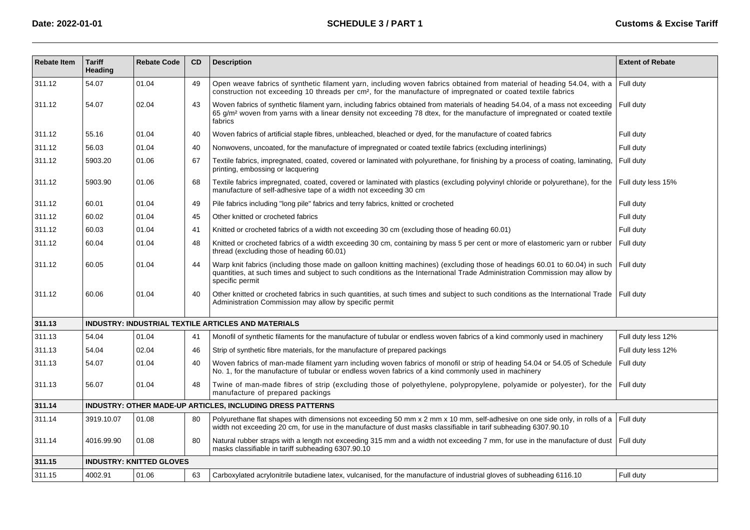| <b>Rebate Item</b> | <b>Tariff</b><br>Heading | <b>Rebate Code</b>              | <b>CD</b> | <b>Description</b>                                                                                                                                                                                                                                                                 | <b>Extent of Rebate</b> |
|--------------------|--------------------------|---------------------------------|-----------|------------------------------------------------------------------------------------------------------------------------------------------------------------------------------------------------------------------------------------------------------------------------------------|-------------------------|
| 311.12             | 54.07                    | 01.04                           | 49        | Open weave fabrics of synthetic filament yarn, including woven fabrics obtained from material of heading 54.04, with a<br>construction not exceeding 10 threads per cm <sup>2</sup> , for the manufacture of impregnated or coated textile fabrics                                 | Full duty               |
| 311.12             | 54.07                    | 02.04                           | 43        | Woven fabrics of synthetic filament yarn, including fabrics obtained from materials of heading 54.04, of a mass not exceeding<br>65 g/m <sup>2</sup> woven from yarns with a linear density not exceeding 78 dtex, for the manufacture of impregnated or coated textile<br>fabrics | Full duty               |
| 311.12             | 55.16                    | 01.04                           | 40        | Woven fabrics of artificial staple fibres, unbleached, bleached or dyed, for the manufacture of coated fabrics                                                                                                                                                                     | Full duty               |
| 311.12             | 56.03                    | 01.04                           | 40        | Nonwovens, uncoated, for the manufacture of impregnated or coated textile fabrics (excluding interlinings)                                                                                                                                                                         | Full duty               |
| 311.12             | 5903.20                  | 01.06                           | 67        | Textile fabrics, impregnated, coated, covered or laminated with polyurethane, for finishing by a process of coating, laminating,<br>printing, embossing or lacquering                                                                                                              | Full duty               |
| 311.12             | 5903.90                  | 01.06                           | 68        | Textile fabrics impregnated, coated, covered or laminated with plastics (excluding polyvinyl chloride or polyurethane), for the<br>manufacture of self-adhesive tape of a width not exceeding 30 cm                                                                                | Full duty less 15%      |
| 311.12             | 60.01                    | 01.04                           | 49        | Pile fabrics including "long pile" fabrics and terry fabrics, knitted or crocheted                                                                                                                                                                                                 | Full duty               |
| 311.12             | 60.02                    | 01.04                           | 45        | Other knitted or crocheted fabrics                                                                                                                                                                                                                                                 | Full duty               |
| 311.12             | 60.03                    | 01.04                           | 41        | Knitted or crocheted fabrics of a width not exceeding 30 cm (excluding those of heading 60.01)                                                                                                                                                                                     | Full duty               |
| 311.12             | 60.04                    | 01.04                           | 48        | Knitted or crocheted fabrics of a width exceeding 30 cm, containing by mass 5 per cent or more of elastomeric yarn or rubber<br>thread (excluding those of heading 60.01)                                                                                                          | Full duty               |
| 311.12             | 60.05                    | 01.04                           | 44        | Warp knit fabrics (including those made on galloon knitting machines) (excluding those of headings 60.01 to 60.04) in such<br>quantities, at such times and subject to such conditions as the International Trade Administration Commission may allow by<br>specific permit        | Full duty               |
| 311.12             | 60.06                    | 01.04                           | 40        | Other knitted or crocheted fabrics in such quantities, at such times and subject to such conditions as the International Trade   Full duty<br>Administration Commission may allow by specific permit                                                                               |                         |
| 311.13             |                          |                                 |           | <b>INDUSTRY: INDUSTRIAL TEXTILE ARTICLES AND MATERIALS</b>                                                                                                                                                                                                                         |                         |
| 311.13             | 54.04                    | 01.04                           | 41        | Monofil of synthetic filaments for the manufacture of tubular or endless woven fabrics of a kind commonly used in machinery                                                                                                                                                        | Full duty less 12%      |
| 311.13             | 54.04                    | 02.04                           | 46        | Strip of synthetic fibre materials, for the manufacture of prepared packings                                                                                                                                                                                                       | Full duty less 12%      |
| 311.13             | 54.07                    | 01.04                           | 40        | Woven fabrics of man-made filament yarn including woven fabrics of monofil or strip of heading 54.04 or 54.05 of Schedule<br>No. 1, for the manufacture of tubular or endless woven fabrics of a kind commonly used in machinery                                                   | Full duty               |
| 311.13             | 56.07                    | 01.04                           | 48        | Twine of man-made fibres of strip (excluding those of polyethylene, polypropylene, polyamide or polyester), for the Full duty<br>manufacture of prepared packings                                                                                                                  |                         |
| 311.14             |                          |                                 |           | <b>INDUSTRY: OTHER MADE-UP ARTICLES, INCLUDING DRESS PATTERNS</b>                                                                                                                                                                                                                  |                         |
| 311.14             | 3919.10.07               | 01.08                           | 80        | Polyurethane flat shapes with dimensions not exceeding 50 mm x 2 mm x 10 mm, self-adhesive on one side only, in rolls of a<br>width not exceeding 20 cm, for use in the manufacture of dust masks classifiable in tarif subheading 6307.90.10                                      | Full duty               |
| 311.14             | 4016.99.90               | 01.08                           | 80        | Natural rubber straps with a length not exceeding 315 mm and a width not exceeding 7 mm, for use in the manufacture of dust   Full duty<br>masks classifiable in tariff subheading 6307.90.10                                                                                      |                         |
| 311.15             |                          | <b>INDUSTRY: KNITTED GLOVES</b> |           |                                                                                                                                                                                                                                                                                    |                         |
| 311.15             | 4002.91                  | 01.06                           | 63        | Carboxylated acrylonitrile butadiene latex, vulcanised, for the manufacture of industrial gloves of subheading 6116.10                                                                                                                                                             | Full duty               |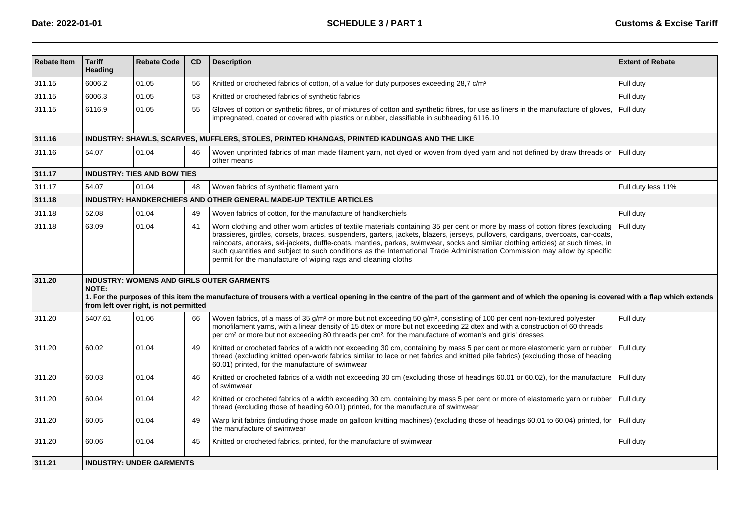| <b>Rebate Item</b> | <b>Tariff</b><br>Heading                                                                    | <b>Rebate Code</b>                     | CD | <b>Description</b>                                                                                                                                                                                                                                                                                                                                                                                                                                                                                                                                                                                   | <b>Extent of Rebate</b> |  |  |  |  |  |  |
|--------------------|---------------------------------------------------------------------------------------------|----------------------------------------|----|------------------------------------------------------------------------------------------------------------------------------------------------------------------------------------------------------------------------------------------------------------------------------------------------------------------------------------------------------------------------------------------------------------------------------------------------------------------------------------------------------------------------------------------------------------------------------------------------------|-------------------------|--|--|--|--|--|--|
| 311.15             | 6006.2                                                                                      | 01.05                                  | 56 | Knitted or crocheted fabrics of cotton, of a value for duty purposes exceeding 28,7 c/m <sup>2</sup>                                                                                                                                                                                                                                                                                                                                                                                                                                                                                                 | Full duty               |  |  |  |  |  |  |
| 311.15             | 6006.3                                                                                      | 01.05                                  | 53 | Knitted or crocheted fabrics of synthetic fabrics                                                                                                                                                                                                                                                                                                                                                                                                                                                                                                                                                    | Full duty               |  |  |  |  |  |  |
| 311.15             | 6116.9                                                                                      | 01.05                                  | 55 | Gloves of cotton or synthetic fibres, or of mixtures of cotton and synthetic fibres, for use as liners in the manufacture of gloves,<br>impregnated, coated or covered with plastics or rubber, classifiable in subheading 6116.10                                                                                                                                                                                                                                                                                                                                                                   | Full duty               |  |  |  |  |  |  |
| 311.16             | INDUSTRY: SHAWLS, SCARVES, MUFFLERS, STOLES, PRINTED KHANGAS, PRINTED KADUNGAS AND THE LIKE |                                        |    |                                                                                                                                                                                                                                                                                                                                                                                                                                                                                                                                                                                                      |                         |  |  |  |  |  |  |
| 311.16             | 54.07                                                                                       | 01.04                                  | 46 | Woven unprinted fabrics of man made filament yarn, not dyed or woven from dyed yarn and not defined by draw threads or<br>other means                                                                                                                                                                                                                                                                                                                                                                                                                                                                | Full duty               |  |  |  |  |  |  |
| 311.17             |                                                                                             | <b>INDUSTRY: TIES AND BOW TIES</b>     |    |                                                                                                                                                                                                                                                                                                                                                                                                                                                                                                                                                                                                      |                         |  |  |  |  |  |  |
| 311.17             | 54.07                                                                                       | 01.04                                  | 48 | Woven fabrics of synthetic filament yarn                                                                                                                                                                                                                                                                                                                                                                                                                                                                                                                                                             | Full duty less 11%      |  |  |  |  |  |  |
| 311.18             |                                                                                             |                                        |    | <b>INDUSTRY: HANDKERCHIEFS AND OTHER GENERAL MADE-UP TEXTILE ARTICLES</b>                                                                                                                                                                                                                                                                                                                                                                                                                                                                                                                            |                         |  |  |  |  |  |  |
| 311.18             | 52.08                                                                                       | 01.04                                  | 49 | Woven fabrics of cotton, for the manufacture of handkerchiefs                                                                                                                                                                                                                                                                                                                                                                                                                                                                                                                                        | Full duty               |  |  |  |  |  |  |
| 311.18             | 63.09                                                                                       | 01.04                                  | 41 | Worn clothing and other worn articles of textile materials containing 35 per cent or more by mass of cotton fibres (excluding<br>brassieres, girdles, corsets, braces, suspenders, garters, jackets, blazers, jerseys, pullovers, cardigans, overcoats, car-coats,<br>raincoats, anoraks, ski-jackets, duffle-coats, mantles, parkas, swimwear, socks and similar clothing articles) at such times, in<br>such quantities and subject to such conditions as the International Trade Administration Commission may allow by specific<br>permit for the manufacture of wiping rags and cleaning cloths | Full duty               |  |  |  |  |  |  |
| 311.20             | <b>NOTE:</b>                                                                                | from left over right, is not permitted |    | <b>INDUSTRY: WOMENS AND GIRLS OUTER GARMENTS</b><br>1. For the purposes of this item the manufacture of trousers with a vertical opening in the centre of the part of the garment and of which the opening is covered with a flap which extends                                                                                                                                                                                                                                                                                                                                                      |                         |  |  |  |  |  |  |
| 311.20             | 5407.61                                                                                     | 01.06                                  | 66 | Woven fabrics, of a mass of 35 g/m <sup>2</sup> or more but not exceeding 50 g/m <sup>2</sup> , consisting of 100 per cent non-textured polyester<br>monofilament yarns, with a linear density of 15 dtex or more but not exceeding 22 dtex and with a construction of 60 threads<br>per cm <sup>2</sup> or more but not exceeding 80 threads per cm <sup>2</sup> , for the manufacture of woman's and girls' dresses                                                                                                                                                                                | Full duty               |  |  |  |  |  |  |
| 311.20             | 60.02                                                                                       | 01.04                                  | 49 | Knitted or crocheted fabrics of a width not exceeding 30 cm, containing by mass 5 per cent or more elastomeric yarn or rubber<br>thread (excluding knitted open-work fabrics similar to lace or net fabrics and knitted pile fabrics) (excluding those of heading<br>60.01) printed, for the manufacture of swimwear                                                                                                                                                                                                                                                                                 | Full duty               |  |  |  |  |  |  |
| 311.20             | 60.03                                                                                       | 01.04                                  | 46 | Knitted or crocheted fabrics of a width not exceeding 30 cm (excluding those of headings 60.01 or 60.02), for the manufacture<br>of swimwear                                                                                                                                                                                                                                                                                                                                                                                                                                                         | Full duty               |  |  |  |  |  |  |
| 311.20             | 60.04                                                                                       | 01.04                                  | 42 | Knitted or crocheted fabrics of a width exceeding 30 cm, containing by mass 5 per cent or more of elastomeric yarn or rubber<br>thread (excluding those of heading 60.01) printed, for the manufacture of swimwear                                                                                                                                                                                                                                                                                                                                                                                   | Full duty               |  |  |  |  |  |  |
| 311.20             | 60.05                                                                                       | 01.04                                  | 49 | Warp knit fabrics (including those made on galloon knitting machines) (excluding those of headings 60.01 to 60.04) printed, for<br>the manufacture of swimwear                                                                                                                                                                                                                                                                                                                                                                                                                                       | Full duty               |  |  |  |  |  |  |
| 311.20             | 60.06                                                                                       | 01.04                                  | 45 | Knitted or crocheted fabrics, printed, for the manufacture of swimwear                                                                                                                                                                                                                                                                                                                                                                                                                                                                                                                               | Full duty               |  |  |  |  |  |  |
| 311.21             |                                                                                             | <b>INDUSTRY: UNDER GARMENTS</b>        |    |                                                                                                                                                                                                                                                                                                                                                                                                                                                                                                                                                                                                      |                         |  |  |  |  |  |  |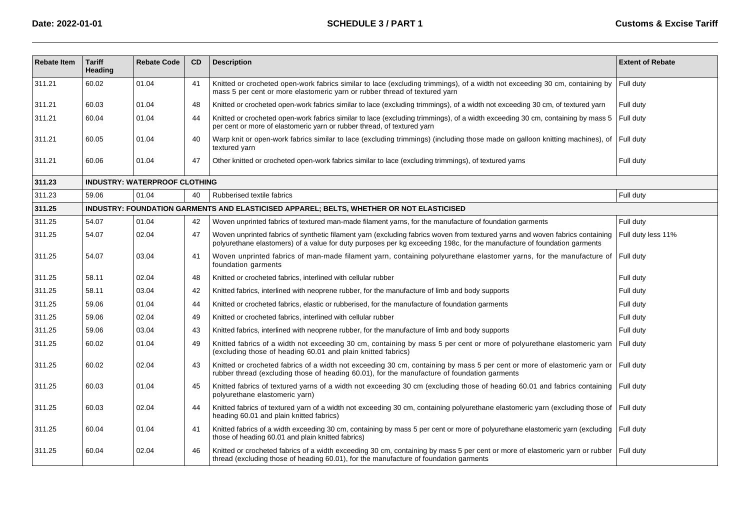| <b>Rebate Item</b> | <b>Tariff</b><br>Heading                                                                 | <b>Rebate Code</b>                   | <b>CD</b> | <b>Description</b>                                                                                                                                                                                                                                      | <b>Extent of Rebate</b> |  |  |  |  |  |
|--------------------|------------------------------------------------------------------------------------------|--------------------------------------|-----------|---------------------------------------------------------------------------------------------------------------------------------------------------------------------------------------------------------------------------------------------------------|-------------------------|--|--|--|--|--|
| 311.21             | 60.02                                                                                    | 01.04                                | 41        | Knitted or crocheted open-work fabrics similar to lace (excluding trimmings), of a width not exceeding 30 cm, containing by<br>mass 5 per cent or more elastomeric yarn or rubber thread of textured yarn                                               | Full duty               |  |  |  |  |  |
| 311.21             | 60.03                                                                                    | 01.04                                | 48        | Knitted or crocheted open-work fabrics similar to lace (excluding trimmings), of a width not exceeding 30 cm, of textured yarn                                                                                                                          | Full duty               |  |  |  |  |  |
| 311.21             | 60.04                                                                                    | 01.04                                | 44        | Knitted or crocheted open-work fabrics similar to lace (excluding trimmings), of a width exceeding 30 cm, containing by mass 5<br>per cent or more of elastomeric yarn or rubber thread, of textured yarn                                               | Full duty               |  |  |  |  |  |
| 311.21             | 60.05                                                                                    | 01.04                                | 40        | Warp knit or open-work fabrics similar to lace (excluding trimmings) (including those made on galloon knitting machines), of<br>textured yarn                                                                                                           | Full duty               |  |  |  |  |  |
| 311.21             | 60.06                                                                                    | 01.04                                | 47        | Other knitted or crocheted open-work fabrics similar to lace (excluding trimmings), of textured yarns                                                                                                                                                   | Full duty               |  |  |  |  |  |
| 311.23             |                                                                                          | <b>INDUSTRY: WATERPROOF CLOTHING</b> |           |                                                                                                                                                                                                                                                         |                         |  |  |  |  |  |
| 311.23             | 59.06                                                                                    | 01.04                                | 40        | Rubberised textile fabrics                                                                                                                                                                                                                              | Full duty               |  |  |  |  |  |
| 311.25             | INDUSTRY: FOUNDATION GARMENTS AND ELASTICISED APPAREL; BELTS, WHETHER OR NOT ELASTICISED |                                      |           |                                                                                                                                                                                                                                                         |                         |  |  |  |  |  |
| 311.25             | 54.07                                                                                    | 01.04                                | 42        | Woven unprinted fabrics of textured man-made filament yarns, for the manufacture of foundation garments                                                                                                                                                 | Full duty               |  |  |  |  |  |
| 311.25             | 54.07                                                                                    | 02.04                                | 47        | Woven unprinted fabrics of synthetic filament yarn (excluding fabrics woven from textured yarns and woven fabrics containing<br>polyurethane elastomers) of a value for duty purposes per kg exceeding 198c, for the manufacture of foundation garments | Full duty less 11%      |  |  |  |  |  |
| 311.25             | 54.07                                                                                    | 03.04                                | 41        | Woven unprinted fabrics of man-made filament yarn, containing polyurethane elastomer yarns, for the manufacture of<br>foundation garments                                                                                                               | Full duty               |  |  |  |  |  |
| 311.25             | 58.11                                                                                    | 02.04                                | 48        | Knitted or crocheted fabrics, interlined with cellular rubber                                                                                                                                                                                           | Full duty               |  |  |  |  |  |
| 311.25             | 58.11                                                                                    | 03.04                                | 42        | Knitted fabrics, interlined with neoprene rubber, for the manufacture of limb and body supports                                                                                                                                                         | Full duty               |  |  |  |  |  |
| 311.25             | 59.06                                                                                    | 01.04                                | 44        | Knitted or crocheted fabrics, elastic or rubberised, for the manufacture of foundation garments                                                                                                                                                         | Full duty               |  |  |  |  |  |
| 311.25             | 59.06                                                                                    | 02.04                                | 49        | Knitted or crocheted fabrics, interlined with cellular rubber                                                                                                                                                                                           | Full duty               |  |  |  |  |  |
| 311.25             | 59.06                                                                                    | 03.04                                | 43        | Knitted fabrics, interlined with neoprene rubber, for the manufacture of limb and body supports                                                                                                                                                         | Full duty               |  |  |  |  |  |
| 311.25             | 60.02                                                                                    | 01.04                                | 49        | Knitted fabrics of a width not exceeding 30 cm, containing by mass 5 per cent or more of polyurethane elastomeric yarn<br>(excluding those of heading 60.01 and plain knitted fabrics)                                                                  | Full duty               |  |  |  |  |  |
| 311.25             | 60.02                                                                                    | 02.04                                | 43        | Knitted or crocheted fabrics of a width not exceeding 30 cm, containing by mass 5 per cent or more of elastomeric yarn or<br>rubber thread (excluding those of heading 60.01), for the manufacture of foundation garments                               | Full duty               |  |  |  |  |  |
| 311.25             | 60.03                                                                                    | 01.04                                | 45        | Knitted fabrics of textured yarns of a width not exceeding 30 cm (excluding those of heading 60.01 and fabrics containing<br>polyurethane elastomeric yarn)                                                                                             | Full duty               |  |  |  |  |  |
| 311.25             | 60.03                                                                                    | 02.04                                | 44        | Knitted fabrics of textured yarn of a width not exceeding 30 cm, containing polyurethane elastomeric yarn (excluding those of<br>heading 60.01 and plain knitted fabrics)                                                                               | Full duty               |  |  |  |  |  |
| 311.25             | 60.04                                                                                    | 01.04                                | 41        | Knitted fabrics of a width exceeding 30 cm, containing by mass 5 per cent or more of polyurethane elastomeric yarn (excluding<br>those of heading 60.01 and plain knitted fabrics)                                                                      | Full duty               |  |  |  |  |  |
| 311.25             | 60.04                                                                                    | 02.04                                | 46        | Knitted or crocheted fabrics of a width exceeding 30 cm, containing by mass 5 per cent or more of elastomeric yarn or rubber   Full duty<br>thread (excluding those of heading 60.01), for the manufacture of foundation garments                       |                         |  |  |  |  |  |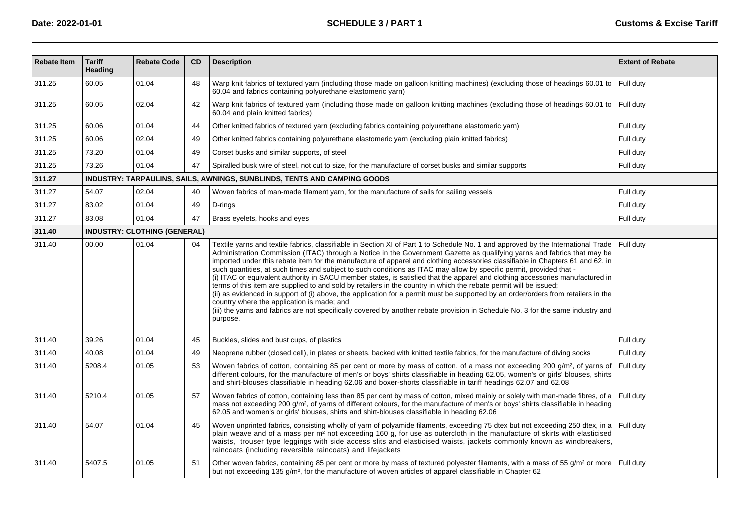| <b>Rebate Item</b> | <b>Tariff</b><br>Heading | <b>Rebate Code</b>                  | <b>CD</b> | <b>Description</b>                                                                                                                                                                                                                                                                                                                                                                                                                                                                                                                                                                                                                                                                                                                                                                                                                                                                                                                                                                                                                                                                                                | <b>Extent of Rebate</b> |
|--------------------|--------------------------|-------------------------------------|-----------|-------------------------------------------------------------------------------------------------------------------------------------------------------------------------------------------------------------------------------------------------------------------------------------------------------------------------------------------------------------------------------------------------------------------------------------------------------------------------------------------------------------------------------------------------------------------------------------------------------------------------------------------------------------------------------------------------------------------------------------------------------------------------------------------------------------------------------------------------------------------------------------------------------------------------------------------------------------------------------------------------------------------------------------------------------------------------------------------------------------------|-------------------------|
| 311.25             | 60.05                    | 01.04                               | 48        | Warp knit fabrics of textured yarn (including those made on galloon knitting machines) (excluding those of headings 60.01 to<br>60.04 and fabrics containing polyurethane elastomeric yarn)                                                                                                                                                                                                                                                                                                                                                                                                                                                                                                                                                                                                                                                                                                                                                                                                                                                                                                                       | Full duty               |
| 311.25             | 60.05                    | 02.04                               | 42        | Warp knit fabrics of textured yarn (including those made on galloon knitting machines (excluding those of headings 60.01 to Full duty<br>60.04 and plain knitted fabrics)                                                                                                                                                                                                                                                                                                                                                                                                                                                                                                                                                                                                                                                                                                                                                                                                                                                                                                                                         |                         |
| 311.25             | 60.06                    | 01.04                               | 44        | Other knitted fabrics of textured yarn (excluding fabrics containing polyurethane elastomeric yarn)                                                                                                                                                                                                                                                                                                                                                                                                                                                                                                                                                                                                                                                                                                                                                                                                                                                                                                                                                                                                               | Full duty               |
| 311.25             | 60.06                    | 02.04                               | 49        | Other knitted fabrics containing polyurethane elastomeric yarn (excluding plain knitted fabrics)                                                                                                                                                                                                                                                                                                                                                                                                                                                                                                                                                                                                                                                                                                                                                                                                                                                                                                                                                                                                                  | Full duty               |
| 311.25             | 73.20                    | 01.04                               | 49        | Corset busks and similar supports, of steel                                                                                                                                                                                                                                                                                                                                                                                                                                                                                                                                                                                                                                                                                                                                                                                                                                                                                                                                                                                                                                                                       | Full duty               |
| 311.25             | 73.26                    | 01.04                               | 47        | Spiralled busk wire of steel, not cut to size, for the manufacture of corset busks and similar supports                                                                                                                                                                                                                                                                                                                                                                                                                                                                                                                                                                                                                                                                                                                                                                                                                                                                                                                                                                                                           | Full duty               |
| 311.27             |                          |                                     |           | INDUSTRY: TARPAULINS, SAILS, AWNINGS, SUNBLINDS, TENTS AND CAMPING GOODS                                                                                                                                                                                                                                                                                                                                                                                                                                                                                                                                                                                                                                                                                                                                                                                                                                                                                                                                                                                                                                          |                         |
| 311.27             | 54.07                    | 02.04                               | 40        | Woven fabrics of man-made filament yarn, for the manufacture of sails for sailing vessels                                                                                                                                                                                                                                                                                                                                                                                                                                                                                                                                                                                                                                                                                                                                                                                                                                                                                                                                                                                                                         | Full duty               |
| 311.27             | 83.02                    | 01.04                               | 49        | D-rings                                                                                                                                                                                                                                                                                                                                                                                                                                                                                                                                                                                                                                                                                                                                                                                                                                                                                                                                                                                                                                                                                                           | Full duty               |
| 311.27             | 83.08                    | 01.04                               | 47        | Brass eyelets, hooks and eyes                                                                                                                                                                                                                                                                                                                                                                                                                                                                                                                                                                                                                                                                                                                                                                                                                                                                                                                                                                                                                                                                                     | Full duty               |
| 311.40             |                          | <b>INDUSTRY: CLOTHING (GENERAL)</b> |           |                                                                                                                                                                                                                                                                                                                                                                                                                                                                                                                                                                                                                                                                                                                                                                                                                                                                                                                                                                                                                                                                                                                   |                         |
| 311.40             | 00.00                    | 01.04                               | 04        | Textile yarns and textile fabrics, classifiable in Section XI of Part 1 to Schedule No. 1 and approved by the International Trade<br>Administration Commission (ITAC) through a Notice in the Government Gazette as qualifying yarns and fabrics that may be<br>imported under this rebate item for the manufacture of apparel and clothing accessories classifiable in Chapters 61 and 62, in<br>such quantities, at such times and subject to such conditions as ITAC may allow by specific permit, provided that -<br>(i) ITAC or equivalent authority in SACU member states, is satisfied that the apparel and clothing accessories manufactured in<br>terms of this item are supplied to and sold by retailers in the country in which the rebate permit will be issued;<br>(ii) as evidenced in support of (i) above, the application for a permit must be supported by an order/orders from retailers in the<br>country where the application is made; and<br>(iii) the yarns and fabrics are not specifically covered by another rebate provision in Schedule No. 3 for the same industry and<br>purpose. | Full dutv               |
| 311.40             | 39.26                    | 01.04                               | 45        | Buckles, slides and bust cups, of plastics                                                                                                                                                                                                                                                                                                                                                                                                                                                                                                                                                                                                                                                                                                                                                                                                                                                                                                                                                                                                                                                                        | Full duty               |
| 311.40             | 40.08                    | 01.04                               | 49        | Neoprene rubber (closed cell), in plates or sheets, backed with knitted textile fabrics, for the manufacture of diving socks                                                                                                                                                                                                                                                                                                                                                                                                                                                                                                                                                                                                                                                                                                                                                                                                                                                                                                                                                                                      | Full duty               |
| 311.40             | 5208.4                   | 01.05                               | 53        | Woven fabrics of cotton, containing 85 per cent or more by mass of cotton, of a mass not exceeding 200 g/m <sup>2</sup> , of yarns of<br>different colours, for the manufacture of men's or boys' shirts classifiable in heading 62.05, women's or girls' blouses, shirts<br>and shirt-blouses classifiable in heading 62.06 and boxer-shorts classifiable in tariff headings 62.07 and 62.08                                                                                                                                                                                                                                                                                                                                                                                                                                                                                                                                                                                                                                                                                                                     | Full duty               |
| 311.40             | 5210.4                   | 01.05                               | 57        | Woven fabrics of cotton, containing less than 85 per cent by mass of cotton, mixed mainly or solely with man-made fibres, of a<br>mass not exceeding 200 q/m <sup>2</sup> , of yarns of different colours, for the manufacture of men's or boys' shirts classifiable in heading<br>62.05 and women's or girls' blouses, shirts and shirt-blouses classifiable in heading 62.06                                                                                                                                                                                                                                                                                                                                                                                                                                                                                                                                                                                                                                                                                                                                    | Full duty               |
| 311.40             | 54.07                    | 01.04                               | 45        | Woven unprinted fabrics, consisting wholly of yarn of polyamide filaments, exceeding 75 dtex but not exceeding 250 dtex, in a Full duty<br>plain weave and of a mass per m <sup>2</sup> not exceeding 160 g, for use as outercloth in the manufacture of skirts with elasticised<br>waists, trouser type leggings with side access slits and elasticised waists, jackets commonly known as windbreakers,<br>raincoats (including reversible raincoats) and lifejackets                                                                                                                                                                                                                                                                                                                                                                                                                                                                                                                                                                                                                                            |                         |
| 311.40             | 5407.5                   | 01.05                               | 51        | Other woven fabrics, containing 85 per cent or more by mass of textured polyester filaments, with a mass of 55 g/m <sup>2</sup> or more Full duty<br>but not exceeding 135 g/m <sup>2</sup> , for the manufacture of woven articles of apparel classifiable in Chapter 62                                                                                                                                                                                                                                                                                                                                                                                                                                                                                                                                                                                                                                                                                                                                                                                                                                         |                         |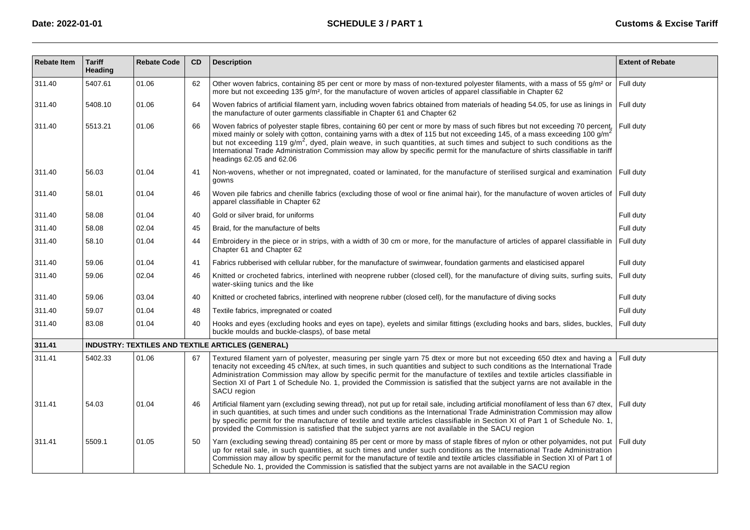| <b>Rebate Item</b> | <b>Tariff</b><br><b>Heading</b> | <b>Rebate Code</b> | CD | <b>Description</b>                                                                                                                                                                                                                                                                                                                                                                                                                                                                                                                                                             | <b>Extent of Rebate</b> |
|--------------------|---------------------------------|--------------------|----|--------------------------------------------------------------------------------------------------------------------------------------------------------------------------------------------------------------------------------------------------------------------------------------------------------------------------------------------------------------------------------------------------------------------------------------------------------------------------------------------------------------------------------------------------------------------------------|-------------------------|
| 311.40             | 5407.61                         | 01.06              | 62 | Other woven fabrics, containing 85 per cent or more by mass of non-textured polyester filaments, with a mass of 55 g/m <sup>2</sup> or<br>more but not exceeding 135 g/m <sup>2</sup> , for the manufacture of woven articles of apparel classifiable in Chapter 62                                                                                                                                                                                                                                                                                                            | Full dutv               |
| 311.40             | 5408.10                         | 01.06              | 64 | Woven fabrics of artificial filament yarn, including woven fabrics obtained from materials of heading 54.05, for use as linings in Full duty<br>the manufacture of outer garments classifiable in Chapter 61 and Chapter 62                                                                                                                                                                                                                                                                                                                                                    |                         |
| 311.40             | 5513.21                         | 01.06              | 66 | Woven fabrics of polyester staple fibres, containing 60 per cent or more by mass of such fibres but not exceeding 70 percent,<br>mixed mainly or solely with cotton, containing yarns with a dtex of 115 but not exceeding 145, of a mass exceeding 100 g/m <sup>2</sup><br>but not exceeding 119 g/m <sup>2</sup> , dyed, plain weave, in such quantities, at such times and subject to such conditions as the<br>International Trade Administration Commission may allow by specific permit for the manufacture of shirts classifiable in tariff<br>headings 62.05 and 62.06 | Full duty               |
| 311.40             | 56.03                           | 01.04              | 41 | Non-wovens, whether or not impregnated, coated or laminated, for the manufacture of sterilised surgical and examination<br>gowns                                                                                                                                                                                                                                                                                                                                                                                                                                               | Full duty               |
| 311.40             | 58.01                           | 01.04              | 46 | Woven pile fabrics and chenille fabrics (excluding those of wool or fine animal hair), for the manufacture of woven articles of Full duty<br>apparel classifiable in Chapter 62                                                                                                                                                                                                                                                                                                                                                                                                |                         |
| 311.40             | 58.08                           | 01.04              | 40 | Gold or silver braid, for uniforms                                                                                                                                                                                                                                                                                                                                                                                                                                                                                                                                             | Full duty               |
| 311.40             | 58.08                           | 02.04              | 45 | Braid, for the manufacture of belts                                                                                                                                                                                                                                                                                                                                                                                                                                                                                                                                            | Full duty               |
| 311.40             | 58.10                           | 01.04              | 44 | Embroidery in the piece or in strips, with a width of 30 cm or more, for the manufacture of articles of apparel classifiable in<br>Chapter 61 and Chapter 62                                                                                                                                                                                                                                                                                                                                                                                                                   | Full duty               |
| 311.40             | 59.06                           | 01.04              | 41 | Fabrics rubberised with cellular rubber, for the manufacture of swimwear, foundation garments and elasticised apparel                                                                                                                                                                                                                                                                                                                                                                                                                                                          | Full duty               |
| 311.40             | 59.06                           | 02.04              | 46 | Knitted or crocheted fabrics, interlined with neoprene rubber (closed cell), for the manufacture of diving suits, surfing suits,<br>water-skiing tunics and the like                                                                                                                                                                                                                                                                                                                                                                                                           | Full duty               |
| 311.40             | 59.06                           | 03.04              | 40 | Knitted or crocheted fabrics, interlined with neoprene rubber (closed cell), for the manufacture of diving socks                                                                                                                                                                                                                                                                                                                                                                                                                                                               | Full duty               |
| 311.40             | 59.07                           | 01.04              | 48 | Textile fabrics, impregnated or coated                                                                                                                                                                                                                                                                                                                                                                                                                                                                                                                                         | Full duty               |
| 311.40             | 83.08                           | 01.04              | 40 | Hooks and eyes (excluding hooks and eyes on tape), eyelets and similar fittings (excluding hooks and bars, slides, buckles,<br>buckle moulds and buckle-clasps), of base metal                                                                                                                                                                                                                                                                                                                                                                                                 | Full duty               |
| 311.41             |                                 |                    |    | INDUSTRY: TEXTILES AND TEXTILE ARTICLES (GENERAL)                                                                                                                                                                                                                                                                                                                                                                                                                                                                                                                              |                         |
| 311.41             | 5402.33                         | 01.06              | 67 | Textured filament yarn of polyester, measuring per single yarn 75 dtex or more but not exceeding 650 dtex and having a<br>tenacity not exceeding 45 cN/tex, at such times, in such quantities and subject to such conditions as the International Trade<br>Administration Commission may allow by specific permit for the manufacture of textiles and textile articles classifiable in<br>Section XI of Part 1 of Schedule No. 1, provided the Commission is satisfied that the subject yarns are not available in the<br>SACU region                                          | Full duty               |
| 311.41             | 54.03                           | 01.04              | 46 | Artificial filament yarn (excluding sewing thread), not put up for retail sale, including artificial monofilament of less than 67 dtex,<br>in such quantities, at such times and under such conditions as the International Trade Administration Commission may allow<br>by specific permit for the manufacture of textile and textile articles classifiable in Section XI of Part 1 of Schedule No. 1,<br>provided the Commission is satisfied that the subject yarns are not available in the SACU region                                                                    | Full duty               |
| 311.41             | 5509.1                          | 01.05              | 50 | Yarn (excluding sewing thread) containing 85 per cent or more by mass of staple fibres of nylon or other polyamides, not put<br>up for retail sale, in such quantities, at such times and under such conditions as the International Trade Administration<br>Commission may allow by specific permit for the manufacture of textile and textile articles classifiable in Section XI of Part 1 of<br>Schedule No. 1, provided the Commission is satisfied that the subject yarns are not available in the SACU region                                                           | Full duty               |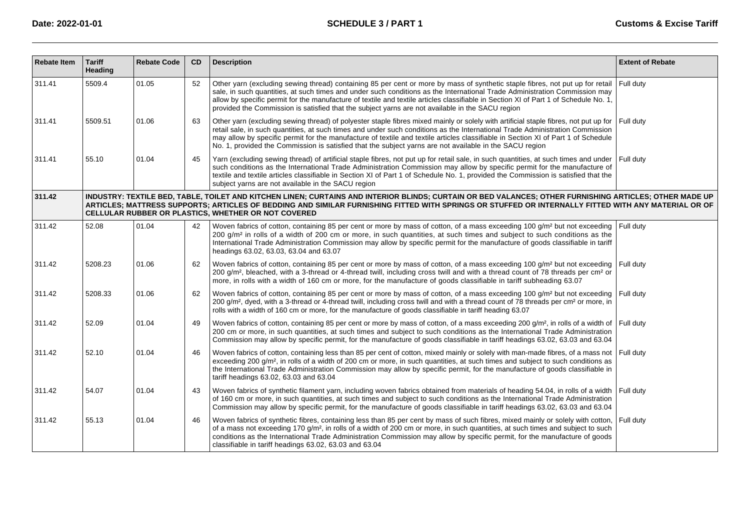| <b>Rebate Item</b> | <b>Tariff</b><br><b>Heading</b>                                                                                                                                                                                                                                                                                                                                       | <b>Rebate Code</b> | <b>CD</b> | <b>Description</b>                                                                                                                                                                                                                                                                                                                                                                                                                                                                                                    | <b>Extent of Rebate</b> |  |  |  |  |  |
|--------------------|-----------------------------------------------------------------------------------------------------------------------------------------------------------------------------------------------------------------------------------------------------------------------------------------------------------------------------------------------------------------------|--------------------|-----------|-----------------------------------------------------------------------------------------------------------------------------------------------------------------------------------------------------------------------------------------------------------------------------------------------------------------------------------------------------------------------------------------------------------------------------------------------------------------------------------------------------------------------|-------------------------|--|--|--|--|--|
| 311.41             | 5509.4                                                                                                                                                                                                                                                                                                                                                                | 01.05              | 52        | Other yarn (excluding sewing thread) containing 85 per cent or more by mass of synthetic staple fibres, not put up for retail<br>sale, in such quantities, at such times and under such conditions as the International Trade Administration Commission may<br>allow by specific permit for the manufacture of textile and textile articles classifiable in Section XI of Part 1 of Schedule No. 1,<br>provided the Commission is satisfied that the subject varns are not available in the SACU region               | Full duty               |  |  |  |  |  |
| 311.41             | 5509.51                                                                                                                                                                                                                                                                                                                                                               | 01.06              | 63        | Other yarn (excluding sewing thread) of polyester staple fibres mixed mainly or solely with artificial staple fibres, not put up for<br>retail sale, in such quantities, at such times and under such conditions as the International Trade Administration Commission<br>may allow by specific permit for the manufacture of textile and textile articles classifiable in Section XI of Part 1 of Schedule<br>No. 1, provided the Commission is satisfied that the subject yarns are not available in the SACU region | Full dutv               |  |  |  |  |  |
| 311.41             | 55.10                                                                                                                                                                                                                                                                                                                                                                 | 01.04              | 45        | Yarn (excluding sewing thread) of artificial staple fibres, not put up for retail sale, in such quantities, at such times and under<br>such conditions as the International Trade Administration Commission may allow by specific permit for the manufacture of<br>textile and textile articles classifiable in Section XI of Part 1 of Schedule No. 1, provided the Commission is satisfied that the<br>subject yarns are not available in the SACU region                                                           | Full dutv               |  |  |  |  |  |
| 311.42             | INDUSTRY: TEXTILE BED, TABLE, TOILET AND KITCHEN LINEN; CURTAINS AND INTERIOR BLINDS; CURTAIN OR BED VALANCES; OTHER FURNISHING ARTICLES; OTHER MADE UP<br>ARTICLES; MATTRESS SUPPORTS; ARTICLES OF BEDDING AND SIMILAR FURNISHING FITTED WITH SPRINGS OR STUFFED OR INTERNALLY FITTED WITH ANY MATERIAL OR OF<br>CELLULAR RUBBER OR PLASTICS, WHETHER OR NOT COVERED |                    |           |                                                                                                                                                                                                                                                                                                                                                                                                                                                                                                                       |                         |  |  |  |  |  |
| 311.42             | 52.08                                                                                                                                                                                                                                                                                                                                                                 | 01.04              | 42        | Woven fabrics of cotton, containing 85 per cent or more by mass of cotton, of a mass exceeding 100 g/m <sup>2</sup> but not exceeding<br>200 g/m <sup>2</sup> in rolls of a width of 200 cm or more, in such quantities, at such times and subject to such conditions as the<br>International Trade Administration Commission may allow by specific permit for the manufacture of goods classifiable in tariff<br>headings 63.02, 63.03, 63.04 and 63.07                                                              | Full duty               |  |  |  |  |  |
| 311.42             | 5208.23                                                                                                                                                                                                                                                                                                                                                               | 01.06              | 62        | Woven fabrics of cotton, containing 85 per cent or more by mass of cotton, of a mass exceeding 100 g/m <sup>2</sup> but not exceeding<br>200 g/m <sup>2</sup> , bleached, with a 3-thread or 4-thread twill, including cross twill and with a thread count of 78 threads per cm <sup>2</sup> or<br>more, in rolls with a width of 160 cm or more, for the manufacture of goods classifiable in tariff subheading 63.07                                                                                                | I Full duty             |  |  |  |  |  |
| 311.42             | 5208.33                                                                                                                                                                                                                                                                                                                                                               | 01.06              | 62        | Woven fabrics of cotton, containing 85 per cent or more by mass of cotton, of a mass exceeding 100 g/m <sup>2</sup> but not exceeding<br>200 g/m <sup>2</sup> , dyed, with a 3-thread or 4-thread twill, including cross twill and with a thread count of 78 threads per cm <sup>2</sup> or more, in<br>rolls with a width of 160 cm or more, for the manufacture of goods classifiable in tariff heading 63.07                                                                                                       | Full duty               |  |  |  |  |  |
| 311.42             | 52.09                                                                                                                                                                                                                                                                                                                                                                 | 01.04              | 49        | Woven fabrics of cotton, containing 85 per cent or more by mass of cotton, of a mass exceeding 200 g/m <sup>2</sup> , in rolls of a width of Full duty<br>200 cm or more, in such quantities, at such times and subject to such conditions as the International Trade Administration<br>Commission may allow by specific permit, for the manufacture of goods classifiable in tariff headings 63.02, 63.03 and 63.04                                                                                                  |                         |  |  |  |  |  |
| 311.42             | 52.10                                                                                                                                                                                                                                                                                                                                                                 | 01.04              | 46        | Woven fabrics of cotton, containing less than 85 per cent of cotton, mixed mainly or solely with man-made fibres, of a mass not<br>exceeding 200 g/m <sup>2</sup> , in rolls of a width of 200 cm or more, in such quantities, at such times and subject to such conditions as<br>the International Trade Administration Commission may allow by specific permit, for the manufacture of goods classifiable in<br>tariff headings 63.02, 63.03 and 63.04                                                              | Full duty               |  |  |  |  |  |
| 311.42             | 54.07                                                                                                                                                                                                                                                                                                                                                                 | 01.04              | 43        | Woven fabrics of synthetic filament yarn, including woven fabrics obtained from materials of heading 54.04, in rolls of a width<br>of 160 cm or more, in such quantities, at such times and subject to such conditions as the International Trade Administration<br>Commission may allow by specific permit, for the manufacture of goods classifiable in tariff headings 63.02, 63.03 and 63.04                                                                                                                      | Full duty               |  |  |  |  |  |
| 311.42             | 55.13                                                                                                                                                                                                                                                                                                                                                                 | 01.04              | 46        | Woven fabrics of synthetic fibres, containing less than 85 per cent by mass of such fibres, mixed mainly or solely with cotton,<br>of a mass not exceeding 170 g/m <sup>2</sup> , in rolls of a width of 200 cm or more, in such quantities, at such times and subject to such<br>conditions as the International Trade Administration Commission may allow by specific permit, for the manufacture of goods<br>classifiable in tariff headings 63.02, 63.03 and 63.04                                                | Full duty               |  |  |  |  |  |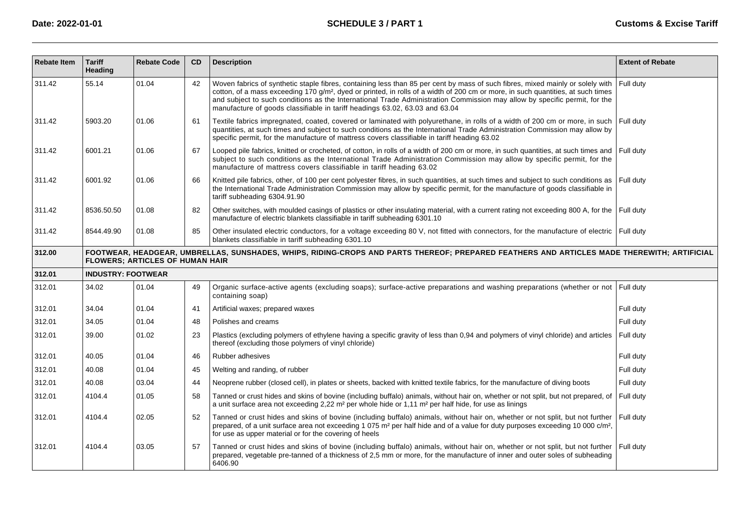| <b>Rebate Item</b> | <b>Tariff</b><br>Heading  | <b>Rebate Code</b>                     | <b>CD</b> | <b>Description</b>                                                                                                                                                                                                                                                                                                                                                                                                                                                                         | <b>Extent of Rebate</b> |
|--------------------|---------------------------|----------------------------------------|-----------|--------------------------------------------------------------------------------------------------------------------------------------------------------------------------------------------------------------------------------------------------------------------------------------------------------------------------------------------------------------------------------------------------------------------------------------------------------------------------------------------|-------------------------|
| 311.42             | 55.14                     | 01.04                                  | 42        | Woven fabrics of synthetic staple fibres, containing less than 85 per cent by mass of such fibres, mixed mainly or solely with<br>cotton, of a mass exceeding 170 g/m <sup>2</sup> , dyed or printed, in rolls of a width of 200 cm or more, in such quantities, at such times<br>and subject to such conditions as the International Trade Administration Commission may allow by specific permit, for the<br>manufacture of goods classifiable in tariff headings 63.02, 63.03 and 63.04 | Full duty               |
| 311.42             | 5903.20                   | 01.06                                  | 61        | Textile fabrics impregnated, coated, covered or laminated with polyurethane, in rolls of a width of 200 cm or more, in such<br>quantities, at such times and subject to such conditions as the International Trade Administration Commission may allow by<br>specific permit, for the manufacture of mattress covers classifiable in tariff heading 63.02                                                                                                                                  | Full duty               |
| 311.42             | 6001.21                   | 01.06                                  | 67        | Looped pile fabrics, knitted or crocheted, of cotton, in rolls of a width of 200 cm or more, in such quantities, at such times and<br>subject to such conditions as the International Trade Administration Commission may allow by specific permit, for the<br>manufacture of mattress covers classifiable in tariff heading 63.02                                                                                                                                                         | Full duty               |
| 311.42             | 6001.92                   | 01.06                                  | 66        | Knitted pile fabrics, other, of 100 per cent polyester fibres, in such quantities, at such times and subject to such conditions as<br>the International Trade Administration Commission may allow by specific permit, for the manufacture of goods classifiable in<br>tariff subheading 6304.91.90                                                                                                                                                                                         | Full duty               |
| 311.42             | 8536.50.50                | 01.08                                  | 82        | Other switches, with moulded casings of plastics or other insulating material, with a current rating not exceeding 800 A, for the Full duty<br>manufacture of electric blankets classifiable in tariff subheading 6301.10                                                                                                                                                                                                                                                                  |                         |
| 311.42             | 8544.49.90                | 01.08                                  | 85        | Other insulated electric conductors, for a voltage exceeding 80 V, not fitted with connectors, for the manufacture of electric Full duty<br>blankets classifiable in tariff subheading 6301.10                                                                                                                                                                                                                                                                                             |                         |
| 312.00             |                           | <b>FLOWERS: ARTICLES OF HUMAN HAIR</b> |           | FOOTWEAR, HEADGEAR, UMBRELLAS, SUNSHADES, WHIPS, RIDING-CROPS AND PARTS THEREOF; PREPARED FEATHERS AND ARTICLES MADE THEREWITH; ARTIFICIAL                                                                                                                                                                                                                                                                                                                                                 |                         |
| 312.01             | <b>INDUSTRY: FOOTWEAR</b> |                                        |           |                                                                                                                                                                                                                                                                                                                                                                                                                                                                                            |                         |
| 312.01             | 34.02                     | 01.04                                  | 49        | Organic surface-active agents (excluding soaps); surface-active preparations and washing preparations (whether or not<br>containing soap)                                                                                                                                                                                                                                                                                                                                                  | Full duty               |
| 312.01             | 34.04                     | 01.04                                  | 41        | Artificial waxes; prepared waxes                                                                                                                                                                                                                                                                                                                                                                                                                                                           | Full duty               |
| 312.01             | 34.05                     | 01.04                                  | 48        | Polishes and creams                                                                                                                                                                                                                                                                                                                                                                                                                                                                        | Full duty               |
| 312.01             | 39.00                     | 01.02                                  | 23        | Plastics (excluding polymers of ethylene having a specific gravity of less than 0,94 and polymers of vinyl chloride) and articles<br>thereof (excluding those polymers of vinyl chloride)                                                                                                                                                                                                                                                                                                  | Full duty               |
| 312.01             | 40.05                     | 01.04                                  | 46        | Rubber adhesives                                                                                                                                                                                                                                                                                                                                                                                                                                                                           | Full duty               |
| 312.01             | 40.08                     | 01.04                                  | 45        | Welting and randing, of rubber                                                                                                                                                                                                                                                                                                                                                                                                                                                             | Full duty               |
| 312.01             | 40.08                     | 03.04                                  | 44        | Neoprene rubber (closed cell), in plates or sheets, backed with knitted textile fabrics, for the manufacture of diving boots                                                                                                                                                                                                                                                                                                                                                               | Full duty               |
| 312.01             | 4104.4                    | 01.05                                  | 58        | Tanned or crust hides and skins of bovine (including buffalo) animals, without hair on, whether or not split, but not prepared, of<br>a unit surface area not exceeding 2,22 m <sup>2</sup> per whole hide or 1,11 m <sup>2</sup> per half hide, for use as linings                                                                                                                                                                                                                        | Full duty               |
| 312.01             | 4104.4                    | 02.05                                  | 52        | Tanned or crust hides and skins of bovine (including buffalo) animals, without hair on, whether or not split, but not further<br>prepared, of a unit surface area not exceeding 1 075 m <sup>2</sup> per half hide and of a value for duty purposes exceeding 10 000 c/m <sup>2</sup> ,<br>for use as upper material or for the covering of heels                                                                                                                                          | Full duty               |
| 312.01             | 4104.4                    | 03.05                                  | 57        | Tanned or crust hides and skins of bovine (including buffalo) animals, without hair on, whether or not split, but not further<br>prepared, vegetable pre-tanned of a thickness of 2,5 mm or more, for the manufacture of inner and outer soles of subheading<br>6406.90                                                                                                                                                                                                                    | Full duty               |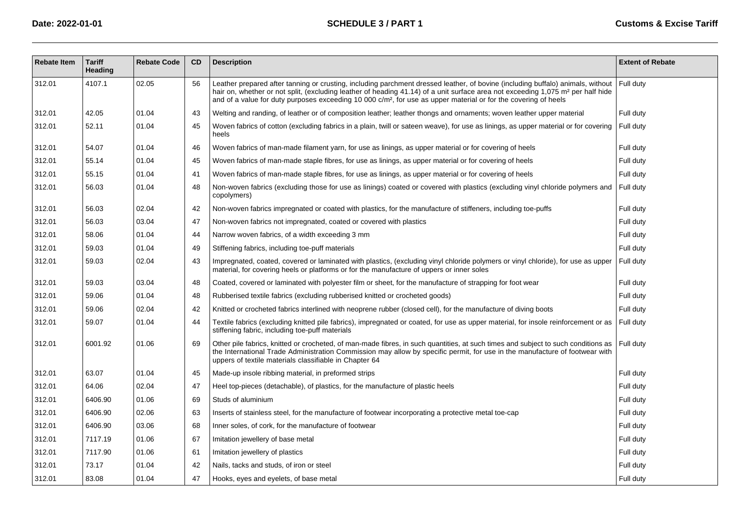| <b>Rebate Item</b> | <b>Tariff</b><br><b>Heading</b> | <b>Rebate Code</b> | <b>CD</b> | <b>Description</b>                                                                                                                                                                                                                                                                                                                                                                                            | <b>Extent of Rebate</b> |
|--------------------|---------------------------------|--------------------|-----------|---------------------------------------------------------------------------------------------------------------------------------------------------------------------------------------------------------------------------------------------------------------------------------------------------------------------------------------------------------------------------------------------------------------|-------------------------|
| 312.01             | 4107.1                          | 02.05              | 56        | Leather prepared after tanning or crusting, including parchment dressed leather, of bovine (including buffalo) animals, without<br>hair on, whether or not split, (excluding leather of heading 41.14) of a unit surface area not exceeding 1,075 m <sup>2</sup> per half hide<br>and of a value for duty purposes exceeding 10 000 c/m <sup>2</sup> , for use as upper material or for the covering of heels | Full duty               |
| 312.01             | 42.05                           | 01.04              | 43        | Welting and randing, of leather or of composition leather; leather thongs and ornaments; woven leather upper material                                                                                                                                                                                                                                                                                         | Full duty               |
| 312.01             | 52.11                           | 01.04              | 45        | Woven fabrics of cotton (excluding fabrics in a plain, twill or sateen weave), for use as linings, as upper material or for covering<br>heels                                                                                                                                                                                                                                                                 | Full duty               |
| 312.01             | 54.07                           | 01.04              | 46        | Woven fabrics of man-made filament yarn, for use as linings, as upper material or for covering of heels                                                                                                                                                                                                                                                                                                       | Full duty               |
| 312.01             | 55.14                           | 01.04              | 45        | Woven fabrics of man-made staple fibres, for use as linings, as upper material or for covering of heels                                                                                                                                                                                                                                                                                                       | Full duty               |
| 312.01             | 55.15                           | 01.04              | 41        | Woven fabrics of man-made staple fibres, for use as linings, as upper material or for covering of heels                                                                                                                                                                                                                                                                                                       | Full duty               |
| 312.01             | 56.03                           | 01.04              | 48        | Non-woven fabrics (excluding those for use as linings) coated or covered with plastics (excluding vinyl chloride polymers and<br>copolymers)                                                                                                                                                                                                                                                                  | Full duty               |
| 312.01             | 56.03                           | 02.04              | 42        | Non-woven fabrics impregnated or coated with plastics, for the manufacture of stiffeners, including toe-puffs                                                                                                                                                                                                                                                                                                 | Full duty               |
| 312.01             | 56.03                           | 03.04              | 47        | Non-woven fabrics not impregnated, coated or covered with plastics                                                                                                                                                                                                                                                                                                                                            | Full duty               |
| 312.01             | 58.06                           | 01.04              | 44        | Narrow woven fabrics, of a width exceeding 3 mm                                                                                                                                                                                                                                                                                                                                                               | Full duty               |
| 312.01             | 59.03                           | 01.04              | 49        | Stiffening fabrics, including toe-puff materials                                                                                                                                                                                                                                                                                                                                                              | Full duty               |
| 312.01             | 59.03                           | 02.04              | 43        | Impregnated, coated, covered or laminated with plastics, (excluding vinyl chloride polymers or vinyl chloride), for use as upper<br>material, for covering heels or platforms or for the manufacture of uppers or inner soles                                                                                                                                                                                 | Full duty               |
| 312.01             | 59.03                           | 03.04              | 48        | Coated, covered or laminated with polyester film or sheet, for the manufacture of strapping for foot wear                                                                                                                                                                                                                                                                                                     | Full duty               |
| 312.01             | 59.06                           | 01.04              | 48        | Rubberised textile fabrics (excluding rubberised knitted or crocheted goods)                                                                                                                                                                                                                                                                                                                                  | Full duty               |
| 312.01             | 59.06                           | 02.04              | 42        | Knitted or crocheted fabrics interlined with neoprene rubber (closed cell), for the manufacture of diving boots                                                                                                                                                                                                                                                                                               | Full duty               |
| 312.01             | 59.07                           | 01.04              | 44        | Textile fabrics (excluding knitted pile fabrics), impregnated or coated, for use as upper material, for insole reinforcement or as<br>stiffening fabric, including toe-puff materials                                                                                                                                                                                                                         | Full duty               |
| 312.01             | 6001.92                         | 01.06              | 69        | Other pile fabrics, knitted or crocheted, of man-made fibres, in such quantities, at such times and subject to such conditions as<br>the International Trade Administration Commission may allow by specific permit, for use in the manufacture of footwear with<br>uppers of textile materials classifiable in Chapter 64                                                                                    | Full duty               |
| 312.01             | 63.07                           | 01.04              | 45        | Made-up insole ribbing material, in preformed strips                                                                                                                                                                                                                                                                                                                                                          | Full duty               |
| 312.01             | 64.06                           | 02.04              | 47        | Heel top-pieces (detachable), of plastics, for the manufacture of plastic heels                                                                                                                                                                                                                                                                                                                               | Full duty               |
| 312.01             | 6406.90                         | 01.06              | 69        | Studs of aluminium                                                                                                                                                                                                                                                                                                                                                                                            | Full duty               |
| 312.01             | 6406.90                         | 02.06              | 63        | Inserts of stainless steel, for the manufacture of footwear incorporating a protective metal toe-cap                                                                                                                                                                                                                                                                                                          | Full duty               |
| 312.01             | 6406.90                         | 03.06              | 68        | Inner soles, of cork, for the manufacture of footwear                                                                                                                                                                                                                                                                                                                                                         | Full duty               |
| 312.01             | 7117.19                         | 01.06              | 67        | Imitation jewellery of base metal                                                                                                                                                                                                                                                                                                                                                                             | Full duty               |
| 312.01             | 7117.90                         | 01.06              | 61        | Imitation jewellery of plastics                                                                                                                                                                                                                                                                                                                                                                               | Full duty               |
| 312.01             | 73.17                           | 01.04              | 42        | Nails, tacks and studs, of iron or steel                                                                                                                                                                                                                                                                                                                                                                      | Full duty               |
| 312.01             | 83.08                           | 01.04              | 47        | Hooks, eyes and eyelets, of base metal                                                                                                                                                                                                                                                                                                                                                                        | Full duty               |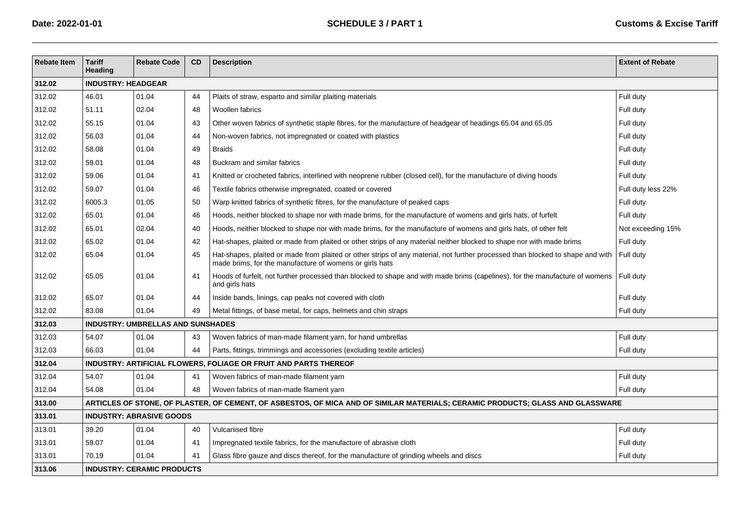| <b>Rebate Item</b> | <b>Tariff</b><br>Heading  | <b>Rebate Code</b>                       | CD | <b>Description</b>                                                                                                                                                                        | <b>Extent of Rebate</b> |  |  |  |  |
|--------------------|---------------------------|------------------------------------------|----|-------------------------------------------------------------------------------------------------------------------------------------------------------------------------------------------|-------------------------|--|--|--|--|
| 312.02             | <b>INDUSTRY: HEADGEAR</b> |                                          |    |                                                                                                                                                                                           |                         |  |  |  |  |
| 312.02             | 46.01                     | 01.04                                    | 44 | Plaits of straw, esparto and similar plaiting materials                                                                                                                                   | Full duty               |  |  |  |  |
| 312.02             | 51.11                     | 02.04                                    | 48 | Woollen fabrics                                                                                                                                                                           | Full duty               |  |  |  |  |
| 312.02             | 55.15                     | 01.04                                    | 43 | Other woven fabrics of synthetic staple fibres, for the manufacture of headgear of headings 65.04 and 65.05                                                                               | Full duty               |  |  |  |  |
| 312.02             | 56.03                     | 01.04                                    | 44 | Non-woven fabrics, not impregnated or coated with plastics                                                                                                                                | Full duty               |  |  |  |  |
| 312.02             | 58.08                     | 01.04                                    | 49 | <b>Braids</b>                                                                                                                                                                             | Full duty               |  |  |  |  |
| 312.02             | 59.01                     | 01.04                                    | 48 | Buckram and similar fabrics                                                                                                                                                               | Full duty               |  |  |  |  |
| 312.02             | 59.06                     | 01.04                                    | 41 | Knitted or crocheted fabrics, interlined with neoprene rubber (closed cell), for the manufacture of diving hoods                                                                          | Full duty               |  |  |  |  |
| 312.02             | 59.07                     | 01.04                                    | 46 | Textile fabrics otherwise impregnated, coated or covered                                                                                                                                  | Full duty less 22%      |  |  |  |  |
| 312.02             | 6005.3                    | 01.05                                    | 50 | Warp knitted fabrics of synthetic fibres, for the manufacture of peaked caps                                                                                                              | Full duty               |  |  |  |  |
| 312.02             | 65.01                     | 01.04                                    | 46 | Hoods, neither blocked to shape nor with made brims, for the manufacture of womens and girls hats, of furfelt                                                                             | Full duty               |  |  |  |  |
| 312.02             | 65.01                     | 02.04                                    | 40 | Hoods, neither blocked to shape nor with made brims, for the manufacture of womens and girls hats, of other felt                                                                          | Not exceeding 15%       |  |  |  |  |
| 312.02             | 65.02                     | 01.04                                    | 42 | Hat-shapes, plaited or made from plaited or other strips of any material neither blocked to shape nor with made brims                                                                     | Full duty               |  |  |  |  |
| 312.02             | 65.04                     | 01.04                                    | 45 | Hat-shapes, plaited or made from plaited or other strips of any material, not further processed than blocked to shape and with<br>made brims, for the manufacture of womens or girls hats | Full duty               |  |  |  |  |
| 312.02             | 65.05                     | 01.04                                    | 41 | Hoods of furfelt, not further processed than blocked to shape and with made brims (capelines), for the manufacture of womens<br>and girls hats                                            | Full duty               |  |  |  |  |
| 312.02             | 65.07                     | 01.04                                    | 44 | Inside bands, linings, cap peaks not covered with cloth                                                                                                                                   | Full duty               |  |  |  |  |
| 312.02             | 83.08                     | 01.04                                    | 49 | Metal fittings, of base metal, for caps, helmets and chin straps                                                                                                                          | Full duty               |  |  |  |  |
| 312.03             |                           | <b>INDUSTRY: UMBRELLAS AND SUNSHADES</b> |    |                                                                                                                                                                                           |                         |  |  |  |  |
| 312.03             | 54.07                     | 01.04                                    | 43 | Woven fabrics of man-made filament yarn, for hand umbrellas                                                                                                                               | Full duty               |  |  |  |  |
| 312.03             | 66.03                     | 01.04                                    | 44 | Parts, fittings, trimmings and accessories (excluding textile articles)                                                                                                                   | Full duty               |  |  |  |  |
| 312.04             |                           |                                          |    | INDUSTRY: ARTIFICIAL FLOWERS, FOLIAGE OR FRUIT AND PARTS THEREOF                                                                                                                          |                         |  |  |  |  |
| 312.04             | 54.07                     | 01.04                                    | 41 | Woven fabrics of man-made filament yarn                                                                                                                                                   | Full duty               |  |  |  |  |
| 312.04             | 54.08                     | 01.04                                    | 48 | Woven fabrics of man-made filament yarn                                                                                                                                                   | Full duty               |  |  |  |  |
| 313.00             |                           |                                          |    | ARTICLES OF STONE, OF PLASTER, OF CEMENT, OF ASBESTOS, OF MICA AND OF SIMILAR MATERIALS; CERAMIC PRODUCTS; GLASS AND GLASSWARE                                                            |                         |  |  |  |  |
| 313.01             |                           | <b>INDUSTRY: ABRASIVE GOODS</b>          |    |                                                                                                                                                                                           |                         |  |  |  |  |
| 313.01             | 39.20                     | 01.04                                    | 40 | Vulcanised fibre                                                                                                                                                                          | Full duty               |  |  |  |  |
| 313.01             | 59.07                     | 01.04                                    | 41 | Impregnated textile fabrics, for the manufacture of abrasive cloth                                                                                                                        | Full duty               |  |  |  |  |
| 313.01             | 70.19                     | 01.04                                    | 41 | Glass fibre gauze and discs thereof, for the manufacture of grinding wheels and discs                                                                                                     | Full duty               |  |  |  |  |
| 313.06             |                           | <b>INDUSTRY: CERAMIC PRODUCTS</b>        |    |                                                                                                                                                                                           |                         |  |  |  |  |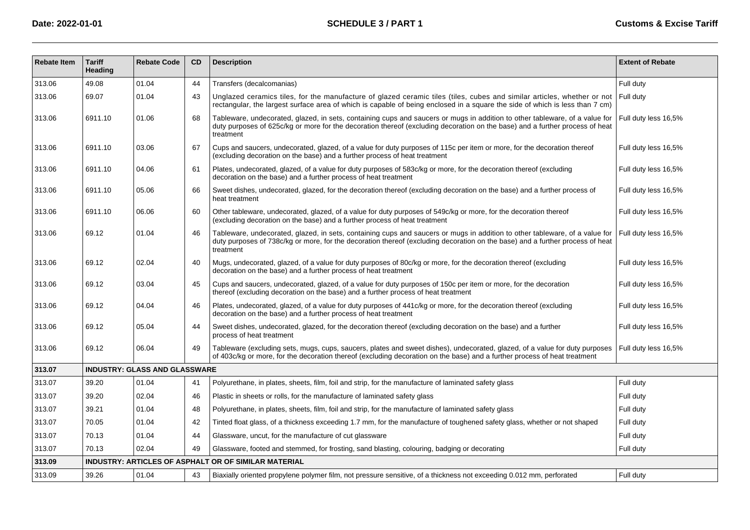| <b>Rebate Item</b> | <b>Tariff</b><br><b>Heading</b> | <b>Rebate Code</b>                   | CD | <b>Description</b>                                                                                                                                                                                                                                                        | <b>Extent of Rebate</b> |
|--------------------|---------------------------------|--------------------------------------|----|---------------------------------------------------------------------------------------------------------------------------------------------------------------------------------------------------------------------------------------------------------------------------|-------------------------|
| 313.06             | 49.08                           | 01.04                                | 44 | Transfers (decalcomanias)                                                                                                                                                                                                                                                 | Full duty               |
| 313.06             | 69.07                           | 01.04                                | 43 | Unglazed ceramics tiles, for the manufacture of glazed ceramic tiles (tiles, cubes and similar articles, whether or not<br>rectangular, the largest surface area of which is capable of being enclosed in a square the side of which is less than 7 cm)                   | Full duty               |
| 313.06             | 6911.10                         | 01.06                                | 68 | Tableware, undecorated, glazed, in sets, containing cups and saucers or mugs in addition to other tableware, of a value for<br>duty purposes of 625c/kg or more for the decoration thereof (excluding decoration on the base) and a further process of heat<br>treatment  | Full duty less 16,5%    |
| 313.06             | 6911.10                         | 03.06                                | 67 | Cups and saucers, undecorated, glazed, of a value for duty purposes of 115c per item or more, for the decoration thereof<br>(excluding decoration on the base) and a further process of heat treatment                                                                    | Full duty less 16,5%    |
| 313.06             | 6911.10                         | 04.06                                | 61 | Plates, undecorated, glazed, of a value for duty purposes of 583c/kg or more, for the decoration thereof (excluding<br>decoration on the base) and a further process of heat treatment                                                                                    | Full duty less 16,5%    |
| 313.06             | 6911.10                         | 05.06                                | 66 | Sweet dishes, undecorated, glazed, for the decoration thereof (excluding decoration on the base) and a further process of<br>heat treatment                                                                                                                               | Full duty less 16,5%    |
| 313.06             | 6911.10                         | 06.06                                | 60 | Other tableware, undecorated, glazed, of a value for duty purposes of 549c/kg or more, for the decoration thereof<br>(excluding decoration on the base) and a further process of heat treatment                                                                           | Full duty less 16,5%    |
| 313.06             | 69.12                           | 01.04                                | 46 | Tableware, undecorated, glazed, in sets, containing cups and saucers or mugs in addition to other tableware, of a value for<br>duty purposes of 738c/kg or more, for the decoration thereof (excluding decoration on the base) and a further process of heat<br>treatment | Full duty less 16,5%    |
| 313.06             | 69.12                           | 02.04                                | 40 | Mugs, undecorated, glazed, of a value for duty purposes of 80c/kg or more, for the decoration thereof (excluding<br>decoration on the base) and a further process of heat treatment                                                                                       | Full duty less 16,5%    |
| 313.06             | 69.12                           | 03.04                                | 45 | Cups and saucers, undecorated, glazed, of a value for duty purposes of 150c per item or more, for the decoration<br>thereof (excluding decoration on the base) and a further process of heat treatment                                                                    | Full duty less 16,5%    |
| 313.06             | 69.12                           | 04.04                                | 46 | Plates, undecorated, glazed, of a value for duty purposes of 441c/kg or more, for the decoration thereof (excluding<br>decoration on the base) and a further process of heat treatment                                                                                    | Full duty less 16,5%    |
| 313.06             | 69.12                           | 05.04                                | 44 | Sweet dishes, undecorated, glazed, for the decoration thereof (excluding decoration on the base) and a further<br>process of heat treatment                                                                                                                               | Full duty less 16,5%    |
| 313.06             | 69.12                           | 06.04                                | 49 | Tableware (excluding sets, mugs, cups, saucers, plates and sweet dishes), undecorated, glazed, of a value for duty purposes<br>of 403c/kg or more, for the decoration thereof (excluding decoration on the base) and a further process of heat treatment                  | Full duty less 16,5%    |
| 313.07             |                                 | <b>INDUSTRY: GLASS AND GLASSWARE</b> |    |                                                                                                                                                                                                                                                                           |                         |
| 313.07             | 39.20                           | 01.04                                | 41 | Polyurethane, in plates, sheets, film, foil and strip, for the manufacture of laminated safety glass                                                                                                                                                                      | Full duty               |
| 313.07             | 39.20                           | 02.04                                | 46 | Plastic in sheets or rolls, for the manufacture of laminated safety glass                                                                                                                                                                                                 | Full duty               |
| 313.07             | 39.21                           | 01.04                                | 48 | Polyurethane, in plates, sheets, film, foil and strip, for the manufacture of laminated safety glass                                                                                                                                                                      | Full duty               |
| 313.07             | 70.05                           | 01.04                                | 42 | Tinted float glass, of a thickness exceeding 1.7 mm, for the manufacture of toughened safety glass, whether or not shaped                                                                                                                                                 | Full duty               |
| 313.07             | 70.13                           | 01.04                                | 44 | Glassware, uncut, for the manufacture of cut glassware                                                                                                                                                                                                                    | Full duty               |
| 313.07             | 70.13                           | 02.04                                | 49 | Glassware, footed and stemmed, for frosting, sand blasting, colouring, badging or decorating                                                                                                                                                                              | Full duty               |
| 313.09             |                                 |                                      |    | <b>INDUSTRY: ARTICLES OF ASPHALT OR OF SIMILAR MATERIAL</b>                                                                                                                                                                                                               |                         |
| 313.09             | 39.26                           | 01.04                                | 43 | Biaxially oriented propylene polymer film, not pressure sensitive, of a thickness not exceeding 0.012 mm, perforated                                                                                                                                                      | Full duty               |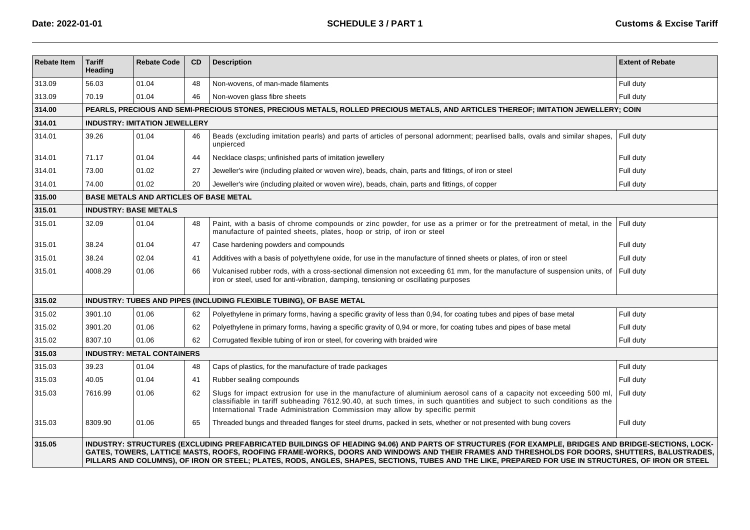| <b>Rebate Item</b> | <b>Tariff</b><br>Heading                                                                                                                                                                                                                                                                                                                                                                                                                                    | <b>Rebate Code</b>                            | <b>CD</b> | <b>Description</b>                                                                                                                                                                                                                                                                                                         | <b>Extent of Rebate</b> |  |  |  |  |  |
|--------------------|-------------------------------------------------------------------------------------------------------------------------------------------------------------------------------------------------------------------------------------------------------------------------------------------------------------------------------------------------------------------------------------------------------------------------------------------------------------|-----------------------------------------------|-----------|----------------------------------------------------------------------------------------------------------------------------------------------------------------------------------------------------------------------------------------------------------------------------------------------------------------------------|-------------------------|--|--|--|--|--|
| 313.09             | 56.03                                                                                                                                                                                                                                                                                                                                                                                                                                                       | 01.04                                         | 48        | Non-wovens, of man-made filaments                                                                                                                                                                                                                                                                                          | Full duty               |  |  |  |  |  |
| 313.09             | 70.19                                                                                                                                                                                                                                                                                                                                                                                                                                                       | 01.04                                         | 46        | Non-woven glass fibre sheets                                                                                                                                                                                                                                                                                               | Full duty               |  |  |  |  |  |
| 314.00             | PEARLS, PRECIOUS AND SEMI-PRECIOUS STONES, PRECIOUS METALS, ROLLED PRECIOUS METALS, AND ARTICLES THEREOF; IMITATION JEWELLERY; COIN                                                                                                                                                                                                                                                                                                                         |                                               |           |                                                                                                                                                                                                                                                                                                                            |                         |  |  |  |  |  |
| 314.01             |                                                                                                                                                                                                                                                                                                                                                                                                                                                             | <b>INDUSTRY: IMITATION JEWELLERY</b>          |           |                                                                                                                                                                                                                                                                                                                            |                         |  |  |  |  |  |
| 314.01             | 39.26                                                                                                                                                                                                                                                                                                                                                                                                                                                       | 01.04                                         | 46        | Beads (excluding imitation pearls) and parts of articles of personal adornment; pearlised balls, ovals and similar shapes,<br>unpierced                                                                                                                                                                                    | Full duty               |  |  |  |  |  |
| 314.01             | 71.17                                                                                                                                                                                                                                                                                                                                                                                                                                                       | 01.04                                         | 44        | Necklace clasps; unfinished parts of imitation jewellery                                                                                                                                                                                                                                                                   | Full duty               |  |  |  |  |  |
| 314.01             | 73.00                                                                                                                                                                                                                                                                                                                                                                                                                                                       | 01.02                                         | 27        | Jeweller's wire (including plaited or woven wire), beads, chain, parts and fittings, of iron or steel                                                                                                                                                                                                                      | Full duty               |  |  |  |  |  |
| 314.01             | 74.00                                                                                                                                                                                                                                                                                                                                                                                                                                                       | 01.02                                         | 20        | Jeweller's wire (including plaited or woven wire), beads, chain, parts and fittings, of copper                                                                                                                                                                                                                             | Full duty               |  |  |  |  |  |
| 315.00             |                                                                                                                                                                                                                                                                                                                                                                                                                                                             | <b>BASE METALS AND ARTICLES OF BASE METAL</b> |           |                                                                                                                                                                                                                                                                                                                            |                         |  |  |  |  |  |
| 315.01             | <b>INDUSTRY: BASE METALS</b>                                                                                                                                                                                                                                                                                                                                                                                                                                |                                               |           |                                                                                                                                                                                                                                                                                                                            |                         |  |  |  |  |  |
| 315.01             | 32.09                                                                                                                                                                                                                                                                                                                                                                                                                                                       | 01.04                                         | 48        | Paint, with a basis of chrome compounds or zinc powder, for use as a primer or for the pretreatment of metal, in the<br>manufacture of painted sheets, plates, hoop or strip, of iron or steel                                                                                                                             | Full duty               |  |  |  |  |  |
| 315.01             | 38.24                                                                                                                                                                                                                                                                                                                                                                                                                                                       | 01.04                                         | 47        | Case hardening powders and compounds                                                                                                                                                                                                                                                                                       | Full duty               |  |  |  |  |  |
| 315.01             | 38.24                                                                                                                                                                                                                                                                                                                                                                                                                                                       | 02.04                                         | 41        | Additives with a basis of polyethylene oxide, for use in the manufacture of tinned sheets or plates, of iron or steel                                                                                                                                                                                                      | Full duty               |  |  |  |  |  |
| 315.01             | 4008.29                                                                                                                                                                                                                                                                                                                                                                                                                                                     | 01.06                                         | 66        | Vulcanised rubber rods, with a cross-sectional dimension not exceeding 61 mm, for the manufacture of suspension units, of<br>iron or steel, used for anti-vibration, damping, tensioning or oscillating purposes                                                                                                           | Full duty               |  |  |  |  |  |
| 315.02             |                                                                                                                                                                                                                                                                                                                                                                                                                                                             |                                               |           | INDUSTRY: TUBES AND PIPES (INCLUDING FLEXIBLE TUBING), OF BASE METAL                                                                                                                                                                                                                                                       |                         |  |  |  |  |  |
| 315.02             | 3901.10                                                                                                                                                                                                                                                                                                                                                                                                                                                     | 01.06                                         | 62        | Polyethylene in primary forms, having a specific gravity of less than 0,94, for coating tubes and pipes of base metal                                                                                                                                                                                                      | Full duty               |  |  |  |  |  |
| 315.02             | 3901.20                                                                                                                                                                                                                                                                                                                                                                                                                                                     | 01.06                                         | 62        | Polyethylene in primary forms, having a specific gravity of 0,94 or more, for coating tubes and pipes of base metal                                                                                                                                                                                                        | Full duty               |  |  |  |  |  |
| 315.02             | 8307.10                                                                                                                                                                                                                                                                                                                                                                                                                                                     | 01.06                                         | 62        | Corrugated flexible tubing of iron or steel, for covering with braided wire                                                                                                                                                                                                                                                | Full duty               |  |  |  |  |  |
| 315.03             |                                                                                                                                                                                                                                                                                                                                                                                                                                                             | <b>INDUSTRY: METAL CONTAINERS</b>             |           |                                                                                                                                                                                                                                                                                                                            |                         |  |  |  |  |  |
| 315.03             | 39.23                                                                                                                                                                                                                                                                                                                                                                                                                                                       | 01.04                                         | 48        | Caps of plastics, for the manufacture of trade packages                                                                                                                                                                                                                                                                    | Full duty               |  |  |  |  |  |
| 315.03             | 40.05                                                                                                                                                                                                                                                                                                                                                                                                                                                       | 01.04                                         | 41        | Rubber sealing compounds                                                                                                                                                                                                                                                                                                   | Full duty               |  |  |  |  |  |
| 315.03             | 7616.99                                                                                                                                                                                                                                                                                                                                                                                                                                                     | 01.06                                         | 62        | Slugs for impact extrusion for use in the manufacture of aluminium aerosol cans of a capacity not exceeding 500 ml.<br>classifiable in tariff subheading 7612.90.40, at such times, in such quantities and subject to such conditions as the<br>International Trade Administration Commission may allow by specific permit | Full duty               |  |  |  |  |  |
| 315.03             | 8309.90                                                                                                                                                                                                                                                                                                                                                                                                                                                     | 01.06                                         | 65        | Threaded bungs and threaded flanges for steel drums, packed in sets, whether or not presented with bung covers                                                                                                                                                                                                             | Full duty               |  |  |  |  |  |
| 315.05             | INDUSTRY: STRUCTURES (EXCLUDING PREFABRICATED BUILDINGS OF HEADING 94.06) AND PARTS OF STRUCTURES (FOR EXAMPLE, BRIDGES AND BRIDGE-SECTIONS, LOCK-<br>GATES, TOWERS, LATTICE MASTS, ROOFS, ROOFING FRAME-WORKS, DOORS AND WINDOWS AND THEIR FRAMES AND THRESHOLDS FOR DOORS, SHUTTERS, BALUSTRADES,<br>PILLARS AND COLUMNS), OF IRON OR STEEL; PLATES, RODS, ANGLES, SHAPES, SECTIONS, TUBES AND THE LIKE, PREPARED FOR USE IN STRUCTURES, OF IRON OR STEEL |                                               |           |                                                                                                                                                                                                                                                                                                                            |                         |  |  |  |  |  |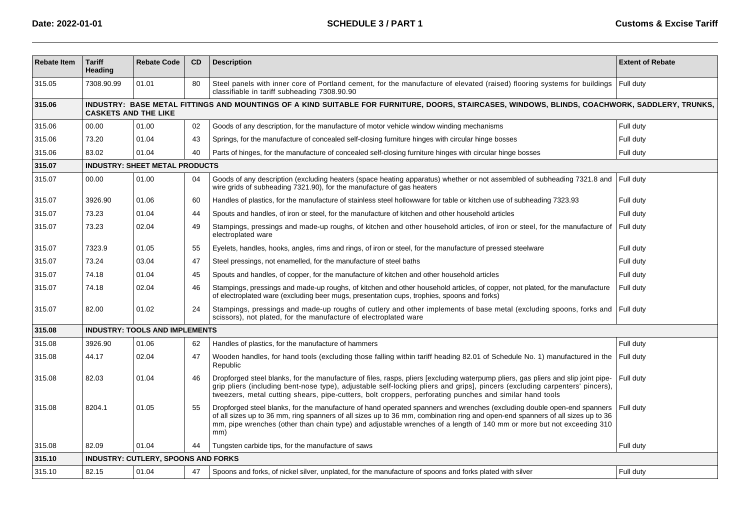| <b>Rebate Item</b> | <b>Tariff</b><br>Heading | <b>Rebate Code</b>                                                                                                                                                            | CD | <b>Description</b>                                                                                                                                                                                                                                                                                                                                                                        | <b>Extent of Rebate</b> |  |  |  |  |
|--------------------|--------------------------|-------------------------------------------------------------------------------------------------------------------------------------------------------------------------------|----|-------------------------------------------------------------------------------------------------------------------------------------------------------------------------------------------------------------------------------------------------------------------------------------------------------------------------------------------------------------------------------------------|-------------------------|--|--|--|--|
| 315.05             | 7308.90.99               | 01.01                                                                                                                                                                         | 80 | Steel panels with inner core of Portland cement, for the manufacture of elevated (raised) flooring systems for buildings<br>classifiable in tariff subheading 7308.90.90                                                                                                                                                                                                                  | Full duty               |  |  |  |  |
| 315.06             |                          | INDUSTRY: BASE METAL FITTINGS AND MOUNTINGS OF A KIND SUITABLE FOR FURNITURE, DOORS, STAIRCASES, WINDOWS, BLINDS, COACHWORK, SADDLERY, TRUNKS,<br><b>CASKETS AND THE LIKE</b> |    |                                                                                                                                                                                                                                                                                                                                                                                           |                         |  |  |  |  |
| 315.06             | 00.00                    | 01.00                                                                                                                                                                         | 02 | Goods of any description, for the manufacture of motor vehicle window winding mechanisms                                                                                                                                                                                                                                                                                                  | Full duty               |  |  |  |  |
| 315.06             | 73.20                    | 01.04                                                                                                                                                                         | 43 | Springs, for the manufacture of concealed self-closing furniture hinges with circular hinge bosses                                                                                                                                                                                                                                                                                        | Full duty               |  |  |  |  |
| 315.06             | 83.02                    | 01.04                                                                                                                                                                         | 40 | Parts of hinges, for the manufacture of concealed self-closing furniture hinges with circular hinge bosses                                                                                                                                                                                                                                                                                | Full duty               |  |  |  |  |
| 315.07             |                          | <b>INDUSTRY: SHEET METAL PRODUCTS</b>                                                                                                                                         |    |                                                                                                                                                                                                                                                                                                                                                                                           |                         |  |  |  |  |
| 315.07             | 00.00                    | 01.00                                                                                                                                                                         | 04 | Goods of any description (excluding heaters (space heating apparatus) whether or not assembled of subheading 7321.8 and<br>wire grids of subheading 7321.90), for the manufacture of gas heaters                                                                                                                                                                                          | Full duty               |  |  |  |  |
| 315.07             | 3926.90                  | 01.06                                                                                                                                                                         | 60 | Handles of plastics, for the manufacture of stainless steel hollowware for table or kitchen use of subheading 7323.93                                                                                                                                                                                                                                                                     | Full duty               |  |  |  |  |
| 315.07             | 73.23                    | 01.04                                                                                                                                                                         | 44 | Spouts and handles, of iron or steel, for the manufacture of kitchen and other household articles                                                                                                                                                                                                                                                                                         | Full duty               |  |  |  |  |
| 315.07             | 73.23                    | 02.04                                                                                                                                                                         | 49 | Stampings, pressings and made-up roughs, of kitchen and other household articles, of iron or steel, for the manufacture of<br>electroplated ware                                                                                                                                                                                                                                          | Full duty               |  |  |  |  |
| 315.07             | 7323.9                   | 01.05                                                                                                                                                                         | 55 | Eyelets, handles, hooks, angles, rims and rings, of iron or steel, for the manufacture of pressed steelware                                                                                                                                                                                                                                                                               | Full duty               |  |  |  |  |
| 315.07             | 73.24                    | 03.04                                                                                                                                                                         | 47 | Steel pressings, not enamelled, for the manufacture of steel baths                                                                                                                                                                                                                                                                                                                        | Full duty               |  |  |  |  |
| 315.07             | 74.18                    | 01.04                                                                                                                                                                         | 45 | Spouts and handles, of copper, for the manufacture of kitchen and other household articles                                                                                                                                                                                                                                                                                                | Full duty               |  |  |  |  |
| 315.07             | 74.18                    | 02.04                                                                                                                                                                         | 46 | Stampings, pressings and made-up roughs, of kitchen and other household articles, of copper, not plated, for the manufacture<br>of electroplated ware (excluding beer mugs, presentation cups, trophies, spoons and forks)                                                                                                                                                                | Full duty               |  |  |  |  |
| 315.07             | 82.00                    | 01.02                                                                                                                                                                         | 24 | Stampings, pressings and made-up roughs of cutlery and other implements of base metal (excluding spoons, forks and<br>scissors), not plated, for the manufacture of electroplated ware                                                                                                                                                                                                    | Full duty               |  |  |  |  |
| 315.08             |                          | <b>INDUSTRY: TOOLS AND IMPLEMENTS</b>                                                                                                                                         |    |                                                                                                                                                                                                                                                                                                                                                                                           |                         |  |  |  |  |
| 315.08             | 3926.90                  | 01.06                                                                                                                                                                         | 62 | Handles of plastics, for the manufacture of hammers                                                                                                                                                                                                                                                                                                                                       | Full duty               |  |  |  |  |
| 315.08             | 44.17                    | 02.04                                                                                                                                                                         | 47 | Wooden handles, for hand tools (excluding those falling within tariff heading 82.01 of Schedule No. 1) manufactured in the<br>Republic                                                                                                                                                                                                                                                    | Full duty               |  |  |  |  |
| 315.08             | 82.03                    | 01.04                                                                                                                                                                         | 46 | Dropforged steel blanks, for the manufacture of files, rasps, pliers [excluding waterpump pliers, gas pliers and slip joint pipe-<br>grip pliers (including bent-nose type), adjustable self-locking pliers and grips], pincers (excluding carpenters' pincers),<br>tweezers, metal cutting shears, pipe-cutters, bolt croppers, perforating punches and similar hand tools               | Full duty               |  |  |  |  |
| 315.08             | 8204.1                   | 01.05                                                                                                                                                                         | 55 | Dropforged steel blanks, for the manufacture of hand operated spanners and wrenches (excluding double open-end spanners<br>of all sizes up to 36 mm, ring spanners of all sizes up to 36 mm, combination ring and open-end spanners of all sizes up to 36<br>mm, pipe wrenches (other than chain type) and adjustable wrenches of a length of 140 mm or more but not exceeding 310<br>mm) | Full duty               |  |  |  |  |
| 315.08             | 82.09                    | 01.04                                                                                                                                                                         | 44 | Tungsten carbide tips, for the manufacture of saws                                                                                                                                                                                                                                                                                                                                        | Full duty               |  |  |  |  |
| 315.10             |                          | INDUSTRY: CUTLERY, SPOONS AND FORKS                                                                                                                                           |    |                                                                                                                                                                                                                                                                                                                                                                                           |                         |  |  |  |  |
| 315.10             | 82.15                    | 01.04                                                                                                                                                                         | 47 | Spoons and forks, of nickel silver, unplated, for the manufacture of spoons and forks plated with silver                                                                                                                                                                                                                                                                                  | Full duty               |  |  |  |  |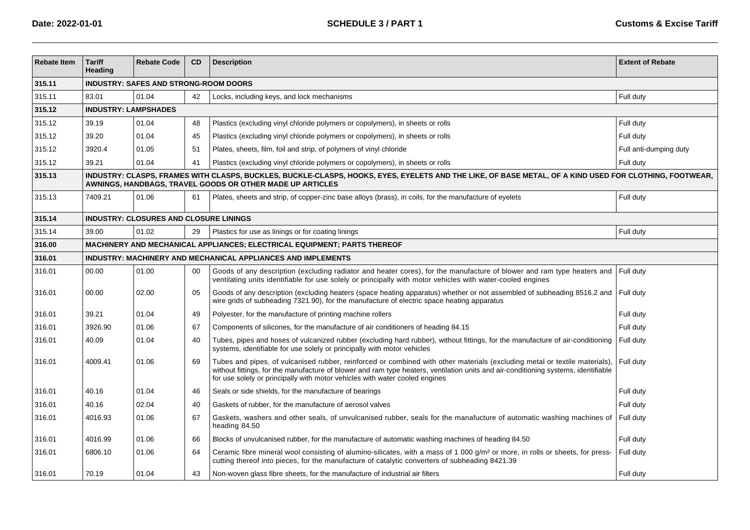| <b>Rebate Item</b> | <b>Tariff</b><br>Heading | <b>Rebate Code</b>                            | <b>CD</b> | <b>Description</b>                                                                                                                                                                                                                                                                                                                              | <b>Extent of Rebate</b> |  |  |  |  |  |
|--------------------|--------------------------|-----------------------------------------------|-----------|-------------------------------------------------------------------------------------------------------------------------------------------------------------------------------------------------------------------------------------------------------------------------------------------------------------------------------------------------|-------------------------|--|--|--|--|--|
| 315.11             |                          | <b>INDUSTRY: SAFES AND STRONG-ROOM DOORS</b>  |           |                                                                                                                                                                                                                                                                                                                                                 |                         |  |  |  |  |  |
| 315.11             | 83.01                    | 01.04                                         | 42        | Locks, including keys, and lock mechanisms                                                                                                                                                                                                                                                                                                      | Full duty               |  |  |  |  |  |
| 315.12             |                          | <b>INDUSTRY: LAMPSHADES</b>                   |           |                                                                                                                                                                                                                                                                                                                                                 |                         |  |  |  |  |  |
| 315.12             | 39.19                    | 01.04                                         | 48        | Plastics (excluding vinyl chloride polymers or copolymers), in sheets or rolls                                                                                                                                                                                                                                                                  | Full duty               |  |  |  |  |  |
| 315.12             | 39.20                    | 01.04                                         | 45        | Plastics (excluding vinyl chloride polymers or copolymers), in sheets or rolls                                                                                                                                                                                                                                                                  | Full duty               |  |  |  |  |  |
| 315.12             | 3920.4                   | 01.05                                         | 51        | Plates, sheets, film, foil and strip, of polymers of vinyl chloride                                                                                                                                                                                                                                                                             | Full anti-dumping duty  |  |  |  |  |  |
| 315.12             | 39.21                    | 01.04                                         | 41        | Plastics (excluding vinyl chloride polymers or copolymers), in sheets or rolls                                                                                                                                                                                                                                                                  | Full duty               |  |  |  |  |  |
| 315.13             |                          |                                               |           | INDUSTRY: CLASPS, FRAMES WITH CLASPS, BUCKLES, BUCKLE-CLASPS, HOOKS, EYES, EYELETS AND THE LIKE, OF BASE METAL, OF A KIND USED FOR CLOTHING, FOOTWEAR,<br>AWNINGS, HANDBAGS, TRAVEL GOODS OR OTHER MADE UP ARTICLES                                                                                                                             |                         |  |  |  |  |  |
| 315.13             | 7409.21                  | 01.06                                         | 61        | Plates, sheets and strip, of copper-zinc base alloys (brass), in coils, for the manufacture of eyelets                                                                                                                                                                                                                                          | Full duty               |  |  |  |  |  |
| 315.14             |                          | <b>INDUSTRY: CLOSURES AND CLOSURE LININGS</b> |           |                                                                                                                                                                                                                                                                                                                                                 |                         |  |  |  |  |  |
| 315.14             | 39.00                    | 01.02                                         | 29        | Plastics for use as linings or for coating linings                                                                                                                                                                                                                                                                                              | Full duty               |  |  |  |  |  |
| 316.00             |                          |                                               |           | MACHINERY AND MECHANICAL APPLIANCES; ELECTRICAL EQUIPMENT; PARTS THEREOF                                                                                                                                                                                                                                                                        |                         |  |  |  |  |  |
| 316.01             |                          |                                               |           | INDUSTRY: MACHINERY AND MECHANICAL APPLIANCES AND IMPLEMENTS                                                                                                                                                                                                                                                                                    |                         |  |  |  |  |  |
| 316.01             | 00.00                    | 01.00                                         | 00        | Goods of any description (excluding radiator and heater cores), for the manufacture of blower and ram type heaters and<br>ventilating units identifiable for use solely or principally with motor vehicles with water-cooled engines                                                                                                            | Full duty               |  |  |  |  |  |
| 316.01             | 00.00                    | 02.00                                         | 05        | Goods of any description (excluding heaters (space heating apparatus) whether or not assembled of subheading 8516.2 and Full duty<br>wire grids of subheading 7321.90), for the manufacture of electric space heating apparatus                                                                                                                 |                         |  |  |  |  |  |
| 316.01             | 39.21                    | 01.04                                         | 49        | Polyester, for the manufacture of printing machine rollers                                                                                                                                                                                                                                                                                      | Full dutv               |  |  |  |  |  |
| 316.01             | 3926.90                  | 01.06                                         | 67        | Components of silicones, for the manufacture of air conditioners of heading 84.15                                                                                                                                                                                                                                                               | Full duty               |  |  |  |  |  |
| 316.01             | 40.09                    | 01.04                                         | 40        | Tubes, pipes and hoses of vulcanized rubber (excluding hard rubber), without fittings, for the manufacture of air-conditioning<br>systems, identifiable for use solely or principally with motor vehicles                                                                                                                                       | Full duty               |  |  |  |  |  |
| 316.01             | 4009.41                  | 01.06                                         | 69        | Tubes and pipes, of vulcanised rubber, reinforced or combined with other materials (excluding metal or textile materials),<br>without fittings, for the manufacture of blower and ram type heaters, ventilation units and air-conditioning systems, identifiable<br>for use solely or principally with motor vehicles with water cooled engines | Full duty               |  |  |  |  |  |
| 316.01             | 40.16                    | 01.04                                         | 46        | Seals or side shields, for the manufacture of bearings                                                                                                                                                                                                                                                                                          | Full duty               |  |  |  |  |  |
| 316.01             | 40.16                    | 02.04                                         | 40        | Gaskets of rubber, for the manufacture of aerosol valves                                                                                                                                                                                                                                                                                        | Full duty               |  |  |  |  |  |
| 316.01             | 4016.93                  | 01.06                                         | 67        | Gaskets, washers and other seals, of unvulcanised rubber, seals for the manafucture of automatic washing machines of<br>heading 84.50                                                                                                                                                                                                           | Full duty               |  |  |  |  |  |
| 316.01             | 4016.99                  | 01.06                                         | 66        | Blocks of unvulcanised rubber, for the manufacture of automatic washing machines of heading 84.50                                                                                                                                                                                                                                               | Full duty               |  |  |  |  |  |
| 316.01             | 6806.10                  | 01.06                                         | 64        | Ceramic fibre mineral wool consisting of alumino-silicates, with a mass of 1 000 $q/m^2$ or more, in rolls or sheets, for press-<br>cutting thereof into pieces, for the manufacture of catalytic converters of subheading 8421.39                                                                                                              | Full duty               |  |  |  |  |  |
| 316.01             | 70.19                    | 01.04                                         | 43        | Non-woven glass fibre sheets, for the manufacture of industrial air filters                                                                                                                                                                                                                                                                     | Full duty               |  |  |  |  |  |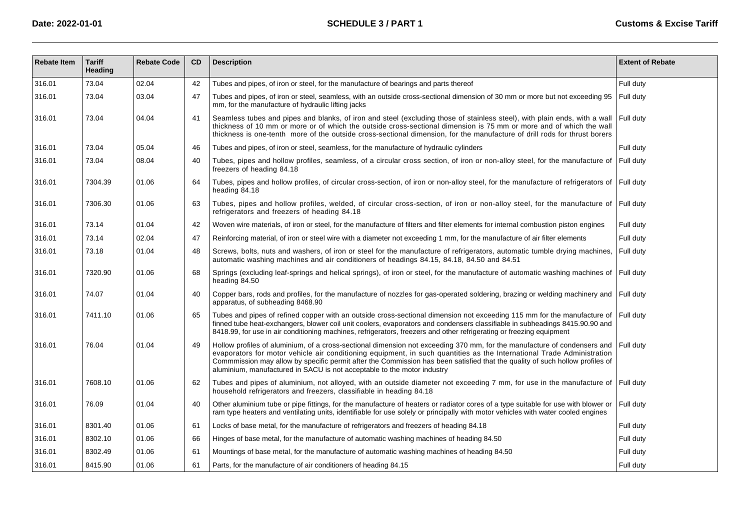| <b>Rebate Item</b> | <b>Tariff</b><br>Heading | <b>Rebate Code</b> | <b>CD</b> | <b>Description</b>                                                                                                                                                                                                                                                                                                                                                                                                                                            | <b>Extent of Rebate</b> |
|--------------------|--------------------------|--------------------|-----------|---------------------------------------------------------------------------------------------------------------------------------------------------------------------------------------------------------------------------------------------------------------------------------------------------------------------------------------------------------------------------------------------------------------------------------------------------------------|-------------------------|
| 316.01             | 73.04                    | 02.04              | 42        | Tubes and pipes, of iron or steel, for the manufacture of bearings and parts thereof                                                                                                                                                                                                                                                                                                                                                                          | Full duty               |
| 316.01             | 73.04                    | 03.04              | 47        | Tubes and pipes, of iron or steel, seamless, with an outside cross-sectional dimension of 30 mm or more but not exceeding 95<br>mm, for the manufacture of hydraulic lifting jacks                                                                                                                                                                                                                                                                            | Full duty               |
| 316.01             | 73.04                    | 04.04              | 41        | Seamless tubes and pipes and blanks, of iron and steel (excluding those of stainless steel), with plain ends, with a wall<br>thickness of 10 mm or more or of which the outside cross-sectional dimension is 75 mm or more and of which the wall<br>thickness is one-tenth more of the outside cross-sectional dimension, for the manufacture of drill rods for thrust borers                                                                                 | Full duty               |
| 316.01             | 73.04                    | 05.04              | 46        | Tubes and pipes, of iron or steel, seamless, for the manufacture of hydraulic cylinders                                                                                                                                                                                                                                                                                                                                                                       | Full duty               |
| 316.01             | 73.04                    | 08.04              | 40        | Tubes, pipes and hollow profiles, seamless, of a circular cross section, of iron or non-alloy steel, for the manufacture of<br>freezers of heading 84.18                                                                                                                                                                                                                                                                                                      | Full duty               |
| 316.01             | 7304.39                  | 01.06              | 64        | Tubes, pipes and hollow profiles, of circular cross-section, of iron or non-alloy steel, for the manufacture of refrigerators of Full duty<br>heading 84.18                                                                                                                                                                                                                                                                                                   |                         |
| 316.01             | 7306.30                  | 01.06              | 63        | Tubes, pipes and hollow profiles, welded, of circular cross-section, of iron or non-alloy steel, for the manufacture of Full duty<br>refrigerators and freezers of heading 84.18                                                                                                                                                                                                                                                                              |                         |
| 316.01             | 73.14                    | 01.04              | 42        | Woven wire materials, of iron or steel, for the manufacture of filters and filter elements for internal combustion piston engines                                                                                                                                                                                                                                                                                                                             | Full duty               |
| 316.01             | 73.14                    | 02.04              | 47        | Reinforcing material, of iron or steel wire with a diameter not exceeding 1 mm, for the manufacture of air filter elements                                                                                                                                                                                                                                                                                                                                    | Full duty               |
| 316.01             | 73.18                    | 01.04              | 48        | Screws, bolts, nuts and washers, of iron or steel for the manufacture of refrigerators, automatic tumble drying machines,<br>automatic washing machines and air conditioners of headings 84.15, 84.18, 84.50 and 84.51                                                                                                                                                                                                                                        | Full duty               |
| 316.01             | 7320.90                  | 01.06              | 68        | Springs (excluding leaf-springs and helical springs), of iron or steel, for the manufacture of automatic washing machines of Full duty<br>heading 84.50                                                                                                                                                                                                                                                                                                       |                         |
| 316.01             | 74.07                    | 01.04              | 40        | Copper bars, rods and profiles, for the manufacture of nozzles for gas-operated soldering, brazing or welding machinery and Full duty<br>apparatus, of subheading 8468.90                                                                                                                                                                                                                                                                                     |                         |
| 316.01             | 7411.10                  | 01.06              | 65        | Tubes and pipes of refined copper with an outside cross-sectional dimension not exceeding 115 mm for the manufacture of<br>finned tube heat-exchangers, blower coil unit coolers, evaporators and condensers classifiable in subheadings 8415.90.90 and<br>8418.99, for use in air conditioning machines, refrigerators, freezers and other refrigerating or freezing equipment                                                                               | Full duty               |
| 316.01             | 76.04                    | 01.04              | 49        | Hollow profiles of aluminium, of a cross-sectional dimension not exceeding 370 mm, for the manufacture of condensers and<br>evaporators for motor vehicle air conditioning equipment, in such quantities as the International Trade Administration<br>Commmission may allow by specific permit after the Commission has been satisfied that the quality of such hollow profiles of<br>aluminium, manufactured in SACU is not acceptable to the motor industry | Full duty               |
| 316.01             | 7608.10                  | 01.06              | 62        | Tubes and pipes of aluminium, not alloyed, with an outside diameter not exceeding 7 mm, for use in the manufacture of Full duty<br>household refrigerators and freezers, classifiable in heading 84.18                                                                                                                                                                                                                                                        |                         |
| 316.01             | 76.09                    | 01.04              | 40        | Other aluminium tube or pipe fittings, for the manufacture of heaters or radiator cores of a type suitable for use with blower or<br>ram type heaters and ventilating units, identifiable for use solely or principally with motor vehicles with water cooled engines                                                                                                                                                                                         | Full duty               |
| 316.01             | 8301.40                  | 01.06              | 61        | Locks of base metal, for the manufacture of refrigerators and freezers of heading 84.18                                                                                                                                                                                                                                                                                                                                                                       | Full duty               |
| 316.01             | 8302.10                  | 01.06              | 66        | Hinges of base metal, for the manufacture of automatic washing machines of heading 84.50                                                                                                                                                                                                                                                                                                                                                                      | Full duty               |
| 316.01             | 8302.49                  | 01.06              | 61        | Mountings of base metal, for the manufacture of automatic washing machines of heading 84.50                                                                                                                                                                                                                                                                                                                                                                   | Full duty               |
| 316.01             | 8415.90                  | 01.06              | 61        | Parts, for the manufacture of air conditioners of heading 84.15                                                                                                                                                                                                                                                                                                                                                                                               | Full duty               |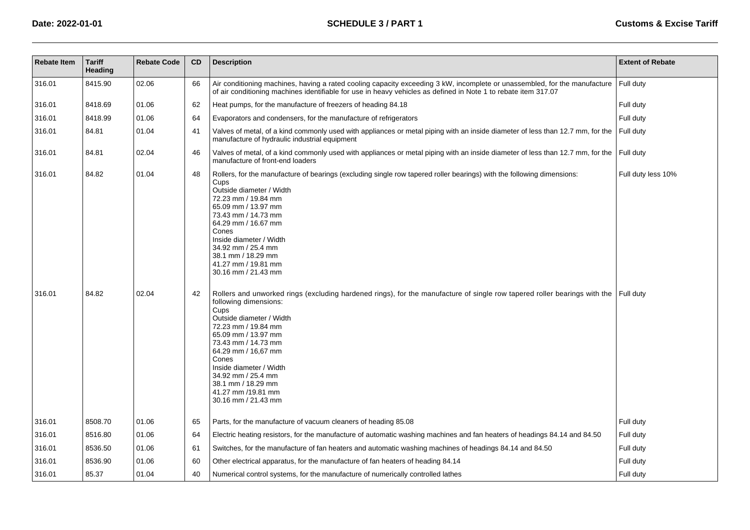| <b>Rebate Item</b> | <b>Tariff</b><br>Heading | <b>Rebate Code</b> | CD | <b>Description</b>                                                                                                                                                                                                                                                                                                                                                                                                        | <b>Extent of Rebate</b> |
|--------------------|--------------------------|--------------------|----|---------------------------------------------------------------------------------------------------------------------------------------------------------------------------------------------------------------------------------------------------------------------------------------------------------------------------------------------------------------------------------------------------------------------------|-------------------------|
| 316.01             | 8415.90                  | 02.06              | 66 | Air conditioning machines, having a rated cooling capacity exceeding 3 kW, incomplete or unassembled, for the manufacture<br>of air conditioning machines identifiable for use in heavy vehicles as defined in Note 1 to rebate item 317.07                                                                                                                                                                               | Full duty               |
| 316.01             | 8418.69                  | 01.06              | 62 | Heat pumps, for the manufacture of freezers of heading 84.18                                                                                                                                                                                                                                                                                                                                                              | Full duty               |
| 316.01             | 8418.99                  | 01.06              | 64 | Evaporators and condensers, for the manufacture of refrigerators                                                                                                                                                                                                                                                                                                                                                          | Full duty               |
| 316.01             | 84.81                    | 01.04              | 41 | Valves of metal, of a kind commonly used with appliances or metal piping with an inside diameter of less than 12.7 mm, for the<br>manufacture of hydraulic industrial equipment                                                                                                                                                                                                                                           | Full duty               |
| 316.01             | 84.81                    | 02.04              | 46 | Valves of metal, of a kind commonly used with appliances or metal piping with an inside diameter of less than 12.7 mm, for the<br>manufacture of front-end loaders                                                                                                                                                                                                                                                        | Full duty               |
| 316.01             | 84.82                    | 01.04              | 48 | Rollers, for the manufacture of bearings (excluding single row tapered roller bearings) with the following dimensions:<br>Cups<br>Outside diameter / Width<br>72.23 mm / 19.84 mm<br>65.09 mm / 13.97 mm<br>73.43 mm / 14.73 mm<br>64.29 mm / 16.67 mm<br>Cones<br>Inside diameter / Width<br>34.92 mm / 25.4 mm<br>38.1 mm / 18.29 mm<br>41.27 mm / 19.81 mm<br>30.16 mm / 21.43 mm                                      | Full duty less 10%      |
| 316.01             | 84.82                    | 02.04              | 42 | Rollers and unworked rings (excluding hardened rings), for the manufacture of single row tapered roller bearings with the Full duty<br>following dimensions:<br>Cups<br>Outside diameter / Width<br>72.23 mm / 19.84 mm<br>65.09 mm / 13.97 mm<br>73.43 mm / 14.73 mm<br>64.29 mm / 16,67 mm<br>Cones<br>Inside diameter / Width<br>34.92 mm / 25.4 mm<br>38.1 mm / 18.29 mm<br>41.27 mm /19.81 mm<br>30.16 mm / 21.43 mm |                         |
| 316.01             | 8508.70                  | 01.06              | 65 | Parts, for the manufacture of vacuum cleaners of heading 85.08                                                                                                                                                                                                                                                                                                                                                            | Full duty               |
| 316.01             | 8516.80                  | 01.06              | 64 | Electric heating resistors, for the manufacture of automatic washing machines and fan heaters of headings 84.14 and 84.50                                                                                                                                                                                                                                                                                                 | Full duty               |
| 316.01             | 8536.50                  | 01.06              | 61 | Switches, for the manufacture of fan heaters and automatic washing machines of headings 84.14 and 84.50                                                                                                                                                                                                                                                                                                                   | Full duty               |
| 316.01             | 8536.90                  | 01.06              | 60 | Other electrical apparatus, for the manufacture of fan heaters of heading 84.14                                                                                                                                                                                                                                                                                                                                           | Full duty               |
| 316.01             | 85.37                    | 01.04              | 40 | Numerical control systems, for the manufacture of numerically controlled lathes                                                                                                                                                                                                                                                                                                                                           | Full duty               |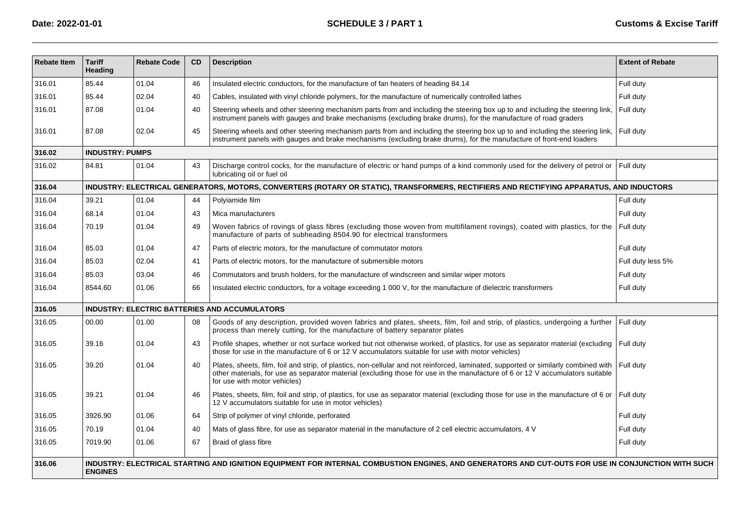| <b>Rebate Item</b> | <b>Tariff</b><br>Heading                                                                                                                                             | <b>Rebate Code</b> | <b>CD</b> | <b>Description</b>                                                                                                                                                                                                                                                                                   | <b>Extent of Rebate</b> |  |  |  |
|--------------------|----------------------------------------------------------------------------------------------------------------------------------------------------------------------|--------------------|-----------|------------------------------------------------------------------------------------------------------------------------------------------------------------------------------------------------------------------------------------------------------------------------------------------------------|-------------------------|--|--|--|
| 316.01             | 85.44                                                                                                                                                                | 01.04              | 46        | Insulated electric conductors, for the manufacture of fan heaters of heading 84.14                                                                                                                                                                                                                   | Full duty               |  |  |  |
| 316.01             | 85.44                                                                                                                                                                | 02.04              | 40        | Cables, insulated with vinyl chloride polymers, for the manufacture of numerically controlled lathes                                                                                                                                                                                                 | Full duty               |  |  |  |
| 316.01             | 87.08                                                                                                                                                                | 01.04              | 40        | Steering wheels and other steering mechanism parts from and including the steering box up to and including the steering link,<br>instrument panels with gauges and brake mechanisms (excluding brake drums), for the manufacture of road graders                                                     | Full duty               |  |  |  |
| 316.01             | 87.08                                                                                                                                                                | 02.04              | 45        | Steering wheels and other steering mechanism parts from and including the steering box up to and including the steering link,<br>instrument panels with gauges and brake mechanisms (excluding brake drums), for the manufacture of front-end loaders                                                | Full duty               |  |  |  |
| 316.02             | <b>INDUSTRY: PUMPS</b>                                                                                                                                               |                    |           |                                                                                                                                                                                                                                                                                                      |                         |  |  |  |
| 316.02             | 84.81                                                                                                                                                                | 01.04              | 43        | Discharge control cocks, for the manufacture of electric or hand pumps of a kind commonly used for the delivery of petrol or<br>lubricating oil or fuel oil                                                                                                                                          | Full duty               |  |  |  |
| 316.04             |                                                                                                                                                                      |                    |           | INDUSTRY: ELECTRICAL GENERATORS, MOTORS, CONVERTERS (ROTARY OR STATIC), TRANSFORMERS, RECTIFIERS AND RECTIFYING APPARATUS, AND INDUCTORS                                                                                                                                                             |                         |  |  |  |
| 316.04             | 39.21                                                                                                                                                                | 01.04              | 44        | Polyiamide film                                                                                                                                                                                                                                                                                      | Full duty               |  |  |  |
| 316.04             | 68.14                                                                                                                                                                | 01.04              | 43        | Mica manufacturers                                                                                                                                                                                                                                                                                   | Full duty               |  |  |  |
| 316.04             | 70.19                                                                                                                                                                | 01.04              | 49        | Woven fabrics of rovings of glass fibres (excluding those woven from multifilament rovings), coated with plastics, for the<br>manufacture of parts of subheading 8504.90 for electrical transformers                                                                                                 | Full duty               |  |  |  |
| 316.04             | 85.03                                                                                                                                                                | 01.04              | 47        | Parts of electric motors, for the manufacture of commutator motors                                                                                                                                                                                                                                   | Full duty               |  |  |  |
| 316.04             | 85.03                                                                                                                                                                | 02.04              | 41        | Parts of electric motors, for the manufacture of submersible motors                                                                                                                                                                                                                                  | Full duty less 5%       |  |  |  |
| 316.04             | 85.03                                                                                                                                                                | 03.04              | 46        | Commutators and brush holders, for the manufacture of windscreen and similar wiper motors                                                                                                                                                                                                            | Full duty               |  |  |  |
| 316.04             | 8544.60                                                                                                                                                              | 01.06              | 66        | Insulated electric conductors, for a voltage exceeding 1 000 V, for the manufacture of dielectric transformers                                                                                                                                                                                       | Full duty               |  |  |  |
| 316.05             |                                                                                                                                                                      |                    |           | <b>INDUSTRY: ELECTRIC BATTERIES AND ACCUMULATORS</b>                                                                                                                                                                                                                                                 |                         |  |  |  |
| 316.05             | 00.00                                                                                                                                                                | 01.00              | 08        | Goods of any description, provided woven fabrics and plates, sheets, film, foil and strip, of plastics, undergoing a further<br>process than merely cutting, for the manufacture of battery separator plates                                                                                         | Full duty               |  |  |  |
| 316.05             | 39.16                                                                                                                                                                | 01.04              | 43        | Profile shapes, whether or not surface worked but not otherwise worked, of plastics, for use as separator material (excluding<br>those for use in the manufacture of 6 or 12 V accumulators suitable for use with motor vehicles)                                                                    | Full duty               |  |  |  |
| 316.05             | 39.20                                                                                                                                                                | 01.04              | 40        | Plates, sheets, film, foil and strip, of plastics, non-cellular and not reinforced, laminated, supported or similarly combined with<br>other materials, for use as separator material (excluding those for use in the manufacture of 6 or 12 V accumulators suitable<br>for use with motor vehicles) | Full duty               |  |  |  |
| 316.05             | 39.21                                                                                                                                                                | 01.04              | 46        | Plates, sheets, film, foil and strip, of plastics, for use as separator material (excluding those for use in the manufacture of 6 or<br>12 V accumulators suitable for use in motor vehicles)                                                                                                        | Full duty               |  |  |  |
| 316.05             | 3926.90                                                                                                                                                              | 01.06              | 64        | Strip of polymer of vinyl chloride, perforated                                                                                                                                                                                                                                                       | Full duty               |  |  |  |
| 316.05             | 70.19                                                                                                                                                                | 01.04              | 40        | Mats of glass fibre, for use as separator material in the manufacture of 2 cell electric accumulators, 4 V                                                                                                                                                                                           | Full duty               |  |  |  |
| 316.05             | 7019.90                                                                                                                                                              | 01.06              | 67        | Braid of glass fibre                                                                                                                                                                                                                                                                                 | Full duty               |  |  |  |
| 316.06             | INDUSTRY: ELECTRICAL STARTING AND IGNITION EQUIPMENT FOR INTERNAL COMBUSTION ENGINES, AND GENERATORS AND CUT-OUTS FOR USE IN CONJUNCTION WITH SUCH<br><b>ENGINES</b> |                    |           |                                                                                                                                                                                                                                                                                                      |                         |  |  |  |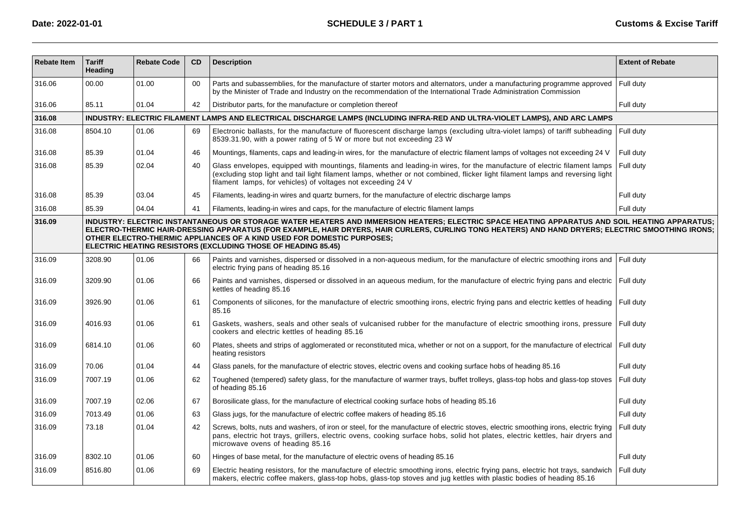| <b>Rebate Item</b> | <b>Tariff</b><br>Heading                                                                                                                                                                                                                                                                                                                                                                                                                      | <b>Rebate Code</b> | CD | <b>Description</b>                                                                                                                                                                                                                                                                                                         | <b>Extent of Rebate</b> |  |  |  |
|--------------------|-----------------------------------------------------------------------------------------------------------------------------------------------------------------------------------------------------------------------------------------------------------------------------------------------------------------------------------------------------------------------------------------------------------------------------------------------|--------------------|----|----------------------------------------------------------------------------------------------------------------------------------------------------------------------------------------------------------------------------------------------------------------------------------------------------------------------------|-------------------------|--|--|--|
| 316.06             | 00.00                                                                                                                                                                                                                                                                                                                                                                                                                                         | 01.00              | 00 | Parts and subassemblies, for the manufacture of starter motors and alternators, under a manufacturing programme approved<br>by the Minister of Trade and Industry on the recommendation of the International Trade Administration Commission                                                                               | Full duty               |  |  |  |
| 316.06             | 85.11                                                                                                                                                                                                                                                                                                                                                                                                                                         | 01.04              | 42 | Distributor parts, for the manufacture or completion thereof                                                                                                                                                                                                                                                               | Full duty               |  |  |  |
| 316.08             |                                                                                                                                                                                                                                                                                                                                                                                                                                               |                    |    | INDUSTRY: ELECTRIC FILAMENT LAMPS AND ELECTRICAL DISCHARGE LAMPS (INCLUDING INFRA-RED AND ULTRA-VIOLET LAMPS), AND ARC LAMPS                                                                                                                                                                                               |                         |  |  |  |
| 316.08             | 8504.10                                                                                                                                                                                                                                                                                                                                                                                                                                       | 01.06              | 69 | Electronic ballasts, for the manufacture of fluorescent discharge lamps (excluding ultra-violet lamps) of tariff subheading<br>8539.31.90, with a power rating of 5 W or more but not exceeding 23 W                                                                                                                       | Full duty               |  |  |  |
| 316.08             | 85.39                                                                                                                                                                                                                                                                                                                                                                                                                                         | 01.04              | 46 | Mountings, filaments, caps and leading-in wires, for the manufacture of electric filament lamps of voltages not exceeding 24 V                                                                                                                                                                                             | Full duty               |  |  |  |
| 316.08             | 85.39                                                                                                                                                                                                                                                                                                                                                                                                                                         | 02.04              | 40 | Glass envelopes, equipped with mountings, filaments and leading-in wires, for the manufacture of electric filament lamps<br>(excluding stop light and tail light filament lamps, whether or not combined, flicker light filament lamps and reversing light<br>filament lamps, for vehicles) of voltages not exceeding 24 V | Full duty               |  |  |  |
| 316.08             | 85.39                                                                                                                                                                                                                                                                                                                                                                                                                                         | 03.04              | 45 | Filaments, leading-in wires and quartz burners, for the manufacture of electric discharge lamps                                                                                                                                                                                                                            | Full duty               |  |  |  |
| 316.08             | 85.39                                                                                                                                                                                                                                                                                                                                                                                                                                         | 04.04              | 41 | Filaments, leading-in wires and caps, for the manufacture of electric filament lamps                                                                                                                                                                                                                                       | Full duty               |  |  |  |
| 316.09             | INDUSTRY: ELECTRIC INSTANTANEOUS OR STORAGE WATER HEATERS AND IMMERSION HEATERS; ELECTRIC SPACE HEATING APPARATUS AND SOIL HEATING APPARATUS;<br>ELECTRO-THERMIC HAIR-DRESSING APPARATUS (FOR EXAMPLE, HAIR DRYERS, HAIR CURLERS, CURLING TONG HEATERS) AND HAND DRYERS; ELECTRIC SMOOTHING IRONS;<br>OTHER ELECTRO-THERMIC APPLIANCES OF A KIND USED FOR DOMESTIC PURPOSES:<br>ELECTRIC HEATING RESISTORS (EXCLUDING THOSE OF HEADING 85.45) |                    |    |                                                                                                                                                                                                                                                                                                                            |                         |  |  |  |
| 316.09             | 3208.90                                                                                                                                                                                                                                                                                                                                                                                                                                       | 01.06              | 66 | Paints and varnishes, dispersed or dissolved in a non-aqueous medium, for the manufacture of electric smoothing irons and<br>electric frying pans of heading 85.16                                                                                                                                                         | Full duty               |  |  |  |
| 316.09             | 3209.90                                                                                                                                                                                                                                                                                                                                                                                                                                       | 01.06              | 66 | Paints and varnishes, dispersed or dissolved in an aqueous medium, for the manufacture of electric frying pans and electric<br>kettles of heading 85.16                                                                                                                                                                    | Full duty               |  |  |  |
| 316.09             | 3926.90                                                                                                                                                                                                                                                                                                                                                                                                                                       | 01.06              | 61 | Components of silicones, for the manufacture of electric smoothing irons, electric frying pans and electric kettles of heading<br>85.16                                                                                                                                                                                    | Full duty               |  |  |  |
| 316.09             | 4016.93                                                                                                                                                                                                                                                                                                                                                                                                                                       | 01.06              | 61 | Gaskets, washers, seals and other seals of vulcanised rubber for the manufacture of electric smoothing irons, pressure<br>cookers and electric kettles of heading 85.16                                                                                                                                                    | Full duty               |  |  |  |
| 316.09             | 6814.10                                                                                                                                                                                                                                                                                                                                                                                                                                       | 01.06              | 60 | Plates, sheets and strips of agglomerated or reconstituted mica, whether or not on a support, for the manufacture of electrical<br>heating resistors                                                                                                                                                                       | Full duty               |  |  |  |
| 316.09             | 70.06                                                                                                                                                                                                                                                                                                                                                                                                                                         | 01.04              | 44 | Glass panels, for the manufacture of electric stoves, electric ovens and cooking surface hobs of heading 85.16                                                                                                                                                                                                             | Full duty               |  |  |  |
| 316.09             | 7007.19                                                                                                                                                                                                                                                                                                                                                                                                                                       | 01.06              | 62 | Toughened (tempered) safety glass, for the manufacture of warmer trays, buffet trolleys, glass-top hobs and glass-top stoves<br>of heading 85.16                                                                                                                                                                           | Full duty               |  |  |  |
| 316.09             | 7007.19                                                                                                                                                                                                                                                                                                                                                                                                                                       | 02.06              | 67 | Borosilicate glass, for the manufacture of electrical cooking surface hobs of heading 85.16                                                                                                                                                                                                                                | Full duty               |  |  |  |
| 316.09             | 7013.49                                                                                                                                                                                                                                                                                                                                                                                                                                       | 01.06              | 63 | Glass jugs, for the manufacture of electric coffee makers of heading 85.16                                                                                                                                                                                                                                                 | Full duty               |  |  |  |
| 316.09             | 73.18                                                                                                                                                                                                                                                                                                                                                                                                                                         | 01.04              | 42 | Screws, bolts, nuts and washers, of iron or steel, for the manufacture of electric stoves, electric smoothing irons, electric frying<br>pans, electric hot trays, grillers, electric ovens, cooking surface hobs, solid hot plates, electric kettles, hair dryers and<br>microwave ovens of heading 85.16                  | Full duty               |  |  |  |
| 316.09             | 8302.10                                                                                                                                                                                                                                                                                                                                                                                                                                       | 01.06              | 60 | Hinges of base metal, for the manufacture of electric ovens of heading 85.16                                                                                                                                                                                                                                               | Full duty               |  |  |  |
| 316.09             | 8516.80                                                                                                                                                                                                                                                                                                                                                                                                                                       | 01.06              | 69 | Electric heating resistors, for the manufacture of electric smoothing irons, electric frying pans, electric hot trays, sandwich<br>makers, electric coffee makers, glass-top hobs, glass-top stoves and jug kettles with plastic bodies of heading 85.16                                                                   | Full duty               |  |  |  |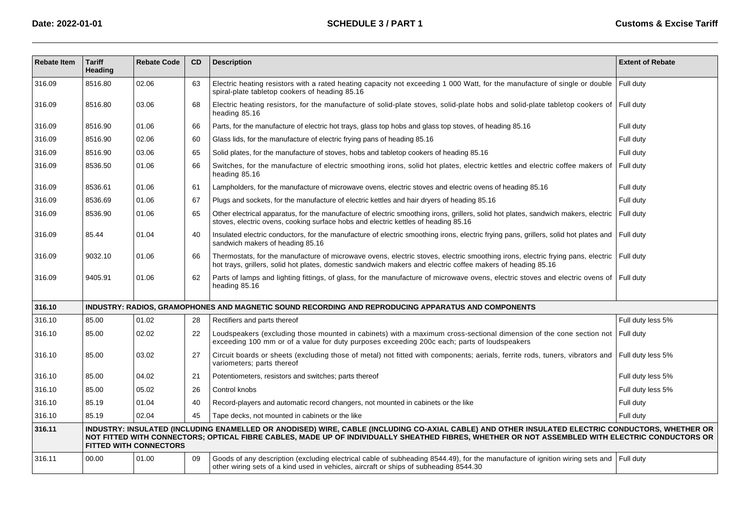| <b>Rebate Item</b> | <b>Tariff</b><br>Heading | <b>Rebate Code</b>            | <b>CD</b> | <b>Description</b>                                                                                                                                                                                                                                                                                  | <b>Extent of Rebate</b> |
|--------------------|--------------------------|-------------------------------|-----------|-----------------------------------------------------------------------------------------------------------------------------------------------------------------------------------------------------------------------------------------------------------------------------------------------------|-------------------------|
| 316.09             | 8516.80                  | 02.06                         | 63        | Electric heating resistors with a rated heating capacity not exceeding 1 000 Watt, for the manufacture of single or double Full duty<br>spiral-plate tabletop cookers of heading 85.16                                                                                                              |                         |
| 316.09             | 8516.80                  | 03.06                         | 68        | Electric heating resistors, for the manufacture of solid-plate stoves, solid-plate hobs and solid-plate tabletop cookers of Full duty<br>heading 85.16                                                                                                                                              |                         |
| 316.09             | 8516.90                  | 01.06                         | 66        | Parts, for the manufacture of electric hot trays, glass top hobs and glass top stoves, of heading 85.16                                                                                                                                                                                             | Full duty               |
| 316.09             | 8516.90                  | 02.06                         | 60        | Glass lids, for the manufacture of electric frying pans of heading 85.16                                                                                                                                                                                                                            | Full duty               |
| 316.09             | 8516.90                  | 03.06                         | 65        | Solid plates, for the manufacture of stoves, hobs and tabletop cookers of heading 85.16                                                                                                                                                                                                             | Full duty               |
| 316.09             | 8536.50                  | 01.06                         | 66        | Switches, for the manufacture of electric smoothing irons, solid hot plates, electric kettles and electric coffee makers of<br>heading 85.16                                                                                                                                                        | Full duty               |
| 316.09             | 8536.61                  | 01.06                         | 61        | Lampholders, for the manufacture of microwave ovens, electric stoves and electric ovens of heading 85.16                                                                                                                                                                                            | Full duty               |
| 316.09             | 8536.69                  | 01.06                         | 67        | Plugs and sockets, for the manufacture of electric kettles and hair dryers of heading 85.16                                                                                                                                                                                                         | Full duty               |
| 316.09             | 8536.90                  | 01.06                         | 65        | Other electrical apparatus, for the manufacture of electric smoothing irons, grillers, solid hot plates, sandwich makers, electric<br>stoves, electric ovens, cooking surface hobs and electric kettles of heading 85.16                                                                            | Full duty               |
| 316.09             | 85.44                    | 01.04                         | 40        | Insulated electric conductors, for the manufacture of electric smoothing irons, electric frying pans, grillers, solid hot plates and Full duty<br>sandwich makers of heading 85.16                                                                                                                  |                         |
| 316.09             | 9032.10                  | 01.06                         | 66        | Thermostats, for the manufacture of microwave ovens, electric stoves, electric smoothing irons, electric frying pans, electric   Full duty<br>hot trays, grillers, solid hot plates, domestic sandwich makers and electric coffee makers of heading 85.16                                           |                         |
| 316.09             | 9405.91                  | 01.06                         | 62        | Parts of lamps and lighting fittings, of glass, for the manufacture of microwave ovens, electric stoves and electric ovens of Full duty<br>heading 85.16                                                                                                                                            |                         |
| 316.10             |                          |                               |           | INDUSTRY: RADIOS, GRAMOPHONES AND MAGNETIC SOUND RECORDING AND REPRODUCING APPARATUS AND COMPONENTS                                                                                                                                                                                                 |                         |
| 316.10             | 85.00                    | 01.02                         | 28        | Rectifiers and parts thereof                                                                                                                                                                                                                                                                        | Full duty less 5%       |
| 316.10             | 85.00                    | 02.02                         | 22        | Loudspeakers (excluding those mounted in cabinets) with a maximum cross-sectional dimension of the cone section not Full duty<br>exceeding 100 mm or of a value for duty purposes exceeding 200c each; parts of loudspeakers                                                                        |                         |
| 316.10             | 85.00                    | 03.02                         | 27        | Circuit boards or sheets (excluding those of metal) not fitted with components; aerials, ferrite rods, tuners, vibrators and Full duty less 5%<br>variometers; parts thereof                                                                                                                        |                         |
| 316.10             | 85.00                    | 04.02                         | 21        | Potentiometers, resistors and switches; parts thereof                                                                                                                                                                                                                                               | Full duty less 5%       |
| 316.10             | 85.00                    | 05.02                         | 26        | Control knobs                                                                                                                                                                                                                                                                                       | Full duty less 5%       |
| 316.10             | 85.19                    | 01.04                         | 40        | Record-players and automatic record changers, not mounted in cabinets or the like                                                                                                                                                                                                                   | Full duty               |
| 316.10             | 85.19                    | 02.04                         | 45        | Tape decks, not mounted in cabinets or the like                                                                                                                                                                                                                                                     | Full duty               |
| 316.11             |                          | <b>FITTED WITH CONNECTORS</b> |           | INDUSTRY: INSULATED (INCLUDING ENAMELLED OR ANODISED) WIRE, CABLE (INCLUDING CO-AXIAL CABLE) AND OTHER INSULATED ELECTRIC CONDUCTORS, WHETHER OR<br>NOT FITTED WITH CONNECTORS; OPTICAL FIBRE CABLES, MADE UP OF INDIVIDUALLY SHEATHED FIBRES, WHETHER OR NOT ASSEMBLED WITH ELECTRIC CONDUCTORS OR |                         |
| 316.11             | 00.00                    | 01.00                         | 09        | Goods of any description (excluding electrical cable of subheading 8544.49), for the manufacture of ignition wiring sets and Full duty<br>other wiring sets of a kind used in vehicles, aircraft or ships of subheading 8544.30                                                                     |                         |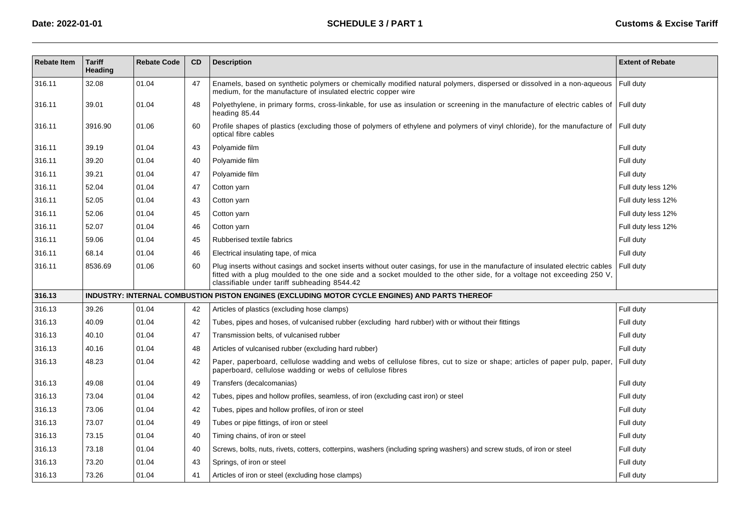| <b>Rebate Item</b> | <b>Tariff</b><br>Heading | <b>Rebate Code</b> | CD | <b>Description</b>                                                                                                                                                                                                                                                                                      | <b>Extent of Rebate</b> |
|--------------------|--------------------------|--------------------|----|---------------------------------------------------------------------------------------------------------------------------------------------------------------------------------------------------------------------------------------------------------------------------------------------------------|-------------------------|
| 316.11             | 32.08                    | 01.04              | 47 | Enamels, based on synthetic polymers or chemically modified natural polymers, dispersed or dissolved in a non-aqueous<br>medium, for the manufacture of insulated electric copper wire                                                                                                                  | Full duty               |
| 316.11             | 39.01                    | 01.04              | 48 | Polyethylene, in primary forms, cross-linkable, for use as insulation or screening in the manufacture of electric cables of<br>heading 85.44                                                                                                                                                            | Full duty               |
| 316.11             | 3916.90                  | 01.06              | 60 | Profile shapes of plastics (excluding those of polymers of ethylene and polymers of vinyl chloride), for the manufacture of<br>optical fibre cables                                                                                                                                                     | Full duty               |
| 316.11             | 39.19                    | 01.04              | 43 | Polyamide film                                                                                                                                                                                                                                                                                          | Full duty               |
| 316.11             | 39.20                    | 01.04              | 40 | Polyamide film                                                                                                                                                                                                                                                                                          | Full duty               |
| 316.11             | 39.21                    | 01.04              | 47 | Polyamide film                                                                                                                                                                                                                                                                                          | Full duty               |
| 316.11             | 52.04                    | 01.04              | 47 | Cotton yarn                                                                                                                                                                                                                                                                                             | Full duty less 12%      |
| 316.11             | 52.05                    | 01.04              | 43 | Cotton yarn                                                                                                                                                                                                                                                                                             | Full duty less 12%      |
| 316.11             | 52.06                    | 01.04              | 45 | Cotton yarn                                                                                                                                                                                                                                                                                             | Full duty less 12%      |
| 316.11             | 52.07                    | 01.04              | 46 | Cotton yarn                                                                                                                                                                                                                                                                                             | Full duty less 12%      |
| 316.11             | 59.06                    | 01.04              | 45 | Rubberised textile fabrics                                                                                                                                                                                                                                                                              | Full duty               |
| 316.11             | 68.14                    | 01.04              | 46 | Electrical insulating tape, of mica                                                                                                                                                                                                                                                                     | Full duty               |
| 316.11             | 8536.69                  | 01.06              | 60 | Plug inserts without casings and socket inserts without outer casings, for use in the manufacture of insulated electric cables<br>fitted with a plug moulded to the one side and a socket moulded to the other side, for a voltage not exceeding 250 V,<br>classifiable under tariff subheading 8544.42 | Full duty               |
| 316.13             |                          |                    |    | INDUSTRY: INTERNAL COMBUSTION PISTON ENGINES (EXCLUDING MOTOR CYCLE ENGINES) AND PARTS THEREOF                                                                                                                                                                                                          |                         |
| 316.13             | 39.26                    | 01.04              | 42 | Articles of plastics (excluding hose clamps)                                                                                                                                                                                                                                                            | Full duty               |
| 316.13             | 40.09                    | 01.04              | 42 | Tubes, pipes and hoses, of vulcanised rubber (excluding hard rubber) with or without their fittings                                                                                                                                                                                                     | Full duty               |
| 316.13             | 40.10                    | 01.04              | 47 | Transmission belts, of vulcanised rubber                                                                                                                                                                                                                                                                | Full duty               |
| 316.13             | 40.16                    | 01.04              | 48 | Articles of vulcanised rubber (excluding hard rubber)                                                                                                                                                                                                                                                   | Full duty               |
| 316.13             | 48.23                    | 01.04              | 42 | Paper, paperboard, cellulose wadding and webs of cellulose fibres, cut to size or shape; articles of paper pulp, paper,<br>paperboard, cellulose wadding or webs of cellulose fibres                                                                                                                    | Full duty               |
| 316.13             | 49.08                    | 01.04              | 49 | Transfers (decalcomanias)                                                                                                                                                                                                                                                                               | Full duty               |
| 316.13             | 73.04                    | 01.04              | 42 | Tubes, pipes and hollow profiles, seamless, of iron (excluding cast iron) or steel                                                                                                                                                                                                                      | Full duty               |
| 316.13             | 73.06                    | 01.04              | 42 | Tubes, pipes and hollow profiles, of iron or steel                                                                                                                                                                                                                                                      | Full duty               |
| 316.13             | 73.07                    | 01.04              | 49 | Tubes or pipe fittings, of iron or steel                                                                                                                                                                                                                                                                | Full duty               |
| 316.13             | 73.15                    | 01.04              | 40 | Timing chains, of iron or steel                                                                                                                                                                                                                                                                         | Full duty               |
| 316.13             | 73.18                    | 01.04              | 40 | Screws, bolts, nuts, rivets, cotters, cotterpins, washers (including spring washers) and screw studs, of iron or steel                                                                                                                                                                                  | Full duty               |
| 316.13             | 73.20                    | 01.04              | 43 | Springs, of iron or steel                                                                                                                                                                                                                                                                               | Full duty               |
| 316.13             | 73.26                    | 01.04              | 41 | Articles of iron or steel (excluding hose clamps)                                                                                                                                                                                                                                                       | Full duty               |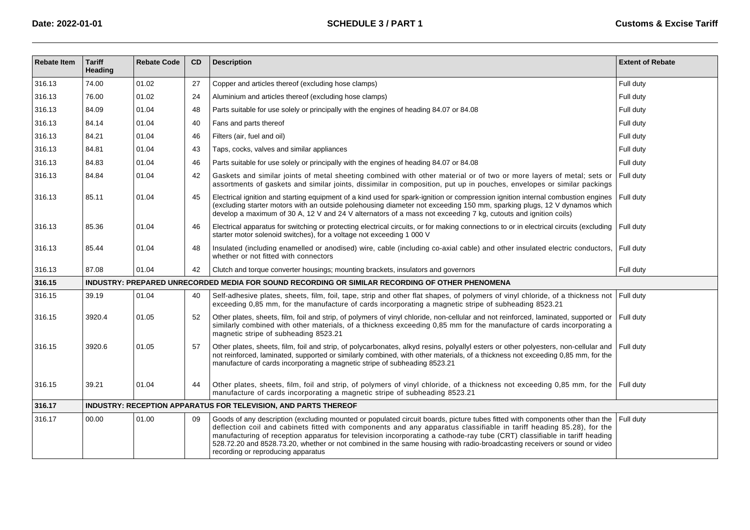| <b>Rebate Item</b> | <b>Tariff</b><br>Heading | <b>Rebate Code</b> | <b>CD</b> | <b>Description</b>                                                                                                                                                                                                                                                                                                                                                                                                                                                                                                                                   | <b>Extent of Rebate</b> |
|--------------------|--------------------------|--------------------|-----------|------------------------------------------------------------------------------------------------------------------------------------------------------------------------------------------------------------------------------------------------------------------------------------------------------------------------------------------------------------------------------------------------------------------------------------------------------------------------------------------------------------------------------------------------------|-------------------------|
| 316.13             | 74.00                    | 01.02              | 27        | Copper and articles thereof (excluding hose clamps)                                                                                                                                                                                                                                                                                                                                                                                                                                                                                                  | Full duty               |
| 316.13             | 76.00                    | 01.02              | 24        | Aluminium and articles thereof (excluding hose clamps)                                                                                                                                                                                                                                                                                                                                                                                                                                                                                               | Full duty               |
| 316.13             | 84.09                    | 01.04              | 48        | Parts suitable for use solely or principally with the engines of heading 84.07 or 84.08                                                                                                                                                                                                                                                                                                                                                                                                                                                              | Full duty               |
| 316.13             | 84.14                    | 01.04              | 40        | Fans and parts thereof                                                                                                                                                                                                                                                                                                                                                                                                                                                                                                                               | Full duty               |
| 316.13             | 84.21                    | 01.04              | 46        | Filters (air, fuel and oil)                                                                                                                                                                                                                                                                                                                                                                                                                                                                                                                          | Full duty               |
| 316.13             | 84.81                    | 01.04              | 43        | Taps, cocks, valves and similar appliances                                                                                                                                                                                                                                                                                                                                                                                                                                                                                                           | Full duty               |
| 316.13             | 84.83                    | 01.04              | 46        | Parts suitable for use solely or principally with the engines of heading 84.07 or 84.08                                                                                                                                                                                                                                                                                                                                                                                                                                                              | Full duty               |
| 316.13             | 84.84                    | 01.04              | 42        | Gaskets and similar joints of metal sheeting combined with other material or of two or more layers of metal; sets or<br>assortments of gaskets and similar joints, dissimilar in composition, put up in pouches, envelopes or similar packings                                                                                                                                                                                                                                                                                                       | Full duty               |
| 316.13             | 85.11                    | 01.04              | 45        | Electrical ignition and starting equipment of a kind used for spark-ignition or compression ignition internal combustion engines<br>(excluding starter motors with an outside polehousing diameter not exceeding 150 mm, sparking plugs, 12 V dynamos which<br>develop a maximum of 30 A, 12 V and 24 V alternators of a mass not exceeding 7 kg, cutouts and ignition coils)                                                                                                                                                                        | Full duty               |
| 316.13             | 85.36                    | 01.04              | 46        | Electrical apparatus for switching or protecting electrical circuits, or for making connections to or in electrical circuits (excluding<br>starter motor solenoid switches), for a voltage not exceeding 1 000 V                                                                                                                                                                                                                                                                                                                                     | Full duty               |
| 316.13             | 85.44                    | 01.04              | 48        | Insulated (including enamelled or anodised) wire, cable (including co-axial cable) and other insulated electric conductors,<br>whether or not fitted with connectors                                                                                                                                                                                                                                                                                                                                                                                 | Full duty               |
| 316.13             | 87.08                    | 01.04              | 42        | Clutch and torque converter housings; mounting brackets, insulators and governors                                                                                                                                                                                                                                                                                                                                                                                                                                                                    | Full duty               |
| 316.15             |                          |                    |           | INDUSTRY: PREPARED UNRECORDED MEDIA FOR SOUND RECORDING OR SIMILAR RECORDING OF OTHER PHENOMENA                                                                                                                                                                                                                                                                                                                                                                                                                                                      |                         |
| 316.15             | 39.19                    | 01.04              | 40        | Self-adhesive plates, sheets, film, foil, tape, strip and other flat shapes, of polymers of vinyl chloride, of a thickness not<br>exceeding 0,85 mm, for the manufacture of cards incorporating a magnetic stripe of subheading 8523.21                                                                                                                                                                                                                                                                                                              | Full duty               |
| 316.15             | 3920.4                   | 01.05              | 52        | Other plates, sheets, film, foil and strip, of polymers of vinyl chloride, non-cellular and not reinforced, laminated, supported or<br>similarly combined with other materials, of a thickness exceeding 0,85 mm for the manufacture of cards incorporating a<br>magnetic stripe of subheading 8523.21                                                                                                                                                                                                                                               | Full duty               |
| 316.15             | 3920.6                   | 01.05              | 57        | Other plates, sheets, film, foil and strip, of polycarbonates, alkyd resins, polyallyl esters or other polyesters, non-cellular and<br>not reinforced, laminated, supported or similarly combined, with other materials, of a thickness not exceeding 0,85 mm, for the<br>manufacture of cards incorporating a magnetic stripe of subheading 8523.21                                                                                                                                                                                                 | Full duty               |
| 316.15             | 39.21                    | 01.04              | 44        | Other plates, sheets, film, foil and strip, of polymers of vinyl chloride, of a thickness not exceeding 0.85 mm, for the Full duty<br>manufacture of cards incorporating a magnetic stripe of subheading 8523.21                                                                                                                                                                                                                                                                                                                                     |                         |
| 316.17             |                          |                    |           | INDUSTRY: RECEPTION APPARATUS FOR TELEVISION, AND PARTS THEREOF                                                                                                                                                                                                                                                                                                                                                                                                                                                                                      |                         |
| 316.17             | 00.00                    | 01.00              | 09        | Goods of any description (excluding mounted or populated circuit boards, picture tubes fitted with components other than the<br>deflection coil and cabinets fitted with components and any apparatus classifiable in tariff heading 85.28), for the<br>manufacturing of reception apparatus for television incorporating a cathode-ray tube (CRT) classifiable in tariff heading<br>528.72.20 and 8528.73.20, whether or not combined in the same housing with radio-broadcasting receivers or sound or video<br>recording or reproducing apparatus | Full duty               |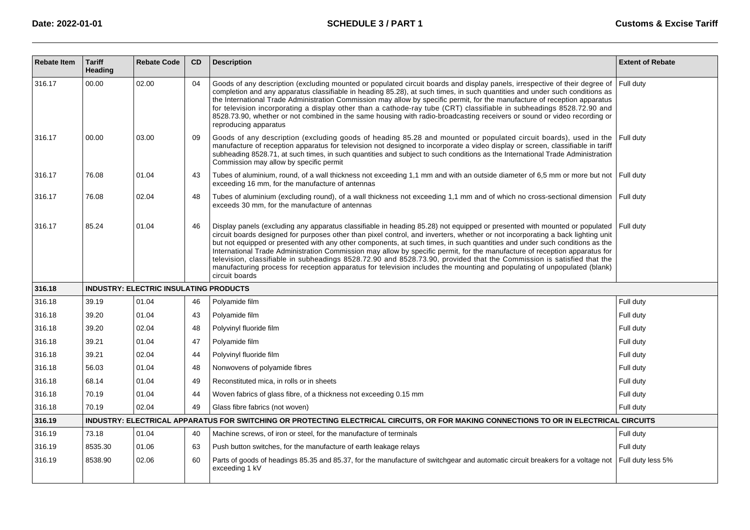| <b>Rebate Item</b> | <b>Tariff</b><br>Heading | <b>Rebate Code</b>                            | <b>CD</b> | <b>Description</b>                                                                                                                                                                                                                                                                                                                                                                                                                                                                                                                                                                                                                                                                                                                                                                                | <b>Extent of Rebate</b> |
|--------------------|--------------------------|-----------------------------------------------|-----------|---------------------------------------------------------------------------------------------------------------------------------------------------------------------------------------------------------------------------------------------------------------------------------------------------------------------------------------------------------------------------------------------------------------------------------------------------------------------------------------------------------------------------------------------------------------------------------------------------------------------------------------------------------------------------------------------------------------------------------------------------------------------------------------------------|-------------------------|
| 316.17             | 00.00                    | 02.00                                         | 04        | Goods of any description (excluding mounted or populated circuit boards and display panels, irrespective of their degree of<br>completion and any apparatus classifiable in heading 85.28), at such times, in such quantities and under such conditions as<br>the International Trade Administration Commission may allow by specific permit, for the manufacture of reception apparatus<br>for television incorporating a display other than a cathode-ray tube (CRT) classifiable in subheadings 8528.72.90 and<br>8528.73.90, whether or not combined in the same housing with radio-broadcasting receivers or sound or video recording or<br>reproducing apparatus                                                                                                                            | Full duty               |
| 316.17             | 00.00                    | 03.00                                         | 09        | Goods of any description (excluding goods of heading 85.28 and mounted or populated circuit boards), used in the<br>manufacture of reception apparatus for television not designed to incorporate a video display or screen, classifiable in tariff<br>subheading 8528.71, at such times, in such quantities and subject to such conditions as the International Trade Administration<br>Commission may allow by specific permit                                                                                                                                                                                                                                                                                                                                                                  | Full duty               |
| 316.17             | 76.08                    | 01.04                                         | 43        | Tubes of aluminium, round, of a wall thickness not exceeding 1,1 mm and with an outside diameter of 6,5 mm or more but not Full duty<br>exceeding 16 mm, for the manufacture of antennas                                                                                                                                                                                                                                                                                                                                                                                                                                                                                                                                                                                                          |                         |
| 316.17             | 76.08                    | 02.04                                         | 48        | Tubes of aluminium (excluding round), of a wall thickness not exceeding 1,1 mm and of which no cross-sectional dimension   Full duty<br>exceeds 30 mm, for the manufacture of antennas                                                                                                                                                                                                                                                                                                                                                                                                                                                                                                                                                                                                            |                         |
| 316.17             | 85.24                    | 01.04                                         | 46        | Display panels (excluding any apparatus classifiable in heading 85.28) not equipped or presented with mounted or populated<br>circuit boards designed for purposes other than pixel control, and inverters, whether or not incorporating a back lighting unit<br>but not equipped or presented with any other components, at such times, in such quantities and under such conditions as the<br>International Trade Administration Commission may allow by specific permit, for the manufacture of reception apparatus for<br>television, classifiable in subheadings 8528.72.90 and 8528.73.90, provided that the Commission is satisfied that the<br>manufacturing process for reception apparatus for television includes the mounting and populating of unpopulated (blank)<br>circuit boards | Full dutv               |
| 316.18             |                          | <b>INDUSTRY: ELECTRIC INSULATING PRODUCTS</b> |           |                                                                                                                                                                                                                                                                                                                                                                                                                                                                                                                                                                                                                                                                                                                                                                                                   |                         |
| 316.18             | 39.19                    | 01.04                                         | 46        | Polyamide film                                                                                                                                                                                                                                                                                                                                                                                                                                                                                                                                                                                                                                                                                                                                                                                    | Full duty               |
| 316.18             | 39.20                    | 01.04                                         | 43        | Polyamide film                                                                                                                                                                                                                                                                                                                                                                                                                                                                                                                                                                                                                                                                                                                                                                                    | Full duty               |
| 316.18             | 39.20                    | 02.04                                         | 48        | Polyvinyl fluoride film                                                                                                                                                                                                                                                                                                                                                                                                                                                                                                                                                                                                                                                                                                                                                                           | Full duty               |
| 316.18             | 39.21                    | 01.04                                         | 47        | Polyamide film                                                                                                                                                                                                                                                                                                                                                                                                                                                                                                                                                                                                                                                                                                                                                                                    | Full duty               |
| 316.18             | 39.21                    | 02.04                                         | 44        | Polyvinyl fluoride film                                                                                                                                                                                                                                                                                                                                                                                                                                                                                                                                                                                                                                                                                                                                                                           | Full duty               |
| 316.18             | 56.03                    | 01.04                                         | 48        | Nonwovens of polyamide fibres                                                                                                                                                                                                                                                                                                                                                                                                                                                                                                                                                                                                                                                                                                                                                                     | Full duty               |
| 316.18             | 68.14                    | 01.04                                         | 49        | Reconstituted mica, in rolls or in sheets                                                                                                                                                                                                                                                                                                                                                                                                                                                                                                                                                                                                                                                                                                                                                         | Full duty               |
| 316.18             | 70.19                    | 01.04                                         | 44        | Woven fabrics of glass fibre, of a thickness not exceeding 0.15 mm                                                                                                                                                                                                                                                                                                                                                                                                                                                                                                                                                                                                                                                                                                                                | Full duty               |
| 316.18             | 70.19                    | 02.04                                         | 49        | Glass fibre fabrics (not woven)                                                                                                                                                                                                                                                                                                                                                                                                                                                                                                                                                                                                                                                                                                                                                                   | Full duty               |
| 316.19             |                          |                                               |           | INDUSTRY: ELECTRICAL APPARATUS FOR SWITCHING OR PROTECTING ELECTRICAL CIRCUITS, OR FOR MAKING CONNECTIONS TO OR IN ELECTRICAL CIRCUITS                                                                                                                                                                                                                                                                                                                                                                                                                                                                                                                                                                                                                                                            |                         |
| 316.19             | 73.18                    | 01.04                                         | 40        | Machine screws, of iron or steel, for the manufacture of terminals                                                                                                                                                                                                                                                                                                                                                                                                                                                                                                                                                                                                                                                                                                                                | Full duty               |
| 316.19             | 8535.30                  | 01.06                                         | 63        | Push button switches, for the manufacture of earth leakage relays                                                                                                                                                                                                                                                                                                                                                                                                                                                                                                                                                                                                                                                                                                                                 | Full duty               |
| 316.19             | 8538.90                  | 02.06                                         | 60        | Parts of goods of headings 85.35 and 85.37, for the manufacture of switchgear and automatic circuit breakers for a voltage not<br>exceeding 1 kV                                                                                                                                                                                                                                                                                                                                                                                                                                                                                                                                                                                                                                                  | Full duty less 5%       |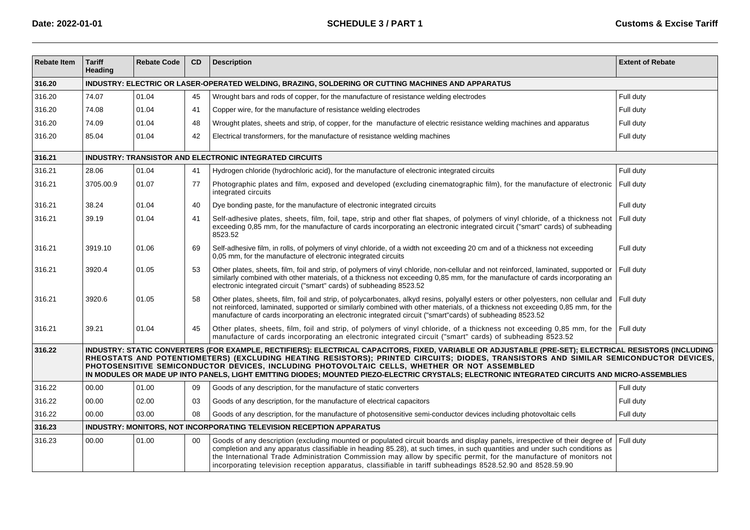| <b>Rebate Item</b> | <b>Tariff</b><br>Heading                                                                           | <b>Rebate Code</b> | CD | <b>Description</b>                                                                                                                                                                                                                                                                                                                                                                                                                                                                                                                                | <b>Extent of Rebate</b> |  |  |  |  |  |
|--------------------|----------------------------------------------------------------------------------------------------|--------------------|----|---------------------------------------------------------------------------------------------------------------------------------------------------------------------------------------------------------------------------------------------------------------------------------------------------------------------------------------------------------------------------------------------------------------------------------------------------------------------------------------------------------------------------------------------------|-------------------------|--|--|--|--|--|
| 316.20             | INDUSTRY: ELECTRIC OR LASER-OPERATED WELDING, BRAZING, SOLDERING OR CUTTING MACHINES AND APPARATUS |                    |    |                                                                                                                                                                                                                                                                                                                                                                                                                                                                                                                                                   |                         |  |  |  |  |  |
| 316.20             | 74.07                                                                                              | 01.04              | 45 | Wrought bars and rods of copper, for the manufacture of resistance welding electrodes                                                                                                                                                                                                                                                                                                                                                                                                                                                             | Full duty               |  |  |  |  |  |
| 316.20             | 74.08                                                                                              | 01.04              | 41 | Copper wire, for the manufacture of resistance welding electrodes                                                                                                                                                                                                                                                                                                                                                                                                                                                                                 | Full duty               |  |  |  |  |  |
| 316.20             | 74.09                                                                                              | 01.04              | 48 | Wrought plates, sheets and strip, of copper, for the manufacture of electric resistance welding machines and apparatus                                                                                                                                                                                                                                                                                                                                                                                                                            | Full duty               |  |  |  |  |  |
| 316.20             | 85.04                                                                                              | 01.04              | 42 | Electrical transformers, for the manufacture of resistance welding machines                                                                                                                                                                                                                                                                                                                                                                                                                                                                       | Full duty               |  |  |  |  |  |
| 316.21             |                                                                                                    |                    |    | INDUSTRY: TRANSISTOR AND ELECTRONIC INTEGRATED CIRCUITS                                                                                                                                                                                                                                                                                                                                                                                                                                                                                           |                         |  |  |  |  |  |
| 316.21             | 28.06                                                                                              | 01.04              | 41 | Hydrogen chloride (hydrochloric acid), for the manufacture of electronic integrated circuits                                                                                                                                                                                                                                                                                                                                                                                                                                                      | Full duty               |  |  |  |  |  |
| 316.21             | 3705.00.9                                                                                          | 01.07              | 77 | Photographic plates and film, exposed and developed (excluding cinematographic film), for the manufacture of electronic<br>integrated circuits                                                                                                                                                                                                                                                                                                                                                                                                    | Full duty               |  |  |  |  |  |
| 316.21             | 38.24                                                                                              | 01.04              | 40 | Dye bonding paste, for the manufacture of electronic integrated circuits                                                                                                                                                                                                                                                                                                                                                                                                                                                                          | Full duty               |  |  |  |  |  |
| 316.21             | 39.19                                                                                              | 01.04              | 41 | Self-adhesive plates, sheets, film, foil, tape, strip and other flat shapes, of polymers of vinyl chloride, of a thickness not<br>exceeding 0,85 mm, for the manufacture of cards incorporating an electronic integrated circuit ("smart" cards) of subheading<br>8523.52                                                                                                                                                                                                                                                                         | Full duty               |  |  |  |  |  |
| 316.21             | 3919.10                                                                                            | 01.06              | 69 | Self-adhesive film, in rolls, of polymers of vinyl chloride, of a width not exceeding 20 cm and of a thickness not exceeding<br>0,05 mm, for the manufacture of electronic integrated circuits                                                                                                                                                                                                                                                                                                                                                    | Full duty               |  |  |  |  |  |
| 316.21             | 3920.4                                                                                             | 01.05              | 53 | Other plates, sheets, film, foil and strip, of polymers of vinyl chloride, non-cellular and not reinforced, laminated, supported or<br>similarly combined with other materials, of a thickness not exceeding 0,85 mm, for the manufacture of cards incorporating an<br>electronic integrated circuit ("smart" cards) of subheading 8523.52                                                                                                                                                                                                        | Full duty               |  |  |  |  |  |
| 316.21             | 3920.6                                                                                             | 01.05              | 58 | Other plates, sheets, film, foil and strip, of polycarbonates, alkyd resins, polyallyl esters or other polyesters, non cellular and<br>not reinforced, laminated, supported or similarly combined with other materials, of a thickness not exceeding 0,85 mm, for the<br>manufacture of cards incorporating an electronic integrated circuit ("smart"cards) of subheading 8523.52                                                                                                                                                                 | Full duty               |  |  |  |  |  |
| 316.21             | 39.21                                                                                              | 01.04              | 45 | Other plates, sheets, film, foil and strip, of polymers of vinyl chloride, of a thickness not exceeding 0,85 mm, for the Full duty<br>manufacture of cards incorporating an electronic integrated circuit ("smart" cards) of subheading 8523.52                                                                                                                                                                                                                                                                                                   |                         |  |  |  |  |  |
| 316.22             |                                                                                                    |                    |    | INDUSTRY: STATIC CONVERTERS (FOR EXAMPLE, RECTIFIERS): ELECTRICAL CAPACITORS, FIXED, VARIABLE OR ADJUSTABLE (PRE-SET); ELECTRICAL RESISTORS (INCLUDING<br>RHEOSTATS AND POTENTIOMETERS) (EXCLUDING HEATING RESISTORS); PRINTED CIRCUITS; DIODES, TRANSISTORS AND SIMILAR SEMICONDUCTOR DEVICES,<br>PHOTOSENSITIVE SEMICONDUCTOR DEVICES, INCLUDING PHOTOVOLTAIC CELLS, WHETHER OR NOT ASSEMBLED<br>IN MODULES OR MADE UP INTO PANELS, LIGHT EMITTING DIODES; MOUNTED PIEZO-ELECTRIC CRYSTALS; ELECTRONIC INTEGRATED CIRCUITS AND MICRO-ASSEMBLIES |                         |  |  |  |  |  |
| 316.22             | 00.00                                                                                              | 01.00              | 09 | Goods of any description, for the manufacture of static converters                                                                                                                                                                                                                                                                                                                                                                                                                                                                                | Full duty               |  |  |  |  |  |
| 316.22             | 00.00                                                                                              | 02.00              | 03 | Goods of any description, for the manufacture of electrical capacitors                                                                                                                                                                                                                                                                                                                                                                                                                                                                            | Full duty               |  |  |  |  |  |
| 316.22             | 00.00                                                                                              | 03.00              | 08 | Goods of any description, for the manufacture of photosensitive semi-conductor devices including photovoltaic cells                                                                                                                                                                                                                                                                                                                                                                                                                               | Full duty               |  |  |  |  |  |
| 316.23             |                                                                                                    |                    |    | INDUSTRY: MONITORS, NOT INCORPORATING TELEVISION RECEPTION APPARATUS                                                                                                                                                                                                                                                                                                                                                                                                                                                                              |                         |  |  |  |  |  |
| 316.23             | 00.00                                                                                              | 01.00              | 00 | Goods of any description (excluding mounted or populated circuit boards and display panels, irrespective of their degree of<br>completion and any apparatus classifiable in heading 85.28), at such times, in such quantities and under such conditions as<br>the International Trade Administration Commission may allow by specific permit, for the manufacture of monitors not<br>incorporating television reception apparatus, classifiable in tariff subheadings 8528.52.90 and 8528.59.90                                                   | Full duty               |  |  |  |  |  |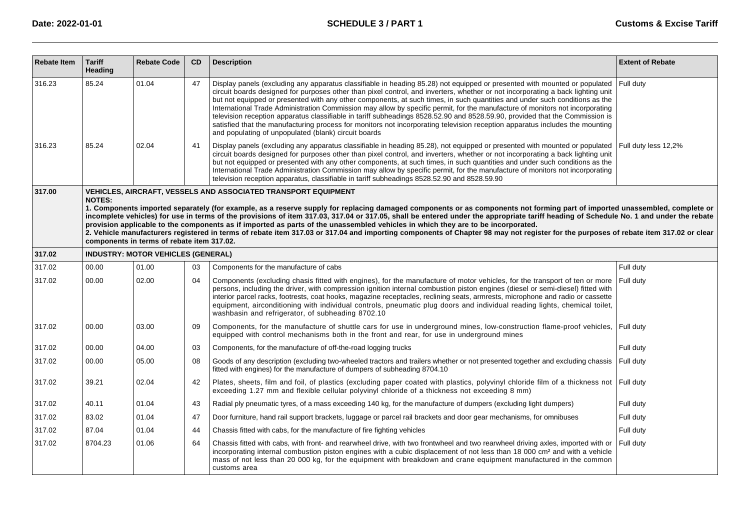| <b>Rebate Item</b> | <b>Tariff</b><br>Heading | <b>Rebate Code</b>                         | CD | <b>Description</b>                                                                                                                                                                                                                                                                                                                                                                                                                                                                                                                                                                                                                                                                                                                                                                                                                                    | <b>Extent of Rebate</b> |
|--------------------|--------------------------|--------------------------------------------|----|-------------------------------------------------------------------------------------------------------------------------------------------------------------------------------------------------------------------------------------------------------------------------------------------------------------------------------------------------------------------------------------------------------------------------------------------------------------------------------------------------------------------------------------------------------------------------------------------------------------------------------------------------------------------------------------------------------------------------------------------------------------------------------------------------------------------------------------------------------|-------------------------|
| 316.23             | 85.24                    | 01.04                                      | 47 | Display panels (excluding any apparatus classifiable in heading 85.28) not equipped or presented with mounted or populated<br>circuit boards designed for purposes other than pixel control, and inverters, whether or not incorporating a back lighting unit<br>but not equipped or presented with any other components, at such times, in such quantities and under such conditions as the<br>International Trade Administration Commission may allow by specific permit, for the manufacture of monitors not incorporating<br>television reception apparatus classifiable in tariff subheadings 8528.52.90 and 8528.59.90, provided that the Commission is<br>satisfied that the manufacturing process for monitors not incorporating television reception apparatus includes the mounting<br>and populating of unpopulated (blank) circuit boards | Full duty               |
| 316.23             | 85.24                    | 02.04                                      | 41 | Display panels (excluding any apparatus classifiable in heading 85.28), not equipped or presented with mounted or populated<br>circuit boards designed for purposes other than pixel control, and inverters, whether or not incorporating a back lighting unit<br>but not equipped or presented with any other components, at such times, in such quantities and under such conditions as the<br>International Trade Administration Commission may allow by specific permit, for the manufacture of monitors not incorporating<br>television reception apparatus, classifiable in tariff subheadings 8528.52.90 and 8528.59.90                                                                                                                                                                                                                        | Full duty less 12,2%    |
| 317.00             | <b>NOTES:</b>            |                                            |    | <b>VEHICLES, AIRCRAFT, VESSELS AND ASSOCIATED TRANSPORT EQUIPMENT</b>                                                                                                                                                                                                                                                                                                                                                                                                                                                                                                                                                                                                                                                                                                                                                                                 |                         |
|                    |                          | components in terms of rebate item 317.02. |    | 1. Components imported separately (for example, as a reserve supply for replacing damaged components or as components not forming part of imported unassembled, complete or<br>incomplete vehicles) for use in terms of the provisions of item 317.03, 317.04 or 317.05, shall be entered under the appropriate tariff heading of Schedule No. 1 and under the rebate<br>provision applicable to the components as if imported as parts of the unassembled vehicles in which they are to be incorporated.<br>2. Vehicle manufacturers registered in terms of rebate item 317.03 or 317.04 and importing components of Chapter 98 may not register for the purposes of rebate item 317.02 or clear                                                                                                                                                     |                         |
| 317.02             |                          | <b>INDUSTRY: MOTOR VEHICLES (GENERAL)</b>  |    |                                                                                                                                                                                                                                                                                                                                                                                                                                                                                                                                                                                                                                                                                                                                                                                                                                                       |                         |
| 317.02             | 00.00                    | 01.00                                      | 03 | Components for the manufacture of cabs                                                                                                                                                                                                                                                                                                                                                                                                                                                                                                                                                                                                                                                                                                                                                                                                                | Full dutv               |
| 317.02             | 00.00                    | 02.00                                      | 04 | Components (excluding chasis fitted with engines), for the manufacture of motor vehicles, for the transport of ten or more<br>persons, including the driver, with compression ignition internal combustion piston engines (diesel or semi-diesel) fitted with<br>interior parcel racks, footrests, coat hooks, magazine receptacles, reclining seats, armrests, microphone and radio or cassette<br>equipment, airconditioning with individual controls, pneumatic plug doors and individual reading lights, chemical toilet,<br>washbasin and refrigerator, of subheading 8702.10                                                                                                                                                                                                                                                                    | Full duty               |
| 317.02             | 00.00                    | 03.00                                      | 09 | Components, for the manufacture of shuttle cars for use in underground mines, low-construction flame-proof vehicles,<br>equipped with control mechanisms both in the front and rear, for use in underground mines                                                                                                                                                                                                                                                                                                                                                                                                                                                                                                                                                                                                                                     | Full duty               |
| 317.02             | 00.00                    | 04.00                                      | 03 | Components, for the manufacture of off-the-road logging trucks                                                                                                                                                                                                                                                                                                                                                                                                                                                                                                                                                                                                                                                                                                                                                                                        | Full duty               |
| 317.02             | 00.00                    | 05.00                                      | 08 | Goods of any description (excluding two-wheeled tractors and trailers whether or not presented together and excluding chassis<br>fitted with engines) for the manufacture of dumpers of subheading 8704.10                                                                                                                                                                                                                                                                                                                                                                                                                                                                                                                                                                                                                                            | Full duty               |
| 317.02             | 39.21                    | 02.04                                      | 42 | Plates, sheets, film and foil, of plastics (excluding paper coated with plastics, polyvinyl chloride film of a thickness not Full duty<br>exceeding 1.27 mm and flexible cellular polyvinyl chloride of a thickness not exceeding 8 mm)                                                                                                                                                                                                                                                                                                                                                                                                                                                                                                                                                                                                               |                         |
| 317.02             | 40.11                    | 01.04                                      | 43 | Radial ply pneumatic tyres, of a mass exceeding 140 kg, for the manufacture of dumpers (excluding light dumpers)                                                                                                                                                                                                                                                                                                                                                                                                                                                                                                                                                                                                                                                                                                                                      | Full duty               |
| 317.02             | 83.02                    | 01.04                                      | 47 | Door furniture, hand rail support brackets, luggage or parcel rail brackets and door gear mechanisms, for omnibuses                                                                                                                                                                                                                                                                                                                                                                                                                                                                                                                                                                                                                                                                                                                                   | Full duty               |
| 317.02             | 87.04                    | 01.04                                      | 44 | Chassis fitted with cabs, for the manufacture of fire fighting vehicles                                                                                                                                                                                                                                                                                                                                                                                                                                                                                                                                                                                                                                                                                                                                                                               | Full duty               |
| 317.02             | 8704.23                  | 01.06                                      | 64 | Chassis fitted with cabs, with front- and rearwheel drive, with two frontwheel and two rearwheel driving axles, imported with or<br>incorporating internal combustion piston engines with a cubic displacement of not less than 18 000 cm <sup>2</sup> and with a vehicle<br>mass of not less than 20 000 kg, for the equipment with breakdown and crane equipment manufactured in the common<br>customs area                                                                                                                                                                                                                                                                                                                                                                                                                                         | Full duty               |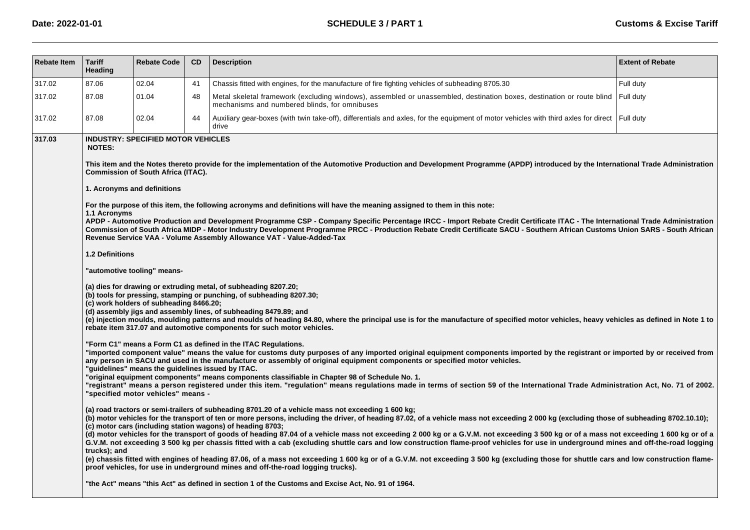| <b>Rebate Item</b> | <b>Tariff</b><br>Heading                                         | <b>Rebate Code</b>                                                                                                                                                                                                                                                                  | CD | <b>Description</b>                                                                                                                                                                                                                                                                                                                                                                                                                                                                                                                                                                                                                                                                                                                                                                                                                                                                                                                                                                                                                                                                                                                                                                                                                                                                                                                                                                                                                                                                                                                                                                                                                                                                                                                                                                                                                                                                                                                                                                                                                                                                                                                                                                                                                                                                                                                                                                                                                                                                                                                                                                                                                                                                                                                                                                                                                                                                                                                                                                                                                                    | <b>Extent of Rebate</b> |
|--------------------|------------------------------------------------------------------|-------------------------------------------------------------------------------------------------------------------------------------------------------------------------------------------------------------------------------------------------------------------------------------|----|-------------------------------------------------------------------------------------------------------------------------------------------------------------------------------------------------------------------------------------------------------------------------------------------------------------------------------------------------------------------------------------------------------------------------------------------------------------------------------------------------------------------------------------------------------------------------------------------------------------------------------------------------------------------------------------------------------------------------------------------------------------------------------------------------------------------------------------------------------------------------------------------------------------------------------------------------------------------------------------------------------------------------------------------------------------------------------------------------------------------------------------------------------------------------------------------------------------------------------------------------------------------------------------------------------------------------------------------------------------------------------------------------------------------------------------------------------------------------------------------------------------------------------------------------------------------------------------------------------------------------------------------------------------------------------------------------------------------------------------------------------------------------------------------------------------------------------------------------------------------------------------------------------------------------------------------------------------------------------------------------------------------------------------------------------------------------------------------------------------------------------------------------------------------------------------------------------------------------------------------------------------------------------------------------------------------------------------------------------------------------------------------------------------------------------------------------------------------------------------------------------------------------------------------------------------------------------------------------------------------------------------------------------------------------------------------------------------------------------------------------------------------------------------------------------------------------------------------------------------------------------------------------------------------------------------------------------------------------------------------------------------------------------------------------------|-------------------------|
| 317.02             | 87.06                                                            | 02.04                                                                                                                                                                                                                                                                               | 41 | Chassis fitted with engines, for the manufacture of fire fighting vehicles of subheading 8705.30                                                                                                                                                                                                                                                                                                                                                                                                                                                                                                                                                                                                                                                                                                                                                                                                                                                                                                                                                                                                                                                                                                                                                                                                                                                                                                                                                                                                                                                                                                                                                                                                                                                                                                                                                                                                                                                                                                                                                                                                                                                                                                                                                                                                                                                                                                                                                                                                                                                                                                                                                                                                                                                                                                                                                                                                                                                                                                                                                      | Full duty               |
| 317.02             | 87.08                                                            | 01.04                                                                                                                                                                                                                                                                               | 48 | Metal skeletal framework (excluding windows), assembled or unassembled, destination boxes, destination or route blind<br>mechanisms and numbered blinds, for omnibuses                                                                                                                                                                                                                                                                                                                                                                                                                                                                                                                                                                                                                                                                                                                                                                                                                                                                                                                                                                                                                                                                                                                                                                                                                                                                                                                                                                                                                                                                                                                                                                                                                                                                                                                                                                                                                                                                                                                                                                                                                                                                                                                                                                                                                                                                                                                                                                                                                                                                                                                                                                                                                                                                                                                                                                                                                                                                                | Full duty               |
| 317.02             | 87.08                                                            | 02.04                                                                                                                                                                                                                                                                               | 44 | Auxiliary gear-boxes (with twin take-off), differentials and axles, for the equipment of motor vehicles with third axles for direct   Full duty<br>drive                                                                                                                                                                                                                                                                                                                                                                                                                                                                                                                                                                                                                                                                                                                                                                                                                                                                                                                                                                                                                                                                                                                                                                                                                                                                                                                                                                                                                                                                                                                                                                                                                                                                                                                                                                                                                                                                                                                                                                                                                                                                                                                                                                                                                                                                                                                                                                                                                                                                                                                                                                                                                                                                                                                                                                                                                                                                                              |                         |
| 317.03             | <b>NOTES:</b><br>1.1 Acronyms<br>1.2 Definitions<br>trucks): and | <b>INDUSTRY: SPECIFIED MOTOR VEHICLES</b><br>Commission of South Africa (ITAC).<br>1. Acronyms and definitions<br>"automotive tooling" means-<br>(c) work holders of subheading 8466.20;<br>"guidelines" means the guidelines issued by ITAC.<br>"specified motor vehicles" means - |    | This item and the Notes thereto provide for the implementation of the Automotive Production and Development Programme (APDP) introduced by the International Trade Administration<br>For the purpose of this item, the following acronyms and definitions will have the meaning assigned to them in this note:<br>APDP - Automotive Production and Development Programme CSP - Company Specific Percentage IRCC - Import Rebate Credit Certificate ITAC - The International Trade Administration<br>Commission of South Africa MIDP - Motor Industry Development Programme PRCC - Production Rebate Credit Certificate SACU - Southern African Customs Union SARS - South African<br>Revenue Service VAA - Volume Assembly Allowance VAT - Value-Added-Tax<br>(a) dies for drawing or extruding metal, of subheading 8207.20;<br>(b) tools for pressing, stamping or punching, of subheading 8207.30;<br>(d) assembly jigs and assembly lines, of subheading 8479.89; and<br>(e) injection moulds, moulding patterns and moulds of heading 84.80, where the principal use is for the manufacture of specified motor vehicles, heavy vehicles as defined in Note 1 to<br>rebate item 317.07 and automotive components for such motor vehicles.<br>"Form C1" means a Form C1 as defined in the ITAC Requlations.<br>"imported component value" means the value for customs duty purposes of any imported original equipment components imported by the registrant or imported by or received from<br>any person in SACU and used in the manufacture or assembly of original equipment components or specified motor vehicles.<br>"original equipment components" means components classifiable in Chapter 98 of Schedule No. 1.<br>"registrant" means a person registered under this item. "regulation" means regulations made in terms of section 59 of the International Trade Administration Act, No. 71 of 2002.<br>(a) road tractors or semi-trailers of subheading 8701.20 of a vehicle mass not exceeding 1 600 kg;<br>(b) motor vehicles for the transport of ten or more persons, including the driver, of heading 87.02, of a vehicle mass not exceeding 2 000 kg (excluding those of subheading 8702.10.10);<br>(c) motor cars (including station wagons) of heading 8703;<br>(d) motor vehicles for the transport of goods of heading 87.04 of a vehicle mass not exceeding 2 000 kg or a G.V.M. not exceeding 3 500 kg or of a mass not exceeding 1 600 kg or of a<br>G.V.M. not exceeding 3 500 kg per chassis fitted with a cab (excluding shuttle cars and low construction flame-proof vehicles for use in underground mines and off-the-road logging<br>(e) chassis fitted with engines of heading 87.06, of a mass not exceeding 1 600 kg or of a G.V.M. not exceeding 3 500 kg (excluding those for shuttle cars and low construction flame-<br>proof vehicles, for use in underground mines and off-the-road logging trucks).<br>the Act" means "this Act" as defined in section 1 of the Customs and Excise Act, No. 91 of 1964." |                         |
|                    |                                                                  |                                                                                                                                                                                                                                                                                     |    |                                                                                                                                                                                                                                                                                                                                                                                                                                                                                                                                                                                                                                                                                                                                                                                                                                                                                                                                                                                                                                                                                                                                                                                                                                                                                                                                                                                                                                                                                                                                                                                                                                                                                                                                                                                                                                                                                                                                                                                                                                                                                                                                                                                                                                                                                                                                                                                                                                                                                                                                                                                                                                                                                                                                                                                                                                                                                                                                                                                                                                                       |                         |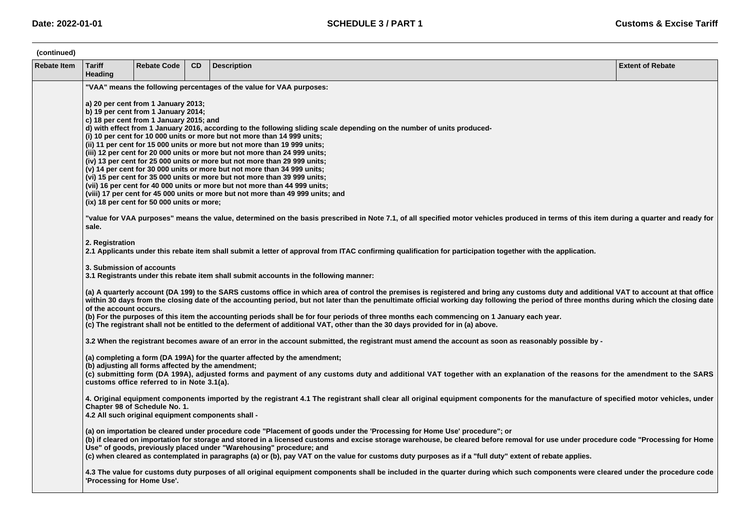| (continued)        |                                                                                                                                                                                                                                                                                                                                                                                                                                                                                                                                                                                                                                                                                                                                                                                                                                                                                                                                                                                                                                                                                                                                                                                                                                                                                                                                                                                                                                                                                                                                  |                                                                                                  |           |                                                                                                                                                                                                                                                                                                                                                                                                                                                                                                                                                                                                                                                                      |                         |  |  |  |  |
|--------------------|----------------------------------------------------------------------------------------------------------------------------------------------------------------------------------------------------------------------------------------------------------------------------------------------------------------------------------------------------------------------------------------------------------------------------------------------------------------------------------------------------------------------------------------------------------------------------------------------------------------------------------------------------------------------------------------------------------------------------------------------------------------------------------------------------------------------------------------------------------------------------------------------------------------------------------------------------------------------------------------------------------------------------------------------------------------------------------------------------------------------------------------------------------------------------------------------------------------------------------------------------------------------------------------------------------------------------------------------------------------------------------------------------------------------------------------------------------------------------------------------------------------------------------|--------------------------------------------------------------------------------------------------|-----------|----------------------------------------------------------------------------------------------------------------------------------------------------------------------------------------------------------------------------------------------------------------------------------------------------------------------------------------------------------------------------------------------------------------------------------------------------------------------------------------------------------------------------------------------------------------------------------------------------------------------------------------------------------------------|-------------------------|--|--|--|--|
| <b>Rebate Item</b> | <b>Tariff</b><br>Heading                                                                                                                                                                                                                                                                                                                                                                                                                                                                                                                                                                                                                                                                                                                                                                                                                                                                                                                                                                                                                                                                                                                                                                                                                                                                                                                                                                                                                                                                                                         | <b>Rebate Code</b>                                                                               | <b>CD</b> | <b>Description</b>                                                                                                                                                                                                                                                                                                                                                                                                                                                                                                                                                                                                                                                   | <b>Extent of Rebate</b> |  |  |  |  |
|                    | "VAA" means the following percentages of the value for VAA purposes:<br>a) 20 per cent from 1 January 2013;<br>b) 19 per cent from 1 January 2014;<br>c) 18 per cent from 1 January 2015; and<br>d) with effect from 1 January 2016, according to the following sliding scale depending on the number of units produced-<br>(i) 10 per cent for 10 000 units or more but not more than 14 999 units;<br>(ii) 11 per cent for 15 000 units or more but not more than 19 999 units;<br>(iii) 12 per cent for 20 000 units or more but not more than 24 999 units;<br>(iv) 13 per cent for 25 000 units or more but not more than 29 999 units;<br>(v) 14 per cent for 30 000 units or more but not more than 34 999 units;<br>(vi) 15 per cent for 35 000 units or more but not more than 39 999 units;<br>(vii) 16 per cent for 40 000 units or more but not more than 44 999 units;<br>(viii) 17 per cent for 45 000 units or more but not more than 49 999 units; and<br>(ix) 18 per cent for 50 000 units or more;<br>"value for VAA purposes" means the value, determined on the basis prescribed in Note 7.1, of all specified motor vehicles produced in terms of this item during a quarter and ready for<br>sale.<br>2. Registration<br>2.1 Applicants under this rebate item shall submit a letter of approval from ITAC confirming qualification for participation together with the application.<br>3. Submission of accounts<br>3.1 Registrants under this rebate item shall submit accounts in the following manner: |                                                                                                  |           |                                                                                                                                                                                                                                                                                                                                                                                                                                                                                                                                                                                                                                                                      |                         |  |  |  |  |
|                    |                                                                                                                                                                                                                                                                                                                                                                                                                                                                                                                                                                                                                                                                                                                                                                                                                                                                                                                                                                                                                                                                                                                                                                                                                                                                                                                                                                                                                                                                                                                                  |                                                                                                  |           |                                                                                                                                                                                                                                                                                                                                                                                                                                                                                                                                                                                                                                                                      |                         |  |  |  |  |
|                    | of the account occurs.                                                                                                                                                                                                                                                                                                                                                                                                                                                                                                                                                                                                                                                                                                                                                                                                                                                                                                                                                                                                                                                                                                                                                                                                                                                                                                                                                                                                                                                                                                           |                                                                                                  |           | (a) A quarterly account (DA 199) to the SARS customs office in which area of control the premises is registered and bring any customs duty and additional VAT to account at that office<br>within 30 days from the closing date of the accounting period, but not later than the penultimate official working day following the period of three months during which the closing date<br>(b) For the purposes of this item the accounting periods shall be for four periods of three months each commencing on 1 January each year.<br>(c) The registrant shall not be entitled to the deferment of additional VAT, other than the 30 days provided for in (a) above. |                         |  |  |  |  |
|                    |                                                                                                                                                                                                                                                                                                                                                                                                                                                                                                                                                                                                                                                                                                                                                                                                                                                                                                                                                                                                                                                                                                                                                                                                                                                                                                                                                                                                                                                                                                                                  |                                                                                                  |           | 3.2 When the registrant becomes aware of an error in the account submitted, the registrant must amend the account as soon as reasonably possible by -                                                                                                                                                                                                                                                                                                                                                                                                                                                                                                                |                         |  |  |  |  |
|                    |                                                                                                                                                                                                                                                                                                                                                                                                                                                                                                                                                                                                                                                                                                                                                                                                                                                                                                                                                                                                                                                                                                                                                                                                                                                                                                                                                                                                                                                                                                                                  | (b) adjusting all forms affected by the amendment;<br>customs office referred to in Note 3.1(a). |           | (a) completing a form (DA 199A) for the quarter affected by the amendment;<br>(c) submitting form (DA 199A), adjusted forms and payment of any customs duty and additional VAT together with an explanation of the reasons for the amendment to the SARS                                                                                                                                                                                                                                                                                                                                                                                                             |                         |  |  |  |  |
|                    |                                                                                                                                                                                                                                                                                                                                                                                                                                                                                                                                                                                                                                                                                                                                                                                                                                                                                                                                                                                                                                                                                                                                                                                                                                                                                                                                                                                                                                                                                                                                  | Chapter 98 of Schedule No. 1.<br>4.2 All such original equipment components shall -              |           | 4. Original equipment components imported by the registrant 4.1 The registrant shall clear all original equipment components for the manufacture of specified motor vehicles, under                                                                                                                                                                                                                                                                                                                                                                                                                                                                                  |                         |  |  |  |  |
|                    |                                                                                                                                                                                                                                                                                                                                                                                                                                                                                                                                                                                                                                                                                                                                                                                                                                                                                                                                                                                                                                                                                                                                                                                                                                                                                                                                                                                                                                                                                                                                  |                                                                                                  |           | (a) on importation be cleared under procedure code "Placement of goods under the 'Processing for Home Use' procedure"; or<br>(b) if cleared on importation for storage and stored in a licensed customs and excise storage warehouse, be cleared before removal for use under procedure code "Processing for Home<br>Use" of goods, previously placed under "Warehousing" procedure; and<br>(c) when cleared as contemplated in paragraphs (a) or (b), pay VAT on the value for customs duty purposes as if a "full duty" extent of rebate applies.                                                                                                                  |                         |  |  |  |  |
|                    | 'Processing for Home Use'.                                                                                                                                                                                                                                                                                                                                                                                                                                                                                                                                                                                                                                                                                                                                                                                                                                                                                                                                                                                                                                                                                                                                                                                                                                                                                                                                                                                                                                                                                                       |                                                                                                  |           | 4.3 The value for customs duty purposes of all original equipment components shall be included in the quarter during which such components were cleared under the procedure code                                                                                                                                                                                                                                                                                                                                                                                                                                                                                     |                         |  |  |  |  |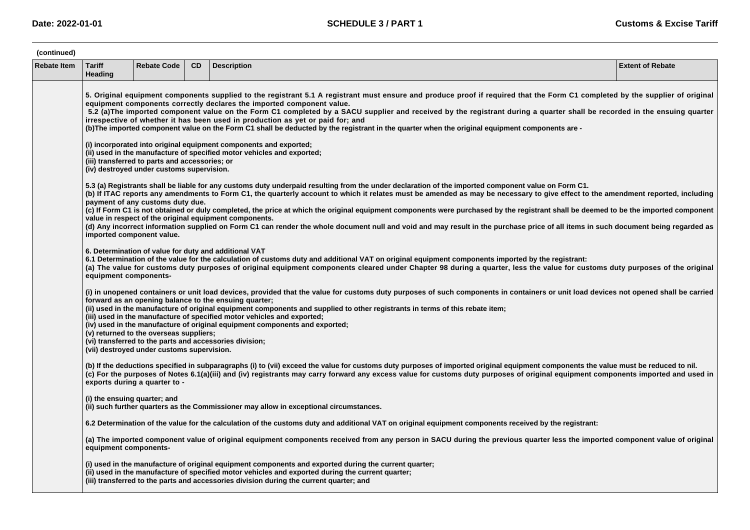| (continued)        |                                                                                                                                                                                                                                                                                                                                                                                                                                                                                                                                                                                                                                                                         |                                            |           |                                                                                                                                                                                                                                                                                                                                                                                                                                                                                                                                                                                           |                         |  |  |  |  |  |  |
|--------------------|-------------------------------------------------------------------------------------------------------------------------------------------------------------------------------------------------------------------------------------------------------------------------------------------------------------------------------------------------------------------------------------------------------------------------------------------------------------------------------------------------------------------------------------------------------------------------------------------------------------------------------------------------------------------------|--------------------------------------------|-----------|-------------------------------------------------------------------------------------------------------------------------------------------------------------------------------------------------------------------------------------------------------------------------------------------------------------------------------------------------------------------------------------------------------------------------------------------------------------------------------------------------------------------------------------------------------------------------------------------|-------------------------|--|--|--|--|--|--|
| <b>Rebate Item</b> | <b>Tariff</b><br>Heading                                                                                                                                                                                                                                                                                                                                                                                                                                                                                                                                                                                                                                                | <b>Rebate Code</b>                         | <b>CD</b> | <b>Description</b>                                                                                                                                                                                                                                                                                                                                                                                                                                                                                                                                                                        | <b>Extent of Rebate</b> |  |  |  |  |  |  |
|                    | 5. Original equipment components supplied to the registrant 5.1 A registrant must ensure and produce proof if required that the Form C1 completed by the supplier of original<br>equipment components correctly declares the imported component value.<br>5.2 (a)The imported component value on the Form C1 completed by a SACU supplier and received by the registrant during a quarter shall be recorded in the ensuing quarter<br>irrespective of whether it has been used in production as yet or paid for; and<br>(b) The imported component value on the Form C1 shall be deducted by the registrant in the quarter when the original equipment components are - |                                            |           |                                                                                                                                                                                                                                                                                                                                                                                                                                                                                                                                                                                           |                         |  |  |  |  |  |  |
|                    | (i) incorporated into original equipment components and exported;<br>(ii) used in the manufacture of specified motor vehicles and exported;<br>(iii) transferred to parts and accessories; or<br>(iv) destroyed under customs supervision.                                                                                                                                                                                                                                                                                                                                                                                                                              |                                            |           |                                                                                                                                                                                                                                                                                                                                                                                                                                                                                                                                                                                           |                         |  |  |  |  |  |  |
|                    |                                                                                                                                                                                                                                                                                                                                                                                                                                                                                                                                                                                                                                                                         | payment of any customs duty due.           |           | 5.3 (a) Registrants shall be liable for any customs duty underpaid resulting from the under declaration of the imported component value on Form C1.<br>(b) If ITAC reports any amendments to Form C1, the quarterly account to which it relates must be amended as may be necessary to give effect to the amendment reported, including<br>(c) If Form C1 is not obtained or duly completed, the price at which the original equipment components were purchased by the registrant shall be deemed to be the imported component<br>value in respect of the original equipment components. |                         |  |  |  |  |  |  |
|                    |                                                                                                                                                                                                                                                                                                                                                                                                                                                                                                                                                                                                                                                                         | imported component value.                  |           | (d) Any incorrect information supplied on Form C1 can render the whole document null and void and may result in the purchase price of all items in such document being regarded as                                                                                                                                                                                                                                                                                                                                                                                                        |                         |  |  |  |  |  |  |
|                    | equipment components-                                                                                                                                                                                                                                                                                                                                                                                                                                                                                                                                                                                                                                                   |                                            |           | 6. Determination of value for duty and additional VAT<br>6.1 Determination of the value for the calculation of customs duty and additional VAT on original equipment components imported by the registrant:<br>(a) The value for customs duty purposes of original equipment components cleared under Chapter 98 during a quarter, less the value for customs duty purposes of the original                                                                                                                                                                                               |                         |  |  |  |  |  |  |
|                    |                                                                                                                                                                                                                                                                                                                                                                                                                                                                                                                                                                                                                                                                         | (v) returned to the overseas suppliers;    |           | (i) in unopened containers or unit load devices, provided that the value for customs duty purposes of such components in containers or unit load devices not opened shall be carried<br>forward as an opening balance to the ensuing quarter;<br>(ii) used in the manufacture of original equipment components and supplied to other registrants in terms of this rebate item;<br>(iii) used in the manufacture of specified motor vehicles and exported;<br>(iv) used in the manufacture of original equipment components and exported;                                                  |                         |  |  |  |  |  |  |
|                    |                                                                                                                                                                                                                                                                                                                                                                                                                                                                                                                                                                                                                                                                         | (vii) destroyed under customs supervision. |           | (vi) transferred to the parts and accessories division;                                                                                                                                                                                                                                                                                                                                                                                                                                                                                                                                   |                         |  |  |  |  |  |  |
|                    |                                                                                                                                                                                                                                                                                                                                                                                                                                                                                                                                                                                                                                                                         | exports during a quarter to -              |           | (b) If the deductions specified in subparagraphs (i) to (vii) exceed the value for customs duty purposes of imported original equipment components the value must be reduced to nil.<br>(c) For the purposes of Notes 6.1(a)(iii) and (iv) registrants may carry forward any excess value for customs duty purposes of original equipment components imported and used in                                                                                                                                                                                                                 |                         |  |  |  |  |  |  |
|                    | (i) the ensuing quarter; and                                                                                                                                                                                                                                                                                                                                                                                                                                                                                                                                                                                                                                            |                                            |           | (ii) such further quarters as the Commissioner may allow in exceptional circumstances.                                                                                                                                                                                                                                                                                                                                                                                                                                                                                                    |                         |  |  |  |  |  |  |
|                    |                                                                                                                                                                                                                                                                                                                                                                                                                                                                                                                                                                                                                                                                         |                                            |           | 6.2 Determination of the value for the calculation of the customs duty and additional VAT on original equipment components received by the registrant:                                                                                                                                                                                                                                                                                                                                                                                                                                    |                         |  |  |  |  |  |  |
|                    | equipment components-                                                                                                                                                                                                                                                                                                                                                                                                                                                                                                                                                                                                                                                   |                                            |           | (a) The imported component value of original equipment components received from any person in SACU during the previous quarter less the imported component value of original                                                                                                                                                                                                                                                                                                                                                                                                              |                         |  |  |  |  |  |  |
|                    |                                                                                                                                                                                                                                                                                                                                                                                                                                                                                                                                                                                                                                                                         |                                            |           | (i) used in the manufacture of original equipment components and exported during the current quarter;<br>(ii) used in the manufacture of specified motor vehicles and exported during the current quarter;<br>(iii) transferred to the parts and accessories division during the current quarter; and                                                                                                                                                                                                                                                                                     |                         |  |  |  |  |  |  |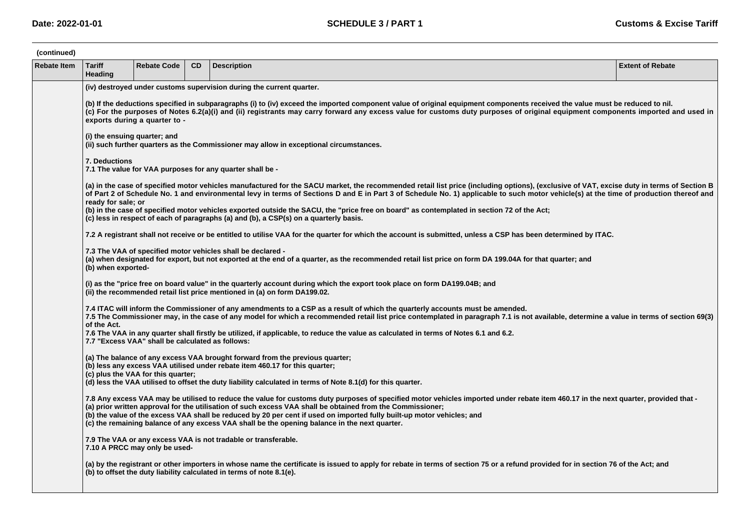| (continued)        |                                                                                                                        |                                                                                                                                                                                                                                                                                                                                                                                                  |     |                                                                                                                                                                                                                                                                                                                                                                                                                                                                                                                              |                         |  |  |  |  |  |  |
|--------------------|------------------------------------------------------------------------------------------------------------------------|--------------------------------------------------------------------------------------------------------------------------------------------------------------------------------------------------------------------------------------------------------------------------------------------------------------------------------------------------------------------------------------------------|-----|------------------------------------------------------------------------------------------------------------------------------------------------------------------------------------------------------------------------------------------------------------------------------------------------------------------------------------------------------------------------------------------------------------------------------------------------------------------------------------------------------------------------------|-------------------------|--|--|--|--|--|--|
| <b>Rebate Item</b> | <b>Tariff</b><br>Heading                                                                                               | <b>Rebate Code</b>                                                                                                                                                                                                                                                                                                                                                                               | CD. | <b>Description</b>                                                                                                                                                                                                                                                                                                                                                                                                                                                                                                           | <b>Extent of Rebate</b> |  |  |  |  |  |  |
|                    | (iv) destroyed under customs supervision during the current quarter.                                                   |                                                                                                                                                                                                                                                                                                                                                                                                  |     |                                                                                                                                                                                                                                                                                                                                                                                                                                                                                                                              |                         |  |  |  |  |  |  |
|                    |                                                                                                                        | (b) If the deductions specified in subparagraphs (i) to (iv) exceed the imported component value of original equipment components received the value must be reduced to nil.<br>(c) For the purposes of Notes 6.2(a)(i) and (ii) registrants may carry forward any excess value for customs duty purposes of original equipment components imported and used in<br>exports during a quarter to - |     |                                                                                                                                                                                                                                                                                                                                                                                                                                                                                                                              |                         |  |  |  |  |  |  |
|                    | (i) the ensuing quarter; and<br>(ii) such further quarters as the Commissioner may allow in exceptional circumstances. |                                                                                                                                                                                                                                                                                                                                                                                                  |     |                                                                                                                                                                                                                                                                                                                                                                                                                                                                                                                              |                         |  |  |  |  |  |  |
|                    | 7. Deductions                                                                                                          |                                                                                                                                                                                                                                                                                                                                                                                                  |     | 7.1 The value for VAA purposes for any quarter shall be -                                                                                                                                                                                                                                                                                                                                                                                                                                                                    |                         |  |  |  |  |  |  |
|                    | ready for sale; or                                                                                                     |                                                                                                                                                                                                                                                                                                                                                                                                  |     | (a) in the case of specified motor vehicles manufactured for the SACU market, the recommended retail list price (including options), (exclusive of VAT, excise duty in terms of Section B<br>of Part 2 of Schedule No. 1 and environmental levy in terms of Sections D and E in Part 3 of Schedule No. 1) applicable to such motor vehicle(s) at the time of production thereof and                                                                                                                                          |                         |  |  |  |  |  |  |
|                    |                                                                                                                        |                                                                                                                                                                                                                                                                                                                                                                                                  |     | (b) in the case of specified motor vehicles exported outside the SACU, the "price free on board" as contemplated in section 72 of the Act;<br>(c) less in respect of each of paragraphs (a) and (b), a CSP(s) on a quarterly basis.                                                                                                                                                                                                                                                                                          |                         |  |  |  |  |  |  |
|                    |                                                                                                                        |                                                                                                                                                                                                                                                                                                                                                                                                  |     | 7.2 A registrant shall not receive or be entitled to utilise VAA for the quarter for which the account is submitted, unless a CSP has been determined by ITAC.                                                                                                                                                                                                                                                                                                                                                               |                         |  |  |  |  |  |  |
|                    | (b) when exported-                                                                                                     |                                                                                                                                                                                                                                                                                                                                                                                                  |     | 7.3 The VAA of specified motor vehicles shall be declared -<br>(a) when designated for export, but not exported at the end of a quarter, as the recommended retail list price on form DA 199.04A for that quarter; and                                                                                                                                                                                                                                                                                                       |                         |  |  |  |  |  |  |
|                    |                                                                                                                        |                                                                                                                                                                                                                                                                                                                                                                                                  |     | (i) as the "price free on board value" in the quarterly account during which the export took place on form DA199.04B; and<br>(ii) the recommended retail list price mentioned in (a) on form DA199.02.                                                                                                                                                                                                                                                                                                                       |                         |  |  |  |  |  |  |
|                    | of the Act.                                                                                                            |                                                                                                                                                                                                                                                                                                                                                                                                  |     | 7.4 ITAC will inform the Commissioner of any amendments to a CSP as a result of which the quarterly accounts must be amended.<br>7.5 The Commissioner may, in the case of any model for which a recommended retail list price contemplated in paragraph 7.1 is not available, determine a value in terms of section 69(3)                                                                                                                                                                                                    |                         |  |  |  |  |  |  |
|                    |                                                                                                                        | 7.7 "Excess VAA" shall be calculated as follows:                                                                                                                                                                                                                                                                                                                                                 |     | 7.6 The VAA in any quarter shall firstly be utilized, if applicable, to reduce the value as calculated in terms of Notes 6.1 and 6.2.                                                                                                                                                                                                                                                                                                                                                                                        |                         |  |  |  |  |  |  |
|                    |                                                                                                                        | (c) plus the VAA for this quarter;                                                                                                                                                                                                                                                                                                                                                               |     | (a) The balance of any excess VAA brought forward from the previous quarter;<br>(b) less any excess VAA utilised under rebate item 460.17 for this quarter;<br>(d) less the VAA utilised to offset the duty liability calculated in terms of Note 8.1(d) for this quarter.                                                                                                                                                                                                                                                   |                         |  |  |  |  |  |  |
|                    |                                                                                                                        |                                                                                                                                                                                                                                                                                                                                                                                                  |     | 7.8 Any excess VAA may be utilised to reduce the value for customs duty purposes of specified motor vehicles imported under rebate item 460.17 in the next quarter, provided that -<br>(a) prior written approval for the utilisation of such excess VAA shall be obtained from the Commissioner;<br>(b) the value of the excess VAA shall be reduced by 20 per cent if used on imported fully built-up motor vehicles; and<br>(c) the remaining balance of any excess VAA shall be the opening balance in the next quarter. |                         |  |  |  |  |  |  |
|                    |                                                                                                                        | 7.10 A PRCC may only be used-                                                                                                                                                                                                                                                                                                                                                                    |     | 7.9 The VAA or any excess VAA is not tradable or transferable.                                                                                                                                                                                                                                                                                                                                                                                                                                                               |                         |  |  |  |  |  |  |
|                    |                                                                                                                        |                                                                                                                                                                                                                                                                                                                                                                                                  |     | (a) by the registrant or other importers in whose name the certificate is issued to apply for rebate in terms of section 75 or a refund provided for in section 76 of the Act; and<br>(b) to offset the duty liability calculated in terms of note 8.1(e).                                                                                                                                                                                                                                                                   |                         |  |  |  |  |  |  |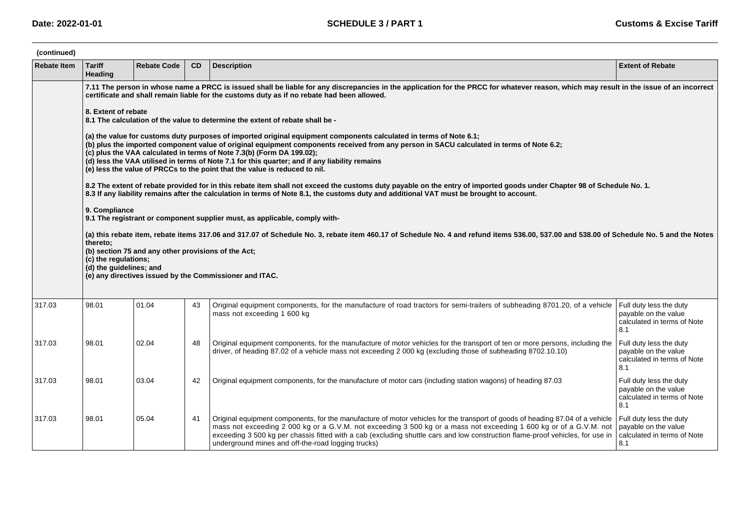| (continued)        |                                                                                                                                                                                                                                                                                       |                                                                                                                                                                                                                                                                                                                                                                                                                                                                                                                        |    |                                                                                                                                                                                                                                                                                                                                                                                                                                                                                                   |                                                                                       |  |  |  |  |  |  |  |
|--------------------|---------------------------------------------------------------------------------------------------------------------------------------------------------------------------------------------------------------------------------------------------------------------------------------|------------------------------------------------------------------------------------------------------------------------------------------------------------------------------------------------------------------------------------------------------------------------------------------------------------------------------------------------------------------------------------------------------------------------------------------------------------------------------------------------------------------------|----|---------------------------------------------------------------------------------------------------------------------------------------------------------------------------------------------------------------------------------------------------------------------------------------------------------------------------------------------------------------------------------------------------------------------------------------------------------------------------------------------------|---------------------------------------------------------------------------------------|--|--|--|--|--|--|--|
| <b>Rebate Item</b> | <b>Tariff</b><br>Heading                                                                                                                                                                                                                                                              | <b>Rebate Code</b>                                                                                                                                                                                                                                                                                                                                                                                                                                                                                                     | CD | <b>Description</b>                                                                                                                                                                                                                                                                                                                                                                                                                                                                                | <b>Extent of Rebate</b>                                                               |  |  |  |  |  |  |  |
|                    | 7.11 The person in whose name a PRCC is issued shall be liable for any discrepancies in the application for the PRCC for whatever reason, which may result in the issue of an incorrect<br>certificate and shall remain liable for the customs duty as if no rebate had been allowed. |                                                                                                                                                                                                                                                                                                                                                                                                                                                                                                                        |    |                                                                                                                                                                                                                                                                                                                                                                                                                                                                                                   |                                                                                       |  |  |  |  |  |  |  |
|                    |                                                                                                                                                                                                                                                                                       | 8. Extent of rebate<br>8.1 The calculation of the value to determine the extent of rebate shall be -                                                                                                                                                                                                                                                                                                                                                                                                                   |    |                                                                                                                                                                                                                                                                                                                                                                                                                                                                                                   |                                                                                       |  |  |  |  |  |  |  |
|                    |                                                                                                                                                                                                                                                                                       | (a) the value for customs duty purposes of imported original equipment components calculated in terms of Note 6.1;<br>(b) plus the imported component value of original equipment components received from any person in SACU calculated in terms of Note 6.2;<br>(c) plus the VAA calculated in terms of Note 7.3(b) (Form DA 199.02);<br>(d) less the VAA utilised in terms of Note 7.1 for this quarter; and if any liability remains<br>(e) less the value of PRCCs to the point that the value is reduced to nil. |    |                                                                                                                                                                                                                                                                                                                                                                                                                                                                                                   |                                                                                       |  |  |  |  |  |  |  |
|                    |                                                                                                                                                                                                                                                                                       | 8.2 The extent of rebate provided for in this rebate item shall not exceed the customs duty payable on the entry of imported goods under Chapter 98 of Schedule No. 1.<br>8.3 If any liability remains after the calculation in terms of Note 8.1, the customs duty and additional VAT must be brought to account.                                                                                                                                                                                                     |    |                                                                                                                                                                                                                                                                                                                                                                                                                                                                                                   |                                                                                       |  |  |  |  |  |  |  |
|                    | 9. Compliance                                                                                                                                                                                                                                                                         |                                                                                                                                                                                                                                                                                                                                                                                                                                                                                                                        |    | 9.1 The registrant or component supplier must, as applicable, comply with-                                                                                                                                                                                                                                                                                                                                                                                                                        |                                                                                       |  |  |  |  |  |  |  |
|                    | thereto;<br>(c) the regulations;<br>(d) the quidelines; and                                                                                                                                                                                                                           | (b) section 75 and any other provisions of the Act;                                                                                                                                                                                                                                                                                                                                                                                                                                                                    |    | (a) this rebate item, rebate items 317.06 and 317.07 of Schedule No. 3, rebate item 460.17 of Schedule No. 4 and refund items 536.00, 537.00 and 538.00 of Schedule No. 5 and the Notes<br>(e) any directives issued by the Commissioner and ITAC.                                                                                                                                                                                                                                                |                                                                                       |  |  |  |  |  |  |  |
| 317.03             | 98.01                                                                                                                                                                                                                                                                                 | 01.04                                                                                                                                                                                                                                                                                                                                                                                                                                                                                                                  | 43 | Original equipment components, for the manufacture of road tractors for semi-trailers of subheading 8701.20, of a vehicle Full duty less the duty<br>mass not exceeding 1 600 kg                                                                                                                                                                                                                                                                                                                  | payable on the value<br>calculated in terms of Note<br>8.1                            |  |  |  |  |  |  |  |
| 317.03             | 98.01                                                                                                                                                                                                                                                                                 | 02.04                                                                                                                                                                                                                                                                                                                                                                                                                                                                                                                  | 48 | Original equipment components, for the manufacture of motor vehicles for the transport of ten or more persons, including the<br>driver, of heading 87.02 of a vehicle mass not exceeding 2 000 kg (excluding those of subheading 8702.10.10)                                                                                                                                                                                                                                                      | Full duty less the duty<br>pavable on the value<br>calculated in terms of Note<br>8.1 |  |  |  |  |  |  |  |
| 317.03             | 98.01                                                                                                                                                                                                                                                                                 | 03.04                                                                                                                                                                                                                                                                                                                                                                                                                                                                                                                  | 42 | Original equipment components, for the manufacture of motor cars (including station wagons) of heading 87.03                                                                                                                                                                                                                                                                                                                                                                                      | Full duty less the duty<br>payable on the value<br>calculated in terms of Note<br>8.1 |  |  |  |  |  |  |  |
| 317.03             | 98.01                                                                                                                                                                                                                                                                                 | 05.04                                                                                                                                                                                                                                                                                                                                                                                                                                                                                                                  | 41 | Original equipment components, for the manufacture of motor vehicles for the transport of goods of heading 87.04 of a vehicle Full duty less the duty<br>mass not exceeding 2 000 kg or a G.V.M. not exceeding 3 500 kg or a mass not exceeding 1 600 kg or of a G.V.M. not<br>exceeding 3 500 kg per chassis fitted with a cab (excluding shuttle cars and low construction flame-proof vehicles, for use in   calculated in terms of Note<br>underground mines and off-the-road logging trucks) | payable on the value<br>8.1                                                           |  |  |  |  |  |  |  |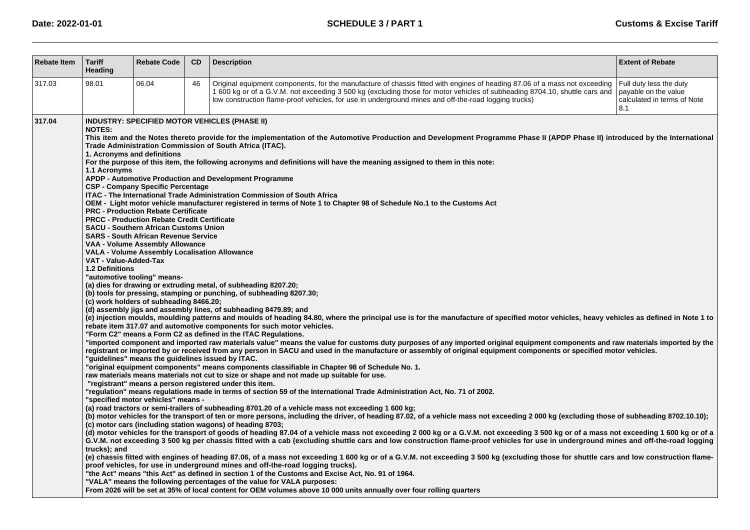| <b>Rebate Item</b> | <b>Tariff</b><br>Heading                                                                                                                                                                                                                                                                                                                                                                                                                                                                                                                                                                                                                                                                                                                                                                                                                                                                                                                                                                                                                                                                                                                                                                                                                                                                                                                                                                                                                                                                                                                                                                                                                                                                                                                                                                                                                                                                                                                                                                                                                                                                                                                                                                                                                                                                                                                                                                                                                                                                                                                                                                                                                                                                                                                                                                                                                                                                                                                                                                                                                                                                                                                                                                                                                                                                                                                                                                                                                                                                                                                                                                                                                                                                 | <b>Rebate Code</b> | <b>CD</b> | <b>Description</b>                                                                                                                                                                                                                                                                                                                                             | <b>Extent of Rebate</b>                                                               |  |  |
|--------------------|------------------------------------------------------------------------------------------------------------------------------------------------------------------------------------------------------------------------------------------------------------------------------------------------------------------------------------------------------------------------------------------------------------------------------------------------------------------------------------------------------------------------------------------------------------------------------------------------------------------------------------------------------------------------------------------------------------------------------------------------------------------------------------------------------------------------------------------------------------------------------------------------------------------------------------------------------------------------------------------------------------------------------------------------------------------------------------------------------------------------------------------------------------------------------------------------------------------------------------------------------------------------------------------------------------------------------------------------------------------------------------------------------------------------------------------------------------------------------------------------------------------------------------------------------------------------------------------------------------------------------------------------------------------------------------------------------------------------------------------------------------------------------------------------------------------------------------------------------------------------------------------------------------------------------------------------------------------------------------------------------------------------------------------------------------------------------------------------------------------------------------------------------------------------------------------------------------------------------------------------------------------------------------------------------------------------------------------------------------------------------------------------------------------------------------------------------------------------------------------------------------------------------------------------------------------------------------------------------------------------------------------------------------------------------------------------------------------------------------------------------------------------------------------------------------------------------------------------------------------------------------------------------------------------------------------------------------------------------------------------------------------------------------------------------------------------------------------------------------------------------------------------------------------------------------------------------------------------------------------------------------------------------------------------------------------------------------------------------------------------------------------------------------------------------------------------------------------------------------------------------------------------------------------------------------------------------------------------------------------------------------------------------------------------------------------|--------------------|-----------|----------------------------------------------------------------------------------------------------------------------------------------------------------------------------------------------------------------------------------------------------------------------------------------------------------------------------------------------------------------|---------------------------------------------------------------------------------------|--|--|
| 317.03             | 98.01                                                                                                                                                                                                                                                                                                                                                                                                                                                                                                                                                                                                                                                                                                                                                                                                                                                                                                                                                                                                                                                                                                                                                                                                                                                                                                                                                                                                                                                                                                                                                                                                                                                                                                                                                                                                                                                                                                                                                                                                                                                                                                                                                                                                                                                                                                                                                                                                                                                                                                                                                                                                                                                                                                                                                                                                                                                                                                                                                                                                                                                                                                                                                                                                                                                                                                                                                                                                                                                                                                                                                                                                                                                                                    | 06.04              | 46        | Original equipment components, for the manufacture of chassis fitted with engines of heading 87.06 of a mass not exceeding<br>1600 kg or of a G.V.M. not exceeding 3500 kg (excluding those for motor vehicles of subheading 8704.10, shuttle cars and<br>low construction flame-proof vehicles, for use in underground mines and off-the-road logging trucks) | Full duty less the duty<br>payable on the value<br>calculated in terms of Note<br>8.1 |  |  |
| 317.04             | <b>INDUSTRY: SPECIFIED MOTOR VEHICLES (PHASE II)</b><br><b>NOTES:</b><br>This item and the Notes thereto provide for the implementation of the Automotive Production and Development Programme Phase II (APDP Phase II) introduced by the International<br>Trade Administration Commission of South Africa (ITAC).<br>1. Acronyms and definitions<br>For the purpose of this item, the following acronyms and definitions will have the meaning assigned to them in this note:<br>1.1 Acronyms<br>APDP - Automotive Production and Development Programme<br><b>CSP - Company Specific Percentage</b><br><b>ITAC - The International Trade Administration Commission of South Africa</b><br>OEM - Light motor vehicle manufacturer registered in terms of Note 1 to Chapter 98 of Schedule No.1 to the Customs Act<br><b>PRC - Production Rebate Certificate</b><br><b>PRCC - Production Rebate Credit Certificate</b><br><b>SACU - Southern African Customs Union</b><br><b>SARS - South African Revenue Service</b><br>VAA - Volume Assembly Allowance<br><b>VALA - Volume Assembly Localisation Allowance</b><br>VAT - Value-Added-Tax<br><b>1.2 Definitions</b><br>"automotive tooling" means-<br>(a) dies for drawing or extruding metal, of subheading 8207.20;<br>(b) tools for pressing, stamping or punching, of subheading 8207.30;<br>(c) work holders of subheading 8466.20;<br>(d) assembly jigs and assembly lines, of subheading 8479.89; and<br>(e) injection moulds, moulding patterns and moulds of heading 84.80, where the principal use is for the manufacture of specified motor vehicles, heavy vehicles as defined in Note 1 to<br>rebate item 317.07 and automotive components for such motor vehicles.<br>"Form C2" means a Form C2 as defined in the ITAC Regulations.<br>"imported component and imported raw materials value" means the value for customs duty purposes of any imported original equipment components and raw materials imported by the<br>registrant or imported by or received from any person in SACU and used in the manufacture or assembly of original equipment components or specified motor vehicles.<br>"guidelines" means the guidelines issued by ITAC.<br>"original equipment components" means components classifiable in Chapter 98 of Schedule No. 1.<br>raw materials means materials not cut to size or shape and not made up suitable for use.<br>"registrant" means a person registered under this item.<br>"regulation" means regulations made in terms of section 59 of the International Trade Administration Act, No. 71 of 2002.<br>"specified motor vehicles" means -<br>(a) road tractors or semi-trailers of subheading 8701.20 of a vehicle mass not exceeding 1 600 kg;<br>(b) motor vehicles for the transport of ten or more persons, including the driver, of heading 87.02, of a vehicle mass not exceeding 2000 kg (excluding those of subheading 8702.10.10);<br>(c) motor cars (including station wagons) of heading 8703;<br>(d) motor vehicles for the transport of goods of heading 87.04 of a vehicle mass not exceeding 2 000 kg or a G.V.M. not exceeding 3 500 kg or of a mass not exceeding 1 600 kg or of a<br>G.V.M. not exceeding 3 500 kg per chassis fitted with a cab (excluding shuttle cars and low construction flame-proof vehicles for use in underground mines and off-the-road logging<br>trucks); and<br>(e) chassis fitted with engines of heading 87.06, of a mass not exceeding 1 600 kg or of a G.V.M. not exceeding 3 500 kg (excluding those for shuttle cars and low construction flame-<br>proof vehicles, for use in underground mines and off-the-road logging trucks). |                    |           |                                                                                                                                                                                                                                                                                                                                                                |                                                                                       |  |  |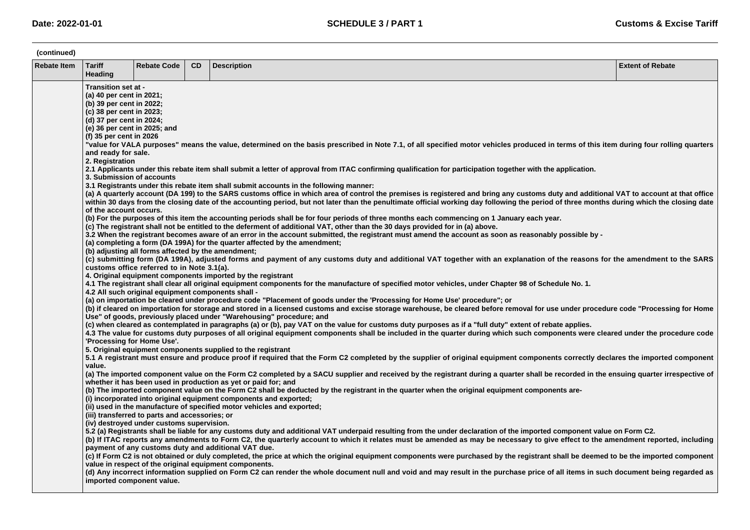| (continued)        |                                                                                                                                                                                                                                                                                                                                                                                                                                                                                                                                                                                                                                                                                                                                                                                                                                                                                                                                                                                                                                                                                                                                                                                                                                                                                                                                                                                                                                                                                                                                                                                                                                                                                                                                                                                                                                                                                                                                                                                                                                                                                                                                                                            |                                                                                                                                                   |           |                                                                                                                                                                                                                                                                                                                                                                                                                                                                                                                                                                                                                                                                                                                                                                                                                                                                                                                                                                                                                                                                                                                                                                                                                                                                                                                                                                                                                                                                                                                                                                                                                                                                                                                                                                                                                                                                                                                                                                                                                                                                                                                                                                                                                                                                                                                                                                                                                     |                         |  |  |  |
|--------------------|----------------------------------------------------------------------------------------------------------------------------------------------------------------------------------------------------------------------------------------------------------------------------------------------------------------------------------------------------------------------------------------------------------------------------------------------------------------------------------------------------------------------------------------------------------------------------------------------------------------------------------------------------------------------------------------------------------------------------------------------------------------------------------------------------------------------------------------------------------------------------------------------------------------------------------------------------------------------------------------------------------------------------------------------------------------------------------------------------------------------------------------------------------------------------------------------------------------------------------------------------------------------------------------------------------------------------------------------------------------------------------------------------------------------------------------------------------------------------------------------------------------------------------------------------------------------------------------------------------------------------------------------------------------------------------------------------------------------------------------------------------------------------------------------------------------------------------------------------------------------------------------------------------------------------------------------------------------------------------------------------------------------------------------------------------------------------------------------------------------------------------------------------------------------------|---------------------------------------------------------------------------------------------------------------------------------------------------|-----------|---------------------------------------------------------------------------------------------------------------------------------------------------------------------------------------------------------------------------------------------------------------------------------------------------------------------------------------------------------------------------------------------------------------------------------------------------------------------------------------------------------------------------------------------------------------------------------------------------------------------------------------------------------------------------------------------------------------------------------------------------------------------------------------------------------------------------------------------------------------------------------------------------------------------------------------------------------------------------------------------------------------------------------------------------------------------------------------------------------------------------------------------------------------------------------------------------------------------------------------------------------------------------------------------------------------------------------------------------------------------------------------------------------------------------------------------------------------------------------------------------------------------------------------------------------------------------------------------------------------------------------------------------------------------------------------------------------------------------------------------------------------------------------------------------------------------------------------------------------------------------------------------------------------------------------------------------------------------------------------------------------------------------------------------------------------------------------------------------------------------------------------------------------------------------------------------------------------------------------------------------------------------------------------------------------------------------------------------------------------------------------------------------------------------|-------------------------|--|--|--|
| <b>Rebate Item</b> | <b>Tariff</b><br>Heading                                                                                                                                                                                                                                                                                                                                                                                                                                                                                                                                                                                                                                                                                                                                                                                                                                                                                                                                                                                                                                                                                                                                                                                                                                                                                                                                                                                                                                                                                                                                                                                                                                                                                                                                                                                                                                                                                                                                                                                                                                                                                                                                                   | <b>Rebate Code</b>                                                                                                                                | <b>CD</b> | <b>Description</b>                                                                                                                                                                                                                                                                                                                                                                                                                                                                                                                                                                                                                                                                                                                                                                                                                                                                                                                                                                                                                                                                                                                                                                                                                                                                                                                                                                                                                                                                                                                                                                                                                                                                                                                                                                                                                                                                                                                                                                                                                                                                                                                                                                                                                                                                                                                                                                                                  | <b>Extent of Rebate</b> |  |  |  |
|                    | Transition set at -<br>(a) 40 per cent in 2021;<br>(b) 39 per cent in 2022;<br>(c) 38 per cent in 2023;<br>(d) 37 per cent in 2024;<br>(e) 36 per cent in 2025; and<br>(f) 35 per cent in 2026<br>"value for VALA purposes" means the value, determined on the basis prescribed in Note 7.1, of all specified motor vehicles produced in terms of this item during four rolling quarters<br>and ready for sale.<br>2. Registration<br>2.1 Applicants under this rebate item shall submit a letter of approval from ITAC confirming qualification for participation together with the application.<br>3. Submission of accounts<br>3.1 Registrants under this rebate item shall submit accounts in the following manner:<br>(a) A quarterly account (DA 199) to the SARS customs office in which area of control the premises is registered and bring any customs duty and additional VAT to account at that office<br>within 30 days from the closing date of the accounting period, but not later than the penultimate official working day following the period of three months during which the closing date<br>of the account occurs.<br>(b) For the purposes of this item the accounting periods shall be for four periods of three months each commencing on 1 January each year.<br>(c) The registrant shall not be entitled to the deferment of additional VAT, other than the 30 days provided for in (a) above.<br>3.2 When the registrant becomes aware of an error in the account submitted, the registrant must amend the account as soon as reasonably possible by -<br>(a) completing a form (DA 199A) for the quarter affected by the amendment;<br>(b) adjusting all forms affected by the amendment;<br>(c) submitting form (DA 199A), adjusted forms and payment of any customs duty and additional VAT together with an explanation of the reasons for the amendment to the SARS<br>customs office referred to in Note 3.1(a).<br>4. Original equipment components imported by the registrant<br>4.1 The registrant shall clear all original equipment components for the manufacture of specified motor vehicles, under Chapter 98 of Schedule No. 1. |                                                                                                                                                   |           |                                                                                                                                                                                                                                                                                                                                                                                                                                                                                                                                                                                                                                                                                                                                                                                                                                                                                                                                                                                                                                                                                                                                                                                                                                                                                                                                                                                                                                                                                                                                                                                                                                                                                                                                                                                                                                                                                                                                                                                                                                                                                                                                                                                                                                                                                                                                                                                                                     |                         |  |  |  |
|                    | 'Processing for Home Use'.<br>value.<br>imported component value.                                                                                                                                                                                                                                                                                                                                                                                                                                                                                                                                                                                                                                                                                                                                                                                                                                                                                                                                                                                                                                                                                                                                                                                                                                                                                                                                                                                                                                                                                                                                                                                                                                                                                                                                                                                                                                                                                                                                                                                                                                                                                                          | 4.2 All such original equipment components shall -<br>(iii) transferred to parts and accessories; or<br>(iv) destroyed under customs supervision. |           | (a) on importation be cleared under procedure code "Placement of goods under the 'Processing for Home Use' procedure"; or<br>(b) if cleared on importation for storage and stored in a licensed customs and excise storage warehouse, be cleared before removal for use under procedure code "Processing for Home<br>Use" of goods, previously placed under "Warehousing" procedure; and<br>(c) when cleared as contemplated in paragraphs (a) or (b), pay VAT on the value for customs duty purposes as if a "full duty" extent of rebate applies.<br>4.3 The value for customs duty purposes of all original equipment components shall be included in the quarter during which such components were cleared under the procedure code<br>5. Original equipment components supplied to the registrant<br>5.1 A registrant must ensure and produce proof if required that the Form C2 completed by the supplier of original equipment components correctly declares the imported component<br>(a) The imported component value on the Form C2 completed by a SACU supplier and received by the registrant during a quarter shall be recorded in the ensuing quarter irrespective of<br>whether it has been used in production as yet or paid for; and<br>(b) The imported component value on the Form C2 shall be deducted by the registrant in the quarter when the original equipment components are-<br>(i) incorporated into original equipment components and exported;<br>(ii) used in the manufacture of specified motor vehicles and exported;<br>5.2 (a) Registrants shall be liable for any customs duty and additional VAT underpaid resulting from the under declaration of the imported component value on Form C2.<br>(b) If ITAC reports any amendments to Form C2, the quarterly account to which it relates must be amended as may be necessary to give effect to the amendment reported, including<br>payment of any customs duty and additional VAT due.<br>(c) If Form C2 is not obtained or duly completed, the price at which the original equipment components were purchased by the registrant shall be deemed to be the imported component<br>value in respect of the original equipment components.<br>(d) Any incorrect information supplied on Form C2 can render the whole document null and void and may result in the purchase price of all items in such document being regarded as |                         |  |  |  |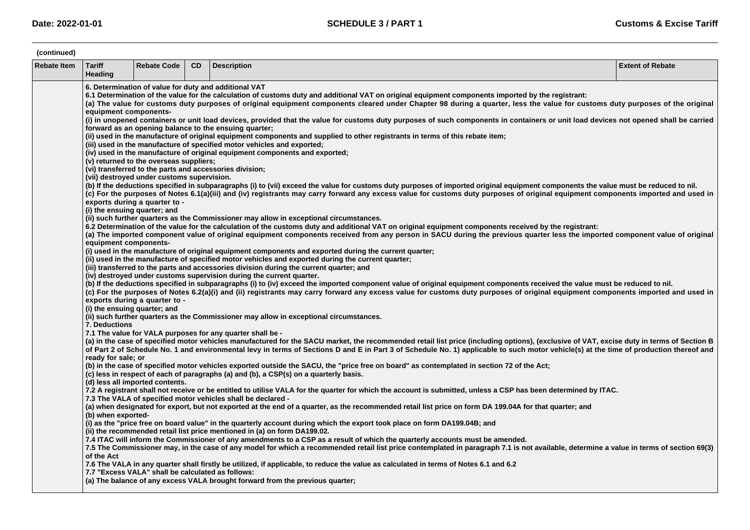| (continued)        |                                                                                                                                                                                                                                                                                                                                                                                                                                                                                                                                                                                                                                                                                                                                                                                                                                                                                                                                                                                                                                                                                                                                                                                                                                                                                                                                                                                                                                                                                                                                                                                                                                                                                                                                                                                                                                                                                                                                                                                                                                                                                                                                                                                                                                                                                                                                                                                                                                                                                                                                                                                                                                                                                                                                                                                                                      |                                                   |           |                                                                                                                                                                                                                                                                                                                                                                                                                                                                                                                                                                                                                                                                                                                                                                                                                                                                                                                                                                                                                                                                                                                                                                                                                                                                                                                                                                                            |                         |  |  |  |
|--------------------|----------------------------------------------------------------------------------------------------------------------------------------------------------------------------------------------------------------------------------------------------------------------------------------------------------------------------------------------------------------------------------------------------------------------------------------------------------------------------------------------------------------------------------------------------------------------------------------------------------------------------------------------------------------------------------------------------------------------------------------------------------------------------------------------------------------------------------------------------------------------------------------------------------------------------------------------------------------------------------------------------------------------------------------------------------------------------------------------------------------------------------------------------------------------------------------------------------------------------------------------------------------------------------------------------------------------------------------------------------------------------------------------------------------------------------------------------------------------------------------------------------------------------------------------------------------------------------------------------------------------------------------------------------------------------------------------------------------------------------------------------------------------------------------------------------------------------------------------------------------------------------------------------------------------------------------------------------------------------------------------------------------------------------------------------------------------------------------------------------------------------------------------------------------------------------------------------------------------------------------------------------------------------------------------------------------------------------------------------------------------------------------------------------------------------------------------------------------------------------------------------------------------------------------------------------------------------------------------------------------------------------------------------------------------------------------------------------------------------------------------------------------------------------------------------------------------|---------------------------------------------------|-----------|--------------------------------------------------------------------------------------------------------------------------------------------------------------------------------------------------------------------------------------------------------------------------------------------------------------------------------------------------------------------------------------------------------------------------------------------------------------------------------------------------------------------------------------------------------------------------------------------------------------------------------------------------------------------------------------------------------------------------------------------------------------------------------------------------------------------------------------------------------------------------------------------------------------------------------------------------------------------------------------------------------------------------------------------------------------------------------------------------------------------------------------------------------------------------------------------------------------------------------------------------------------------------------------------------------------------------------------------------------------------------------------------|-------------------------|--|--|--|
| <b>Rebate Item</b> | <b>Tariff</b><br>Heading                                                                                                                                                                                                                                                                                                                                                                                                                                                                                                                                                                                                                                                                                                                                                                                                                                                                                                                                                                                                                                                                                                                                                                                                                                                                                                                                                                                                                                                                                                                                                                                                                                                                                                                                                                                                                                                                                                                                                                                                                                                                                                                                                                                                                                                                                                                                                                                                                                                                                                                                                                                                                                                                                                                                                                                             | <b>Rebate Code</b>                                | <b>CD</b> | <b>Description</b>                                                                                                                                                                                                                                                                                                                                                                                                                                                                                                                                                                                                                                                                                                                                                                                                                                                                                                                                                                                                                                                                                                                                                                                                                                                                                                                                                                         | <b>Extent of Rebate</b> |  |  |  |
|                    | 6. Determination of value for duty and additional VAT<br>6.1 Determination of the value for the calculation of customs duty and additional VAT on original equipment components imported by the registrant:<br>(a) The value for customs duty purposes of original equipment components cleared under Chapter 98 during a quarter, less the value for customs duty purposes of the original<br>equipment components-<br>(i) in unopened containers or unit load devices, provided that the value for customs duty purposes of such components in containers or unit load devices not opened shall be carried<br>forward as an opening balance to the ensuing quarter;<br>(ii) used in the manufacture of original equipment components and supplied to other registrants in terms of this rebate item;<br>(iii) used in the manufacture of specified motor vehicles and exported;<br>(iv) used in the manufacture of original equipment components and exported;<br>(v) returned to the overseas suppliers;<br>(vi) transferred to the parts and accessories division;<br>(vii) destroyed under customs supervision.<br>(b) If the deductions specified in subparagraphs (i) to (vii) exceed the value for customs duty purposes of imported original equipment components the value must be reduced to nil.<br>(c) For the purposes of Notes 6.1(a)(iii) and (iv) registrants may carry forward any excess value for customs duty purposes of original equipment components imported and used in<br>exports during a quarter to -<br>(i) the ensuing quarter; and<br>(ii) such further quarters as the Commissioner may allow in exceptional circumstances.<br>6.2 Determination of the value for the calculation of the customs duty and additional VAT on original equipment components received by the registrant:<br>(a) The imported component value of original equipment components received from any person in SACU during the previous quarter less the imported component value of original<br>equipment components-<br>(i) used in the manufacture of original equipment components and exported during the current quarter;<br>(ii) used in the manufacture of specified motor vehicles and exported during the current quarter;<br>(iii) transferred to the parts and accessories division during the current quarter; and<br>(iv) destroyed under customs supervision during the current quarter.<br>(b) If the deductions specified in subparagraphs (i) to (iv) exceed the imported component value of original equipment components received the value must be reduced to nil.<br>(c) For the purposes of Notes 6.2(a)(i) and (ii) registrants may carry forward any excess value for customs duty purposes of original equipment components imported and used in<br>exports during a quarter to - |                                                   |           |                                                                                                                                                                                                                                                                                                                                                                                                                                                                                                                                                                                                                                                                                                                                                                                                                                                                                                                                                                                                                                                                                                                                                                                                                                                                                                                                                                                            |                         |  |  |  |
|                    | 7. Deductions<br>ready for sale; or<br>(b) when exported-                                                                                                                                                                                                                                                                                                                                                                                                                                                                                                                                                                                                                                                                                                                                                                                                                                                                                                                                                                                                                                                                                                                                                                                                                                                                                                                                                                                                                                                                                                                                                                                                                                                                                                                                                                                                                                                                                                                                                                                                                                                                                                                                                                                                                                                                                                                                                                                                                                                                                                                                                                                                                                                                                                                                                            | (d) less all imported contents.                   |           | (ii) such further quarters as the Commissioner may allow in exceptional circumstances.<br>7.1 The value for VALA purposes for any quarter shall be -<br>(a) in the case of specified motor vehicles manufactured for the SACU market, the recommended retail list price (including options), (exclusive of VAT, excise duty in terms of Section B<br>of Part 2 of Schedule No. 1 and environmental levy in terms of Sections D and E in Part 3 of Schedule No. 1) applicable to such motor vehicle(s) at the time of production thereof and<br>(b) in the case of specified motor vehicles exported outside the SACU, the "price free on board" as contemplated in section 72 of the Act;<br>(c) less in respect of each of paragraphs (a) and (b), a CSP(s) on a quarterly basis.<br>7.2 A registrant shall not receive or be entitled to utilise VALA for the quarter for which the account is submitted, unless a CSP has been determined by ITAC.<br>7.3 The VALA of specified motor vehicles shall be declared -<br>(a) when designated for export, but not exported at the end of a quarter, as the recommended retail list price on form DA 199.04A for that quarter; and<br>(i) as the "price free on board value" in the quarterly account during which the export took place on form DA199.04B; and<br>(ii) the recommended retail list price mentioned in (a) on form DA199.02. |                         |  |  |  |
|                    | of the Act                                                                                                                                                                                                                                                                                                                                                                                                                                                                                                                                                                                                                                                                                                                                                                                                                                                                                                                                                                                                                                                                                                                                                                                                                                                                                                                                                                                                                                                                                                                                                                                                                                                                                                                                                                                                                                                                                                                                                                                                                                                                                                                                                                                                                                                                                                                                                                                                                                                                                                                                                                                                                                                                                                                                                                                                           | 7.7 "Excess VALA" shall be calculated as follows: |           | 7.4 ITAC will inform the Commissioner of any amendments to a CSP as a result of which the quarterly accounts must be amended.<br>7.5 The Commissioner may, in the case of any model for which a recommended retail list price contemplated in paragraph 7.1 is not available, determine a value in terms of section 69(3)<br>7.6 The VALA in any quarter shall firstly be utilized, if applicable, to reduce the value as calculated in terms of Notes 6.1 and 6.2<br>(a) The balance of any excess VALA brought forward from the previous quarter;                                                                                                                                                                                                                                                                                                                                                                                                                                                                                                                                                                                                                                                                                                                                                                                                                                        |                         |  |  |  |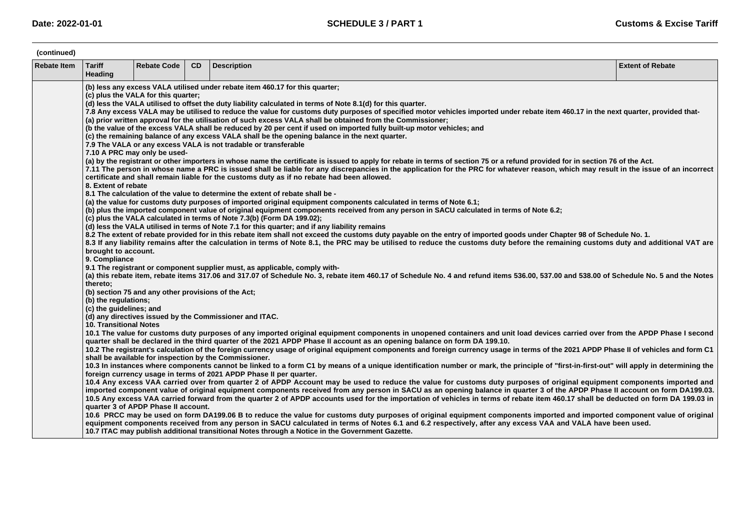| (continued)        |                                                                                                                                                                                                                                                                                                                                                                                                                                                                                                                                                                                                                                                                                                                                                                                                                                                                                                                                                                                                                                                                                                                                                                                                                                                                                                                                                                                                                                                                                                                                                                                                                                                                                                                                                                                                                                                                                                                                                                                                                                                                                                                                                                                                                                                                                                                                                                                                                                                                                                                                                                                                        |                                     |    |                                                                                                                                                                                                                                                                                                                                                                                                                                                                                                                                                                                                                                                                                                                                                                                                                                                                                                                                                                                                                                                                                                                                                                                                                                                                                                                                                                                                                                                                                                                                                                                                                                                                                                                                                                                                                                                                                            |                         |  |  |  |  |
|--------------------|--------------------------------------------------------------------------------------------------------------------------------------------------------------------------------------------------------------------------------------------------------------------------------------------------------------------------------------------------------------------------------------------------------------------------------------------------------------------------------------------------------------------------------------------------------------------------------------------------------------------------------------------------------------------------------------------------------------------------------------------------------------------------------------------------------------------------------------------------------------------------------------------------------------------------------------------------------------------------------------------------------------------------------------------------------------------------------------------------------------------------------------------------------------------------------------------------------------------------------------------------------------------------------------------------------------------------------------------------------------------------------------------------------------------------------------------------------------------------------------------------------------------------------------------------------------------------------------------------------------------------------------------------------------------------------------------------------------------------------------------------------------------------------------------------------------------------------------------------------------------------------------------------------------------------------------------------------------------------------------------------------------------------------------------------------------------------------------------------------------------------------------------------------------------------------------------------------------------------------------------------------------------------------------------------------------------------------------------------------------------------------------------------------------------------------------------------------------------------------------------------------------------------------------------------------------------------------------------------------|-------------------------------------|----|--------------------------------------------------------------------------------------------------------------------------------------------------------------------------------------------------------------------------------------------------------------------------------------------------------------------------------------------------------------------------------------------------------------------------------------------------------------------------------------------------------------------------------------------------------------------------------------------------------------------------------------------------------------------------------------------------------------------------------------------------------------------------------------------------------------------------------------------------------------------------------------------------------------------------------------------------------------------------------------------------------------------------------------------------------------------------------------------------------------------------------------------------------------------------------------------------------------------------------------------------------------------------------------------------------------------------------------------------------------------------------------------------------------------------------------------------------------------------------------------------------------------------------------------------------------------------------------------------------------------------------------------------------------------------------------------------------------------------------------------------------------------------------------------------------------------------------------------------------------------------------------------|-------------------------|--|--|--|--|
| <b>Rebate Item</b> | <b>Tariff</b><br>Heading                                                                                                                                                                                                                                                                                                                                                                                                                                                                                                                                                                                                                                                                                                                                                                                                                                                                                                                                                                                                                                                                                                                                                                                                                                                                                                                                                                                                                                                                                                                                                                                                                                                                                                                                                                                                                                                                                                                                                                                                                                                                                                                                                                                                                                                                                                                                                                                                                                                                                                                                                                               | <b>Rebate Code</b>                  | CD | <b>Description</b>                                                                                                                                                                                                                                                                                                                                                                                                                                                                                                                                                                                                                                                                                                                                                                                                                                                                                                                                                                                                                                                                                                                                                                                                                                                                                                                                                                                                                                                                                                                                                                                                                                                                                                                                                                                                                                                                         | <b>Extent of Rebate</b> |  |  |  |  |
|                    | (b) less any excess VALA utilised under rebate item 460.17 for this quarter;<br>(c) plus the VALA for this quarter;<br>(d) less the VALA utilised to offset the duty liability calculated in terms of Note 8.1(d) for this quarter.<br>7.8 Any excess VALA may be utilised to reduce the value for customs duty purposes of specified motor vehicles imported under rebate item 460.17 in the next quarter, provided that-<br>(a) prior written approval for the utilisation of such excess VALA shall be obtained from the Commissioner;<br>(b the value of the excess VALA shall be reduced by 20 per cent if used on imported fully built-up motor vehicles; and<br>(c) the remaining balance of any excess VALA shall be the opening balance in the next quarter.<br>7.9 The VALA or any excess VALA is not tradable or transferable<br>7.10 A PRC may only be used-<br>(a) by the registrant or other importers in whose name the certificate is issued to apply for rebate in terms of section 75 or a refund provided for in section 76 of the Act.<br>7.11 The person in whose name a PRC is issued shall be liable for any discrepancies in the application for the PRC for whatever reason, which may result in the issue of an incorrect<br>certificate and shall remain liable for the customs duty as if no rebate had been allowed.<br>8. Extent of rebate<br>8.1 The calculation of the value to determine the extent of rebate shall be -<br>(a) the value for customs duty purposes of imported original equipment components calculated in terms of Note 6.1;<br>(b) plus the imported component value of original equipment components received from any person in SACU calculated in terms of Note 6.2;<br>(c) plus the VALA calculated in terms of Note 7.3(b) (Form DA 199.02);<br>(d) less the VALA utilised in terms of Note 7.1 for this quarter; and if any liability remains<br>8.2 The extent of rebate provided for in this rebate item shall not exceed the customs duty payable on the entry of imported goods under Chapter 98 of Schedule No. 1.<br>8.3 If any liability remains after the calculation in terms of Note 8.1, the PRC may be utilised to reduce the customs duty before the remaining customs duty and additional VAT are<br>brought to account.<br>9. Compliance<br>9.1 The registrant or component supplier must, as applicable, comply with-<br>(a) this rebate item, rebate items 317.06 and 317.07 of Schedule No. 3, rebate item 460.17 of Schedule No. 4 and refund items 536.00, 537.00 and 538.00 of Schedule No. 5 and the Notes<br>thereto: |                                     |    |                                                                                                                                                                                                                                                                                                                                                                                                                                                                                                                                                                                                                                                                                                                                                                                                                                                                                                                                                                                                                                                                                                                                                                                                                                                                                                                                                                                                                                                                                                                                                                                                                                                                                                                                                                                                                                                                                            |                         |  |  |  |  |
|                    | (b) the regulations;<br>(c) the guidelines; and<br><b>10. Transitional Notes</b>                                                                                                                                                                                                                                                                                                                                                                                                                                                                                                                                                                                                                                                                                                                                                                                                                                                                                                                                                                                                                                                                                                                                                                                                                                                                                                                                                                                                                                                                                                                                                                                                                                                                                                                                                                                                                                                                                                                                                                                                                                                                                                                                                                                                                                                                                                                                                                                                                                                                                                                       | quarter 3 of APDP Phase II account. |    | (d) any directives issued by the Commissioner and ITAC.<br>10.1 The value for customs duty purposes of any imported original equipment components in unopened containers and unit load devices carried over from the APDP Phase I second<br>quarter shall be declared in the third quarter of the 2021 APDP Phase II account as an opening balance on form DA 199.10.<br>10.2 The registrant's calculation of the foreign currency usage of original equipment components and foreign currency usage in terms of the 2021 APDP Phase II of vehicles and form C1<br>shall be available for inspection by the Commissioner.<br>10.3 In instances where components cannot be linked to a form C1 by means of a unique identification number or mark, the principle of "first-in-first-out" will apply in determining the<br>foreign currency usage in terms of 2021 APDP Phase II per quarter.<br>10.4 Any excess VAA carried over from quarter 2 of APDP Account may be used to reduce the value for customs duty purposes of original equipment components imported and<br>imported component value of original equipment components received from any person in SACU as an opening balance in quarter 3 of the APDP Phase II account on form DA199.03.<br>10.5 Any excess VAA carried forward from the quarter 2 of APDP accounts used for the importation of vehicles in terms of rebate item 460.17 shall be deducted on form DA 199.03 in<br>10.6 PRCC may be used on form DA199.06 B to reduce the value for customs duty purposes of original equipment components imported and imported component value of original<br>equipment components received from any person in SACU calculated in terms of Notes 6.1 and 6.2 respectively, after any excess VAA and VALA have been used.<br>10.7 ITAC may publish additional transitional Notes through a Notice in the Government Gazette. |                         |  |  |  |  |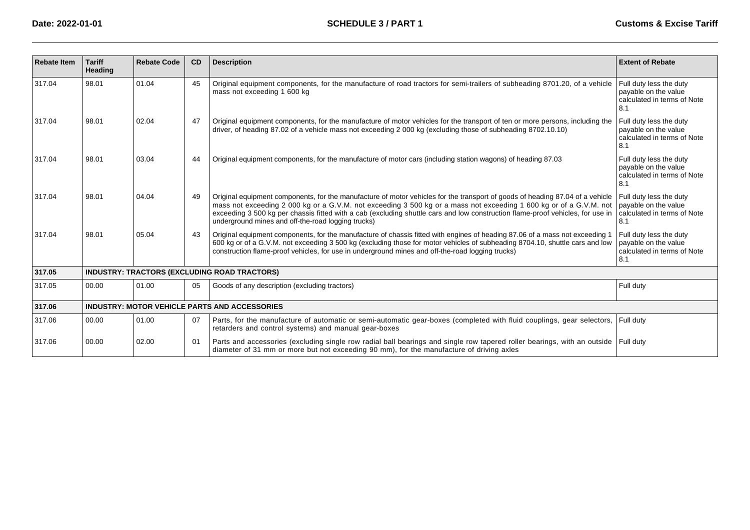| <b>Rebate Item</b> | <b>Tariff</b><br>Heading | <b>Rebate Code</b> | <b>CD</b> | <b>Description</b>                                                                                                                                                                                                                                                                                                                                                                                                                          | <b>Extent of Rebate</b>                                                               |
|--------------------|--------------------------|--------------------|-----------|---------------------------------------------------------------------------------------------------------------------------------------------------------------------------------------------------------------------------------------------------------------------------------------------------------------------------------------------------------------------------------------------------------------------------------------------|---------------------------------------------------------------------------------------|
| 317.04             | 98.01                    | 01.04              | 45        | Original equipment components, for the manufacture of road tractors for semi-trailers of subheading 8701.20, of a vehicle<br>mass not exceeding 1 600 kg                                                                                                                                                                                                                                                                                    | Full duty less the duty<br>payable on the value<br>calculated in terms of Note<br>8.1 |
| 317.04             | 98.01                    | 02.04              | 47        | Original equipment components, for the manufacture of motor vehicles for the transport of ten or more persons, including the<br>driver, of heading 87.02 of a vehicle mass not exceeding 2 000 kg (excluding those of subheading 8702.10.10)                                                                                                                                                                                                | Full duty less the duty<br>payable on the value<br>calculated in terms of Note<br>8.1 |
| 317.04             | 98.01                    | 03.04              | 44        | Original equipment components, for the manufacture of motor cars (including station wagons) of heading 87.03                                                                                                                                                                                                                                                                                                                                | Full duty less the duty<br>payable on the value<br>calculated in terms of Note<br>8.1 |
| 317.04             | 98.01                    | 04.04              | 49        | Original equipment components, for the manufacture of motor vehicles for the transport of goods of heading 87.04 of a vehicle<br>mass not exceeding 2 000 kg or a G.V.M. not exceeding 3 500 kg or a mass not exceeding 1 600 kg or of a G.V.M. not<br>exceeding 3 500 kg per chassis fitted with a cab (excluding shuttle cars and low construction flame-proof vehicles, for use in<br>underground mines and off-the-road logging trucks) | Full duty less the duty<br>payable on the value<br>calculated in terms of Note<br>8.1 |
| 317.04             | 98.01                    | 05.04              | 43        | Original equipment components, for the manufacture of chassis fitted with engines of heading 87.06 of a mass not exceeding 1<br>600 kg or of a G.V.M. not exceeding 3 500 kg (excluding those for motor vehicles of subheading 8704.10, shuttle cars and low<br>construction flame-proof vehicles, for use in underground mines and off-the-road logging trucks)                                                                            | Full duty less the duty<br>payable on the value<br>calculated in terms of Note<br>8.1 |
| 317.05             |                          |                    |           | INDUSTRY: TRACTORS (EXCLUDING ROAD TRACTORS)                                                                                                                                                                                                                                                                                                                                                                                                |                                                                                       |
| 317.05             | 00.00                    | 01.00              | 05        | Goods of any description (excluding tractors)                                                                                                                                                                                                                                                                                                                                                                                               | Full duty                                                                             |
| 317.06             |                          |                    |           | <b>INDUSTRY: MOTOR VEHICLE PARTS AND ACCESSORIES</b>                                                                                                                                                                                                                                                                                                                                                                                        |                                                                                       |
| 317.06             | 00.00                    | 01.00              | 07        | Parts, for the manufacture of automatic or semi-automatic gear-boxes (completed with fluid couplings, gear selectors,<br>retarders and control systems) and manual gear-boxes                                                                                                                                                                                                                                                               | Full duty                                                                             |
| 317.06             | 00.00                    | 02.00              | 01        | Parts and accessories (excluding single row radial ball bearings and single row tapered roller bearings, with an outside<br>diameter of 31 mm or more but not exceeding 90 mm), for the manufacture of driving axles                                                                                                                                                                                                                        | Full duty                                                                             |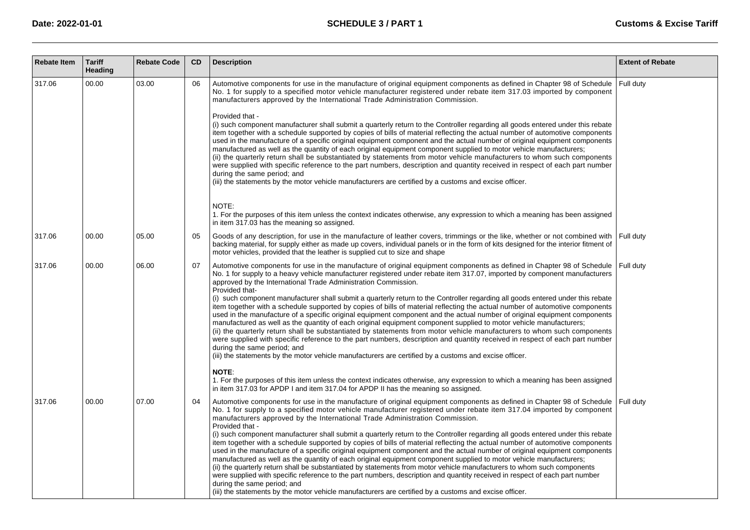| <b>Rebate Item</b> | <b>Tariff</b><br>Heading | <b>Rebate Code</b> | <b>CD</b> | <b>Description</b>                                                                                                                                                                                                                                                                                                                                                                                                                                                                                                                                                                                                                                                                                                                                                                                                                                                                                                                                                                                                                                                                                                                                                                                                                                               | <b>Extent of Rebate</b> |
|--------------------|--------------------------|--------------------|-----------|------------------------------------------------------------------------------------------------------------------------------------------------------------------------------------------------------------------------------------------------------------------------------------------------------------------------------------------------------------------------------------------------------------------------------------------------------------------------------------------------------------------------------------------------------------------------------------------------------------------------------------------------------------------------------------------------------------------------------------------------------------------------------------------------------------------------------------------------------------------------------------------------------------------------------------------------------------------------------------------------------------------------------------------------------------------------------------------------------------------------------------------------------------------------------------------------------------------------------------------------------------------|-------------------------|
| 317.06             | 00.00                    | 03.00              | 06        | Automotive components for use in the manufacture of original equipment components as defined in Chapter 98 of Schedule<br>No. 1 for supply to a specified motor vehicle manufacturer registered under rebate item 317.03 imported by component<br>manufacturers approved by the International Trade Administration Commission.<br>Provided that -<br>(i) such component manufacturer shall submit a quarterly return to the Controller regarding all goods entered under this rebate<br>item together with a schedule supported by copies of bills of material reflecting the actual number of automotive components<br>used in the manufacture of a specific original equipment component and the actual number of original equipment components                                                                                                                                                                                                                                                                                                                                                                                                                                                                                                                | Full duty               |
|                    |                          |                    |           | manufactured as well as the quantity of each original equipment component supplied to motor vehicle manufacturers;<br>(ii) the quarterly return shall be substantiated by statements from motor vehicle manufacturers to whom such components<br>were supplied with specific reference to the part numbers, description and quantity received in respect of each part number<br>during the same period; and<br>(iii) the statements by the motor vehicle manufacturers are certified by a customs and excise officer.                                                                                                                                                                                                                                                                                                                                                                                                                                                                                                                                                                                                                                                                                                                                            |                         |
|                    |                          |                    |           | NOTE:<br>1. For the purposes of this item unless the context indicates otherwise, any expression to which a meaning has been assigned<br>in item 317.03 has the meaning so assigned.                                                                                                                                                                                                                                                                                                                                                                                                                                                                                                                                                                                                                                                                                                                                                                                                                                                                                                                                                                                                                                                                             |                         |
| 317.06             | 00.00                    | 05.00              | 05        | Goods of any description, for use in the manufacture of leather covers, trimmings or the like, whether or not combined with<br>backing material, for supply either as made up covers, individual panels or in the form of kits designed for the interior fitment of<br>motor vehicles, provided that the leather is supplied cut to size and shape                                                                                                                                                                                                                                                                                                                                                                                                                                                                                                                                                                                                                                                                                                                                                                                                                                                                                                               | Full duty               |
| 317.06             | 00.00                    | 06.00              | 07        | Automotive components for use in the manufacture of original equipment components as defined in Chapter 98 of Schedule<br>No. 1 for supply to a heavy vehicle manufacturer registered under rebate item 317.07, imported by component manufacturers<br>approved by the International Trade Administration Commission.<br>Provided that-<br>(i) such component manufacturer shall submit a quarterly return to the Controller regarding all goods entered under this rebate<br>item together with a schedule supported by copies of bills of material reflecting the actual number of automotive components<br>used in the manufacture of a specific original equipment component and the actual number of original equipment components<br>manufactured as well as the quantity of each original equipment component supplied to motor vehicle manufacturers;<br>(ii) the quarterly return shall be substantiated by statements from motor vehicle manufacturers to whom such components<br>were supplied with specific reference to the part numbers, description and quantity received in respect of each part number<br>during the same period; and<br>(iii) the statements by the motor vehicle manufacturers are certified by a customs and excise officer. | Full duty               |
|                    |                          |                    |           | <b>NOTE:</b><br>1. For the purposes of this item unless the context indicates otherwise, any expression to which a meaning has been assigned<br>in item 317.03 for APDP I and item 317.04 for APDP II has the meaning so assigned.                                                                                                                                                                                                                                                                                                                                                                                                                                                                                                                                                                                                                                                                                                                                                                                                                                                                                                                                                                                                                               |                         |
| 317.06             | 00.00                    | 07.00              | 04        | Automotive components for use in the manufacture of original equipment components as defined in Chapter 98 of Schedule<br>No. 1 for supply to a specified motor vehicle manufacturer registered under rebate item 317.04 imported by component<br>manufacturers approved by the International Trade Administration Commission.<br>Provided that -<br>(i) such component manufacturer shall submit a quarterly return to the Controller regarding all goods entered under this rebate<br>item together with a schedule supported by copies of bills of material reflecting the actual number of automotive components<br>used in the manufacture of a specific original equipment component and the actual number of original equipment components<br>manufactured as well as the quantity of each original equipment component supplied to motor vehicle manufacturers;<br>(ii) the quarterly return shall be substantiated by statements from motor vehicle manufacturers to whom such components<br>were supplied with specific reference to the part numbers, description and quantity received in respect of each part number                                                                                                                                | Full duty               |
|                    |                          |                    |           | during the same period; and<br>(iii) the statements by the motor vehicle manufacturers are certified by a customs and excise officer.                                                                                                                                                                                                                                                                                                                                                                                                                                                                                                                                                                                                                                                                                                                                                                                                                                                                                                                                                                                                                                                                                                                            |                         |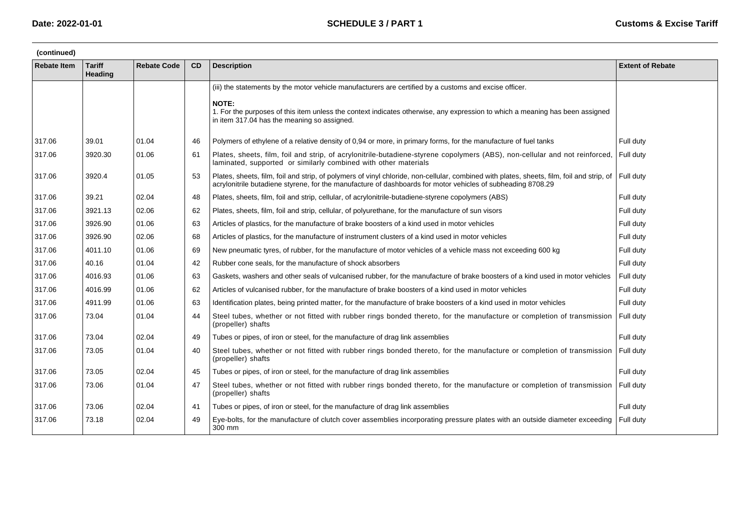| (continued)        |                          |                    |    |                                                                                                                                                                                                                                                          |                         |  |  |  |  |
|--------------------|--------------------------|--------------------|----|----------------------------------------------------------------------------------------------------------------------------------------------------------------------------------------------------------------------------------------------------------|-------------------------|--|--|--|--|
| <b>Rebate Item</b> | <b>Tariff</b><br>Heading | <b>Rebate Code</b> | CD | <b>Description</b>                                                                                                                                                                                                                                       | <b>Extent of Rebate</b> |  |  |  |  |
|                    |                          |                    |    | (iii) the statements by the motor vehicle manufacturers are certified by a customs and excise officer.                                                                                                                                                   |                         |  |  |  |  |
|                    |                          |                    |    | <b>NOTE:</b><br>1. For the purposes of this item unless the context indicates otherwise, any expression to which a meaning has been assigned<br>in item 317.04 has the meaning so assigned.                                                              |                         |  |  |  |  |
| 317.06             | 39.01                    | 01.04              | 46 | Polymers of ethylene of a relative density of 0.94 or more, in primary forms, for the manufacture of fuel tanks                                                                                                                                          | Full duty               |  |  |  |  |
| 317.06             | 3920.30                  | 01.06              | 61 | Plates, sheets, film, foil and strip, of acrylonitrile-butadiene-styrene copolymers (ABS), non-cellular and not reinforced,<br>laminated, supported or similarly combined with other materials                                                           | Full duty               |  |  |  |  |
| 317.06             | 3920.4                   | 01.05              | 53 | Plates, sheets, film, foil and strip, of polymers of vinyl chloride, non-cellular, combined with plates, sheets, film, foil and strip, of<br>acrylonitrile butadiene styrene, for the manufacture of dashboards for motor vehicles of subheading 8708.29 | Full duty               |  |  |  |  |
| 317.06             | 39.21                    | 02.04              | 48 | Plates, sheets, film, foil and strip, cellular, of acrylonitrile-butadiene-styrene copolymers (ABS)                                                                                                                                                      | Full duty               |  |  |  |  |
| 317.06             | 3921.13                  | 02.06              | 62 | Plates, sheets, film, foil and strip, cellular, of polyurethane, for the manufacture of sun visors                                                                                                                                                       | Full duty               |  |  |  |  |
| 317.06             | 3926.90                  | 01.06              | 63 | Articles of plastics, for the manufacture of brake boosters of a kind used in motor vehicles                                                                                                                                                             | Full duty               |  |  |  |  |
| 317.06             | 3926.90                  | 02.06              | 68 | Articles of plastics, for the manufacture of instrument clusters of a kind used in motor vehicles                                                                                                                                                        | Full duty               |  |  |  |  |
| 317.06             | 4011.10                  | 01.06              | 69 | New pneumatic tyres, of rubber, for the manufacture of motor vehicles of a vehicle mass not exceeding 600 kg                                                                                                                                             | Full duty               |  |  |  |  |
| 317.06             | 40.16                    | 01.04              | 42 | Rubber cone seals, for the manufacture of shock absorbers                                                                                                                                                                                                | Full duty               |  |  |  |  |
| 317.06             | 4016.93                  | 01.06              | 63 | Gaskets, washers and other seals of vulcanised rubber, for the manufacture of brake boosters of a kind used in motor vehicles                                                                                                                            | Full duty               |  |  |  |  |
| 317.06             | 4016.99                  | 01.06              | 62 | Articles of vulcanised rubber, for the manufacture of brake boosters of a kind used in motor vehicles                                                                                                                                                    | Full duty               |  |  |  |  |
| 317.06             | 4911.99                  | 01.06              | 63 | Identification plates, being printed matter, for the manufacture of brake boosters of a kind used in motor vehicles                                                                                                                                      | Full duty               |  |  |  |  |
| 317.06             | 73.04                    | 01.04              | 44 | Steel tubes, whether or not fitted with rubber rings bonded thereto, for the manufacture or completion of transmission<br>(propeller) shafts                                                                                                             | Full duty               |  |  |  |  |
| 317.06             | 73.04                    | 02.04              | 49 | Tubes or pipes, of iron or steel, for the manufacture of drag link assemblies                                                                                                                                                                            | Full duty               |  |  |  |  |
| 317.06             | 73.05                    | 01.04              | 40 | Steel tubes, whether or not fitted with rubber rings bonded thereto, for the manufacture or completion of transmission<br>(propeller) shafts                                                                                                             | Full duty               |  |  |  |  |
| 317.06             | 73.05                    | 02.04              | 45 | Tubes or pipes, of iron or steel, for the manufacture of drag link assemblies                                                                                                                                                                            | Full duty               |  |  |  |  |
| 317.06             | 73.06                    | 01.04              | 47 | Steel tubes, whether or not fitted with rubber rings bonded thereto, for the manufacture or completion of transmission<br>(propeller) shafts                                                                                                             | Full duty               |  |  |  |  |
| 317.06             | 73.06                    | 02.04              | 41 | Tubes or pipes, of iron or steel, for the manufacture of drag link assemblies                                                                                                                                                                            | Full duty               |  |  |  |  |
| 317.06             | 73.18                    | 02.04              | 49 | Eye-bolts, for the manufacture of clutch cover assemblies incorporating pressure plates with an outside diameter exceeding<br>300 mm                                                                                                                     | Full duty               |  |  |  |  |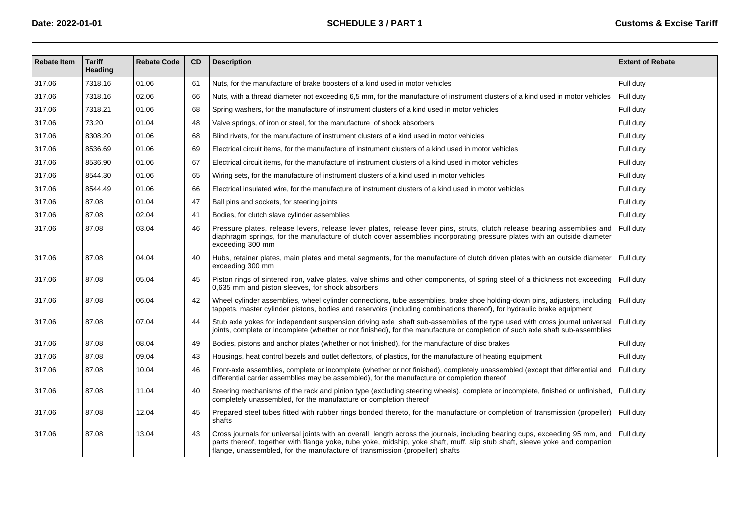| <b>Rebate Item</b> | <b>Tariff</b><br>Heading | <b>Rebate Code</b> | CD | <b>Description</b>                                                                                                                                                                                                                                                                                                                        | <b>Extent of Rebate</b> |
|--------------------|--------------------------|--------------------|----|-------------------------------------------------------------------------------------------------------------------------------------------------------------------------------------------------------------------------------------------------------------------------------------------------------------------------------------------|-------------------------|
| 317.06             | 7318.16                  | 01.06              | 61 | Nuts, for the manufacture of brake boosters of a kind used in motor vehicles                                                                                                                                                                                                                                                              | Full duty               |
| 317.06             | 7318.16                  | 02.06              | 66 | Nuts, with a thread diameter not exceeding 6,5 mm, for the manufacture of instrument clusters of a kind used in motor vehicles                                                                                                                                                                                                            | Full duty               |
| 317.06             | 7318.21                  | 01.06              | 68 | Spring washers, for the manufacture of instrument clusters of a kind used in motor vehicles                                                                                                                                                                                                                                               | Full duty               |
| 317.06             | 73.20                    | 01.04              | 48 | Valve springs, of iron or steel, for the manufacture of shock absorbers                                                                                                                                                                                                                                                                   | Full duty               |
| 317.06             | 8308.20                  | 01.06              | 68 | Blind rivets, for the manufacture of instrument clusters of a kind used in motor vehicles                                                                                                                                                                                                                                                 | Full duty               |
| 317.06             | 8536.69                  | 01.06              | 69 | Electrical circuit items, for the manufacture of instrument clusters of a kind used in motor vehicles                                                                                                                                                                                                                                     | Full duty               |
| 317.06             | 8536.90                  | 01.06              | 67 | Electrical circuit items, for the manufacture of instrument clusters of a kind used in motor vehicles                                                                                                                                                                                                                                     | Full duty               |
| 317.06             | 8544.30                  | 01.06              | 65 | Wiring sets, for the manufacture of instrument clusters of a kind used in motor vehicles                                                                                                                                                                                                                                                  | Full duty               |
| 317.06             | 8544.49                  | 01.06              | 66 | Electrical insulated wire, for the manufacture of instrument clusters of a kind used in motor vehicles                                                                                                                                                                                                                                    | Full duty               |
| 317.06             | 87.08                    | 01.04              | 47 | Ball pins and sockets, for steering joints                                                                                                                                                                                                                                                                                                | Full duty               |
| 317.06             | 87.08                    | 02.04              | 41 | Bodies, for clutch slave cylinder assemblies                                                                                                                                                                                                                                                                                              | Full duty               |
| 317.06             | 87.08                    | 03.04              | 46 | Pressure plates, release levers, release lever plates, release lever pins, struts, clutch release bearing assemblies and<br>diaphragm springs, for the manufacture of clutch cover assemblies incorporating pressure plates with an outside diameter<br>exceeding 300 mm                                                                  | Full duty               |
| 317.06             | 87.08                    | 04.04              | 40 | Hubs, retainer plates, main plates and metal segments, for the manufacture of clutch driven plates with an outside diameter<br>exceeding 300 mm                                                                                                                                                                                           | Full duty               |
| 317.06             | 87.08                    | 05.04              | 45 | Piston rings of sintered iron, valve plates, valve shims and other components, of spring steel of a thickness not exceeding<br>0.635 mm and piston sleeves, for shock absorbers                                                                                                                                                           | Full duty               |
| 317.06             | 87.08                    | 06.04              | 42 | Wheel cylinder assemblies, wheel cylinder connections, tube assemblies, brake shoe holding-down pins, adjusters, including<br>tappets, master cylinder pistons, bodies and reservoirs (including combinations thereof), for hydraulic brake equipment                                                                                     | Full duty               |
| 317.06             | 87.08                    | 07.04              | 44 | Stub axle yokes for independent suspension driving axle shaft sub-assemblies of the type used with cross journal universal<br>joints, complete or incomplete (whether or not finished), for the manufacture or completion of such axle shaft sub-assemblies                                                                               | Full duty               |
| 317.06             | 87.08                    | 08.04              | 49 | Bodies, pistons and anchor plates (whether or not finished), for the manufacture of disc brakes                                                                                                                                                                                                                                           | Full duty               |
| 317.06             | 87.08                    | 09.04              | 43 | Housings, heat control bezels and outlet deflectors, of plastics, for the manufacture of heating equipment                                                                                                                                                                                                                                | Full duty               |
| 317.06             | 87.08                    | 10.04              | 46 | Front-axle assemblies, complete or incomplete (whether or not finished), completely unassembled (except that differential and<br>differential carrier assemblies may be assembled), for the manufacture or completion thereof                                                                                                             | Full duty               |
| 317.06             | 87.08                    | 11.04              | 40 | Steering mechanisms of the rack and pinion type (excluding steering wheels), complete or incomplete, finished or unfinished,<br>completely unassembled, for the manufacture or completion thereof                                                                                                                                         | Full duty               |
| 317.06             | 87.08                    | 12.04              | 45 | Prepared steel tubes fitted with rubber rings bonded thereto, for the manufacture or completion of transmission (propeller)<br>shafts                                                                                                                                                                                                     | Full duty               |
| 317.06             | 87.08                    | 13.04              | 43 | Cross journals for universal joints with an overall length across the journals, including bearing cups, exceeding 95 mm, and<br>parts thereof, together with flange yoke, tube yoke, midship, yoke shaft, muff, slip stub shaft, sleeve yoke and companion<br>flange, unassembled, for the manufacture of transmission (propeller) shafts | Full duty               |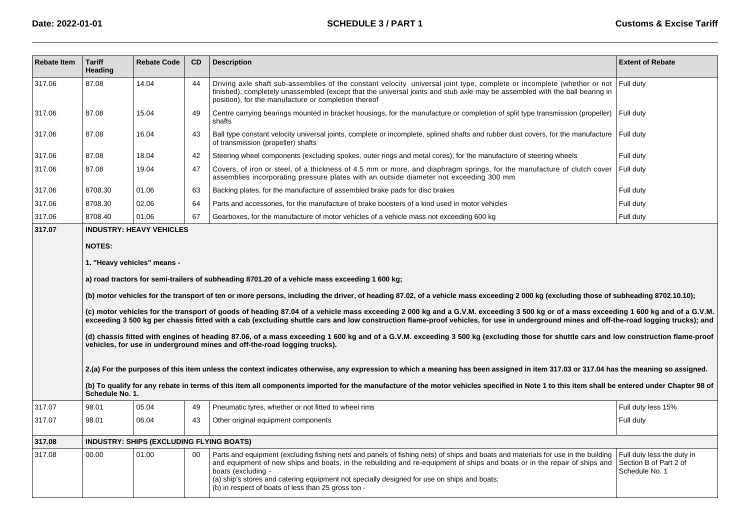| <b>Rebate Item</b> | <b>Tariff</b><br>Heading | <b>Rebate Code</b>                              | CD      | <b>Description</b>                                                                                                                                                                                                                                                                                                                                                                                                                        | <b>Extent of Rebate</b>                                                |
|--------------------|--------------------------|-------------------------------------------------|---------|-------------------------------------------------------------------------------------------------------------------------------------------------------------------------------------------------------------------------------------------------------------------------------------------------------------------------------------------------------------------------------------------------------------------------------------------|------------------------------------------------------------------------|
| 317.06             | 87.08                    | 14.04                                           | 44      | Driving axle shaft sub-assemblies of the constant velocity universal joint type, complete or incomplete (whether or not<br>finished), completely unassembled (except that the universal joints and stub axle may be assembled with the ball bearing in<br>position), for the manufacture or completion thereof                                                                                                                            | Full duty                                                              |
| 317.06             | 87.08                    | 15.04                                           | 49      | Centre carrying bearings mounted in bracket housings, for the manufacture or completion of split type transmission (propeller)<br>shafts                                                                                                                                                                                                                                                                                                  | Full duty                                                              |
| 317.06             | 87.08                    | 16.04                                           | 43      | Ball type constant velocity universal joints, complete or incomplete, splined shafts and rubber dust covers, for the manufacture   Full duty<br>of transmission (propeller) shafts                                                                                                                                                                                                                                                        |                                                                        |
| 317.06             | 87.08                    | 18.04                                           | 42      | Steering wheel components (excluding spokes, outer rings and metal cores), for the manufacture of steering wheels                                                                                                                                                                                                                                                                                                                         | Full duty                                                              |
| 317.06             | 87.08                    | 19.04                                           | 47      | Covers, of iron or steel, of a thickness of 4.5 mm or more, and diaphragm springs, for the manufacture of clutch cover<br>assemblies incorporating pressure plates with an outside diameter not exceeding 300 mm                                                                                                                                                                                                                          | Full duty                                                              |
| 317.06             | 8708.30                  | 01.06                                           | 63      | Backing plates, for the manufacture of assembled brake pads for disc brakes                                                                                                                                                                                                                                                                                                                                                               | Full duty                                                              |
| 317.06             | 8708.30                  | 02.06                                           | 64      | Parts and accessories, for the manufacture of brake boosters of a kind used in motor vehicles                                                                                                                                                                                                                                                                                                                                             | Full duty                                                              |
| 317.06             | 8708.40                  | 01.06                                           | 67      | Gearboxes, for the manufacture of motor vehicles of a vehicle mass not exceeding 600 kg                                                                                                                                                                                                                                                                                                                                                   | Full duty                                                              |
| 317.07             |                          | <b>INDUSTRY: HEAVY VEHICLES</b>                 |         |                                                                                                                                                                                                                                                                                                                                                                                                                                           |                                                                        |
|                    | <b>NOTES:</b>            |                                                 |         |                                                                                                                                                                                                                                                                                                                                                                                                                                           |                                                                        |
|                    |                          | 1. "Heavy vehicles" means -                     |         |                                                                                                                                                                                                                                                                                                                                                                                                                                           |                                                                        |
|                    |                          |                                                 |         | a) road tractors for semi-trailers of subheading 8701.20 of a vehicle mass exceeding 1 600 kg;                                                                                                                                                                                                                                                                                                                                            |                                                                        |
|                    |                          |                                                 |         | (b) motor vehicles for the transport of ten or more persons, including the driver, of heading 87.02, of a vehicle mass exceeding 2 000 kg (excluding those of subheading 8702.10.10);                                                                                                                                                                                                                                                     |                                                                        |
|                    |                          |                                                 |         | (c) motor vehicles for the transport of goods of heading 87.04 of a vehicle mass exceeding 2 000 kg and a G.V.M. exceeding 3 500 kg or of a mass exceeding 1 600 kg and of a G.V.M.<br>exceeding 3 500 kg per chassis fitted with a cab (excluding shuttle cars and low construction flame-proof vehicles, for use in underground mines and off-the-road logging trucks); and                                                             |                                                                        |
|                    |                          |                                                 |         | (d) chassis fitted with engines of heading 87.06, of a mass exceeding 1 600 kg and of a G.V.M. exceeding 3 500 kg (excluding those for shuttle cars and low construction flame-proof<br>vehicles, for use in underground mines and off-the-road logging trucks).                                                                                                                                                                          |                                                                        |
|                    |                          |                                                 |         |                                                                                                                                                                                                                                                                                                                                                                                                                                           |                                                                        |
|                    |                          |                                                 |         | 2.(a) For the purposes of this item unless the context indicates otherwise, any expression to which a meaning has been assigned in item 317.03 or 317.04 has the meaning so assigned.                                                                                                                                                                                                                                                     |                                                                        |
|                    | Schedule No. 1.          |                                                 |         | (b) To qualify for any rebate in terms of this item all components imported for the manufacture of the motor vehicles specified in Note 1 to this item shall be entered under Chapter 98 of                                                                                                                                                                                                                                               |                                                                        |
| 317.07             | 98.01                    | 05.04                                           | 49      | Pneumatic tyres, whether or not fitted to wheel rims                                                                                                                                                                                                                                                                                                                                                                                      | Full duty less 15%                                                     |
| 317.07             | 98.01                    | 06.04                                           | 43      | Other original equipment components                                                                                                                                                                                                                                                                                                                                                                                                       | Full duty                                                              |
| 317.08             |                          | <b>INDUSTRY: SHIPS (EXCLUDING FLYING BOATS)</b> |         |                                                                                                                                                                                                                                                                                                                                                                                                                                           |                                                                        |
| 317.08             | 00.00                    | 01.00                                           | $00 \,$ | Parts and equipment (excluding fishing nets and panels of fishing nets) of ships and boats and materials for use in the building<br>and equipment of new ships and boats, in the rebuilding and re-equipment of ships and boats or in the repair of ships and<br>boats (excluding -<br>(a) ship's stores and catering equipment not specially designed for use on ships and boats;<br>(b) in respect of boats of less than 25 gross ton - | Full duty less the duty in<br>Section B of Part 2 of<br>Schedule No. 1 |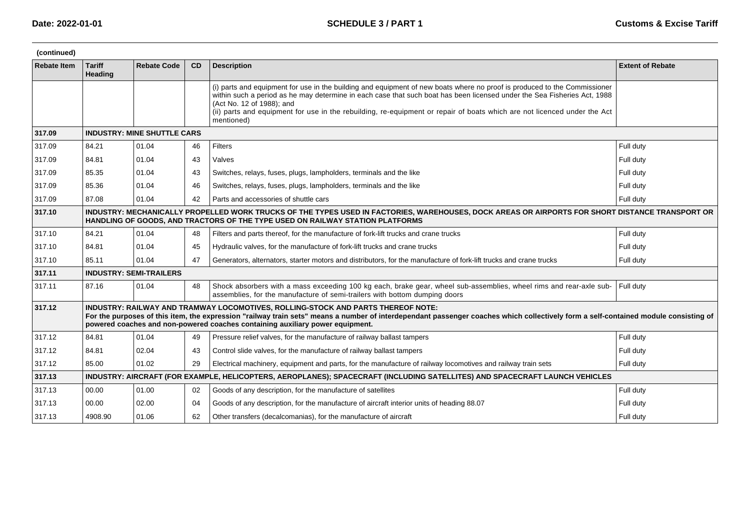| (continued) |                          |                                    |    |                                                                                                                                                                                                                                                                                                                                                                                                                              |                         |
|-------------|--------------------------|------------------------------------|----|------------------------------------------------------------------------------------------------------------------------------------------------------------------------------------------------------------------------------------------------------------------------------------------------------------------------------------------------------------------------------------------------------------------------------|-------------------------|
| Rebate Item | <b>Tariff</b><br>Heading | <b>Rebate Code</b>                 | CD | <b>Description</b>                                                                                                                                                                                                                                                                                                                                                                                                           | <b>Extent of Rebate</b> |
|             |                          |                                    |    | (i) parts and equipment for use in the building and equipment of new boats where no proof is produced to the Commissioner<br>within such a period as he may determine in each case that such boat has been licensed under the Sea Fisheries Act, 1988<br>(Act No. 12 of 1988); and<br>(ii) parts and equipment for use in the rebuilding, re-equipment or repair of boats which are not licenced under the Act<br>mentioned) |                         |
| 317.09      |                          | <b>INDUSTRY: MINE SHUTTLE CARS</b> |    |                                                                                                                                                                                                                                                                                                                                                                                                                              |                         |
| 317.09      | 84.21                    | 01.04                              | 46 | <b>Filters</b>                                                                                                                                                                                                                                                                                                                                                                                                               | Full duty               |
| 317.09      | 84.81                    | 01.04                              | 43 | Valves                                                                                                                                                                                                                                                                                                                                                                                                                       | Full duty               |
| 317.09      | 85.35                    | 01.04                              | 43 | Switches, relays, fuses, plugs, lampholders, terminals and the like                                                                                                                                                                                                                                                                                                                                                          | Full duty               |
| 317.09      | 85.36                    | 01.04                              | 46 | Switches, relays, fuses, plugs, lampholders, terminals and the like                                                                                                                                                                                                                                                                                                                                                          | Full duty               |
| 317.09      | 87.08                    | 01.04                              | 42 | Parts and accessories of shuttle cars                                                                                                                                                                                                                                                                                                                                                                                        | Full duty               |
| 317.10      |                          |                                    |    | INDUSTRY: MECHANICALLY PROPELLED WORK TRUCKS OF THE TYPES USED IN FACTORIES, WAREHOUSES, DOCK AREAS OR AIRPORTS FOR SHORT DISTANCE TRANSPORT OR<br>HANDLING OF GOODS. AND TRACTORS OF THE TYPE USED ON RAILWAY STATION PLATFORMS                                                                                                                                                                                             |                         |
| 317.10      | 84.21                    | 01.04                              | 48 | Filters and parts thereof, for the manufacture of fork-lift trucks and crane trucks                                                                                                                                                                                                                                                                                                                                          | Full duty               |
| 317.10      | 84.81                    | 01.04                              | 45 | Hydraulic valves, for the manufacture of fork-lift trucks and crane trucks                                                                                                                                                                                                                                                                                                                                                   | Full duty               |
| 317.10      | 85.11                    | 01.04                              | 47 | Generators, alternators, starter motors and distributors, for the manufacture of fork-lift trucks and crane trucks                                                                                                                                                                                                                                                                                                           | Full duty               |
| 317.11      |                          | <b>INDUSTRY: SEMI-TRAILERS</b>     |    |                                                                                                                                                                                                                                                                                                                                                                                                                              |                         |
| 317.11      | 87.16                    | 01.04                              | 48 | Shock absorbers with a mass exceeding 100 kg each, brake gear, wheel sub-assemblies, wheel rims and rear-axle sub-<br>assemblies, for the manufacture of semi-trailers with bottom dumping doors                                                                                                                                                                                                                             | Full duty               |
| 317.12      |                          |                                    |    | INDUSTRY: RAILWAY AND TRAMWAY LOCOMOTIVES, ROLLING-STOCK AND PARTS THEREOF NOTE:<br>For the purposes of this item, the expression "railway train sets" means a number of interdependant passenger coaches which collectively form a self-contained module consisting of<br>powered coaches and non-powered coaches containing auxiliary power equipment.                                                                     |                         |
| 317.12      | 84.81                    | 01.04                              | 49 | Pressure relief valves, for the manufacture of railway ballast tampers                                                                                                                                                                                                                                                                                                                                                       | Full duty               |
| 317.12      | 84.81                    | 02.04                              | 43 | Control slide valves, for the manufacture of railway ballast tampers                                                                                                                                                                                                                                                                                                                                                         | Full duty               |
| 317.12      | 85.00                    | 01.02                              | 29 | Electrical machinery, equipment and parts, for the manufacture of railway locomotives and railway train sets                                                                                                                                                                                                                                                                                                                 | Full duty               |
| 317.13      |                          |                                    |    | INDUSTRY: AIRCRAFT (FOR EXAMPLE, HELICOPTERS, AEROPLANES); SPACECRAFT (INCLUDING SATELLITES) AND SPACECRAFT LAUNCH VEHICLES                                                                                                                                                                                                                                                                                                  |                         |
| 317.13      | 00.00                    | 01.00                              | 02 | Goods of any description, for the manufacture of satellites                                                                                                                                                                                                                                                                                                                                                                  | Full duty               |
| 317.13      | 00.00                    | 02.00                              | 04 | Goods of any description, for the manufacture of aircraft interior units of heading 88.07                                                                                                                                                                                                                                                                                                                                    | Full duty               |
| 317.13      | 4908.90                  | 01.06                              | 62 | Other transfers (decalcomanias), for the manufacture of aircraft                                                                                                                                                                                                                                                                                                                                                             | Full duty               |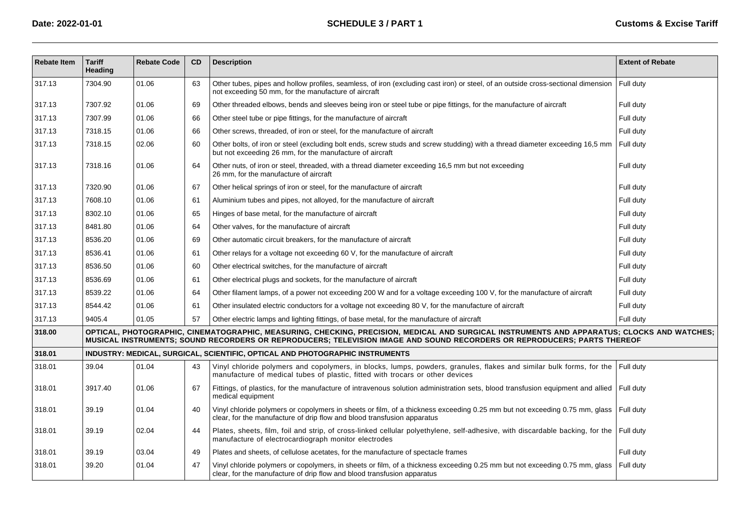| <b>Rebate Item</b> | <b>Tariff</b><br><b>Heading</b> | <b>Rebate Code</b> | <b>CD</b> | <b>Description</b>                                                                                                                                                                                                                                                     | <b>Extent of Rebate</b> |
|--------------------|---------------------------------|--------------------|-----------|------------------------------------------------------------------------------------------------------------------------------------------------------------------------------------------------------------------------------------------------------------------------|-------------------------|
| 317.13             | 7304.90                         | 01.06              | 63        | Other tubes, pipes and hollow profiles, seamless, of iron (excluding cast iron) or steel, of an outside cross-sectional dimension<br>not exceeding 50 mm, for the manufacture of aircraft                                                                              | Full duty               |
| 317.13             | 7307.92                         | 01.06              | 69        | Other threaded elbows, bends and sleeves being iron or steel tube or pipe fittings, for the manufacture of aircraft                                                                                                                                                    | Full duty               |
| 317.13             | 7307.99                         | 01.06              | 66        | Other steel tube or pipe fittings, for the manufacture of aircraft                                                                                                                                                                                                     | Full duty               |
| 317.13             | 7318.15                         | 01.06              | 66        | Other screws, threaded, of iron or steel, for the manufacture of aircraft                                                                                                                                                                                              | Full duty               |
| 317.13             | 7318.15                         | 02.06              | 60        | Other bolts, of iron or steel (excluding bolt ends, screw studs and screw studding) with a thread diameter exceeding 16,5 mm<br>but not exceeding 26 mm, for the manufacture of aircraft                                                                               | Full duty               |
| 317.13             | 7318.16                         | 01.06              | 64        | Other nuts, of iron or steel, threaded, with a thread diameter exceeding 16,5 mm but not exceeding<br>26 mm, for the manufacture of aircraft                                                                                                                           | Full duty               |
| 317.13             | 7320.90                         | 01.06              | 67        | Other helical springs of iron or steel, for the manufacture of aircraft                                                                                                                                                                                                | Full duty               |
| 317.13             | 7608.10                         | 01.06              | 61        | Aluminium tubes and pipes, not alloyed, for the manufacture of aircraft                                                                                                                                                                                                | Full duty               |
| 317.13             | 8302.10                         | 01.06              | 65        | Hinges of base metal, for the manufacture of aircraft                                                                                                                                                                                                                  | Full duty               |
| 317.13             | 8481.80                         | 01.06              | 64        | Other valves, for the manufacture of aircraft                                                                                                                                                                                                                          | Full duty               |
| 317.13             | 8536.20                         | 01.06              | 69        | Other automatic circuit breakers, for the manufacture of aircraft                                                                                                                                                                                                      | Full duty               |
| 317.13             | 8536.41                         | 01.06              | 61        | Other relays for a voltage not exceeding 60 V, for the manufacture of aircraft                                                                                                                                                                                         | Full duty               |
| 317.13             | 8536.50                         | 01.06              | 60        | Other electrical switches, for the manufacture of aircraft                                                                                                                                                                                                             | Full duty               |
| 317.13             | 8536.69                         | 01.06              | 61        | Other electrical plugs and sockets, for the manufacture of aircraft                                                                                                                                                                                                    | Full duty               |
| 317.13             | 8539.22                         | 01.06              | 64        | Other filament lamps, of a power not exceeding 200 W and for a voltage exceeding 100 V, for the manufacture of aircraft                                                                                                                                                | Full duty               |
| 317.13             | 8544.42                         | 01.06              | 61        | Other insulated electric conductors for a voltage not exceeding 80 V, for the manufacture of aircraft                                                                                                                                                                  | Full duty               |
| 317.13             | 9405.4                          | 01.05              | 57        | Other electric lamps and lighting fittings, of base metal, for the manufacture of aircraft                                                                                                                                                                             | Full duty               |
| 318.00             |                                 |                    |           | OPTICAL, PHOTOGRAPHIC, CINEMATOGRAPHIC, MEASURING, CHECKING, PRECISION, MEDICAL AND SURGICAL INSTRUMENTS AND APPARATUS; CLOCKS AND WATCHES;<br>MUSICAL INSTRUMENTS; SOUND RECORDERS OR REPRODUCERS; TELEVISION IMAGE AND SOUND RECORDERS OR REPRODUCERS; PARTS THEREOF |                         |
| 318.01             |                                 |                    |           | INDUSTRY: MEDICAL, SURGICAL, SCIENTIFIC, OPTICAL AND PHOTOGRAPHIC INSTRUMENTS                                                                                                                                                                                          |                         |
| 318.01             | 39.04                           | 01.04              | 43        | Vinyl chloride polymers and copolymers, in blocks, lumps, powders, granules, flakes and similar bulk forms, for the<br>manufacture of medical tubes of plastic, fitted with trocars or other devices                                                                   | Full duty               |
| 318.01             | 3917.40                         | 01.06              | 67        | Fittings, of plastics, for the manufacture of intravenous solution administration sets, blood transfusion equipment and allied<br>medical equipment                                                                                                                    | Full duty               |
| 318.01             | 39.19                           | 01.04              | 40        | Vinyl chloride polymers or copolymers in sheets or film, of a thickness exceeding 0.25 mm but not exceeding 0.75 mm, glass<br>clear, for the manufacture of drip flow and blood transfusion apparatus                                                                  | Full duty               |
| 318.01             | 39.19                           | 02.04              | 44        | Plates, sheets, film, foil and strip, of cross-linked cellular polyethylene, self-adhesive, with discardable backing, for the<br>manufacture of electrocardiograph monitor electrodes                                                                                  | Full duty               |
| 318.01             | 39.19                           | 03.04              | 49        | Plates and sheets, of cellulose acetates, for the manufacture of spectacle frames                                                                                                                                                                                      | Full duty               |
| 318.01             | 39.20                           | 01.04              | 47        | Vinyl chloride polymers or copolymers, in sheets or film, of a thickness exceeding 0.25 mm but not exceeding 0.75 mm, glass<br>clear, for the manufacture of drip flow and blood transfusion apparatus                                                                 | Full duty               |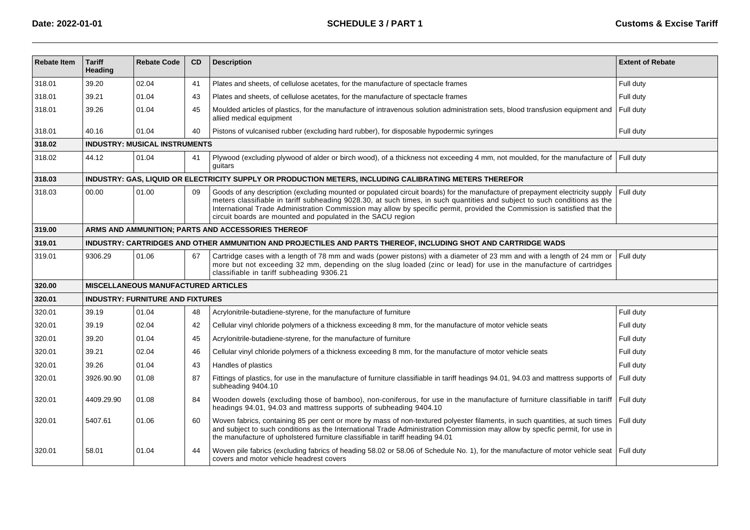| <b>Rebate Item</b> | <b>Tariff</b><br>Heading | <b>Rebate Code</b>                         | <b>CD</b> | <b>Description</b>                                                                                                                                                                                                                                                                                                                                                                                                                                     | <b>Extent of Rebate</b> |
|--------------------|--------------------------|--------------------------------------------|-----------|--------------------------------------------------------------------------------------------------------------------------------------------------------------------------------------------------------------------------------------------------------------------------------------------------------------------------------------------------------------------------------------------------------------------------------------------------------|-------------------------|
| 318.01             | 39.20                    | 02.04                                      | 41        | Plates and sheets, of cellulose acetates, for the manufacture of spectacle frames                                                                                                                                                                                                                                                                                                                                                                      | Full duty               |
| 318.01             | 39.21                    | 01.04                                      | 43        | Plates and sheets, of cellulose acetates, for the manufacture of spectacle frames                                                                                                                                                                                                                                                                                                                                                                      | Full duty               |
| 318.01             | 39.26                    | 01.04                                      | 45        | Moulded articles of plastics, for the manufacture of intravenous solution administration sets, blood transfusion equipment and<br>allied medical equipment                                                                                                                                                                                                                                                                                             | Full duty               |
| 318.01             | 40.16                    | 01.04                                      | 40        | Pistons of vulcanised rubber (excluding hard rubber), for disposable hypodermic syringes                                                                                                                                                                                                                                                                                                                                                               | Full duty               |
| 318.02             |                          | <b>INDUSTRY: MUSICAL INSTRUMENTS</b>       |           |                                                                                                                                                                                                                                                                                                                                                                                                                                                        |                         |
| 318.02             | 44.12                    | 01.04                                      | 41        | Plywood (excluding plywood of alder or birch wood), of a thickness not exceeding 4 mm, not moulded, for the manufacture of<br>guitars                                                                                                                                                                                                                                                                                                                  | Full duty               |
| 318.03             |                          |                                            |           | INDUSTRY: GAS, LIQUID OR ELECTRICITY SUPPLY OR PRODUCTION METERS, INCLUDING CALIBRATING METERS THEREFOR                                                                                                                                                                                                                                                                                                                                                |                         |
| 318.03             | 00.00                    | 01.00                                      | 09        | Goods of any description (excluding mounted or populated circuit boards) for the manufacture of prepayment electricity supply<br>meters classifiable in tariff subheading 9028.30, at such times, in such quantities and subject to such conditions as the<br>International Trade Administration Commission may allow by specific permit, provided the Commission is satisfied that the<br>circuit boards are mounted and populated in the SACU region | Full duty               |
| 319.00             |                          |                                            |           | ARMS AND AMMUNITION; PARTS AND ACCESSORIES THEREOF                                                                                                                                                                                                                                                                                                                                                                                                     |                         |
| 319.01             |                          |                                            |           | INDUSTRY: CARTRIDGES AND OTHER AMMUNITION AND PROJECTILES AND PARTS THEREOF, INCLUDING SHOT AND CARTRIDGE WADS                                                                                                                                                                                                                                                                                                                                         |                         |
| 319.01             | 9306.29                  | 01.06                                      | 67        | Cartridge cases with a length of 78 mm and wads (power pistons) with a diameter of 23 mm and with a length of 24 mm or<br>more but not exceeding 32 mm, depending on the slug loaded (zinc or lead) for use in the manufacture of cartridges<br>classifiable in tariff subheading 9306.21                                                                                                                                                              | Full duty               |
| 320.00             |                          | <b>MISCELLANEOUS MANUFACTURED ARTICLES</b> |           |                                                                                                                                                                                                                                                                                                                                                                                                                                                        |                         |
| 320.01             |                          | <b>INDUSTRY: FURNITURE AND FIXTURES</b>    |           |                                                                                                                                                                                                                                                                                                                                                                                                                                                        |                         |
| 320.01             | 39.19                    | 01.04                                      | 48        | Acrylonitrile-butadiene-styrene, for the manufacture of furniture                                                                                                                                                                                                                                                                                                                                                                                      | Full duty               |
| 320.01             | 39.19                    | 02.04                                      | 42        | Cellular vinyl chloride polymers of a thickness exceeding 8 mm, for the manufacture of motor vehicle seats                                                                                                                                                                                                                                                                                                                                             | Full duty               |
| 320.01             | 39.20                    | 01.04                                      | 45        | Acrylonitrile-butadiene-styrene, for the manufacture of furniture                                                                                                                                                                                                                                                                                                                                                                                      | Full duty               |
| 320.01             | 39.21                    | 02.04                                      | 46        | Cellular vinyl chloride polymers of a thickness exceeding 8 mm, for the manufacture of motor vehicle seats                                                                                                                                                                                                                                                                                                                                             | Full duty               |
| 320.01             | 39.26                    | 01.04                                      | 43        | Handles of plastics                                                                                                                                                                                                                                                                                                                                                                                                                                    | Full duty               |
| 320.01             | 3926.90.90               | 01.08                                      | 87        | Fittings of plastics, for use in the manufacture of furniture classifiable in tariff headings 94.01, 94.03 and mattress supports of<br>subheading 9404.10                                                                                                                                                                                                                                                                                              | Full duty               |
| 320.01             | 4409.29.90               | 01.08                                      | 84        | Wooden dowels (excluding those of bamboo), non-coniferous, for use in the manufacture of furniture classifiable in tariff<br>headings 94.01, 94.03 and mattress supports of subheading 9404.10                                                                                                                                                                                                                                                         | Full duty               |
| 320.01             | 5407.61                  | 01.06                                      | 60        | Woven fabrics, containing 85 per cent or more by mass of non-textured polyester filaments, in such quantities, at such times<br>and subject to such conditions as the International Trade Administration Commission may allow by specfic permit, for use in<br>the manufacture of upholstered furniture classifiable in tariff heading 94.01                                                                                                           | Full duty               |
| 320.01             | 58.01                    | 01.04                                      | 44        | Woven pile fabrics (excluding fabrics of heading 58.02 or 58.06 of Schedule No. 1), for the manufacture of motor vehicle seat Full duty<br>covers and motor vehicle headrest covers                                                                                                                                                                                                                                                                    |                         |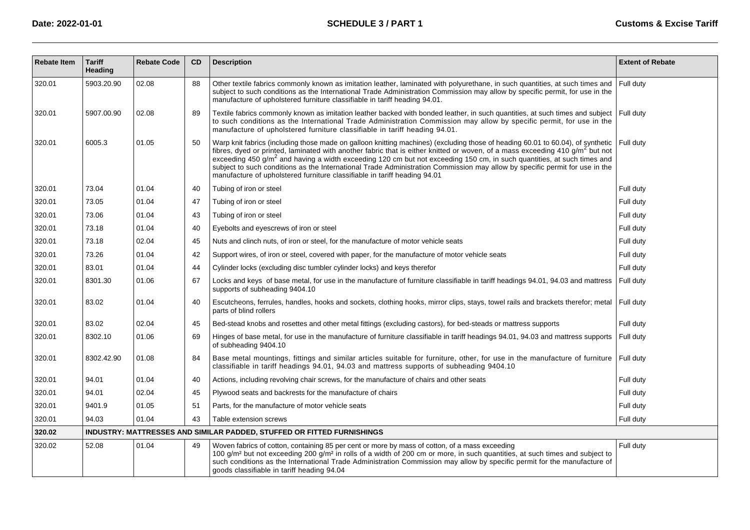| <b>Rebate Item</b> | <b>Tariff</b><br>Heading | <b>Rebate Code</b> | CD | <b>Description</b>                                                                                                                                                                                                                                                                                                                                                                                                                                                                                                                                                                                                            | <b>Extent of Rebate</b> |
|--------------------|--------------------------|--------------------|----|-------------------------------------------------------------------------------------------------------------------------------------------------------------------------------------------------------------------------------------------------------------------------------------------------------------------------------------------------------------------------------------------------------------------------------------------------------------------------------------------------------------------------------------------------------------------------------------------------------------------------------|-------------------------|
| 320.01             | 5903.20.90               | 02.08              | 88 | Other textile fabrics commonly known as imitation leather, laminated with polyurethane, in such quantities, at such times and<br>subject to such conditions as the International Trade Administration Commission may allow by specific permit, for use in the<br>manufacture of upholstered furniture classifiable in tariff heading 94.01.                                                                                                                                                                                                                                                                                   | Full duty               |
| 320.01             | 5907.00.90               | 02.08              | 89 | Textile fabrics commonly known as imitation leather backed with bonded leather, in such quantities, at such times and subject<br>to such conditions as the International Trade Administration Commission may allow by specific permit, for use in the<br>manufacture of upholstered furniture classifiable in tariff heading 94.01.                                                                                                                                                                                                                                                                                           | Full duty               |
| 320.01             | 6005.3                   | 01.05              | 50 | Warp knit fabrics (including those made on galloon knitting machines) (excluding those of heading 60.01 to 60.04), of synthetic<br>fibres, dyed or printed, laminated with another fabric that is either knitted or woven, of a mass exceeding 410 g/m <sup>2</sup> but not<br>exceeding 450 g/m <sup>2</sup> and having a width exceeding 120 cm but not exceeding 150 cm, in such quantities, at such times and<br>subject to such conditions as the International Trade Administration Commission may allow by specific permit for use in the<br>manufacture of upholstered furniture classifiable in tariff heading 94.01 | Full duty               |
| 320.01             | 73.04                    | 01.04              | 40 | Tubing of iron or steel                                                                                                                                                                                                                                                                                                                                                                                                                                                                                                                                                                                                       | Full duty               |
| 320.01             | 73.05                    | 01.04              | 47 | Tubing of iron or steel                                                                                                                                                                                                                                                                                                                                                                                                                                                                                                                                                                                                       | Full duty               |
| 320.01             | 73.06                    | 01.04              | 43 | Tubing of iron or steel                                                                                                                                                                                                                                                                                                                                                                                                                                                                                                                                                                                                       | Full duty               |
| 320.01             | 73.18                    | 01.04              | 40 | Eyebolts and eyescrews of iron or steel                                                                                                                                                                                                                                                                                                                                                                                                                                                                                                                                                                                       | Full duty               |
| 320.01             | 73.18                    | 02.04              | 45 | Nuts and clinch nuts, of iron or steel, for the manufacture of motor vehicle seats                                                                                                                                                                                                                                                                                                                                                                                                                                                                                                                                            | Full duty               |
| 320.01             | 73.26                    | 01.04              | 42 | Support wires, of iron or steel, covered with paper, for the manufacture of motor vehicle seats                                                                                                                                                                                                                                                                                                                                                                                                                                                                                                                               | Full duty               |
| 320.01             | 83.01                    | 01.04              | 44 | Cylinder locks (excluding disc tumbler cylinder locks) and keys therefor                                                                                                                                                                                                                                                                                                                                                                                                                                                                                                                                                      | Full duty               |
| 320.01             | 8301.30                  | 01.06              | 67 | Locks and keys of base metal, for use in the manufacture of furniture classifiable in tariff headings 94.01, 94.03 and mattress<br>supports of subheading 9404.10                                                                                                                                                                                                                                                                                                                                                                                                                                                             | Full duty               |
| 320.01             | 83.02                    | 01.04              | 40 | Escutcheons, ferrules, handles, hooks and sockets, clothing hooks, mirror clips, stays, towel rails and brackets therefor; metal<br>parts of blind rollers                                                                                                                                                                                                                                                                                                                                                                                                                                                                    | Full duty               |
| 320.01             | 83.02                    | 02.04              | 45 | Bed-stead knobs and rosettes and other metal fittings (excluding castors), for bed-steads or mattress supports                                                                                                                                                                                                                                                                                                                                                                                                                                                                                                                | Full duty               |
| 320.01             | 8302.10                  | 01.06              | 69 | Hinges of base metal, for use in the manufacture of furniture classifiable in tariff headings 94.01, 94.03 and mattress supports<br>of subheading 9404.10                                                                                                                                                                                                                                                                                                                                                                                                                                                                     | Full duty               |
| 320.01             | 8302.42.90               | 01.08              | 84 | Base metal mountings, fittings and similar articles suitable for furniture, other, for use in the manufacture of furniture<br>classifiable in tariff headings 94.01, 94.03 and mattress supports of subheading 9404.10                                                                                                                                                                                                                                                                                                                                                                                                        | Full duty               |
| 320.01             | 94.01                    | 01.04              | 40 | Actions, including revolving chair screws, for the manufacture of chairs and other seats                                                                                                                                                                                                                                                                                                                                                                                                                                                                                                                                      | Full duty               |
| 320.01             | 94.01                    | 02.04              | 45 | Plywood seats and backrests for the manufacture of chairs                                                                                                                                                                                                                                                                                                                                                                                                                                                                                                                                                                     | Full duty               |
| 320.01             | 9401.9                   | 01.05              | 51 | Parts, for the manufacture of motor vehicle seats                                                                                                                                                                                                                                                                                                                                                                                                                                                                                                                                                                             | Full duty               |
| 320.01             | 94.03                    | 01.04              | 43 | Table extension screws                                                                                                                                                                                                                                                                                                                                                                                                                                                                                                                                                                                                        | Full duty               |
| 320.02             |                          |                    |    | INDUSTRY: MATTRESSES AND SIMILAR PADDED, STUFFED OR FITTED FURNISHINGS                                                                                                                                                                                                                                                                                                                                                                                                                                                                                                                                                        |                         |
| 320.02             | 52.08                    | 01.04              | 49 | Woven fabrics of cotton, containing 85 per cent or more by mass of cotton, of a mass exceeding<br>100 g/m <sup>2</sup> but not exceeding 200 g/m <sup>2</sup> in rolls of a width of 200 cm or more, in such quantities, at such times and subject to<br>such conditions as the International Trade Administration Commission may allow by specific permit for the manufacture of<br>goods classifiable in tariff heading 94.04                                                                                                                                                                                               | Full duty               |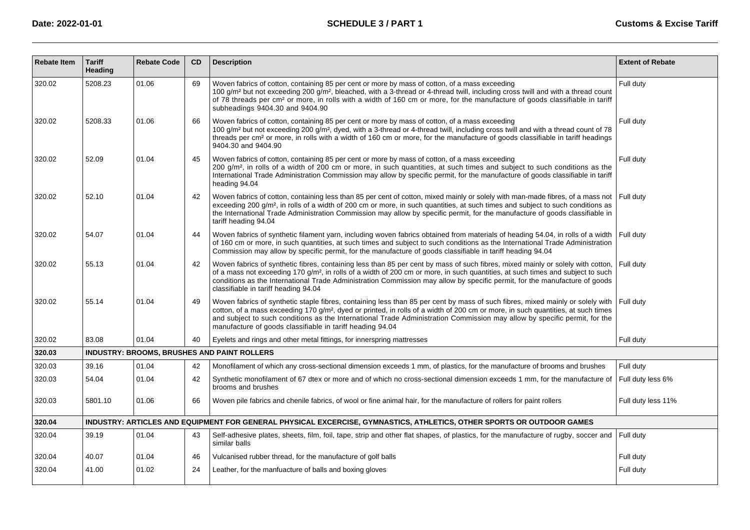| <b>Rebate Item</b> | <b>Tariff</b><br>Heading | <b>Rebate Code</b> | CD | <b>Description</b>                                                                                                                                                                                                                                                                                                                                                                                                                                                       | <b>Extent of Rebate</b> |
|--------------------|--------------------------|--------------------|----|--------------------------------------------------------------------------------------------------------------------------------------------------------------------------------------------------------------------------------------------------------------------------------------------------------------------------------------------------------------------------------------------------------------------------------------------------------------------------|-------------------------|
| 320.02             | 5208.23                  | 01.06              | 69 | Woven fabrics of cotton, containing 85 per cent or more by mass of cotton, of a mass exceeding<br>100 g/m <sup>2</sup> but not exceeding 200 g/m <sup>2</sup> , bleached, with a 3-thread or 4-thread twill, including cross twill and with a thread count<br>of 78 threads per cm <sup>2</sup> or more, in rolls with a width of 160 cm or more, for the manufacture of goods classifiable in tariff<br>subheadings 9404.30 and 9404.90                                 | Full duty               |
| 320.02             | 5208.33                  | 01.06              | 66 | Woven fabrics of cotton, containing 85 per cent or more by mass of cotton, of a mass exceeding<br>100 g/m <sup>2</sup> but not exceeding 200 g/m <sup>2</sup> , dyed, with a 3-thread or 4-thread twill, including cross twill and with a thread count of 78<br>threads per cm <sup>2</sup> or more, in rolls with a width of 160 cm or more, for the manufacture of goods classifiable in tariff headings<br>9404.30 and 9404.90                                        | Full duty               |
| 320.02             | 52.09                    | 01.04              | 45 | Woven fabrics of cotton, containing 85 per cent or more by mass of cotton, of a mass exceeding<br>200 g/m <sup>2</sup> , in rolls of a width of 200 cm or more, in such quantities, at such times and subject to such conditions as the<br>International Trade Administration Commission may allow by specific permit, for the manufacture of goods classifiable in tariff<br>heading 94.04                                                                              | Full duty               |
| 320.02             | 52.10                    | 01.04              | 42 | Woven fabrics of cotton, containing less than 85 per cent of cotton, mixed mainly or solely with man-made fibres, of a mass not<br>exceeding 200 g/m <sup>2</sup> , in rolls of a width of 200 cm or more, in such quantities, at such times and subject to such conditions as<br>the International Trade Administration Commission may allow by specific permit, for the manufacture of goods classifiable in<br>tariff heading 94.04                                   | Full duty               |
| 320.02             | 54.07                    | 01.04              | 44 | Woven fabrics of synthetic filament yarn, including woven fabrics obtained from materials of heading 54.04, in rolls of a width<br>of 160 cm or more, in such quantities, at such times and subject to such conditions as the International Trade Administration<br>Commission may allow by specific permit, for the manufacture of goods classifiable in tariff heading 94.04                                                                                           | Full duty               |
| 320.02             | 55.13                    | 01.04              | 42 | Woven fabrics of synthetic fibres, containing less than 85 per cent by mass of such fibres, mixed mainly or solely with cotton,<br>of a mass not exceeding 170 g/m <sup>2</sup> , in rolls of a width of 200 cm or more, in such quantities, at such times and subject to such<br>conditions as the International Trade Administration Commission may allow by specific permit, for the manufacture of goods<br>classifiable in tariff heading 94.04                     | Full duty               |
| 320.02             | 55.14                    | 01.04              | 49 | Woven fabrics of synthetic staple fibres, containing less than 85 per cent by mass of such fibres, mixed mainly or solely with<br>cotton, of a mass exceeding 170 g/m <sup>2</sup> , dyed or printed, in rolls of a width of 200 cm or more, in such quantities, at such times<br>and subject to such conditions as the International Trade Administration Commission may allow by specific permit, for the<br>manufacture of goods classifiable in tariff heading 94.04 | Full duty               |
| 320.02             | 83.08                    | 01.04              | 40 | Eyelets and rings and other metal fittings, for innerspring mattresses                                                                                                                                                                                                                                                                                                                                                                                                   | Full duty               |
| 320.03             |                          |                    |    | INDUSTRY: BROOMS, BRUSHES AND PAINT ROLLERS                                                                                                                                                                                                                                                                                                                                                                                                                              |                         |
| 320.03             | 39.16                    | 01.04              | 42 | Monofilament of which any cross-sectional dimension exceeds 1 mm, of plastics, for the manufacture of brooms and brushes                                                                                                                                                                                                                                                                                                                                                 | Full duty               |
| 320.03             | 54.04                    | 01.04              | 42 | Synthetic monofilament of 67 dtex or more and of which no cross-sectional dimension exceeds 1 mm, for the manufacture of<br>brooms and brushes                                                                                                                                                                                                                                                                                                                           | Full duty less 6%       |
| 320.03             | 5801.10                  | 01.06              | 66 | Woven pile fabrics and chenile fabrics, of wool or fine animal hair, for the manufacture of rollers for paint rollers                                                                                                                                                                                                                                                                                                                                                    | Full duty less 11%      |
| 320.04             |                          |                    |    | INDUSTRY: ARTICLES AND EQUIPMENT FOR GENERAL PHYSICAL EXCERCISE, GYMNASTICS, ATHLETICS, OTHER SPORTS OR OUTDOOR GAMES                                                                                                                                                                                                                                                                                                                                                    |                         |
| 320.04             | 39.19                    | 01.04              | 43 | Self-adhesive plates, sheets, film, foil, tape, strip and other flat shapes, of plastics, for the manufacture of rugby, soccer and<br>similar balls                                                                                                                                                                                                                                                                                                                      | Full duty               |
| 320.04             | 40.07                    | 01.04              | 46 | Vulcanised rubber thread, for the manufacture of golf balls                                                                                                                                                                                                                                                                                                                                                                                                              | Full duty               |
| 320.04             | 41.00                    | 01.02              | 24 | Leather, for the manfuacture of balls and boxing gloves                                                                                                                                                                                                                                                                                                                                                                                                                  | Full duty               |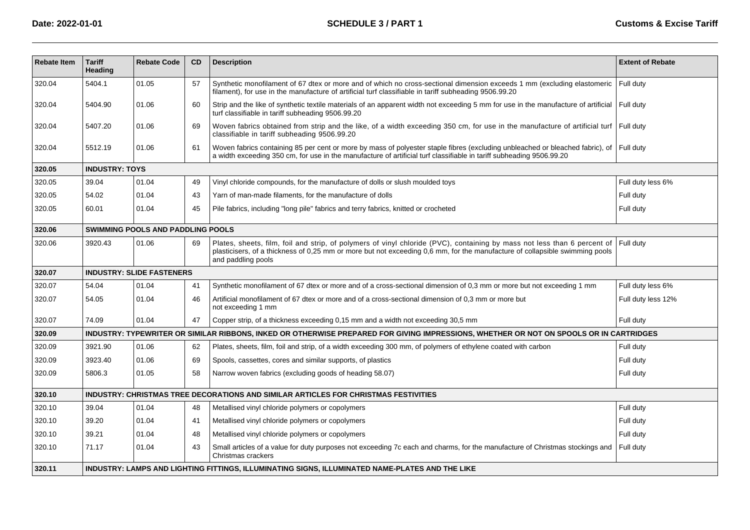| <b>Rebate Item</b> | <b>Tariff</b><br>Heading | <b>Rebate Code</b>                       | CD | <b>Description</b>                                                                                                                                                                                                                                                            | <b>Extent of Rebate</b> |
|--------------------|--------------------------|------------------------------------------|----|-------------------------------------------------------------------------------------------------------------------------------------------------------------------------------------------------------------------------------------------------------------------------------|-------------------------|
| 320.04             | 5404.1                   | 01.05                                    | 57 | Synthetic monofilament of 67 dtex or more and of which no cross-sectional dimension exceeds 1 mm (excluding elastomeric<br>filament), for use in the manufacture of artificial turf classifiable in tariff subheading 9506.99.20                                              | Full duty               |
| 320.04             | 5404.90                  | 01.06                                    | 60 | Strip and the like of synthetic textile materials of an apparent width not exceeding 5 mm for use in the manufacture of artificial<br>turf classifiable in tariff subheading 9506.99.20                                                                                       | Full duty               |
| 320.04             | 5407.20                  | 01.06                                    | 69 | Woven fabrics obtained from strip and the like, of a width exceeding 350 cm, for use in the manufacture of artificial turf Full duty<br>classifiable in tariff subheading 9506.99.20                                                                                          |                         |
| 320.04             | 5512.19                  | 01.06                                    | 61 | Woven fabrics containing 85 per cent or more by mass of polyester staple fibres (excluding unbleached or bleached fabric), of Full duty<br>a width exceeding 350 cm, for use in the manufacture of artificial turf classifiable in tariff subheading 9506.99.20               |                         |
| 320.05             | <b>INDUSTRY: TOYS</b>    |                                          |    |                                                                                                                                                                                                                                                                               |                         |
| 320.05             | 39.04                    | 01.04                                    | 49 | Vinyl chloride compounds, for the manufacture of dolls or slush moulded toys                                                                                                                                                                                                  | Full duty less 6%       |
| 320.05             | 54.02                    | 01.04                                    | 43 | Yarn of man-made filaments, for the manufacture of dolls                                                                                                                                                                                                                      | Full duty               |
| 320.05             | 60.01                    | 01.04                                    | 45 | Pile fabrics, including "long pile" fabrics and terry fabrics, knitted or crocheted                                                                                                                                                                                           | Full duty               |
| 320.06             |                          | <b>SWIMMING POOLS AND PADDLING POOLS</b> |    |                                                                                                                                                                                                                                                                               |                         |
| 320.06             | 3920.43                  | 01.06                                    | 69 | Plates, sheets, film, foil and strip, of polymers of vinyl chloride (PVC), containing by mass not less than 6 percent of<br>plasticisers, of a thickness of 0,25 mm or more but not exceeding 0,6 mm, for the manufacture of collapsible swimming pools<br>and paddling pools | Full duty               |
| 320.07             |                          | <b>INDUSTRY: SLIDE FASTENERS</b>         |    |                                                                                                                                                                                                                                                                               |                         |
| 320.07             | 54.04                    | 01.04                                    | 41 | Synthetic monofilament of 67 dtex or more and of a cross-sectional dimension of 0.3 mm or more but not exceeding 1 mm                                                                                                                                                         | Full duty less 6%       |
| 320.07             | 54.05                    | 01.04                                    | 46 | Artificial monofilament of 67 dtex or more and of a cross-sectional dimension of 0,3 mm or more but<br>not exceeding 1 mm                                                                                                                                                     | Full duty less 12%      |
| 320.07             | 74.09                    | 01.04                                    | 47 | Copper strip, of a thickness exceeding 0,15 mm and a width not exceeding 30,5 mm                                                                                                                                                                                              | Full duty               |
| 320.09             |                          |                                          |    | INDUSTRY: TYPEWRITER OR SIMILAR RIBBONS, INKED OR OTHERWISE PREPARED FOR GIVING IMPRESSIONS, WHETHER OR NOT ON SPOOLS OR IN CARTRIDGES                                                                                                                                        |                         |
| 320.09             | 3921.90                  | 01.06                                    | 62 | Plates, sheets, film, foil and strip, of a width exceeding 300 mm, of polymers of ethylene coated with carbon                                                                                                                                                                 | Full duty               |
| 320.09             | 3923.40                  | 01.06                                    | 69 | Spools, cassettes, cores and similar supports, of plastics                                                                                                                                                                                                                    | Full duty               |
| 320.09             | 5806.3                   | 01.05                                    | 58 | Narrow woven fabrics (excluding goods of heading 58.07)                                                                                                                                                                                                                       | Full duty               |
| 320.10             |                          |                                          |    | INDUSTRY: CHRISTMAS TREE DECORATIONS AND SIMILAR ARTICLES FOR CHRISTMAS FESTIVITIES                                                                                                                                                                                           |                         |
| 320.10             | 39.04                    | 01.04                                    | 48 | Metallised vinyl chloride polymers or copolymers                                                                                                                                                                                                                              | Full duty               |
| 320.10             | 39.20                    | 01.04                                    | 41 | Metallised vinyl chloride polymers or copolymers                                                                                                                                                                                                                              | Full duty               |
| 320.10             | 39.21                    | 01.04                                    | 48 | Metallised vinyl chloride polymers or copolymers                                                                                                                                                                                                                              | Full duty               |
| 320.10             | 71.17                    | 01.04                                    | 43 | Small articles of a value for duty purposes not exceeding 7c each and charms, for the manufacture of Christmas stockings and<br>Christmas crackers                                                                                                                            | Full duty               |
| 320.11             |                          |                                          |    | INDUSTRY: LAMPS AND LIGHTING FITTINGS, ILLUMINATING SIGNS, ILLUMINATED NAME-PLATES AND THE LIKE                                                                                                                                                                               |                         |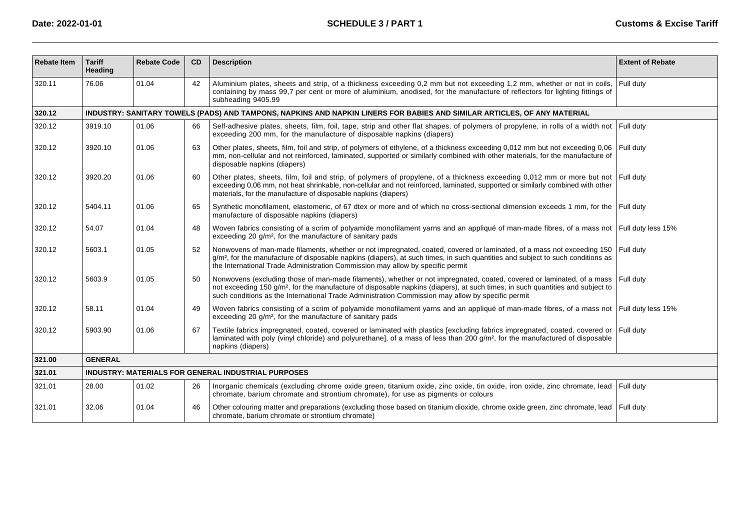| <b>Rebate Item</b> | <b>Tariff</b><br>Heading                                   | <b>Rebate Code</b>                                                                                                       | <b>CD</b> | <b>Description</b>                                                                                                                                                                                                                                                                                                                                                        | <b>Extent of Rebate</b> |  |  |  |  |  |
|--------------------|------------------------------------------------------------|--------------------------------------------------------------------------------------------------------------------------|-----------|---------------------------------------------------------------------------------------------------------------------------------------------------------------------------------------------------------------------------------------------------------------------------------------------------------------------------------------------------------------------------|-------------------------|--|--|--|--|--|
| 320.11             | 76.06                                                      | 01.04                                                                                                                    | 42        | Aluminium plates, sheets and strip, of a thickness exceeding 0,2 mm but not exceeding 1,2 mm, whether or not in coils,<br>containing by mass 99.7 per cent or more of aluminium, anodised, for the manufacture of reflectors for lighting fittings of<br>subheading 9405.99                                                                                               | Full duty               |  |  |  |  |  |
| 320.12             |                                                            | INDUSTRY: SANITARY TOWELS (PADS) AND TAMPONS, NAPKINS AND NAPKIN LINERS FOR BABIES AND SIMILAR ARTICLES, OF ANY MATERIAL |           |                                                                                                                                                                                                                                                                                                                                                                           |                         |  |  |  |  |  |
| 320.12             | 3919.10                                                    | 01.06                                                                                                                    | 66        | Self-adhesive plates, sheets, film, foil, tape, strip and other flat shapes, of polymers of propylene, in rolls of a width not Full duty<br>exceeding 200 mm, for the manufacture of disposable napkins (diapers)                                                                                                                                                         |                         |  |  |  |  |  |
| 320.12             | 3920.10                                                    | 01.06                                                                                                                    | 63        | Other plates, sheets, film, foil and strip, of polymers of ethylene, of a thickness exceeding 0,012 mm but not exceeding 0,06<br>mm, non-cellular and not reinforced, laminated, supported or similarly combined with other materials, for the manufacture of<br>disposable napkins (diapers)                                                                             | Full duty               |  |  |  |  |  |
| 320.12             | 3920.20                                                    | 01.06                                                                                                                    | 60        | Other plates, sheets, film, foil and strip, of polymers of propylene, of a thickness exceeding 0,012 mm or more but not Full duty<br>exceeding 0,06 mm, not heat shrinkable, non-cellular and not reinforced, laminated, supported or similarly combined with other<br>materials, for the manufacture of disposable napkins (diapers)                                     |                         |  |  |  |  |  |
| 320.12             | 5404.11                                                    | 01.06                                                                                                                    | 65        | Synthetic monofilament, elastomeric, of 67 dtex or more and of which no cross-sectional dimension exceeds 1 mm, for the Full duty<br>manufacture of disposable napkins (diapers)                                                                                                                                                                                          |                         |  |  |  |  |  |
| 320.12             | 54.07                                                      | 01.04                                                                                                                    | 48        | Woven fabrics consisting of a scrim of polyamide monofilament yarns and an appliqué of man-made fibres, of a mass not Full duty less 15%<br>exceeding 20 g/m <sup>2</sup> , for the manufacture of sanitary pads                                                                                                                                                          |                         |  |  |  |  |  |
| 320.12             | 5603.1                                                     | 01.05                                                                                                                    | 52        | Nonwovens of man-made filaments, whether or not impregnated, coated, covered or laminated, of a mass not exceeding 150<br>g/m <sup>2</sup> , for the manufacture of disposable napkins (diapers), at such times, in such quantities and subject to such conditions as<br>the International Trade Administration Commission may allow by specific permit                   | Full duty               |  |  |  |  |  |
| 320.12             | 5603.9                                                     | 01.05                                                                                                                    | 50        | Nonwovens (excluding those of man-made filaments), whether or not impregnated, coated, covered or laminated, of a mass<br>not exceeding 150 g/m <sup>2</sup> , for the manufacture of disposable napkins (diapers), at such times, in such quantities and subject to<br>such conditions as the International Trade Administration Commission may allow by specific permit | Full dutv               |  |  |  |  |  |
| 320.12             | 58.11                                                      | 01.04                                                                                                                    | 49        | Woven fabrics consisting of a scrim of polyamide monofilament yarns and an appliqué of man-made fibres, of a mass not   Full duty less 15%<br>exceeding 20 g/m <sup>2</sup> , for the manufacture of sanitary pads                                                                                                                                                        |                         |  |  |  |  |  |
| 320.12             | 5903.90                                                    | 01.06                                                                                                                    | 67        | Textile fabrics impregnated, coated, covered or laminated with plastics [excluding fabrics impregnated, coated, covered or<br>laminated with poly (vinyl chloride) and polyurethane], of a mass of less than 200 g/m <sup>2</sup> , for the manufactured of disposable<br>napkins (diapers)                                                                               | Full duty               |  |  |  |  |  |
| 321.00             | <b>GENERAL</b>                                             |                                                                                                                          |           |                                                                                                                                                                                                                                                                                                                                                                           |                         |  |  |  |  |  |
| 321.01             | <b>INDUSTRY: MATERIALS FOR GENERAL INDUSTRIAL PURPOSES</b> |                                                                                                                          |           |                                                                                                                                                                                                                                                                                                                                                                           |                         |  |  |  |  |  |
| 321.01             | 28.00                                                      | 01.02                                                                                                                    | 26        | Inorganic chemicals (excluding chrome oxide green, titanium oxide, zinc oxide, tin oxide, iron oxide, zinc chromate, lead Full duty<br>chromate, barium chromate and strontium chromate), for use as pigments or colours                                                                                                                                                  |                         |  |  |  |  |  |
| 321.01             | 32.06                                                      | 01.04                                                                                                                    | 46        | Other colouring matter and preparations (excluding those based on titanium dioxide, chrome oxide green, zinc chromate, lead<br>chromate, barium chromate or strontium chromate)                                                                                                                                                                                           | Full duty               |  |  |  |  |  |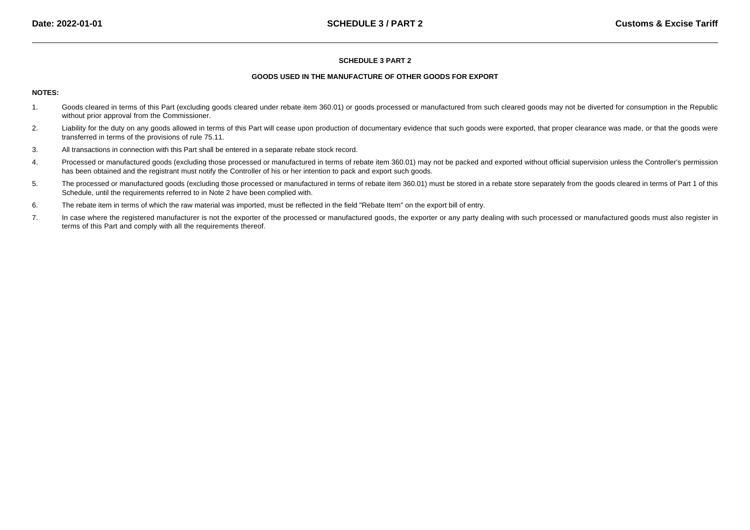#### **SCHEDULE 3 PART 2**

## **GOODS USED IN THE MANUFACTURE OF OTHER GOODS FOR EXPORT**

# **NOTES:**

- 1. Goods cleared in terms of this Part (excluding goods cleared under rebate item 360.01) or goods processed or manufactured from such cleared goods may not be diverted for consumption in the Republicwithout prior approval from the Commissioner.
- 2.Liability for the duty on any goods allowed in terms of this Part will cease upon production of documentary evidence that such goods were exported, that proper clearance was made, or that the goods were transferred in terms of the provisions of rule 75.11.
- 3.All transactions in connection with this Part shall be entered in a separate rebate stock record.
- 4.Processed or manufactured goods (excluding those processed or manufactured in terms of rebate item 360.01) may not be packed and exported without official supervision unless the Controller's permission has been obtained and the registrant must notify the Controller of his or her intention to pack and export such goods.
- 5. The processed or manufactured goods (excluding those processed or manufactured in terms of rebate item 360.01) must be stored in a rebate store separately from the goods cleared in terms of Part 1 of thisSchedule, until the requirements referred to in Note 2 have been complied with.
- 6.The rebate item in terms of which the raw material was imported, must be reflected in the field "Rebate Item" on the export bill of entry.
- 7.In case where the registered manufacturer is not the exporter of the processed or manufactured goods, the exporter or any party dealing with such processed or manufactured goods must also register in terms of this Part and comply with all the requirements thereof.